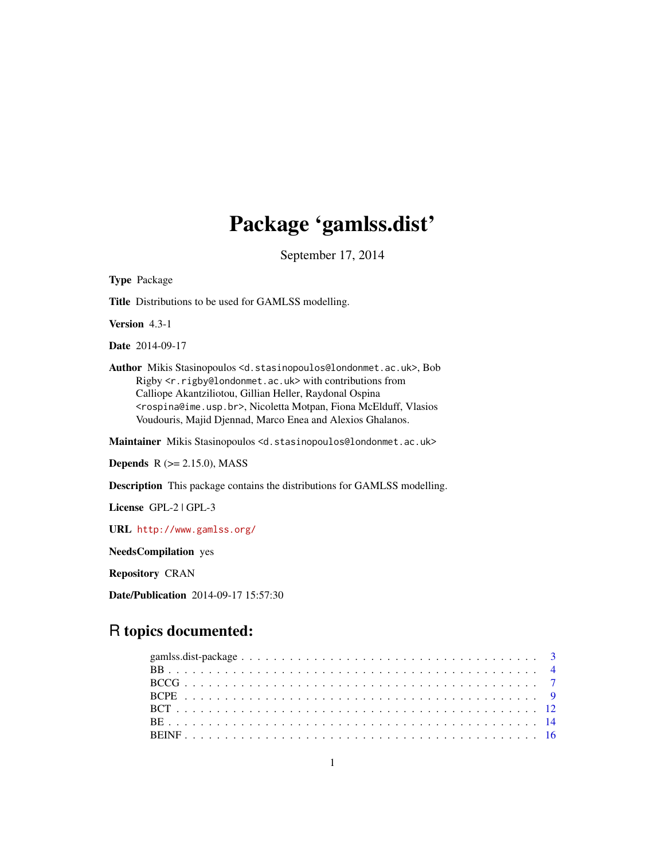# Package 'gamlss.dist'

September 17, 2014

Type Package Title Distributions to be used for GAMLSS modelling. Version 4.3-1 Date 2014-09-17 Author Mikis Stasinopoulos <d.stasinopoulos@londonmet.ac.uk>, Bob Rigby <r.rigby@londonmet.ac.uk> with contributions from Calliope Akantziliotou, Gillian Heller, Raydonal Ospina <rospina@ime.usp.br>, Nicoletta Motpan, Fiona McElduff, Vlasios Voudouris, Majid Djennad, Marco Enea and Alexios Ghalanos. Maintainer Mikis Stasinopoulos <d.stasinopoulos@londonmet.ac.uk> **Depends**  $R$  ( $>= 2.15.0$ ), MASS Description This package contains the distributions for GAMLSS modelling. License GPL-2 | GPL-3

URL <http://www.gamlss.org/>

NeedsCompilation yes

Repository CRAN

Date/Publication 2014-09-17 15:57:30

# R topics documented: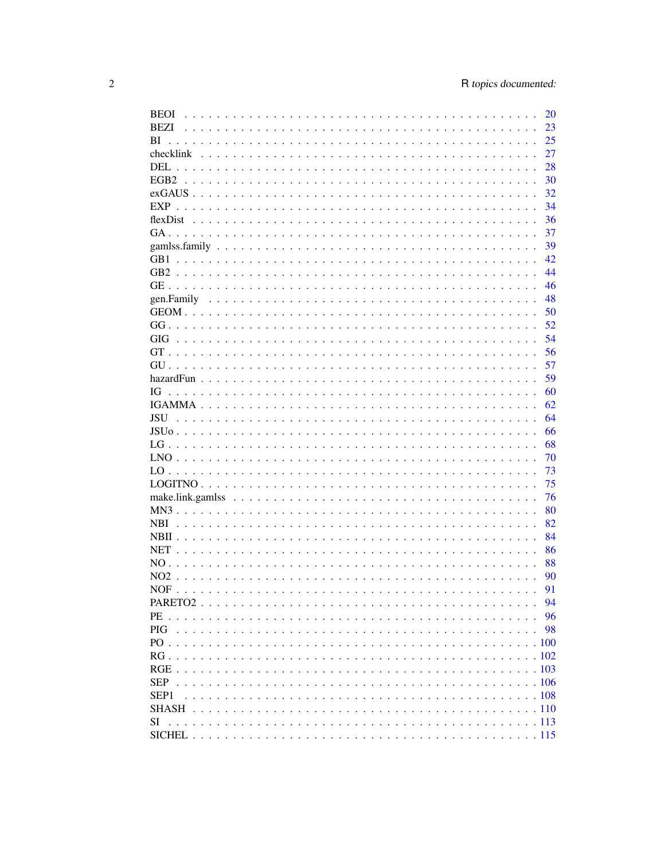| <b>BEOI</b>      |  |  |  |  |  |  |  |  |  |  | 20       |
|------------------|--|--|--|--|--|--|--|--|--|--|----------|
| BEZI             |  |  |  |  |  |  |  |  |  |  | 23       |
| BI               |  |  |  |  |  |  |  |  |  |  | 25       |
|                  |  |  |  |  |  |  |  |  |  |  | 27       |
|                  |  |  |  |  |  |  |  |  |  |  | 28       |
|                  |  |  |  |  |  |  |  |  |  |  | 30       |
|                  |  |  |  |  |  |  |  |  |  |  | 32       |
|                  |  |  |  |  |  |  |  |  |  |  | 34       |
|                  |  |  |  |  |  |  |  |  |  |  | 36       |
|                  |  |  |  |  |  |  |  |  |  |  | 37       |
|                  |  |  |  |  |  |  |  |  |  |  | 39       |
|                  |  |  |  |  |  |  |  |  |  |  | 42       |
|                  |  |  |  |  |  |  |  |  |  |  | 44       |
|                  |  |  |  |  |  |  |  |  |  |  | 46       |
|                  |  |  |  |  |  |  |  |  |  |  | 48       |
|                  |  |  |  |  |  |  |  |  |  |  | 50       |
|                  |  |  |  |  |  |  |  |  |  |  | 52       |
|                  |  |  |  |  |  |  |  |  |  |  | 54       |
|                  |  |  |  |  |  |  |  |  |  |  | 56       |
|                  |  |  |  |  |  |  |  |  |  |  | 57       |
|                  |  |  |  |  |  |  |  |  |  |  | 59       |
|                  |  |  |  |  |  |  |  |  |  |  |          |
| IG               |  |  |  |  |  |  |  |  |  |  | 60       |
|                  |  |  |  |  |  |  |  |  |  |  | 62<br>64 |
|                  |  |  |  |  |  |  |  |  |  |  |          |
|                  |  |  |  |  |  |  |  |  |  |  | 66       |
|                  |  |  |  |  |  |  |  |  |  |  | 68       |
|                  |  |  |  |  |  |  |  |  |  |  | 70       |
|                  |  |  |  |  |  |  |  |  |  |  | 73       |
|                  |  |  |  |  |  |  |  |  |  |  | 75       |
|                  |  |  |  |  |  |  |  |  |  |  | 76       |
|                  |  |  |  |  |  |  |  |  |  |  | 80       |
| <b>NBI</b>       |  |  |  |  |  |  |  |  |  |  | 82       |
|                  |  |  |  |  |  |  |  |  |  |  | 84       |
| <b>NET</b>       |  |  |  |  |  |  |  |  |  |  | 86       |
|                  |  |  |  |  |  |  |  |  |  |  | 88       |
| NO2              |  |  |  |  |  |  |  |  |  |  | 90       |
|                  |  |  |  |  |  |  |  |  |  |  | 91       |
|                  |  |  |  |  |  |  |  |  |  |  | 94       |
|                  |  |  |  |  |  |  |  |  |  |  | 96       |
| <b>PIG</b>       |  |  |  |  |  |  |  |  |  |  | 98       |
|                  |  |  |  |  |  |  |  |  |  |  |          |
|                  |  |  |  |  |  |  |  |  |  |  |          |
|                  |  |  |  |  |  |  |  |  |  |  |          |
| <b>SEP</b>       |  |  |  |  |  |  |  |  |  |  |          |
| SEP <sub>1</sub> |  |  |  |  |  |  |  |  |  |  |          |
|                  |  |  |  |  |  |  |  |  |  |  |          |
| SI               |  |  |  |  |  |  |  |  |  |  |          |
|                  |  |  |  |  |  |  |  |  |  |  |          |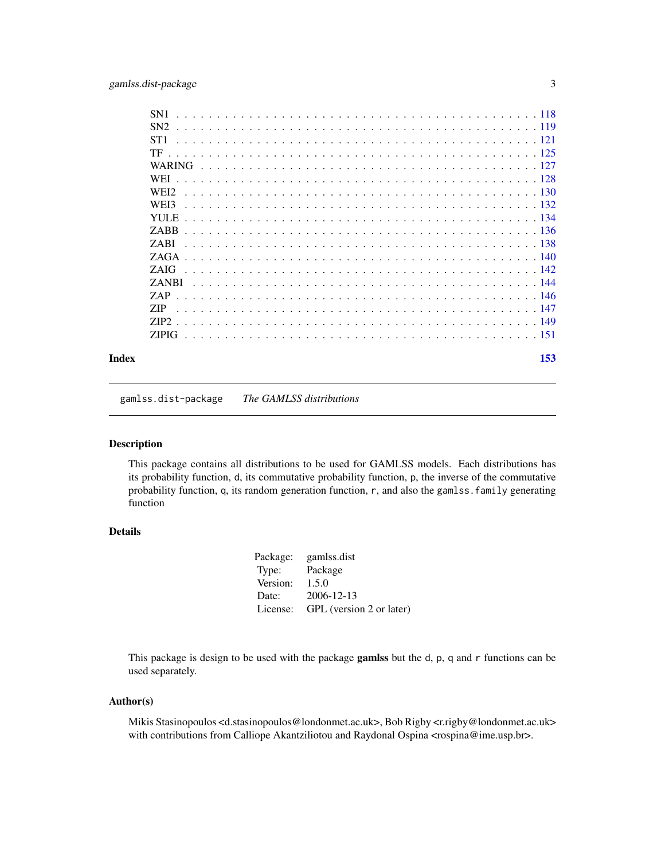<span id="page-2-0"></span>

| SN <sub>1</sub>  |
|------------------|
| SN <sub>2</sub>  |
| ST1              |
| TF               |
|                  |
| <b>WEI</b>       |
| WEI <sub>2</sub> |
| WEI3             |
| YH E             |
| <b>ZARR</b>      |
| <b>ZARI</b>      |
| ZAGA.            |
|                  |
| ZAIG             |
| <b>ZANBI</b>     |
| ZAP              |
| <b>ZIP</b>       |
| ZIP <sub>2</sub> |
| ZIPIG.           |
|                  |
|                  |

#### **Index** [153](#page-152-0)

gamlss.dist-package *The GAMLSS distributions*

# Description

This package contains all distributions to be used for GAMLSS models. Each distributions has its probability function, d, its commutative probability function, p, the inverse of the commutative probability function, q, its random generation function, r, and also the gamlss.family generating function

# Details

| Package: | gamlss.dist              |
|----------|--------------------------|
| Type:    | Package                  |
| Version: | 1.5.0                    |
| Date:    | 2006-12-13               |
| License: | GPL (version 2 or later) |

This package is design to be used with the package **gamlss** but the d, p, q and r functions can be used separately.

#### Author(s)

Mikis Stasinopoulos <d.stasinopoulos@londonmet.ac.uk>, Bob Rigby <r.rigby@londonmet.ac.uk> with contributions from Calliope Akantziliotou and Raydonal Ospina <rospina@ime.usp.br>.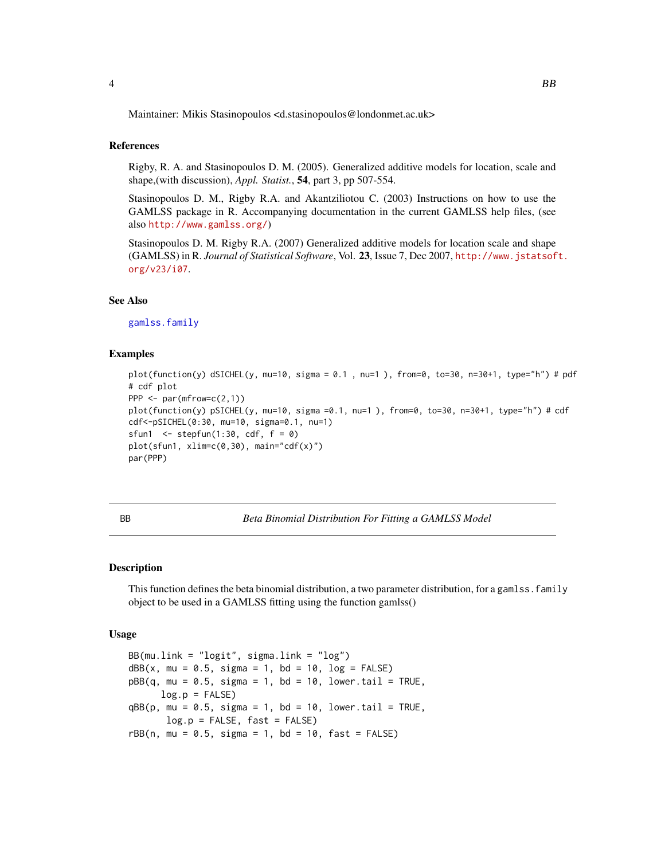<span id="page-3-0"></span>Maintainer: Mikis Stasinopoulos <d.stasinopoulos@londonmet.ac.uk>

#### References

Rigby, R. A. and Stasinopoulos D. M. (2005). Generalized additive models for location, scale and shape,(with discussion), *Appl. Statist.*, 54, part 3, pp 507-554.

Stasinopoulos D. M., Rigby R.A. and Akantziliotou C. (2003) Instructions on how to use the GAMLSS package in R. Accompanying documentation in the current GAMLSS help files, (see also <http://www.gamlss.org/>)

Stasinopoulos D. M. Rigby R.A. (2007) Generalized additive models for location scale and shape (GAMLSS) in R. *Journal of Statistical Software*, Vol. 23, Issue 7, Dec 2007, [http://www.jstatsof](http://www.jstatsoft.org/v23/i07)t. [org/v23/i07](http://www.jstatsoft.org/v23/i07).

#### See Also

[gamlss.family](#page-38-1)

#### Examples

```
plot(function(y) dSICHEL(y, mu=10, sigma = 0.1 , nu=1 ), from=0, to=30, n=30+1, type="h") # pdf
# cdf plot
PPP \leq- par(mfrow=c(2,1))
plot(function(y) pSICHEL(y, mu=10, sigma =0.1, nu=1 ), from=0, to=30, n=30+1, type="h") # cdf
cdf<-pSICHEL(0:30, mu=10, sigma=0.1, nu=1)
sfun1 <- stepfun(1:30, cdf, f = 0)
plot(sfun1, xlim=c(0,30), main='cdf(x)")par(PPP)
```
BB *Beta Binomial Distribution For Fitting a GAMLSS Model*

#### Description

This function defines the beta binomial distribution, a two parameter distribution, for a gamlss. family object to be used in a GAMLSS fitting using the function gamlss()

#### Usage

BB(mu.link = "logit", sigma.link = "log")  $dBB(x, mu = 0.5, sigma = 1, bd = 10, log = FALSE)$  $pBB(q, mu = 0.5, sigma = 1, bd = 10, lower.tail = TRUE,$  $log.p = FALSE$  $qBB(p, mu = 0.5, sigma = 1, bd = 10, lower.tail = TRUE,$  $log.p = FALSE, fast = FALSE)$  $rBB(n, mu = 0.5, sigma = 1, bd = 10, fast = FALSE)$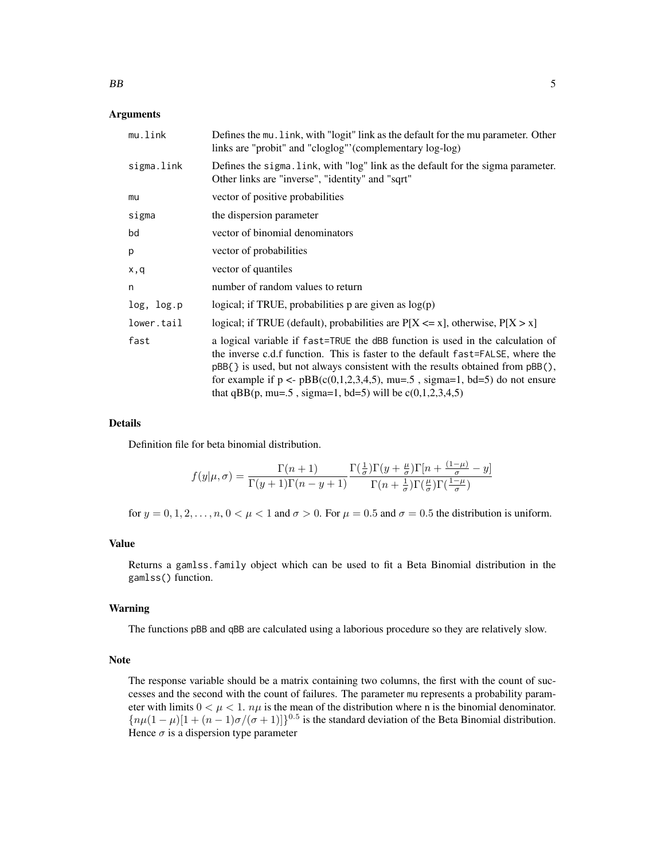#### Arguments

| mu.link    | Defines the mu. link, with "logit" link as the default for the mu parameter. Other<br>links are "probit" and "cloglog"' (complementary log-log)                                                                                                                                                                                                                                                               |
|------------|---------------------------------------------------------------------------------------------------------------------------------------------------------------------------------------------------------------------------------------------------------------------------------------------------------------------------------------------------------------------------------------------------------------|
| sigma.link | Defines the sigma. Link, with "log" link as the default for the sigma parameter.<br>Other links are "inverse", "identity" and "sqrt"                                                                                                                                                                                                                                                                          |
| mu         | vector of positive probabilities                                                                                                                                                                                                                                                                                                                                                                              |
| sigma      | the dispersion parameter                                                                                                                                                                                                                                                                                                                                                                                      |
| bd         | vector of binomial denominators                                                                                                                                                                                                                                                                                                                                                                               |
| p          | vector of probabilities                                                                                                                                                                                                                                                                                                                                                                                       |
| x,q        | vector of quantiles                                                                                                                                                                                                                                                                                                                                                                                           |
| n          | number of random values to return                                                                                                                                                                                                                                                                                                                                                                             |
| log, log.p | logical; if TRUE, probabilities $p$ are given as $log(p)$                                                                                                                                                                                                                                                                                                                                                     |
| lower.tail | logical; if TRUE (default), probabilities are $P[X \le x]$ , otherwise, $P[X > x]$                                                                                                                                                                                                                                                                                                                            |
| fast       | a logical variable if fast=TRUE the dBB function is used in the calculation of<br>the inverse c.d.f function. This is faster to the default fast=FALSE, where the<br>$pBB$ { } is used, but not always consistent with the results obtained from $pBB$ (),<br>for example if $p \leq pBB(c(0,1,2,3,4,5))$ , mu=.5, sigma=1, bd=5) do not ensure<br>that qBB(p, mu=.5, sigma=1, bd=5) will be $c(0,1,2,3,4,5)$ |

#### Details

Definition file for beta binomial distribution.

$$
f(y|\mu,\sigma) = \frac{\Gamma(n+1)}{\Gamma(y+1)\Gamma(n-y+1)} \frac{\Gamma(\frac{1}{\sigma})\Gamma(y+\frac{\mu}{\sigma})\Gamma[n+\frac{(1-\mu)}{\sigma}-y]}{\Gamma(n+\frac{1}{\sigma})\Gamma(\frac{\mu}{\sigma})\Gamma(\frac{1-\mu}{\sigma})}
$$

for  $y = 0, 1, 2, \ldots, n, 0 \lt \mu \lt 1$  and  $\sigma > 0$ . For  $\mu = 0.5$  and  $\sigma = 0.5$  the distribution is uniform.

#### Value

Returns a gamlss.family object which can be used to fit a Beta Binomial distribution in the gamlss() function.

#### Warning

The functions pBB and qBB are calculated using a laborious procedure so they are relatively slow.

#### Note

The response variable should be a matrix containing two columns, the first with the count of successes and the second with the count of failures. The parameter mu represents a probability parameter with limits  $0 < \mu < 1$ .  $n\mu$  is the mean of the distribution where n is the binomial denominator.  ${n\mu(1-\mu)[1+(n-1)\sigma/(\sigma+1)]}^{0.5}$  is the standard deviation of the Beta Binomial distribution. Hence  $\sigma$  is a dispersion type parameter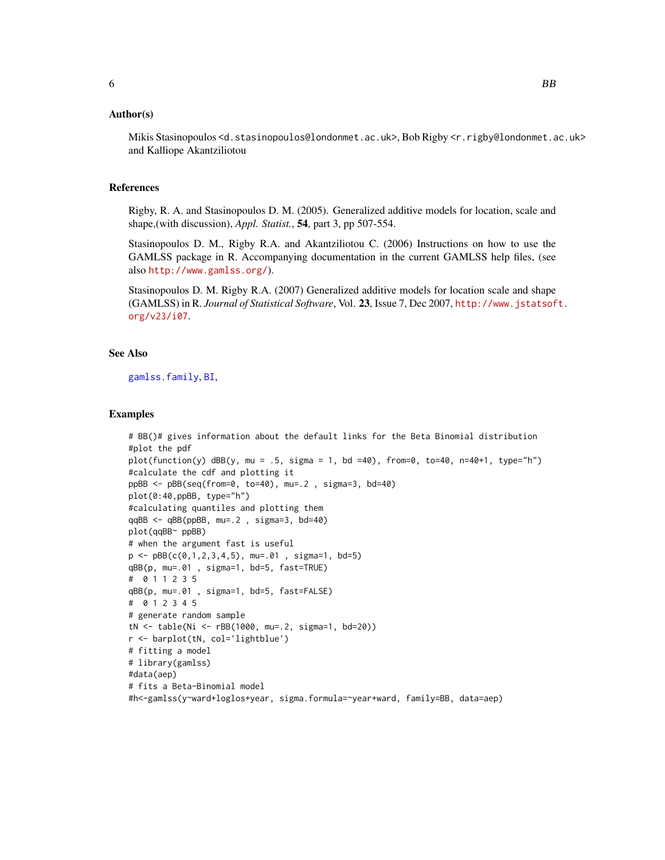#### Author(s)

Mikis Stasinopoulos <d.stasinopoulos@londonmet.ac.uk>, Bob Rigby <r.rigby@londonmet.ac.uk> and Kalliope Akantziliotou

#### References

Rigby, R. A. and Stasinopoulos D. M. (2005). Generalized additive models for location, scale and shape,(with discussion), *Appl. Statist.*, 54, part 3, pp 507-554.

Stasinopoulos D. M., Rigby R.A. and Akantziliotou C. (2006) Instructions on how to use the GAMLSS package in R. Accompanying documentation in the current GAMLSS help files, (see also <http://www.gamlss.org/>).

Stasinopoulos D. M. Rigby R.A. (2007) Generalized additive models for location scale and shape (GAMLSS) in R. *Journal of Statistical Software*, Vol. 23, Issue 7, Dec 2007, [http://www.jstatsof](http://www.jstatsoft.org/v23/i07)t. [org/v23/i07](http://www.jstatsoft.org/v23/i07).

# See Also

[gamlss.family](#page-38-1), [BI](#page-24-1),

#### Examples

```
# BB()# gives information about the default links for the Beta Binomial distribution
#plot the pdf
plot(function(y) dBBy, mu = .5, sigma = 1, bd =40), from=0, to=40, n=40+1, type="n")#calculate the cdf and plotting it
ppBB <- pBB(seq(from=0, to=40), mu=.2 , sigma=3, bd=40)
plot(0:40,ppBB, type="h")
#calculating quantiles and plotting them
qqBB <- qBB(ppBB, mu=.2 , sigma=3, bd=40)
plot(qqBB~ ppBB)
# when the argument fast is useful
p \le -pBB(c(0,1,2,3,4,5)), mu=.01, sigma=1, bd=5)
qBB(p, mu=.01 , sigma=1, bd=5, fast=TRUE)
# 0 1 1 2 3 5
qBB(p, mu=.01 , sigma=1, bd=5, fast=FALSE)
# 0 1 2 3 4 5
# generate random sample
tN <- table(Ni <- rBB(1000, mu=.2, sigma=1, bd=20))
r <- barplot(tN, col='lightblue')
# fitting a model
# library(gamlss)
#data(aep)
# fits a Beta-Binomial model
#h<-gamlss(y~ward+loglos+year, sigma.formula=~year+ward, family=BB, data=aep)
```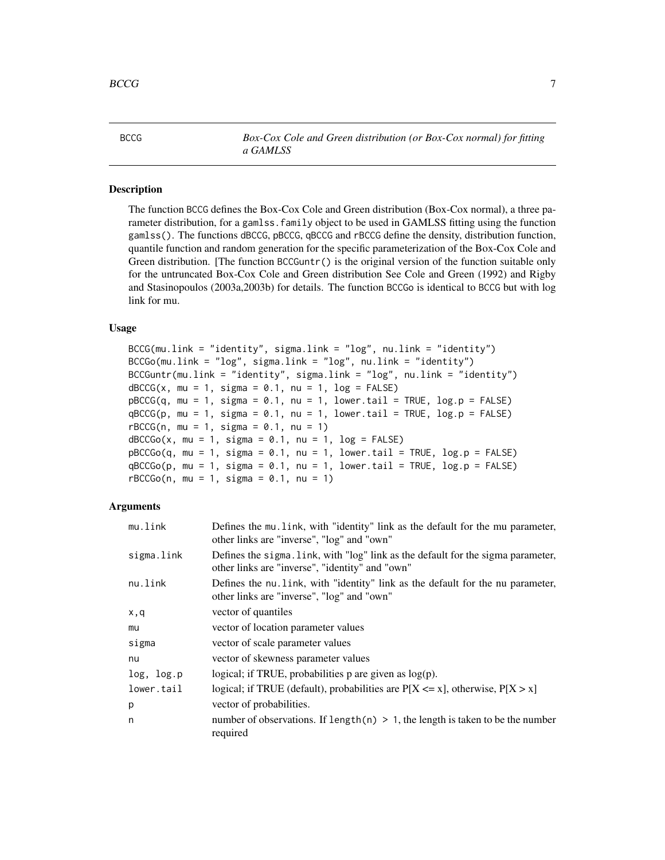<span id="page-6-1"></span><span id="page-6-0"></span>

BCCG *Box-Cox Cole and Green distribution (or Box-Cox normal) for fitting a GAMLSS*

#### Description

The function BCCG defines the Box-Cox Cole and Green distribution (Box-Cox normal), a three parameter distribution, for a gamlss. family object to be used in GAMLSS fitting using the function gamlss(). The functions dBCCG, pBCCG, qBCCG and rBCCG define the density, distribution function, quantile function and random generation for the specific parameterization of the Box-Cox Cole and Green distribution. [The function  $BCGuntr()$  is the original version of the function suitable only for the untruncated Box-Cox Cole and Green distribution See Cole and Green (1992) and Rigby and Stasinopoulos (2003a,2003b) for details. The function BCCGo is identical to BCCG but with log link for mu.

#### Usage

```
BCCG(mu.link = "identity", sigma.link = "log", nu.link = "identity")BCCGo(mu.link = "log", sigma.link = "log", nu.link = "identity")
BCCGuntr(mu.link = "identity", sigma.link = "log", nu.link = "identity")
dBCCG(x, mu = 1, sigma = 0.1, nu = 1, log = FALSE)pBCCG(q, mu = 1, sigma = 0.1, nu = 1, lower[allerage] <math>p = FALSEqBCCG(p, mu = 1, sigma = 0.1, nu = 1, lower.tail = TRUE, log.p = FALSE)rBCCG(n, mu = 1, sigma = 0.1, nu = 1)dBCCGo(x, mu = 1, sigma = 0.1, nu = 1, log = FALSE)pBCCGo(q, mu = 1, sigma = 0.1, nu = 1, lower.tail = TRUE, log.p = FALSE)qBCCGo(p, mu = 1, sigma = 0.1, nu = 1, lowertail = TRUE, log.p = FALSE)rBCCGo(n, mu = 1, sigma = 0.1, nu = 1)
```

| mu.link    | Defines the mu. Link, with "identity" link as the default for the mu parameter,<br>other links are "inverse", "log" and "own"       |
|------------|-------------------------------------------------------------------------------------------------------------------------------------|
| sigma.link | Defines the sigma. Link, with "log" link as the default for the sigma parameter,<br>other links are "inverse", "identity" and "own" |
| nu.link    | Defines the nu link, with "identity" link as the default for the nu parameter,<br>other links are "inverse", "log" and "own"        |
| x,q        | vector of quantiles                                                                                                                 |
| mu         | vector of location parameter values                                                                                                 |
| sigma      | vector of scale parameter values                                                                                                    |
| nu         | vector of skewness parameter values                                                                                                 |
| log, log.p | logical; if TRUE, probabilities $p$ are given as $log(p)$ .                                                                         |
| lower.tail | logical; if TRUE (default), probabilities are $P[X \le x]$ , otherwise, $P[X > x]$                                                  |
| р          | vector of probabilities.                                                                                                            |
| n          | number of observations. If length(n) $> 1$ , the length is taken to be the number<br>required                                       |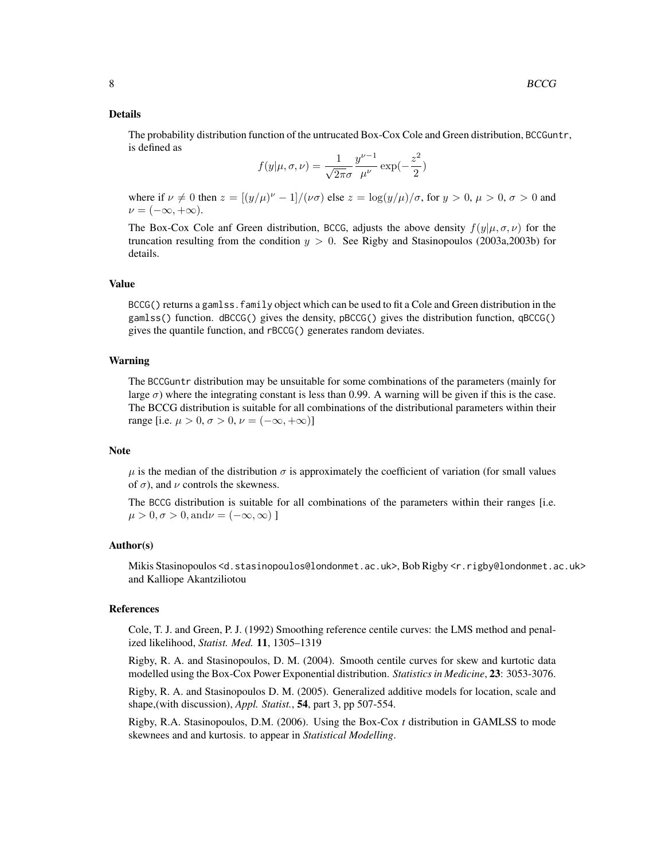The probability distribution function of the untrucated Box-Cox Cole and Green distribution, BCCGuntr, is defined as

$$
f(y|\mu, \sigma, \nu) = \frac{1}{\sqrt{2\pi}\sigma} \frac{y^{\nu - 1}}{\mu^{\nu}} \exp(-\frac{z^2}{2})
$$

where if  $\nu \neq 0$  then  $z = [(y/\mu)^{\nu} - 1]/(\nu \sigma)$  else  $z = \log(y/\mu)/\sigma$ , for  $y > 0$ ,  $\mu > 0$ ,  $\sigma > 0$  and  $\nu = (-\infty, +\infty).$ 

The Box-Cox Cole anf Green distribution, BCCG, adjusts the above density  $f(y|\mu, \sigma, \nu)$  for the truncation resulting from the condition  $y > 0$ . See Rigby and Stasinopoulos (2003a, 2003b) for details.

#### Value

BCCG() returns a gamlss.family object which can be used to fit a Cole and Green distribution in the gamlss() function. dBCCG() gives the density, pBCCG() gives the distribution function, qBCCG() gives the quantile function, and rBCCG() generates random deviates.

#### Warning

The BCCGuntr distribution may be unsuitable for some combinations of the parameters (mainly for large  $\sigma$ ) where the integrating constant is less than 0.99. A warning will be given if this is the case. The BCCG distribution is suitable for all combinations of the distributional parameters within their range [i.e.  $\mu > 0$ ,  $\sigma > 0$ ,  $\nu = (-\infty, +\infty)$ ]

#### Note

 $\mu$  is the median of the distribution  $\sigma$  is approximately the coefficient of variation (for small values of  $\sigma$ ), and  $\nu$  controls the skewness.

The BCCG distribution is suitable for all combinations of the parameters within their ranges [i.e.  $\mu > 0, \sigma > 0, \text{and}\nu = (-\infty, \infty)$ ]

#### Author(s)

Mikis Stasinopoulos <d.stasinopoulos@londonmet.ac.uk>, Bob Rigby <r.rigby@londonmet.ac.uk> and Kalliope Akantziliotou

#### References

Cole, T. J. and Green, P. J. (1992) Smoothing reference centile curves: the LMS method and penalized likelihood, *Statist. Med.* 11, 1305–1319

Rigby, R. A. and Stasinopoulos, D. M. (2004). Smooth centile curves for skew and kurtotic data modelled using the Box-Cox Power Exponential distribution. *Statistics in Medicine*, 23: 3053-3076.

Rigby, R. A. and Stasinopoulos D. M. (2005). Generalized additive models for location, scale and shape,(with discussion), *Appl. Statist.*, 54, part 3, pp 507-554.

Rigby, R.A. Stasinopoulos, D.M. (2006). Using the Box-Cox *t* distribution in GAMLSS to mode skewnees and and kurtosis. to appear in *Statistical Modelling*.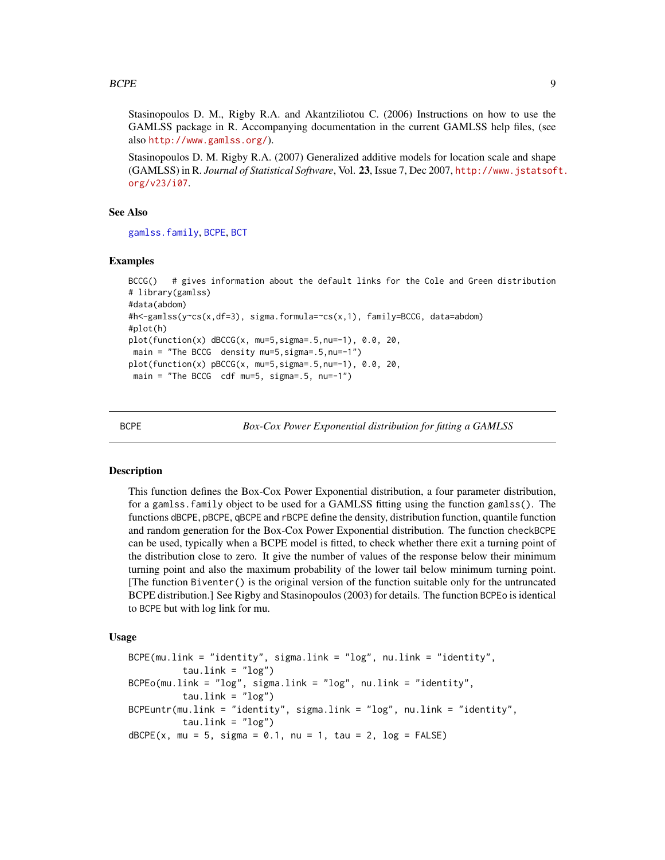<span id="page-8-0"></span>Stasinopoulos D. M., Rigby R.A. and Akantziliotou C. (2006) Instructions on how to use the GAMLSS package in R. Accompanying documentation in the current GAMLSS help files, (see also <http://www.gamlss.org/>).

Stasinopoulos D. M. Rigby R.A. (2007) Generalized additive models for location scale and shape (GAMLSS) in R. *Journal of Statistical Software*, Vol. 23, Issue 7, Dec 2007, [http://www.jstatsof](http://www.jstatsoft.org/v23/i07)t. [org/v23/i07](http://www.jstatsoft.org/v23/i07).

#### See Also

[gamlss.family](#page-38-1), [BCPE](#page-8-1), [BCT](#page-11-1)

#### Examples

```
BCCG() # gives information about the default links for the Cole and Green distribution
# library(gamlss)
#data(abdom)
#h<-gamlss(y~cs(x,df=3), sigma.formula=~cs(x,1), family=BCCG, data=abdom)
#plot(h)
plot(function(x) dBCCG(x, mu=5,sigma=.5,nu=-1), 0.0, 20,
main = "The BCCG density mu=5,sigma=.5,nu=-1")
plot(function(x) pBCCG(x, mu=5,sigma=.5,nu=-1), 0.0, 20,
main = "The BCCG cdf mu=5, sigma=.5, nu=-1")
```
<span id="page-8-1"></span>

BCPE *Box-Cox Power Exponential distribution for fitting a GAMLSS*

#### Description

This function defines the Box-Cox Power Exponential distribution, a four parameter distribution, for a gamlss.family object to be used for a GAMLSS fitting using the function gamlss(). The functions dBCPE, pBCPE, qBCPE and rBCPE define the density, distribution function, quantile function and random generation for the Box-Cox Power Exponential distribution. The function checkBCPE can be used, typically when a BCPE model is fitted, to check whether there exit a turning point of the distribution close to zero. It give the number of values of the response below their minimum turning point and also the maximum probability of the lower tail below minimum turning point. [The function Biventer() is the original version of the function suitable only for the untruncated BCPE distribution.] See Rigby and Stasinopoulos (2003) for details. The function BCPEo is identical to BCPE but with log link for mu.

#### Usage

```
BCPE(mu.link = "identity", sigma.link = "log", nu.link = "identity",
          tau.link = "log")
BCPEo(mu.link = "log", sigma.link = "log", nu.link = "identity",
          tau.link = "log")
BCPEuntr(mu.link = "identity", sigma.link = "log", nu.link = "identity",
          tau.link = "log")
dBCPE(x, mu = 5, sigma = 0.1, nu = 1, tau = 2, log = FALSE)
```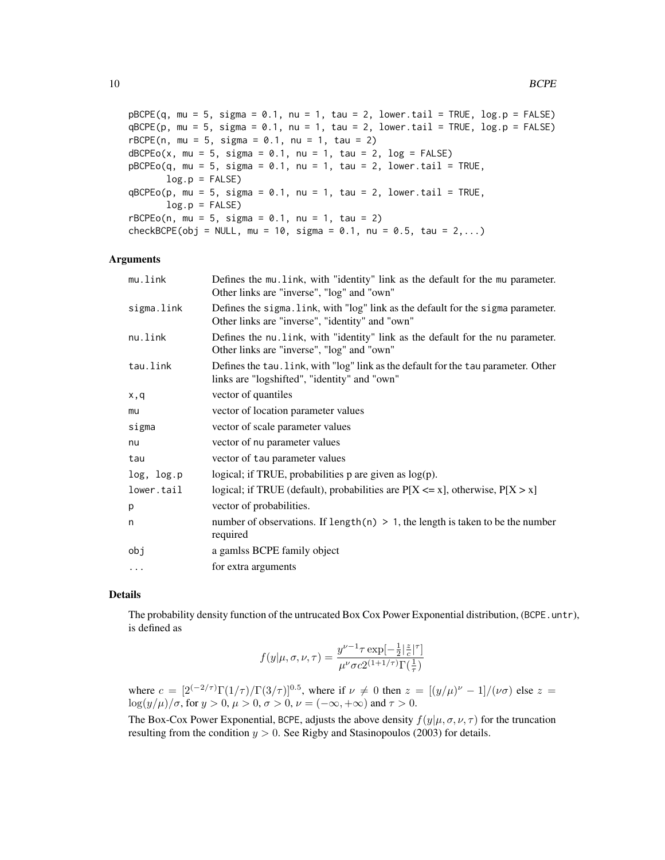$pBCPE(q, mu = 5, sigma = 0.1, nu = 1, tau = 2, lower$ **tail = TRUE, log.p = FALSE** $)$  $qBCPE(p, mu = 5, sigma = 0.1, nu = 1, tau = 2, lower$  $u0.1 = TRUE, log.p = FALSE)$  $rBCPE(n, mu = 5, sigma = 0.1, nu = 1, tau = 2)$  $dBCPEo(x, mu = 5, sigma = 0.1, nu = 1, tau = 2, log = FALSE)$  $pBCPEo(q, mu = 5, sigma = 0.1, nu = 1, tau = 2, lower$ **[2014]** $= TRUE,$  $log.p = FALSE$ )  $qBCPEo(p, mu = 5, sigma = 0.1, nu = 1, tau = 2, lower$ **tail = TRUE** $,$  $log.p = FALSE$  $rBCPEo(n, mu = 5, sigma = 0.1, nu = 1, tau = 2)$ checkBCPE(obj = NULL, mu = 10, sigma = 0.1, nu = 0.5, tau = 2,...)

#### Arguments

| mu.link    | Defines the mu. link, with "identity" link as the default for the mu parameter.<br>Other links are "inverse", "log" and "own"       |
|------------|-------------------------------------------------------------------------------------------------------------------------------------|
| sigma.link | Defines the sigma. link, with "log" link as the default for the sigma parameter.<br>Other links are "inverse", "identity" and "own" |
| nu.link    | Defines the nu. link, with "identity" link as the default for the nu parameter.<br>Other links are "inverse", "log" and "own"       |
| tau.link   | Defines the tau. link, with "log" link as the default for the tau parameter. Other<br>links are "logshifted", "identity" and "own"  |
| x,q        | vector of quantiles                                                                                                                 |
| mu         | vector of location parameter values                                                                                                 |
| sigma      | vector of scale parameter values                                                                                                    |
| nu         | vector of nu parameter values                                                                                                       |
| tau        | vector of tau parameter values                                                                                                      |
| log, log.p | logical; if TRUE, probabilities $p$ are given as $log(p)$ .                                                                         |
| lower.tail | logical; if TRUE (default), probabilities are $P[X \le x]$ , otherwise, $P[X > x]$                                                  |
| p          | vector of probabilities.                                                                                                            |
| n          | number of observations. If length(n) $> 1$ , the length is taken to be the number<br>required                                       |
| obj        | a gamlss BCPE family object                                                                                                         |
| $\cdots$   | for extra arguments                                                                                                                 |

#### Details

The probability density function of the untrucated Box Cox Power Exponential distribution, (BCPE.untr), is defined as

$$
f(y|\mu,\sigma,\nu,\tau) = \frac{y^{\nu-1}\tau \exp[-\frac{1}{2}|\frac{z}{c}|^{\tau}]}{\mu^{\nu}\sigma c 2^{(1+1/\tau)}\Gamma(\frac{1}{\tau})}
$$

where  $c = [2^{(-2/\tau)} \Gamma(1/\tau) / \Gamma(3/\tau)]^{0.5}$ , where if  $\nu \neq 0$  then  $z = [(y/\mu)^{\nu} - 1] / (\nu \sigma)$  else  $z =$  $\log(y/\mu)/\sigma$ , for  $y > 0$ ,  $\mu > 0$ ,  $\sigma > 0$ ,  $\nu = (-\infty, +\infty)$  and  $\tau > 0$ .

The Box-Cox Power Exponential, BCPE, adjusts the above density  $f(y|\mu, \sigma, \nu, \tau)$  for the truncation resulting from the condition  $y > 0$ . See Rigby and Stasinopoulos (2003) for details.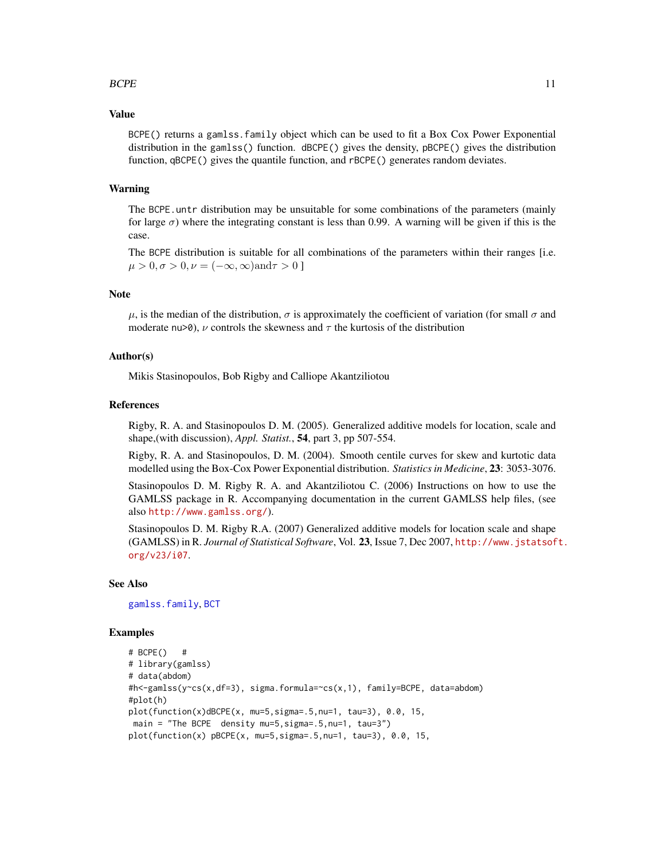#### $B$ CPE  $\qquad \qquad$  11

#### Value

BCPE() returns a gamlss.family object which can be used to fit a Box Cox Power Exponential distribution in the gamlss() function. dBCPE() gives the density, pBCPE() gives the distribution function, qBCPE() gives the quantile function, and rBCPE() generates random deviates.

#### Warning

The BCPE, untr distribution may be unsuitable for some combinations of the parameters (mainly for large  $\sigma$ ) where the integrating constant is less than 0.99. A warning will be given if this is the case.

The BCPE distribution is suitable for all combinations of the parameters within their ranges [i.e.  $\mu > 0, \sigma > 0, \nu = (-\infty, \infty)$ and $\tau > 0$ ]

#### Note

 $\mu$ , is the median of the distribution,  $\sigma$  is approximately the coefficient of variation (for small  $\sigma$  and moderate nu>0),  $\nu$  controls the skewness and  $\tau$  the kurtosis of the distribution

#### Author(s)

Mikis Stasinopoulos, Bob Rigby and Calliope Akantziliotou

#### References

Rigby, R. A. and Stasinopoulos D. M. (2005). Generalized additive models for location, scale and shape,(with discussion), *Appl. Statist.*, 54, part 3, pp 507-554.

Rigby, R. A. and Stasinopoulos, D. M. (2004). Smooth centile curves for skew and kurtotic data modelled using the Box-Cox Power Exponential distribution. *Statistics in Medicine*, 23: 3053-3076.

Stasinopoulos D. M. Rigby R. A. and Akantziliotou C. (2006) Instructions on how to use the GAMLSS package in R. Accompanying documentation in the current GAMLSS help files, (see also <http://www.gamlss.org/>).

Stasinopoulos D. M. Rigby R.A. (2007) Generalized additive models for location scale and shape (GAMLSS) in R. *Journal of Statistical Software*, Vol. 23, Issue 7, Dec 2007, [http://www.jstatsof](http://www.jstatsoft.org/v23/i07)t. [org/v23/i07](http://www.jstatsoft.org/v23/i07).

#### See Also

[gamlss.family](#page-38-1), [BCT](#page-11-1)

#### Examples

```
# BCPE() #
# library(gamlss)
# data(abdom)
#h<-gamlss(y~cs(x,df=3), sigma.formula=~cs(x,1), family=BCPE, data=abdom)
#plot(h)
plot(function(x)dBCPE(x, mu=5,sigma=.5,nu=1, tau=3), 0.0, 15,
main = "The BCPE density mu=5,sigma=.5,nu=1, tau=3")
plot(function(x) pBCPE(x, mu=5, sigma=.5, nu=1, tau=3), 0.0, 15,
```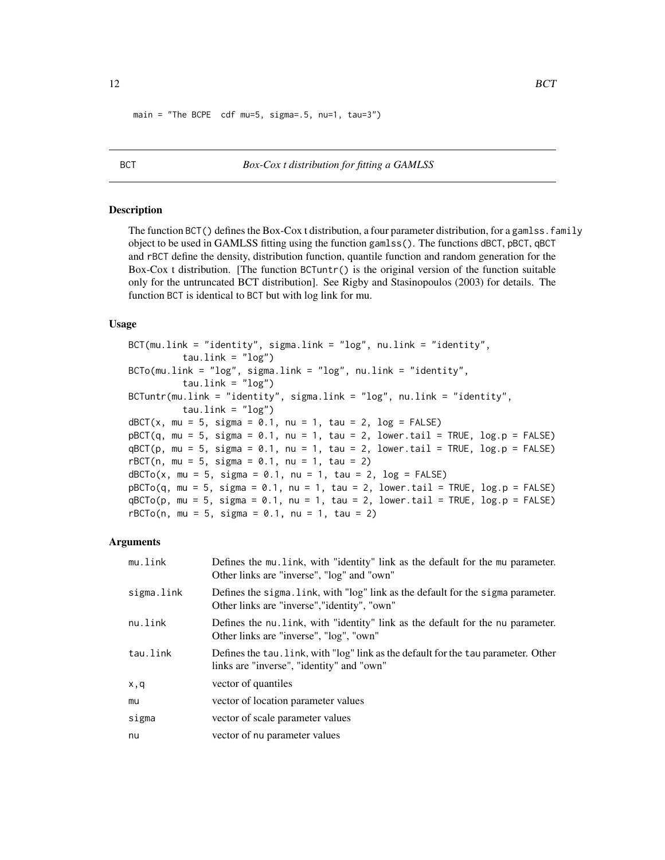<span id="page-11-0"></span> $main = "The BCPE cdf mu=5, sigma=0.5, nu=1, tau=3")$ 

<span id="page-11-1"></span>

#### BCT *Box-Cox t distribution for fitting a GAMLSS*

#### Description

The function BCT() defines the Box-Cox t distribution, a four parameter distribution, for a gamlss. family object to be used in GAMLSS fitting using the function gamlss(). The functions dBCT, pBCT, qBCT and rBCT define the density, distribution function, quantile function and random generation for the Box-Cox t distribution. [The function BCTuntr() is the original version of the function suitable only for the untruncated BCT distribution]. See Rigby and Stasinopoulos (2003) for details. The function BCT is identical to BCT but with log link for mu.

#### Usage

```
BCT(mu.link = "identity", sigma.link = "log", nu.link = "identity",
         tau.link = "log")
BCTo(mu.link = "log", sigma.link = "log", nu.link = "identity",
          tau.link = "log")BCTuntr(mu.link = "identity", sigma.link = "log", nu.link = "identity",
         tau.link = "log")
dBCT(x, mu = 5, sigma = 0.1, nu = 1, tau = 2, log = FALSE)pBCT(q, mu = 5, sigma = 0.1, nu = 1, tau = 2, lower[amal] = TRUE, <math>log.p = FALSE)
qBCT(p, mu = 5, sigma = 0.1, nu = 1, tau = 2, lower.tail = TRUE, log.p = FALSE)
rBCT(n, mu = 5, sigma = 0.1, nu = 1, tau = 2)dBCTo(x, mu = 5, sigma = 0.1, nu = 1, tau = 2, log = FALSE)pBCTo(q, mu = 5, sigma = 0.1, nu = 1, tau = 2, lower.\n</math>qBCTo(p, mu = 5, sigma = 0.1, nu = 1, tau = 2, lower.tail = TRUE, log.p = FALSE)rBCTo(n, mu = 5, sigma = 0.1, nu = 1, tau = 2)
```

| mu.link    | Defines the multinum unit, with "identity" link as the default for the multinum parameter.<br>Other links are "inverse", "log" and "own" |
|------------|------------------------------------------------------------------------------------------------------------------------------------------|
| sigma.link | Defines the sigma. link, with "log" link as the default for the sigma parameter.<br>Other links are "inverse", "identity", "own"         |
| nu.link    | Defines the nu. link, with "identity" link as the default for the nu parameter.<br>Other links are "inverse", "log", "own"               |
| tau.link   | Defines the tau. link, with "log" link as the default for the tau parameter. Other<br>links are "inverse", "identity" and "own"          |
| x,q        | vector of quantiles                                                                                                                      |
| mu         | vector of location parameter values                                                                                                      |
| sigma      | vector of scale parameter values                                                                                                         |
| nu         | vector of nu parameter values                                                                                                            |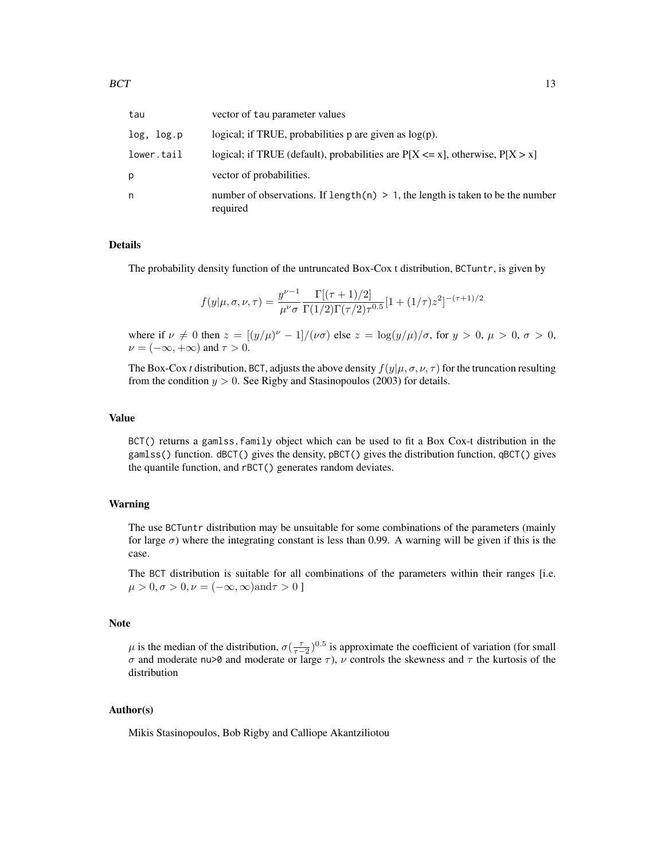| tau        | vector of tau parameter values                                                                |
|------------|-----------------------------------------------------------------------------------------------|
| log, log.p | logical; if TRUE, probabilities $p$ are given as $log(p)$ .                                   |
| lower.tail | logical; if TRUE (default), probabilities are $P[X \le x]$ , otherwise, $P[X > x]$            |
| р          | vector of probabilities.                                                                      |
| n          | number of observations. If length(n) $> 1$ , the length is taken to be the number<br>required |

The probability density function of the untruncated Box-Cox t distribution, BCTuntr, is given by

$$
f(y|\mu,\sigma,\nu,\tau) = \frac{y^{\nu-1}}{\mu^{\nu}\sigma} \frac{\Gamma[(\tau+1)/2]}{\Gamma(1/2)\Gamma(\tau/2)\tau^{0.5}} [1 + (1/\tau)z^2]^{-(\tau+1)/2}
$$

where if  $\nu \neq 0$  then  $z = [(y/\mu)^{\nu} - 1]/(\nu \sigma)$  else  $z = \log(y/\mu)/\sigma$ , for  $y > 0$ ,  $\mu > 0$ ,  $\sigma > 0$ ,  $\nu = (-\infty, +\infty)$  and  $\tau > 0$ .

The Box-Cox *t* distribution, BCT, adjusts the above density  $f(y|\mu, \sigma, \nu, \tau)$  for the truncation resulting from the condition  $y > 0$ . See Rigby and Stasinopoulos (2003) for details.

#### Value

BCT() returns a gamlss.family object which can be used to fit a Box Cox-t distribution in the gamlss() function. dBCT() gives the density, pBCT() gives the distribution function, qBCT() gives the quantile function, and rBCT() generates random deviates.

#### Warning

The use BCTuntr distribution may be unsuitable for some combinations of the parameters (mainly for large  $\sigma$ ) where the integrating constant is less than 0.99. A warning will be given if this is the case.

The BCT distribution is suitable for all combinations of the parameters within their ranges [i.e.  $\mu > 0, \sigma > 0, \nu = (-\infty, \infty)$ and $\tau > 0$ ]

#### Note

 $\mu$  is the median of the distribution,  $\sigma(\frac{\tau}{\tau-2})^{0.5}$  is approximate the coefficient of variation (for small σ and moderate nu>0 and moderate or large  $\tau$ ),  $\nu$  controls the skewness and  $\tau$  the kurtosis of the distribution

#### Author(s)

Mikis Stasinopoulos, Bob Rigby and Calliope Akantziliotou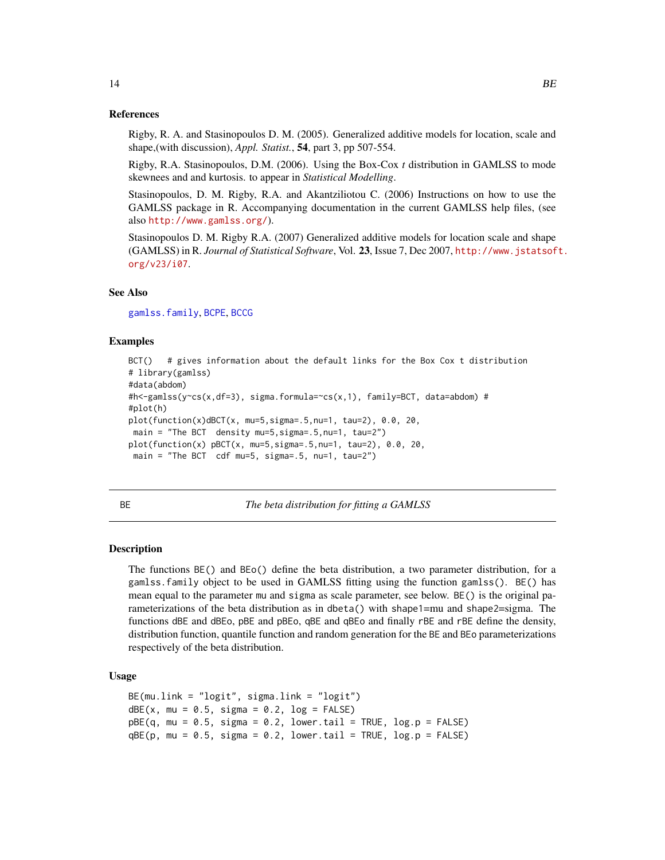#### <span id="page-13-0"></span>References

Rigby, R. A. and Stasinopoulos D. M. (2005). Generalized additive models for location, scale and shape,(with discussion), *Appl. Statist.*, 54, part 3, pp 507-554.

Rigby, R.A. Stasinopoulos, D.M. (2006). Using the Box-Cox *t* distribution in GAMLSS to mode skewnees and and kurtosis. to appear in *Statistical Modelling*.

Stasinopoulos, D. M. Rigby, R.A. and Akantziliotou C. (2006) Instructions on how to use the GAMLSS package in R. Accompanying documentation in the current GAMLSS help files, (see also <http://www.gamlss.org/>).

Stasinopoulos D. M. Rigby R.A. (2007) Generalized additive models for location scale and shape (GAMLSS) in R. *Journal of Statistical Software*, Vol. 23, Issue 7, Dec 2007, [http://www.jstatsof](http://www.jstatsoft.org/v23/i07)t. [org/v23/i07](http://www.jstatsoft.org/v23/i07).

#### See Also

[gamlss.family](#page-38-1), [BCPE](#page-8-1), [BCCG](#page-6-1)

#### Examples

```
BCT() # gives information about the default links for the Box Cox t distribution
# library(gamlss)
#data(abdom)
#h<-gamlss(y~cs(x,df=3), sigma.formula=~cs(x,1), family=BCT, data=abdom) #
#plot(h)
plot(function(x)dBCT(x, mu=5,sigma=.5,nu=1, tau=2), 0.0, 20,
main = "The BCT density mu=5,sigma=.5,nu=1, tau=2")
plot(function(x) pBCT(x, mu=5,sigma=.5,nu=1, tau=2), 0.0, 20,
main = "The BCT cdf mu=5, sigma=.5, nu=1, tau=2")
```
<span id="page-13-1"></span>BE *The beta distribution for fitting a GAMLSS*

#### <span id="page-13-2"></span>Description

The functions BE() and BEo() define the beta distribution, a two parameter distribution, for a gamlss.family object to be used in GAMLSS fitting using the function gamlss(). BE() has mean equal to the parameter mu and sigma as scale parameter, see below. BE() is the original parameterizations of the beta distribution as in dbeta() with shape1=mu and shape2=sigma. The functions dBE and dBEo, pBE and pBEo, qBE and qBEo and finally rBE and rBE define the density, distribution function, quantile function and random generation for the BE and BEo parameterizations respectively of the beta distribution.

#### Usage

```
BE(mu.link = "logit", sigma.link = "logit")dBE(x, mu = 0.5, sigma = 0.2, log = FALSE)pBE(q, mu = 0.5, sigma = 0.2, lower[acrach] = TRUE, <math>log.p = FALSE)
qBE(p, mu = 0.5, sigma = 0.2, lower[acrach] = TRUE, <math>log.p = FALSE)
```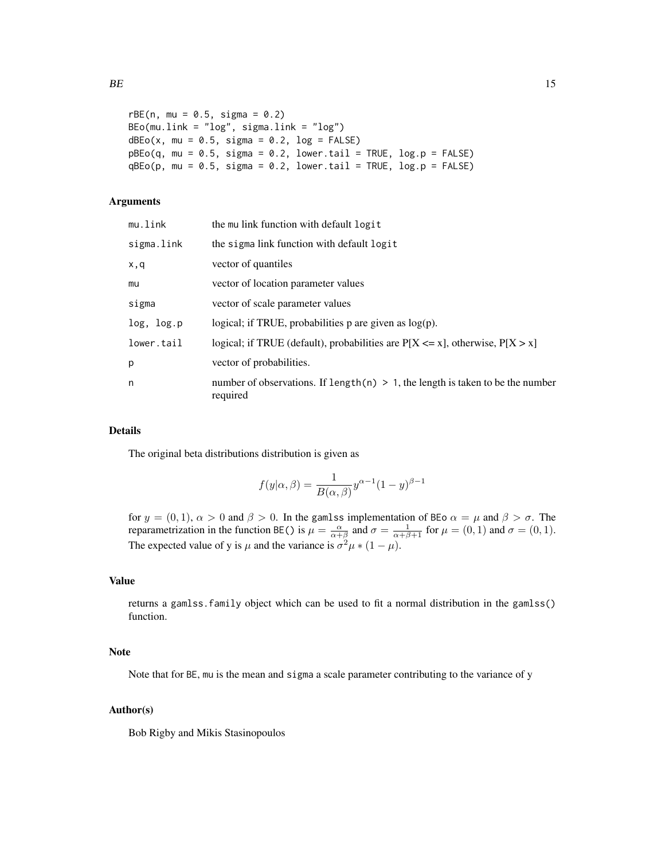```
rBE(n, mu = 0.5, sigma = 0.2)BEo(mu.link = "log", sigma.link = "log")
dBEo(x, mu = 0.5, sigma = 0.2, log = FALSE)pBEo(q, mu = 0.5, sigma = 0.2, lower[amale ] <math>T = TRUE, log.p = FALSEqBEo(p, mu = 0.5, sigma = 0.2, lower[a] = TRUE, log.p = FALSE)
```
#### Arguments

| mu.link    | the mu link function with default logit                                                        |
|------------|------------------------------------------------------------------------------------------------|
| sigma.link | the sigma link function with default logit                                                     |
| x,q        | vector of quantiles                                                                            |
| mu         | vector of location parameter values                                                            |
| sigma      | vector of scale parameter values                                                               |
| log, log.p | logical; if TRUE, probabilities $p$ are given as $log(p)$ .                                    |
| lower.tail | logical; if TRUE (default), probabilities are $P[X \le x]$ , otherwise, $P[X > x]$             |
| р          | vector of probabilities.                                                                       |
| n          | number of observations. If length $(n) > 1$ , the length is taken to be the number<br>required |

#### Details

The original beta distributions distribution is given as

$$
f(y|\alpha, \beta) = \frac{1}{B(\alpha, \beta)} y^{\alpha - 1} (1 - y)^{\beta - 1}
$$

for  $y = (0, 1)$ ,  $\alpha > 0$  and  $\beta > 0$ . In the gamlss implementation of BEo  $\alpha = \mu$  and  $\beta > \sigma$ . The reparametrization in the function BE() is  $\mu = \frac{\alpha}{\alpha + \beta}$  and  $\sigma = \frac{1}{\alpha + \beta + 1}$  for  $\mu = (0, 1)$  and  $\sigma = (0, 1)$ . The expected value of y is  $\mu$  and the variance is  $\sigma^2 \mu * (1 - \mu)$ .

# Value

returns a gamlss.family object which can be used to fit a normal distribution in the gamlss() function.

# Note

Note that for BE, mu is the mean and sigma a scale parameter contributing to the variance of y

#### Author(s)

Bob Rigby and Mikis Stasinopoulos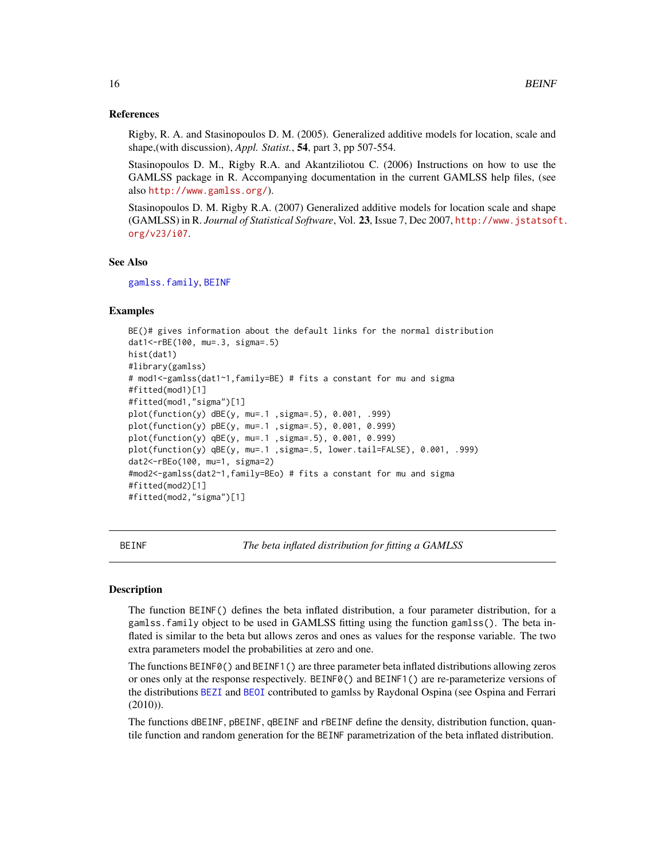#### <span id="page-15-0"></span>References

Rigby, R. A. and Stasinopoulos D. M. (2005). Generalized additive models for location, scale and shape,(with discussion), *Appl. Statist.*, 54, part 3, pp 507-554.

Stasinopoulos D. M., Rigby R.A. and Akantziliotou C. (2006) Instructions on how to use the GAMLSS package in R. Accompanying documentation in the current GAMLSS help files, (see also <http://www.gamlss.org/>).

Stasinopoulos D. M. Rigby R.A. (2007) Generalized additive models for location scale and shape (GAMLSS) in R. *Journal of Statistical Software*, Vol. 23, Issue 7, Dec 2007, [http://www.jstatsof](http://www.jstatsoft.org/v23/i07)t. [org/v23/i07](http://www.jstatsoft.org/v23/i07).

#### See Also

[gamlss.family](#page-38-1), [BEINF](#page-15-1)

### Examples

```
BE()# gives information about the default links for the normal distribution
dat1<-rBE(100, mu=.3, sigma=.5)
hist(dat1)
#library(gamlss)
# mod1<-gamlss(dat1~1,family=BE) # fits a constant for mu and sigma
#fitted(mod1)[1]
#fitted(mod1,"sigma")[1]
plot(function(y) dBE(y, mu=.1 ,sigma=.5), 0.001, .999)
plot(function(y) pBE(y, mu=.1 ,sigma=.5), 0.001, 0.999)
plot(function(y) qBE(y, mu=.1 ,sigma=.5), 0.001, 0.999)
plot(function(y) qBE(y, mu=.1, sigma=.5, lower.tail=FALSE), 0.001, .999)dat2<-rBEo(100, mu=1, sigma=2)
#mod2<-gamlss(dat2~1,family=BEo) # fits a constant for mu and sigma
#fitted(mod2)[1]
#fitted(mod2,"sigma")[1]
```
<span id="page-15-1"></span>BEINF *The beta inflated distribution for fitting a GAMLSS*

#### Description

The function BEINF() defines the beta inflated distribution, a four parameter distribution, for a gamlss.family object to be used in GAMLSS fitting using the function gamlss(). The beta inflated is similar to the beta but allows zeros and ones as values for the response variable. The two extra parameters model the probabilities at zero and one.

The functions BEINF0() and BEINF1() are three parameter beta inflated distributions allowing zeros or ones only at the response respectively. BEINF0() and BEINF1() are re-parameterize versions of the distributions [BEZI](#page-22-1) and [BEOI](#page-19-1) contributed to gamlss by Raydonal Ospina (see Ospina and Ferrari (2010)).

The functions dBEINF, pBEINF, qBEINF and rBEINF define the density, distribution function, quantile function and random generation for the BEINF parametrization of the beta inflated distribution.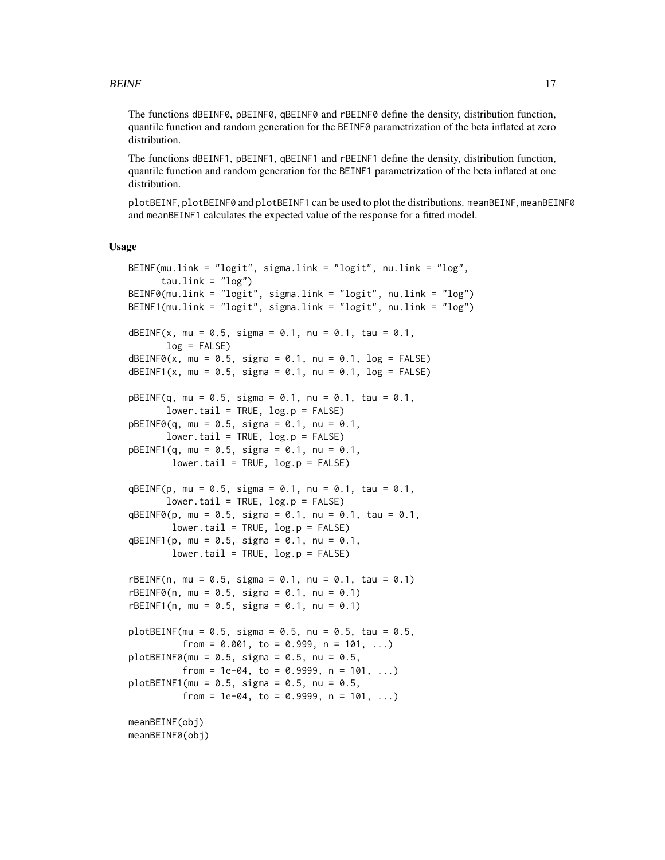The functions dBEINF0, pBEINF0, qBEINF0 and rBEINF0 define the density, distribution function, quantile function and random generation for the BEINF0 parametrization of the beta inflated at zero distribution.

The functions dBEINF1, pBEINF1, qBEINF1 and rBEINF1 define the density, distribution function, quantile function and random generation for the BEINF1 parametrization of the beta inflated at one distribution.

plotBEINF, plotBEINF0 and plotBEINF1 can be used to plot the distributions. meanBEINF, meanBEINF0 and meanBEINF1 calculates the expected value of the response for a fitted model.

#### Usage

```
BEINF(mu.link = "logit", sigma.link = "logit", nu.link = "log",
      tau.link = "log")BEINF0(mu.link = "logit", sigma.link = "logit", nu.link = "log")
BEINF1(mu.link = "logit", sigma.link = "logit", nu.link = "log")
dBEINF(x, mu = 0.5, sigma = 0.1, nu = 0.1, tau = 0.1,
       log = FALSE)dBEINF@(x, mu = 0.5, sigma = 0.1, nu = 0.1, log = FALSE)dBEINF1(x, mu = 0.5, sigma = 0.1, nu = 0.1, log = FALSE)
pBEINF(q, mu = 0.5, sigma = 0.1, nu = 0.1, tau = 0.1,
       lower.tail = TRUE, log.p = FALSE)pBEINF@(q, mu = 0.5, sigma = 0.1, nu = 0.1,lower.tail = TRUE, log.p = FALSE)pBEINF1(q, mu = 0.5, sigma = 0.1, nu = 0.1,lower.tail = TRUE, log.p = FALSE)qBEINF(p, mu = 0.5, sigma = 0.1, nu = 0.1, tau = 0.1,
       lower.tail = TRUE, log.p = FALSE)qBEINF0(p, mu = 0.5, sigma = 0.1, nu = 0.1, tau = 0.1,
       lower.tail = TRUE, log.p = FALSE)qBEINF1(p, mu = 0.5, sigma = 0.1, nu = 0.1,
       lower.tail = TRUE, log.p = FALSE)rBEINF(n, mu = 0.5, sigma = 0.1, nu = 0.1, tau = 0.1)
rBEINF@(n, mu = 0.5, sigma = 0.1, nu = 0.1)rBEINF1(n, mu = 0.5, sigma = 0.1, nu = 0.1)plotBEINF(mu = 0.5, sigma = 0.5, nu = 0.5, tau = 0.5,from = 0.001, to = 0.999, n = 101, ...)
plotBEINF@(mu = 0.5, sigma = 0.5, nu = 0.5,
         from = 1e-04, to = 0.9999, n = 101, ...)
plotBEINF1(mu = 0.5, sigma = 0.5, nu = 0.5,from = 1e-04, to = 0.9999, n = 101, ...)
meanBEINF(obj)
meanBEINF0(obj)
```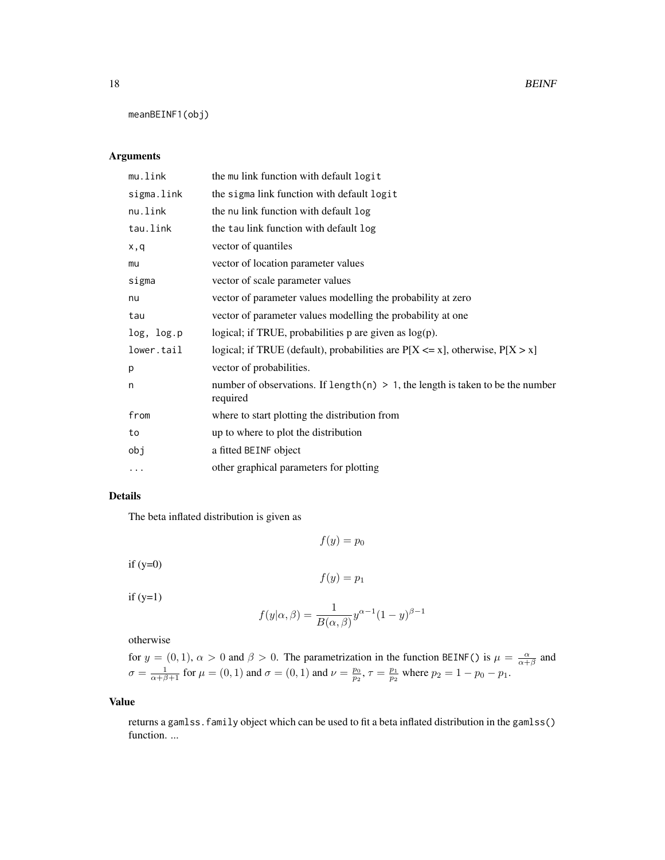18 BEINF

meanBEINF1(obj)

#### Arguments

| mu.link    | the mullink function with default logit                                                       |
|------------|-----------------------------------------------------------------------------------------------|
| sigma.link | the sigma link function with default logit                                                    |
| nu.link    | the nu link function with default log                                                         |
| tau.link   | the tau link function with default log                                                        |
| x,q        | vector of quantiles                                                                           |
| mu         | vector of location parameter values                                                           |
| sigma      | vector of scale parameter values                                                              |
| nu         | vector of parameter values modelling the probability at zero                                  |
| tau        | vector of parameter values modelling the probability at one                                   |
| log, log.p | logical; if TRUE, probabilities $p$ are given as $log(p)$ .                                   |
| lower.tail | logical; if TRUE (default), probabilities are $P[X \le x]$ , otherwise, $P[X > x]$            |
| p          | vector of probabilities.                                                                      |
| n          | number of observations. If length(n) $> 1$ , the length is taken to be the number<br>required |
| from       | where to start plotting the distribution from                                                 |
| to         | up to where to plot the distribution                                                          |
| obj        | a fitted BEINF object                                                                         |
| .          | other graphical parameters for plotting                                                       |

# Details

The beta inflated distribution is given as

$$
f(y)=p_0
$$

if  $(y=0)$ 

$$
f(y)=p_1
$$

 $if (y=1)$ 

$$
f(y|\alpha, \beta) = \frac{1}{B(\alpha, \beta)} y^{\alpha - 1} (1 - y)^{\beta - 1}
$$

otherwise

for  $y = (0, 1)$ ,  $\alpha > 0$  and  $\beta > 0$ . The parametrization in the function BEINF() is  $\mu = \frac{\alpha}{\alpha + \beta}$  and  $\sigma = \frac{1}{\alpha + \beta + 1}$  for  $\mu = (0, 1)$  and  $\sigma = (0, 1)$  and  $\nu = \frac{p_0}{p_2}$ ,  $\tau = \frac{p_1}{p_2}$  where  $p_2 = 1 - p_0 - p_1$ .

#### Value

returns a gamlss.family object which can be used to fit a beta inflated distribution in the gamlss() function. ...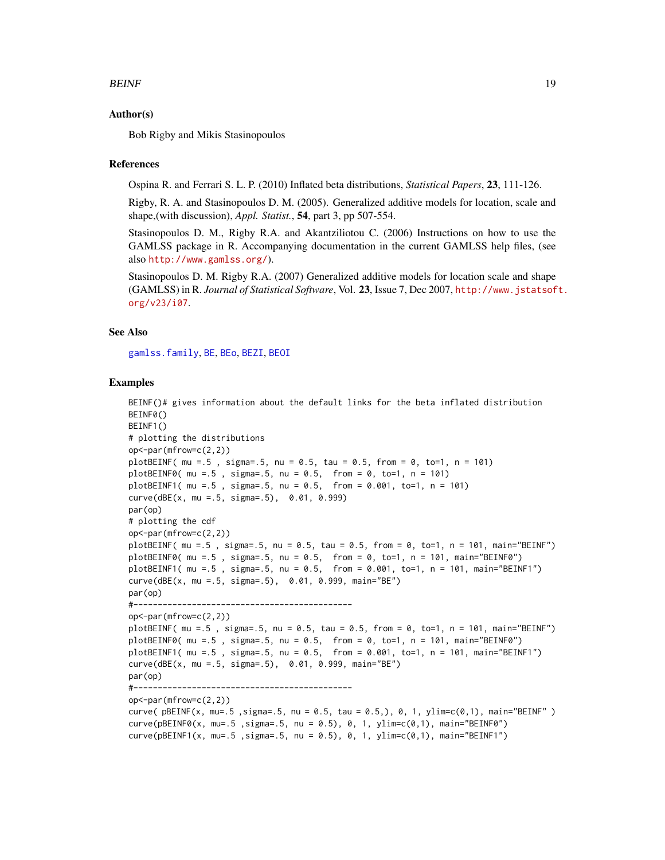#### $BEINF$  19

#### Author(s)

Bob Rigby and Mikis Stasinopoulos

#### References

Ospina R. and Ferrari S. L. P. (2010) Inflated beta distributions, *Statistical Papers*, 23, 111-126.

Rigby, R. A. and Stasinopoulos D. M. (2005). Generalized additive models for location, scale and shape,(with discussion), *Appl. Statist.*, 54, part 3, pp 507-554.

Stasinopoulos D. M., Rigby R.A. and Akantziliotou C. (2006) Instructions on how to use the GAMLSS package in R. Accompanying documentation in the current GAMLSS help files, (see also <http://www.gamlss.org/>).

Stasinopoulos D. M. Rigby R.A. (2007) Generalized additive models for location scale and shape (GAMLSS) in R. *Journal of Statistical Software*, Vol. 23, Issue 7, Dec 2007, [http://www.jstatsof](http://www.jstatsoft.org/v23/i07)t. [org/v23/i07](http://www.jstatsoft.org/v23/i07).

#### See Also

[gamlss.family](#page-38-1), [BE](#page-13-1), [BEo](#page-13-2), [BEZI](#page-22-1), [BEOI](#page-19-1)

#### Examples

```
BEINF()# gives information about the default links for the beta inflated distribution
BEINF0()
BEINF1()
# plotting the distributions
op<-par(mfrow=c(2,2))
plotBEINF( mu = .5 , sigma = .5, nu = 0.5, tau = 0.5, from = 0, to = 1, n = 101)plotBEINF@( mu = .5 , sigma = .5, nu = 0.5, from = 0, to = 1, n = 101)plotBEINF1( mu =.5 , sigma=.5, nu = 0.5, from = 0.001, to=1, n = 101)
curve(dBE(x, mu =.5, sigma=.5), 0.01, 0.999)
par(op)
# plotting the cdf
op<-par(mfrow=c(2,2))
plotBEINF( mu = .5, sigma=.5, nu = 0.5, tau = 0.5, from = 0, to = 1, n = 101, main="BEINF")
plotBEINF0( mu =.5 , sigma=.5, nu = 0.5, from = 0, to=1, n = 101, main="BEINF0")
plotBEINF1( mu =.5 , sigma=.5, nu = 0.5, from = 0.001, to=1, n = 101, main="BEINF1")
curve(dBE(x, mu =.5, sigma=.5), 0.01, 0.999, main="BE")
par(op)
#---------------------------------------------
op<-par(mfrow=c(2,2))
plotBEINF( mu =.5 , sigma=.5, nu = 0.5, tau = 0.5, from = 0, to=1, n = 101, main="BEINF")
plotBEINF0( mu =.5 , sigma=.5, nu = 0.5, from = 0, to=1, n = 101, main="BEINF0")
plotBEINF1( mu =.5, sigma=.5, nu = 0.5, from = 0.001, to=1, n = 101, main="BEINF1")
curve(dBE(x, mu =.5, sigma=.5), 0.01, 0.999, main="BE")
par(op)
#---------------------------------------------
op<-par(mfrow=c(2,2))
curve( pBEINF(x, mu=.5 ,sigma=.5, nu = 0.5, tau = 0.5,), 0, 1, ylim=c(0,1), main="BEINF" )
curve(pBEINF0(x, mu=.5 ,sigma=.5, nu = 0.5), 0, 1, ylim=c(0,1), main="BEINF0")
curve(pBEINF1(x, mu=.5 ,sigma=.5, nu = 0.5), 0, 1, ylim=c(0,1), main="BEINF1")
```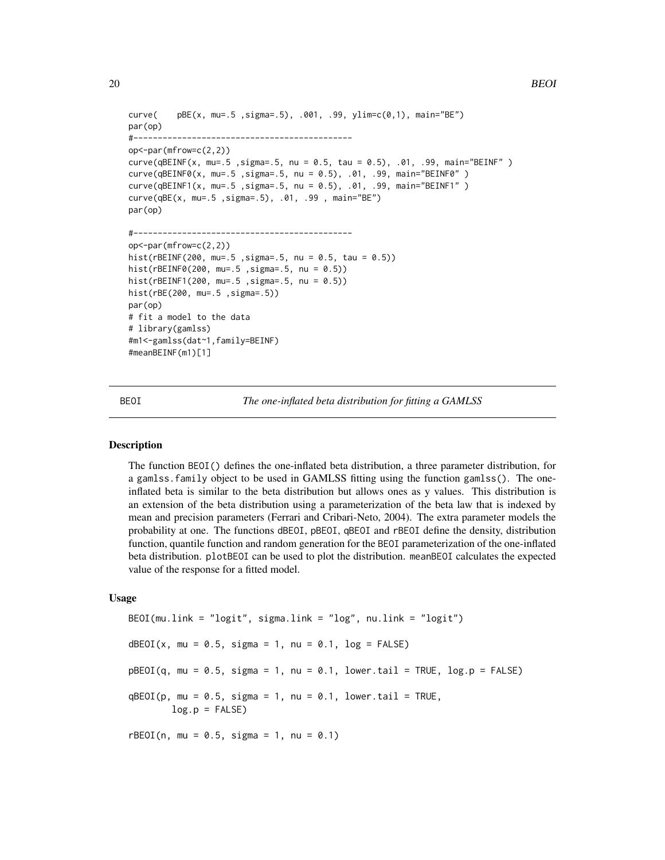```
curve( pBE(x, mu=.5 ,sigma=.5), .001, .99, ylim=c(0,1), main="BE")
par(op)
#---------------------------------------------
op<-par(mfrow=c(2,2))
curve(qBEINF(x, mu=.5, sigma=.5, nu = 0.5, tau = 0.5), .01, .99, main="BEINF" )curve(qBEINF0(x, mu=.5 ,sigma=.5, nu = 0.5), .01, .99, main="BEINF0" )
curve(qBEINF1(x, mu=.5 ,sigma=.5, nu = 0.5), .01, .99, main="BEINF1" )
curve(qBE(x, mu=.5 ,sigma=.5), .01, .99 , main="BE")
par(op)
#---------------------------------------------
op<-par(mfrow=c(2,2))
hist(rBEINF(200, mu=.5 ,sigma=.5, nu = 0.5, tau = 0.5))
hist(rBEINF0(200, mu=.5 ,sigma=.5, nu = 0.5))
hist(rBEINF1(200, mu=.5 ,sigma=.5, nu = 0.5))
hist(rBE(200, mu=.5 ,sigma=.5))
par(op)
# fit a model to the data
# library(gamlss)
#m1<-gamlss(dat~1,family=BEINF)
#meanBEINF(m1)[1]
```
<span id="page-19-1"></span>BEOI *The one-inflated beta distribution for fitting a GAMLSS*

#### **Description**

The function BEOI() defines the one-inflated beta distribution, a three parameter distribution, for a gamlss.family object to be used in GAMLSS fitting using the function gamlss(). The oneinflated beta is similar to the beta distribution but allows ones as y values. This distribution is an extension of the beta distribution using a parameterization of the beta law that is indexed by mean and precision parameters (Ferrari and Cribari-Neto, 2004). The extra parameter models the probability at one. The functions dBEOI, pBEOI, qBEOI and rBEOI define the density, distribution function, quantile function and random generation for the BEOI parameterization of the one-inflated beta distribution. plotBEOI can be used to plot the distribution. meanBEOI calculates the expected value of the response for a fitted model.

#### Usage

```
BEOI(mu.link = "logit", sigma.link = "log", nu.link = "logit")
dBEOI(x, mu = 0.5, sigma = 1, nu = 0.1, log = FALSE)
pBEOI(q, mu = 0.5, sigma = 1, nu = 0.1, lower.tail = TRUE, log.p = FALSE)qBEOI(p, mu = 0.5, sigma = 1, nu = 0.1, lower.tail = TRUE,log.p = FALSErBEOI(n, mu = 0.5, sigma = 1, nu = 0.1)
```
<span id="page-19-0"></span>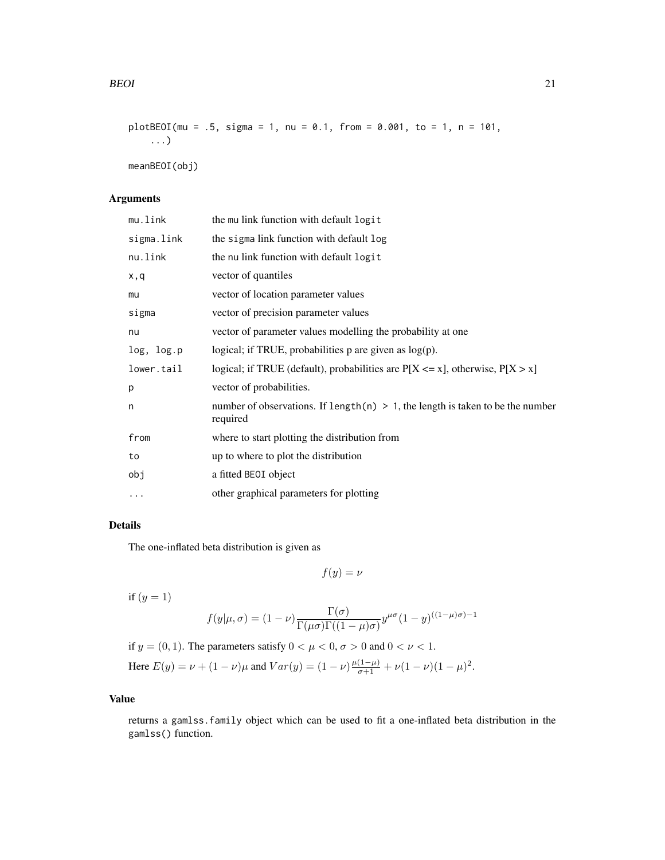```
plotBEOI(mu = .5, sigma = 1, nu = 0.1, from = 0.001, to = 1, n = 101,...)
```
meanBEOI(obj)

# Arguments

| mu.link    | the mullink function with default logit                                                       |
|------------|-----------------------------------------------------------------------------------------------|
| sigma.link | the sigma link function with default log                                                      |
| nu.link    | the nu link function with default logit                                                       |
| x,q        | vector of quantiles                                                                           |
| mu         | vector of location parameter values                                                           |
| sigma      | vector of precision parameter values                                                          |
| nu         | vector of parameter values modelling the probability at one                                   |
| log, log.p | logical; if TRUE, probabilities $p$ are given as $log(p)$ .                                   |
| lower.tail | logical; if TRUE (default), probabilities are $P[X \le x]$ , otherwise, $P[X > x]$            |
| p          | vector of probabilities.                                                                      |
| n          | number of observations. If length(n) $> 1$ , the length is taken to be the number<br>required |
| from       | where to start plotting the distribution from                                                 |
| to         | up to where to plot the distribution                                                          |
| obj        | a fitted BEOI object                                                                          |
| $\cdots$   | other graphical parameters for plotting                                                       |

# Details

The one-inflated beta distribution is given as

 $f(y) = \nu$ 

if  $(y = 1)$ 

$$
f(y|\mu,\sigma) = (1-\nu)\frac{\Gamma(\sigma)}{\Gamma(\mu\sigma)\Gamma((1-\mu)\sigma)}y^{\mu\sigma}(1-y)^{((1-\mu)\sigma)-1}
$$

if  $y = (0, 1)$ . The parameters satisfy  $0 < \mu < 0$ ,  $\sigma > 0$  and  $0 < \nu < 1$ . Here  $E(y) = \nu + (1 - \nu)\mu$  and  $Var(y) = (1 - \nu)\frac{\mu(1 - \mu)}{\sigma + 1} + \nu(1 - \nu)(1 - \mu)^2$ .

# Value

returns a gamlss.family object which can be used to fit a one-inflated beta distribution in the gamlss() function.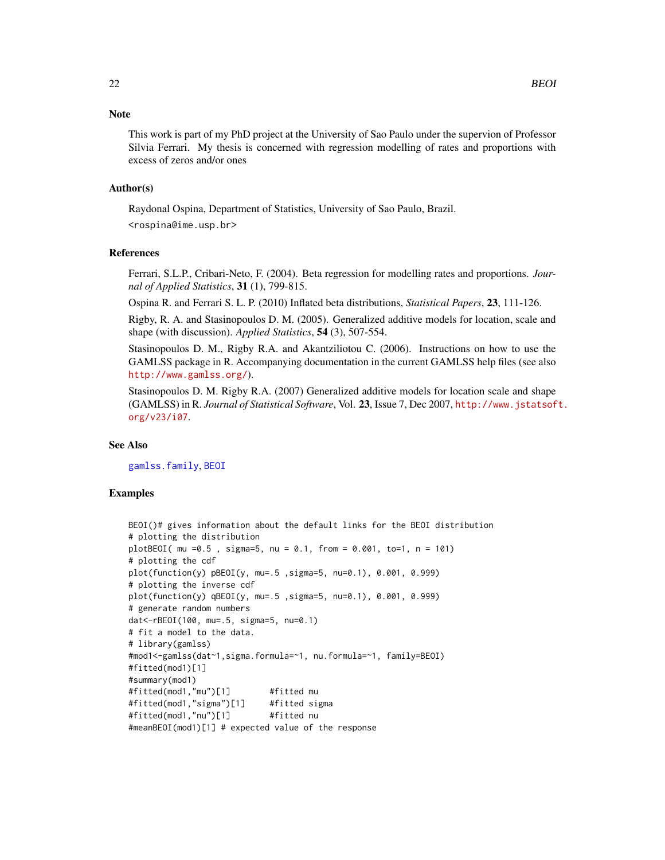#### **Note**

This work is part of my PhD project at the University of Sao Paulo under the supervion of Professor Silvia Ferrari. My thesis is concerned with regression modelling of rates and proportions with excess of zeros and/or ones

#### Author(s)

Raydonal Ospina, Department of Statistics, University of Sao Paulo, Brazil.

<rospina@ime.usp.br>

#### References

Ferrari, S.L.P., Cribari-Neto, F. (2004). Beta regression for modelling rates and proportions. *Journal of Applied Statistics*, 31 (1), 799-815.

Ospina R. and Ferrari S. L. P. (2010) Inflated beta distributions, *Statistical Papers*, 23, 111-126.

Rigby, R. A. and Stasinopoulos D. M. (2005). Generalized additive models for location, scale and shape (with discussion). *Applied Statistics*, 54 (3), 507-554.

Stasinopoulos D. M., Rigby R.A. and Akantziliotou C. (2006). Instructions on how to use the GAMLSS package in R. Accompanying documentation in the current GAMLSS help files (see also <http://www.gamlss.org/>).

Stasinopoulos D. M. Rigby R.A. (2007) Generalized additive models for location scale and shape (GAMLSS) in R. *Journal of Statistical Software*, Vol. 23, Issue 7, Dec 2007, [http://www.jstatsof](http://www.jstatsoft.org/v23/i07)t. [org/v23/i07](http://www.jstatsoft.org/v23/i07).

#### See Also

[gamlss.family](#page-38-1), [BEOI](#page-19-1)

#### Examples

```
BEOI()# gives information about the default links for the BEOI distribution
# plotting the distribution
plotBEOI( mu =0.5 , sigma=5, nu = 0.1, from = 0.001, to=1, n = 101)
# plotting the cdf
plot(function(y) pBEOI(y, mu=.5 ,sigma=5, nu=0.1), 0.001, 0.999)
# plotting the inverse cdf
plot(function(y) qBEOI(y, mu=.5 ,sigma=5, nu=0.1), 0.001, 0.999)
# generate random numbers
dat<-rBEOI(100, mu=.5, sigma=5, nu=0.1)
# fit a model to the data.
# library(gamlss)
#mod1<-gamlss(dat~1,sigma.formula=~1, nu.formula=~1, family=BEOI)
#fitted(mod1)[1]
#summary(mod1)
#fitted(mod1,"mu")[1] #fitted mu
#fitted(mod1,"sigma")[1] #fitted sigma
#fitted(mod1,"nu")[1] #fitted nu
#meanBEOI(mod1)[1] # expected value of the response
```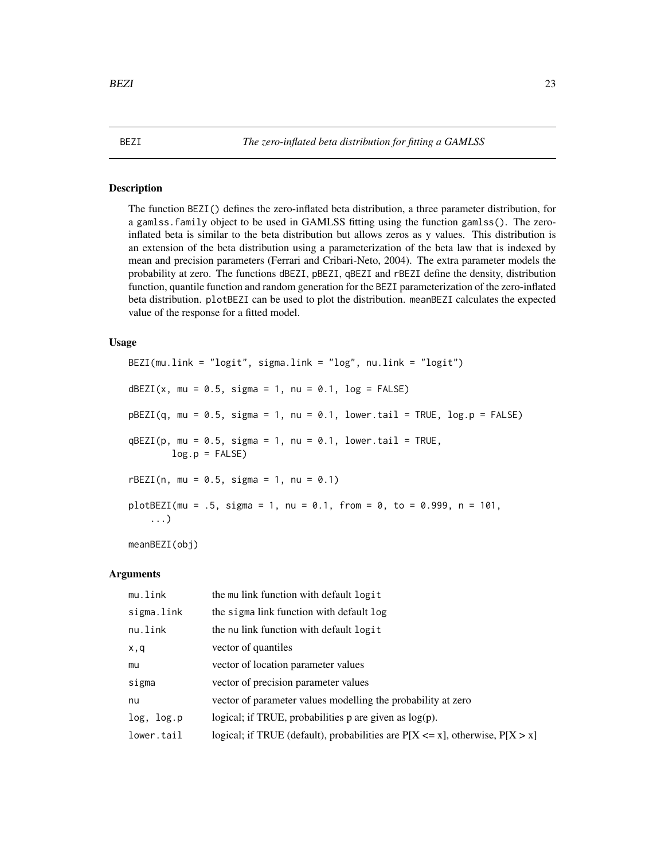#### <span id="page-22-1"></span><span id="page-22-0"></span>Description

The function BEZI() defines the zero-inflated beta distribution, a three parameter distribution, for a gamlss.family object to be used in GAMLSS fitting using the function gamlss(). The zeroinflated beta is similar to the beta distribution but allows zeros as y values. This distribution is an extension of the beta distribution using a parameterization of the beta law that is indexed by mean and precision parameters (Ferrari and Cribari-Neto, 2004). The extra parameter models the probability at zero. The functions dBEZI, pBEZI, qBEZI and rBEZI define the density, distribution function, quantile function and random generation for the BEZI parameterization of the zero-inflated beta distribution. plotBEZI can be used to plot the distribution. meanBEZI calculates the expected value of the response for a fitted model.

#### Usage

BEZI(mu.link = "logit", sigma.link = "log", nu.link = "logit") dBEZI(x, mu =  $0.5$ , sigma = 1, nu =  $0.1$ , log = FALSE)  $pBEZI(q, mu = 0.5, sigma = 1, nu = 0.1, lower.tail = TRUE, log.p = FALSE)$  $qBEZI(p, mu = 0.5, sigma = 1, nu = 0.1, lower$ **tail = TRUE** $,$  $log.p = FALSE$  $rBEZI(n, mu = 0.5, sigma = 1, nu = 0.1)$  $plotBEZI(mu = .5, sigma = 1, nu = 0.1, from = 0, to = 0.999, n = 101,$ ...)

meanBEZI(obj)

| mu.link    | the mu link function with default logit                                            |
|------------|------------------------------------------------------------------------------------|
| sigma.link | the sigma link function with default log                                           |
| nu.link    | the nu link function with default logit                                            |
| x,q        | vector of quantiles                                                                |
| mu         | vector of location parameter values                                                |
| sigma      | vector of precision parameter values                                               |
| nu         | vector of parameter values modelling the probability at zero                       |
| log, log.p | logical; if TRUE, probabilities $p$ are given as $log(p)$ .                        |
| lower.tail | logical; if TRUE (default), probabilities are $P[X \le x]$ , otherwise, $P[X > x]$ |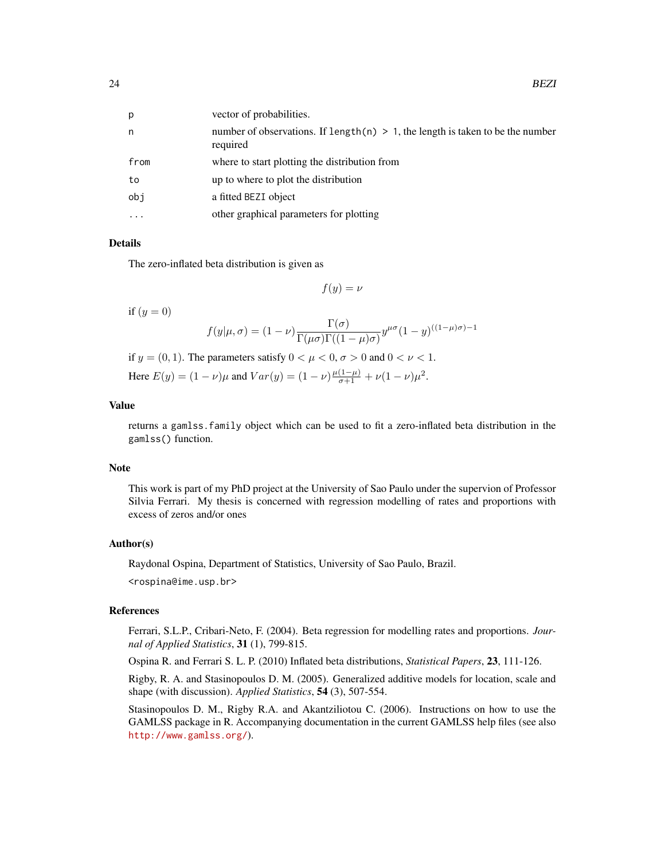| p        | vector of probabilities.                                                                       |
|----------|------------------------------------------------------------------------------------------------|
| n        | number of observations. If length $(n) > 1$ , the length is taken to be the number<br>required |
| from     | where to start plotting the distribution from                                                  |
| to       | up to where to plot the distribution                                                           |
| obj      | a fitted BEZI object                                                                           |
| $\ddots$ | other graphical parameters for plotting                                                        |

The zero-inflated beta distribution is given as

 $f(y) = \nu$ 

if  $(y = 0)$ 

$$
f(y|\mu,\sigma) = (1-\nu)\frac{\Gamma(\sigma)}{\Gamma(\mu\sigma)\Gamma((1-\mu)\sigma)}y^{\mu\sigma}(1-y)^{((1-\mu)\sigma)-1}
$$

if  $y = (0, 1)$ . The parameters satisfy  $0 < \mu < 0$ ,  $\sigma > 0$  and  $0 < \nu < 1$ . Here  $E(y) = (1 - \nu)\mu$  and  $Var(y) = (1 - \nu)\frac{\mu(1 - \mu)}{\sigma + 1} + \nu(1 - \nu)\mu^2$ .

#### Value

returns a gamlss.family object which can be used to fit a zero-inflated beta distribution in the gamlss() function.

#### Note

This work is part of my PhD project at the University of Sao Paulo under the supervion of Professor Silvia Ferrari. My thesis is concerned with regression modelling of rates and proportions with excess of zeros and/or ones

#### Author(s)

Raydonal Ospina, Department of Statistics, University of Sao Paulo, Brazil. <rospina@ime.usp.br>

#### References

Ferrari, S.L.P., Cribari-Neto, F. (2004). Beta regression for modelling rates and proportions. *Journal of Applied Statistics*, 31 (1), 799-815.

Ospina R. and Ferrari S. L. P. (2010) Inflated beta distributions, *Statistical Papers*, 23, 111-126.

Rigby, R. A. and Stasinopoulos D. M. (2005). Generalized additive models for location, scale and shape (with discussion). *Applied Statistics*, 54 (3), 507-554.

Stasinopoulos D. M., Rigby R.A. and Akantziliotou C. (2006). Instructions on how to use the GAMLSS package in R. Accompanying documentation in the current GAMLSS help files (see also <http://www.gamlss.org/>).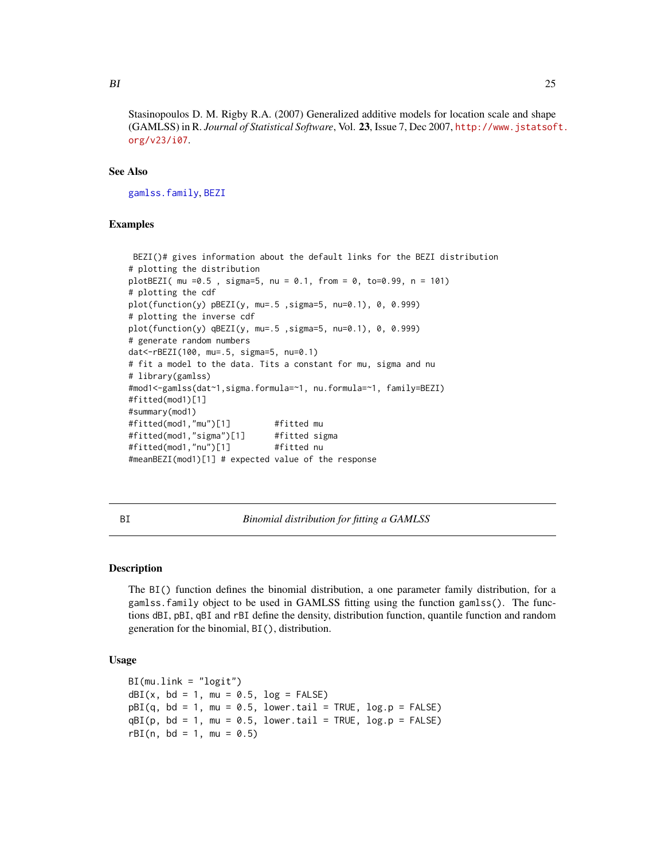<span id="page-24-0"></span>Stasinopoulos D. M. Rigby R.A. (2007) Generalized additive models for location scale and shape (GAMLSS) in R. *Journal of Statistical Software*, Vol. 23, Issue 7, Dec 2007, [http://www.jstatsof](http://www.jstatsoft.org/v23/i07)t. [org/v23/i07](http://www.jstatsoft.org/v23/i07).

#### See Also

[gamlss.family](#page-38-1), [BEZI](#page-22-1)

#### Examples

```
BEZI()# gives information about the default links for the BEZI distribution
# plotting the distribution
plotBEZI( mu =0.5 , sigma=5, nu = 0.1, from = 0, to=0.99, n = 101)
# plotting the cdf
plot(function(y) pBEZI(y, mu=.5 ,sigma=5, nu=0.1), 0, 0.999)
# plotting the inverse cdf
plot(function(y) qBEZI(y, mu=.5 ,sigma=5, nu=0.1), 0, 0.999)
# generate random numbers
dat<-rBEZI(100, mu=.5, sigma=5, nu=0.1)
# fit a model to the data. Tits a constant for mu, sigma and nu
# library(gamlss)
#mod1<-gamlss(dat~1,sigma.formula=~1, nu.formula=~1, family=BEZI)
#fitted(mod1)[1]
#summary(mod1)
#fitted(mod1,"mu")[1] #fitted mu
#fitted(mod1,"sigma")[1] #fitted sigma
#fitted(mod1,"nu")[1] #fitted nu
#meanBEZI(mod1)[1] # expected value of the response
```
<span id="page-24-1"></span>BI *Binomial distribution for fitting a GAMLSS*

#### Description

The BI() function defines the binomial distribution, a one parameter family distribution, for a gamlss.family object to be used in GAMLSS fitting using the function gamlss(). The functions dBI, pBI, qBI and rBI define the density, distribution function, quantile function and random generation for the binomial, BI(), distribution.

#### Usage

```
BI(mu.link = "logit")
dBI(x, bd = 1, mu = 0.5, log = FALSE)pBI(q, bd = 1, mu = 0.5, lowertail = TRUE, <math>log.p = FALSE)
qBI(p, bd = 1, mu = 0.5, lower[a] = TRUE, log.p = FALSE)rBI(n, bd = 1, mu = 0.5)
```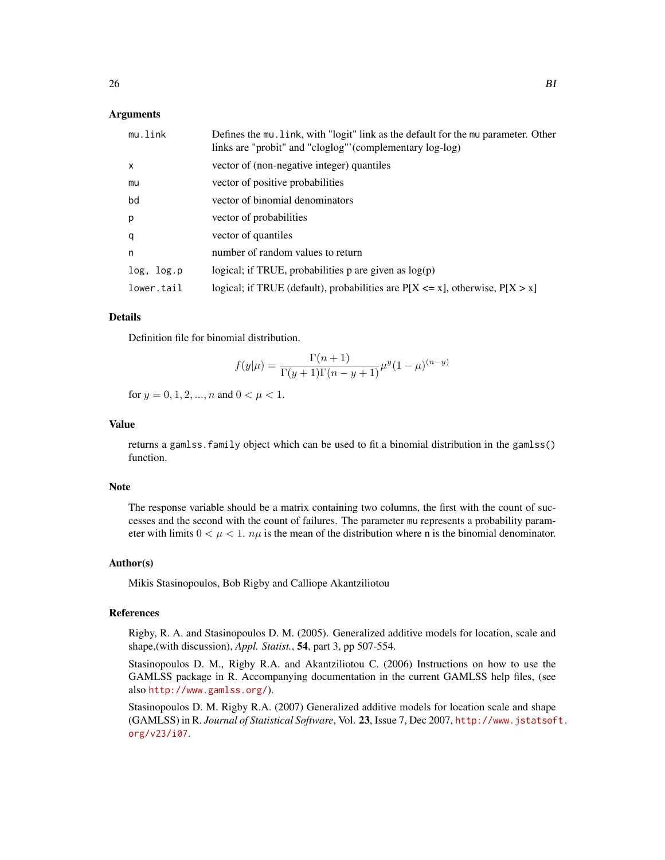#### Arguments

| mu.link      | Defines the mu. link, with "logit" link as the default for the mu parameter. Other<br>links are "probit" and "cloglog" (complementary log-log) |
|--------------|------------------------------------------------------------------------------------------------------------------------------------------------|
| $\mathsf{x}$ | vector of (non-negative integer) quantiles                                                                                                     |
| mu           | vector of positive probabilities                                                                                                               |
| bd           | vector of binomial denominators                                                                                                                |
| p            | vector of probabilities                                                                                                                        |
| q            | vector of quantiles                                                                                                                            |
| $\mathsf{n}$ | number of random values to return                                                                                                              |
| log, log.p   | logical; if TRUE, probabilities p are given as $log(p)$                                                                                        |
| lower.tail   | logical; if TRUE (default), probabilities are $P[X \le x]$ , otherwise, $P[X > x]$                                                             |

#### Details

Definition file for binomial distribution.

$$
f(y|\mu) = \frac{\Gamma(n+1)}{\Gamma(y+1)\Gamma(n-y+1)} \mu^{y} (1-\mu)^{(n-y)}
$$

for  $y = 0, 1, 2, ..., n$  and  $0 < \mu < 1$ .

#### Value

returns a gamlss.family object which can be used to fit a binomial distribution in the gamlss() function.

#### Note

The response variable should be a matrix containing two columns, the first with the count of successes and the second with the count of failures. The parameter mu represents a probability parameter with limits  $0 < \mu < 1$ .  $n\mu$  is the mean of the distribution where n is the binomial denominator.

#### Author(s)

Mikis Stasinopoulos, Bob Rigby and Calliope Akantziliotou

#### References

Rigby, R. A. and Stasinopoulos D. M. (2005). Generalized additive models for location, scale and shape,(with discussion), *Appl. Statist.*, 54, part 3, pp 507-554.

Stasinopoulos D. M., Rigby R.A. and Akantziliotou C. (2006) Instructions on how to use the GAMLSS package in R. Accompanying documentation in the current GAMLSS help files, (see also <http://www.gamlss.org/>).

Stasinopoulos D. M. Rigby R.A. (2007) Generalized additive models for location scale and shape (GAMLSS) in R. *Journal of Statistical Software*, Vol. 23, Issue 7, Dec 2007, [http://www.jstatsof](http://www.jstatsoft.org/v23/i07)t. [org/v23/i07](http://www.jstatsoft.org/v23/i07).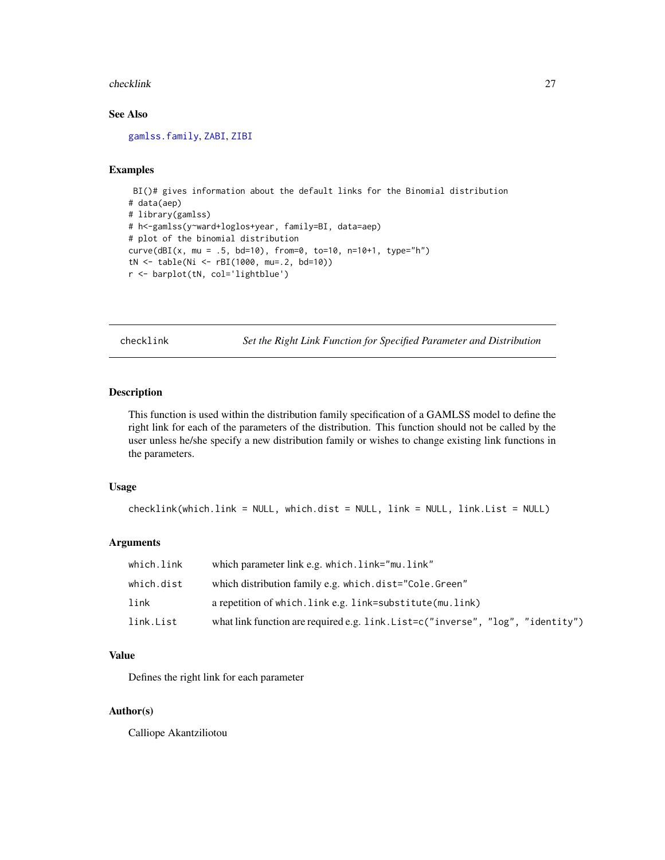#### <span id="page-26-0"></span>checklink 27

# See Also

[gamlss.family](#page-38-1), [ZABI](#page-137-1), [ZIBI](#page-137-2)

### Examples

```
BI()# gives information about the default links for the Binomial distribution
# data(aep)
# library(gamlss)
# h<-gamlss(y~ward+loglos+year, family=BI, data=aep)
# plot of the binomial distribution
curve(dBI(x, mu = .5, bd=10), from=0, to=10, n=10+1, type="h")tN <- table(Ni <- rBI(1000, mu=.2, bd=10))
r <- barplot(tN, col='lightblue')
```
checklink *Set the Right Link Function for Specified Parameter and Distribution*

#### Description

This function is used within the distribution family specification of a GAMLSS model to define the right link for each of the parameters of the distribution. This function should not be called by the user unless he/she specify a new distribution family or wishes to change existing link functions in the parameters.

#### Usage

```
checklink(which.link = NULL, which.dist = NULL, link = NULL, link.List = NULL)
```
#### Arguments

| which.link | which parameter link e.g. which. link="mu. link"                                |
|------------|---------------------------------------------------------------------------------|
| which.dist | which distribution family e.g. which.dist="Cole.Green"                          |
| link       | a repetition of which. Link e.g. link=substitute(mu. link)                      |
| link.List  | what link function are required e.g. link. List=c("inverse", "log", "identity") |

#### Value

Defines the right link for each parameter

#### Author(s)

Calliope Akantziliotou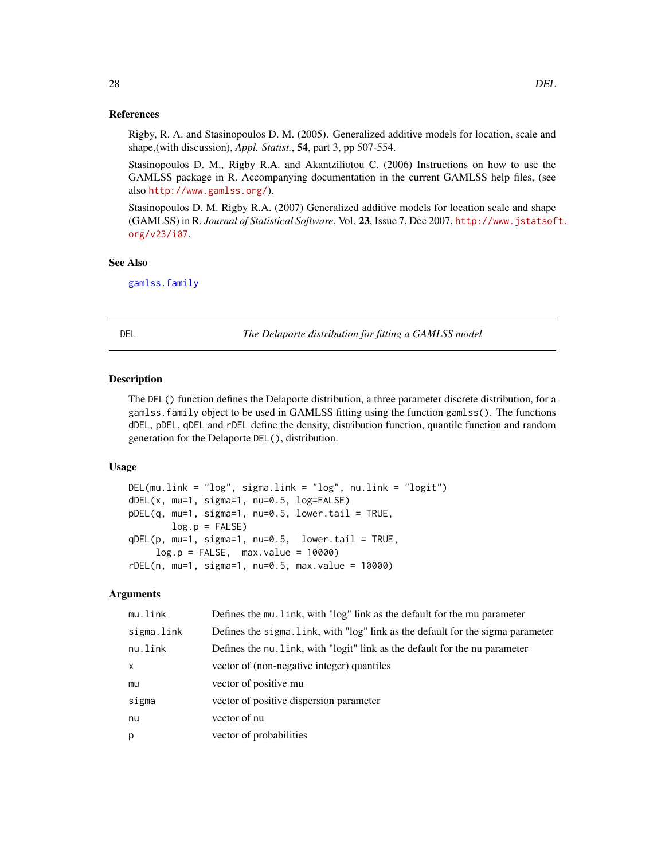#### References

Rigby, R. A. and Stasinopoulos D. M. (2005). Generalized additive models for location, scale and shape,(with discussion), *Appl. Statist.*, 54, part 3, pp 507-554.

Stasinopoulos D. M., Rigby R.A. and Akantziliotou C. (2006) Instructions on how to use the GAMLSS package in R. Accompanying documentation in the current GAMLSS help files, (see also <http://www.gamlss.org/>).

Stasinopoulos D. M. Rigby R.A. (2007) Generalized additive models for location scale and shape (GAMLSS) in R. *Journal of Statistical Software*, Vol. 23, Issue 7, Dec 2007, [http://www.jstatsof](http://www.jstatsoft.org/v23/i07)t. [org/v23/i07](http://www.jstatsoft.org/v23/i07).

#### See Also

[gamlss.family](#page-38-1)

DEL *The Delaporte distribution for fitting a GAMLSS model*

#### Description

The DEL() function defines the Delaporte distribution, a three parameter discrete distribution, for a gamlss.family object to be used in GAMLSS fitting using the function gamlss(). The functions dDEL, pDEL, qDEL and rDEL define the density, distribution function, quantile function and random generation for the Delaporte DEL(), distribution.

#### Usage

```
DEL(mu.link = "log", sigma.link = "log", nu.link = "logit")
dDEL(x, mu=1, sigma=1, nu=0.5, log=FALSE)
pDEL(q, mu=1, sigma=1, nu=0.5, lower.tail = TRUE,
       log.p = FALSEqDEL(p, mu=1, sigma=1, nu=0.5, lower.tail = TRUE,
    log.p = FALSE, max.value = 10000rDEL(n, mu=1, sigma=1, nu=0.5, max.value = 10000)
```

| mu.link    | Defines the mu. link, with "log" link as the default for the mu parameter       |
|------------|---------------------------------------------------------------------------------|
| sigma.link | Defines the sigma. Link, with "log" link as the default for the sigma parameter |
| nu.link    | Defines the nu. Link, with "logit" link as the default for the nu parameter     |
| X          | vector of (non-negative integer) quantiles                                      |
| mu         | vector of positive mu                                                           |
| sigma      | vector of positive dispersion parameter                                         |
| nu         | vector of nu                                                                    |
| p          | vector of probabilities                                                         |

<span id="page-27-0"></span>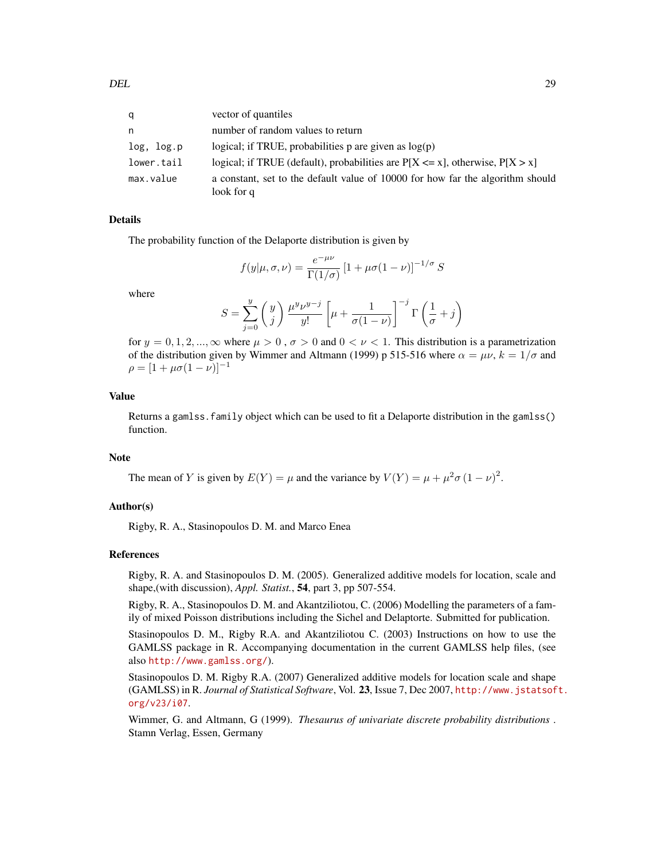| q          | vector of quantiles                                                                          |
|------------|----------------------------------------------------------------------------------------------|
| n          | number of random values to return                                                            |
| log, log.p | logical; if TRUE, probabilities $p$ are given as $log(p)$                                    |
| lower.tail | logical; if TRUE (default), probabilities are $P[X \le x]$ , otherwise, $P[X > x]$           |
| max.value  | a constant, set to the default value of 10000 for how far the algorithm should<br>look for q |

The probability function of the Delaporte distribution is given by

$$
f(y|\mu,\sigma,\nu) = \frac{e^{-\mu\nu}}{\Gamma(1/\sigma)} \left[1 + \mu\sigma(1-\nu)\right]^{-1/\sigma} S
$$

where

$$
S = \sum_{j=0}^y \left( \begin{matrix} y \\ j \end{matrix} \right) \frac{\mu^y \nu^{y-j}}{y!} \left[ \mu + \frac{1}{\sigma(1-\nu)} \right]^{-j} \Gamma \left( \frac{1}{\sigma} + j \right)
$$

for  $y = 0, 1, 2, ..., \infty$  where  $\mu > 0$ ,  $\sigma > 0$  and  $0 < \nu < 1$ . This distribution is a parametrization of the distribution given by Wimmer and Altmann (1999) p 515-516 where  $\alpha = \mu \nu$ ,  $k = 1/\sigma$  and  $\rho = [1 + \mu \sigma (1 - \nu)]^{-1}$ 

#### Value

Returns a gamlss.family object which can be used to fit a Delaporte distribution in the gamlss() function.

#### **Note**

The mean of Y is given by  $E(Y) = \mu$  and the variance by  $V(Y) = \mu + \mu^2 \sigma (1 - \nu)^2$ .

#### Author(s)

Rigby, R. A., Stasinopoulos D. M. and Marco Enea

#### References

Rigby, R. A. and Stasinopoulos D. M. (2005). Generalized additive models for location, scale and shape,(with discussion), *Appl. Statist.*, 54, part 3, pp 507-554.

Rigby, R. A., Stasinopoulos D. M. and Akantziliotou, C. (2006) Modelling the parameters of a family of mixed Poisson distributions including the Sichel and Delaptorte. Submitted for publication.

Stasinopoulos D. M., Rigby R.A. and Akantziliotou C. (2003) Instructions on how to use the GAMLSS package in R. Accompanying documentation in the current GAMLSS help files, (see also <http://www.gamlss.org/>).

Stasinopoulos D. M. Rigby R.A. (2007) Generalized additive models for location scale and shape (GAMLSS) in R. *Journal of Statistical Software*, Vol. 23, Issue 7, Dec 2007, [http://www.jstatsof](http://www.jstatsoft.org/v23/i07)t. [org/v23/i07](http://www.jstatsoft.org/v23/i07).

Wimmer, G. and Altmann, G (1999). *Thesaurus of univariate discrete probability distributions* . Stamn Verlag, Essen, Germany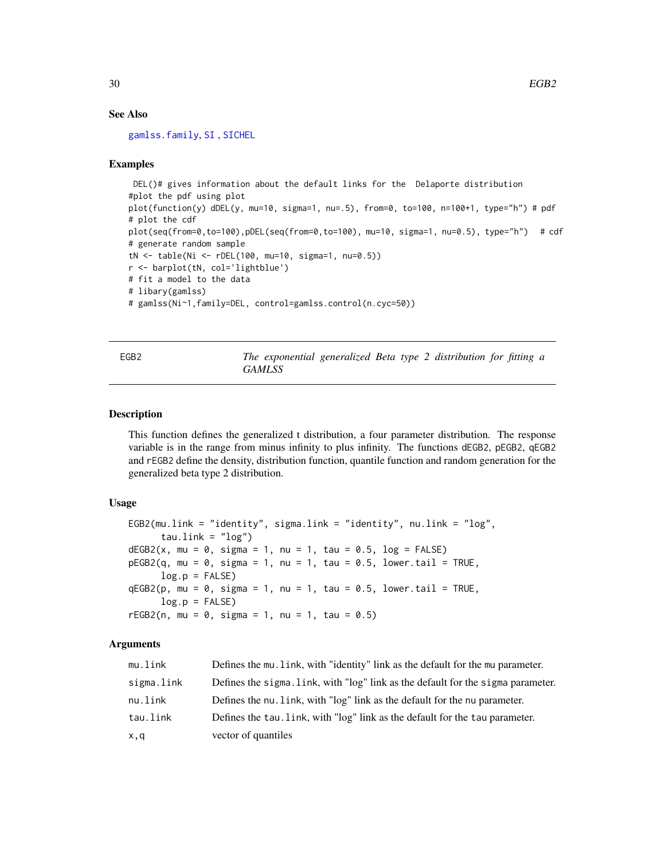#### See Also

[gamlss.family](#page-38-1), [SI](#page-112-1) , [SICHEL](#page-114-1)

#### Examples

```
DEL()# gives information about the default links for the Delaporte distribution
#plot the pdf using plot
plot(function(y) dDEL(y, mu=10, sigma=1, nu=.5), from=0, to=100, n=100+1, type="h") # pdf
# plot the cdf
plot(seq(from=0,to=100),pDEL(seq(from=0,to=100), mu=10, sigma=1, nu=0.5), type="h") # cdf
# generate random sample
tN <- table(Ni <- rDEL(100, mu=10, sigma=1, nu=0.5))
r <- barplot(tN, col='lightblue')
# fit a model to the data
# libary(gamlss)
# gamlss(Ni~1,family=DEL, control=gamlss.control(n.cyc=50))
```

| × |
|---|
|---|

The exponential generalized Beta type 2 distribution for fitting a *GAMLSS*

#### Description

This function defines the generalized t distribution, a four parameter distribution. The response variable is in the range from minus infinity to plus infinity. The functions dEGB2, pEGB2, qEGB2 and rEGB2 define the density, distribution function, quantile function and random generation for the generalized beta type 2 distribution.

#### Usage

```
EGB2(mu.link = "identity", sigma.link = "identity", nu.link = "log",
     tau.link = "log")dEGB2(x, mu = 0, sigma = 1, nu = 1, tau = 0.5, log = FALSE)pEGB2(q, mu = 0, sigma = 1, nu = 1, tau = 0.5, lower.tail = TRUE,log.p = FALSEqEGB2(p, mu = 0, sigma = 1, nu = 1, tau = 0.5, lowertail = TRUE,log.p = FALSErEGB2(n, mu = 0, sigma = 1, nu = 1, tau = 0.5)
```

| mu.link    | Defines the mu. Link, with "identity" link as the default for the mu parameter.  |
|------------|----------------------------------------------------------------------------------|
| sigma.link | Defines the sigma. link, with "log" link as the default for the sigma parameter. |
| nu.link    | Defines the nu. link, with "log" link as the default for the nu parameter.       |
| tau.link   | Defines the tau, link, with "log" link as the default for the tau parameter.     |
| x,q        | vector of quantiles                                                              |

<span id="page-29-0"></span>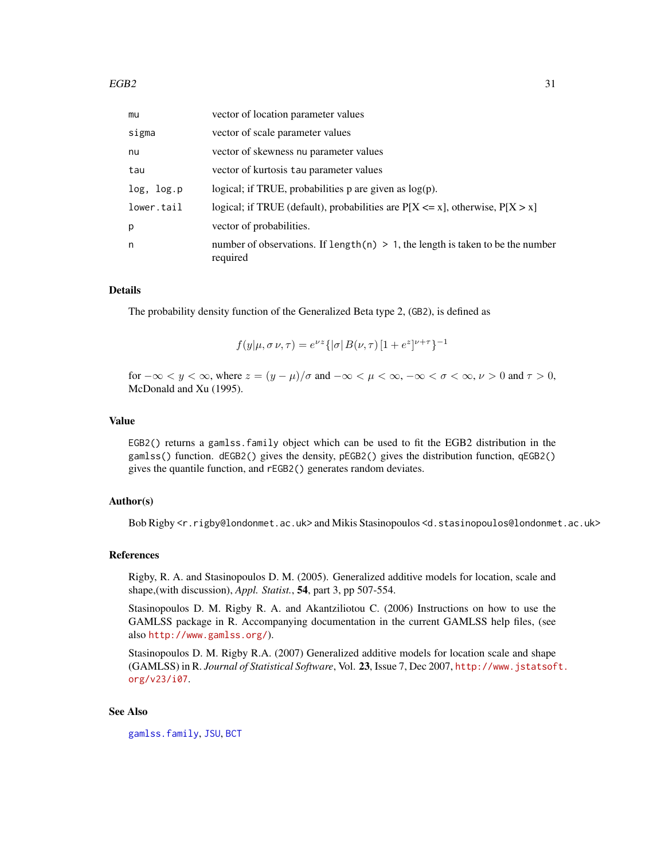| mu         | vector of location parameter values                                                           |
|------------|-----------------------------------------------------------------------------------------------|
| sigma      | vector of scale parameter values                                                              |
| nu         | vector of skewness nu parameter values                                                        |
| tau        | vector of kurtosis tau parameter values                                                       |
| log, log.p | logical; if TRUE, probabilities $p$ are given as $log(p)$ .                                   |
| lower.tail | logical; if TRUE (default), probabilities are $P[X \le x]$ , otherwise, $P[X > x]$            |
| p          | vector of probabilities.                                                                      |
| n          | number of observations. If length(n) $> 1$ , the length is taken to be the number<br>required |

The probability density function of the Generalized Beta type 2, (GB2), is defined as

$$
f(y|\mu, \sigma \nu, \tau) = e^{\nu z} \{ |\sigma| B(\nu, \tau) [1 + e^z]^{\nu + \tau} \}^{-1}
$$

for  $-\infty < y < \infty$ , where  $z = (y - \mu)/\sigma$  and  $-\infty < \mu < \infty$ ,  $-\infty < \sigma < \infty$ ,  $\nu > 0$  and  $\tau > 0$ , McDonald and Xu (1995).

#### Value

EGB2() returns a gamlss.family object which can be used to fit the EGB2 distribution in the gamlss() function. dEGB2() gives the density, pEGB2() gives the distribution function, qEGB2() gives the quantile function, and rEGB2() generates random deviates.

#### Author(s)

Bob Rigby <r.rigby@londonmet.ac.uk> and Mikis Stasinopoulos <d.stasinopoulos@londonmet.ac.uk>

#### References

Rigby, R. A. and Stasinopoulos D. M. (2005). Generalized additive models for location, scale and shape,(with discussion), *Appl. Statist.*, 54, part 3, pp 507-554.

Stasinopoulos D. M. Rigby R. A. and Akantziliotou C. (2006) Instructions on how to use the GAMLSS package in R. Accompanying documentation in the current GAMLSS help files, (see also <http://www.gamlss.org/>).

Stasinopoulos D. M. Rigby R.A. (2007) Generalized additive models for location scale and shape (GAMLSS) in R. *Journal of Statistical Software*, Vol. 23, Issue 7, Dec 2007, [http://www.jstatsof](http://www.jstatsoft.org/v23/i07)t. [org/v23/i07](http://www.jstatsoft.org/v23/i07).

# See Also

[gamlss.family](#page-38-1), [JSU](#page-63-1), [BCT](#page-11-1)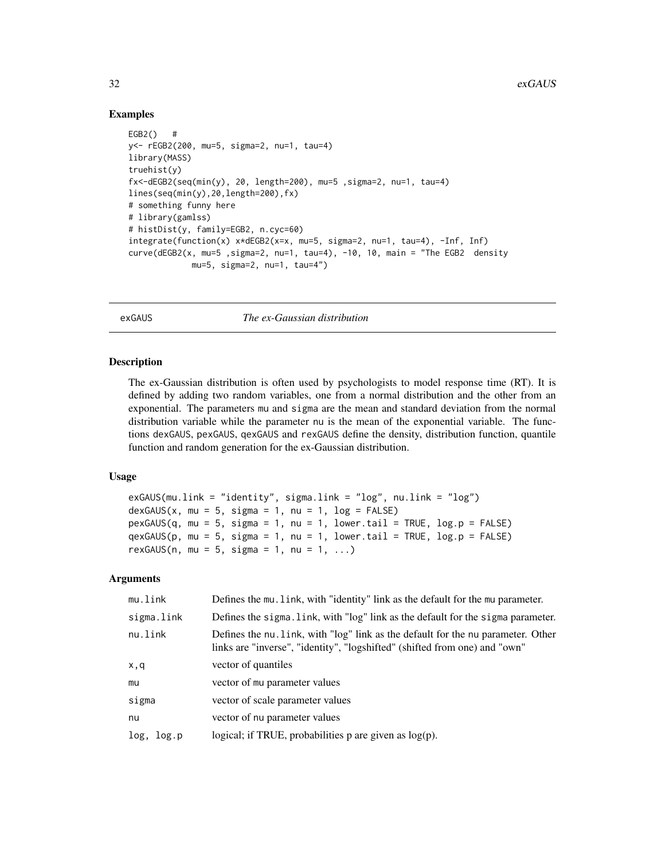#### Examples

```
EGB2() #
y<- rEGB2(200, mu=5, sigma=2, nu=1, tau=4)
library(MASS)
truehist(y)
fx<-dEGB2(seq(min(y), 20, length=200), mu=5 ,sigma=2, nu=1, tau=4)
lines(seq(min(y),20,length=200),fx)
# something funny here
# library(gamlss)
# histDist(y, family=EGB2, n.cyc=60)
integrate(function(x) x*dEGB2(x=x, mu=5, sigma=2, nu=1, tau=4), -Inf, Inf)
curve(dEGB2(x, mu=5 ,sigma=2, nu=1, tau=4), -10, 10, main = "The EGB2 density
             mu=5, sigma=2, nu=1, tau=4")
```
exGAUS *The ex-Gaussian distribution*

#### Description

The ex-Gaussian distribution is often used by psychologists to model response time (RT). It is defined by adding two random variables, one from a normal distribution and the other from an exponential. The parameters mu and sigma are the mean and standard deviation from the normal distribution variable while the parameter nu is the mean of the exponential variable. The functions dexGAUS, pexGAUS, qexGAUS and rexGAUS define the density, distribution function, quantile function and random generation for the ex-Gaussian distribution.

#### Usage

```
exGAUS(mu.link = "identity", sigma.link = "log", nu.link = "log")
dexGAUS(x, mu = 5, sigma = 1, nu = 1, log = FALSE)pexGAUS(q, mu = 5, sigma = 1, nu = 1, lower.tail = TRUE, log.p = FALSE)qexGAUS(p, mu = 5, sigma = 1, nu = 1, lowertail = TRUE, log.p = FALSE)
rexGAUS(n, mu = 5, sigma = 1, nu = 1, ...)
```

| mu.link    | Defines the mu. Link, with "identity" link as the default for the mu parameter.                                                                                |
|------------|----------------------------------------------------------------------------------------------------------------------------------------------------------------|
| sigma.link | Defines the sigma. Link, with "log" link as the default for the sigma parameter.                                                                               |
| nu.link    | Defines the nu, link, with "log" link as the default for the nu parameter. Other<br>links are "inverse", "identity", "logshifted" (shifted from one) and "own" |
| x,q        | vector of quantiles                                                                                                                                            |
| mu         | vector of mu parameter values                                                                                                                                  |
| sigma      | vector of scale parameter values                                                                                                                               |
| nu         | vector of nu parameter values                                                                                                                                  |
| log, log.p | logical; if TRUE, probabilities $p$ are given as $log(p)$ .                                                                                                    |

<span id="page-31-0"></span>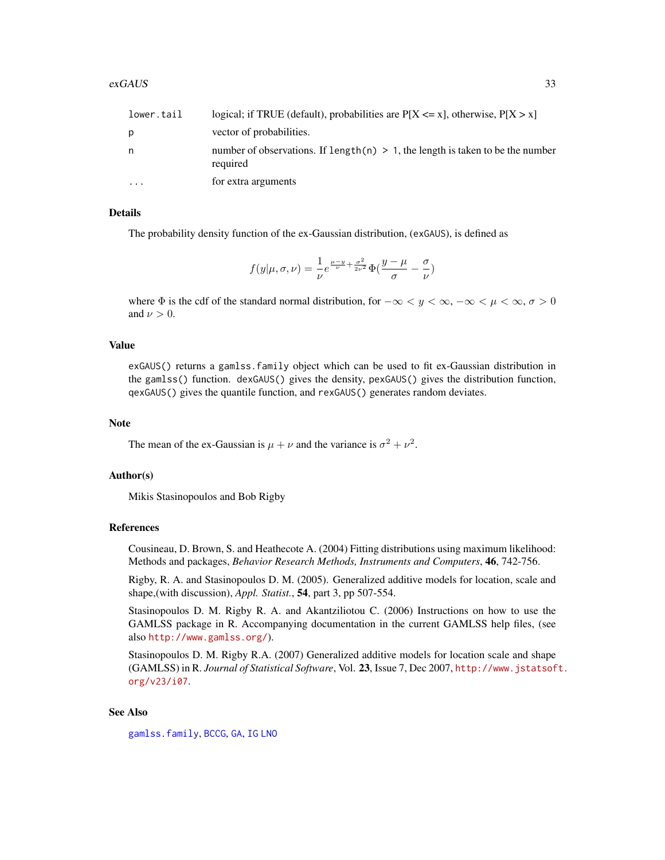| lower.tail | logical; if TRUE (default), probabilities are $P[X \le x]$ , otherwise, $P[X > x]$            |
|------------|-----------------------------------------------------------------------------------------------|
| p          | vector of probabilities.                                                                      |
| n          | number of observations. If length(n) $> 1$ , the length is taken to be the number<br>required |
| $\ddotsc$  | for extra arguments                                                                           |

The probability density function of the ex-Gaussian distribution, (exGAUS), is defined as

$$
f(y|\mu,\sigma,\nu) = \frac{1}{\nu}e^{\frac{\mu-y}{\nu} + \frac{\sigma^2}{2\nu^2}}\Phi(\frac{y-\mu}{\sigma} - \frac{\sigma}{\nu})
$$

where  $\Phi$  is the cdf of the standard normal distribution, for  $-\infty < y < \infty, -\infty < \mu < \infty, \sigma > 0$ and  $\nu > 0$ .

#### Value

exGAUS() returns a gamlss.family object which can be used to fit ex-Gaussian distribution in the gamlss() function. dexGAUS() gives the density, pexGAUS() gives the distribution function, qexGAUS() gives the quantile function, and rexGAUS() generates random deviates.

#### Note

The mean of the ex-Gaussian is  $\mu + \nu$  and the variance is  $\sigma^2 + \nu^2$ .

#### Author(s)

Mikis Stasinopoulos and Bob Rigby

#### References

Cousineau, D. Brown, S. and Heathecote A. (2004) Fitting distributions using maximum likelihood: Methods and packages, *Behavior Research Methods, Instruments and Computers*, 46, 742-756.

Rigby, R. A. and Stasinopoulos D. M. (2005). Generalized additive models for location, scale and shape,(with discussion), *Appl. Statist.*, 54, part 3, pp 507-554.

Stasinopoulos D. M. Rigby R. A. and Akantziliotou C. (2006) Instructions on how to use the GAMLSS package in R. Accompanying documentation in the current GAMLSS help files, (see also <http://www.gamlss.org/>).

Stasinopoulos D. M. Rigby R.A. (2007) Generalized additive models for location scale and shape (GAMLSS) in R. *Journal of Statistical Software*, Vol. 23, Issue 7, Dec 2007, [http://www.jstatsof](http://www.jstatsoft.org/v23/i07)t. [org/v23/i07](http://www.jstatsoft.org/v23/i07).

#### See Also

[gamlss.family](#page-38-1), [BCCG](#page-6-1), [GA](#page-36-1), [IG](#page-59-1) [LNO](#page-69-1)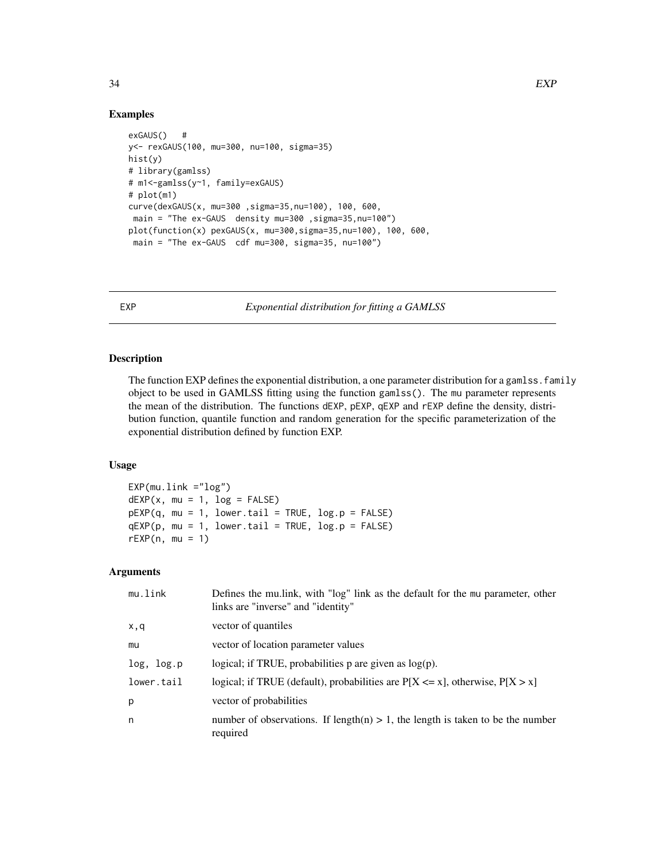#### Examples

```
exGAUS() #
y<- rexGAUS(100, mu=300, nu=100, sigma=35)
hist(y)
# library(gamlss)
# m1<-gamlss(y~1, family=exGAUS)
# plot(m1)
curve(dexGAUS(x, mu=300 ,sigma=35,nu=100), 100, 600,
main = "The ex-GAUS density mu=300 ,sigma=35,nu=100")
plot(function(x) pexGAUS(x, mu=300,sigma=35,nu=100), 100, 600,
 main = "The ex-GAUS cdf mu=300, sigma=35, nu=100")
```
EXP *Exponential distribution for fitting a GAMLSS*

# Description

The function EXP defines the exponential distribution, a one parameter distribution for a gamlss. family object to be used in GAMLSS fitting using the function gamlss(). The mu parameter represents the mean of the distribution. The functions dEXP, pEXP, qEXP and rEXP define the density, distribution function, quantile function and random generation for the specific parameterization of the exponential distribution defined by function EXP.

# Usage

```
EXP(mu.link = "log")dEXP(x, mu = 1, log = FALSE)pEXP(q, mu = 1, lowertail = TRUE, <math>log.p = FALSE)
qEXP(p, mu = 1, lowertail = TRUE, <math>log.p = FALSE)
rEXP(n, mu = 1)
```

| mu.link    | Defines the multink, with "log" link as the default for the mu parameter, other<br>links are "inverse" and "identity" |
|------------|-----------------------------------------------------------------------------------------------------------------------|
| x,q        | vector of quantiles                                                                                                   |
| mu         | vector of location parameter values                                                                                   |
| log, log.p | logical; if TRUE, probabilities $p$ are given as $log(p)$ .                                                           |
| lower.tail | logical; if TRUE (default), probabilities are $P[X \le x]$ , otherwise, $P[X > x]$                                    |
| р          | vector of probabilities                                                                                               |
| n          | number of observations. If length(n) $> 1$ , the length is taken to be the number<br>required                         |

<span id="page-33-0"></span>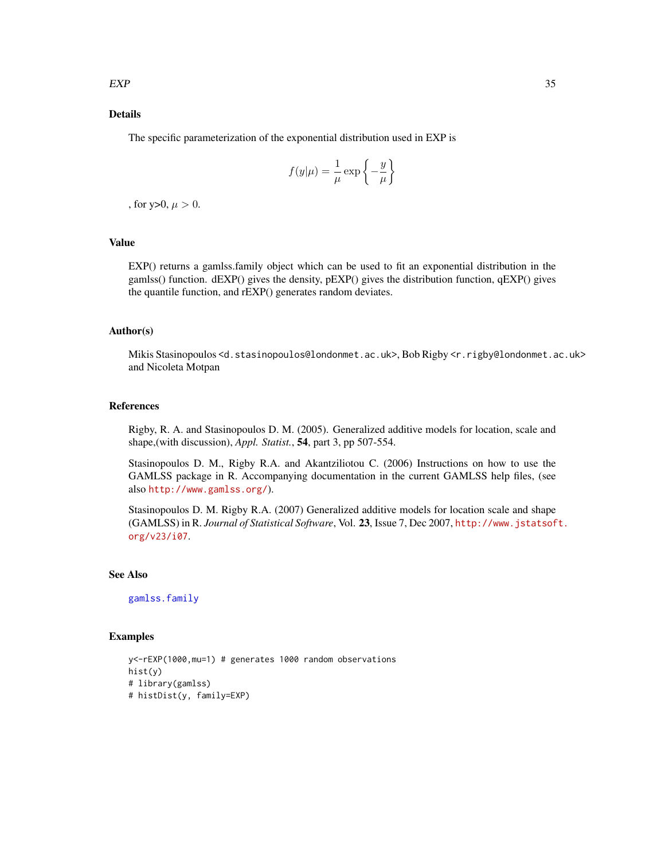The specific parameterization of the exponential distribution used in EXP is

$$
f(y|\mu) = \frac{1}{\mu} \exp\left\{-\frac{y}{\mu}\right\}
$$

, for y>0,  $\mu > 0$ .

#### Value

EXP() returns a gamlss.family object which can be used to fit an exponential distribution in the gamlss() function. dEXP() gives the density, pEXP() gives the distribution function, qEXP() gives the quantile function, and rEXP() generates random deviates.

# Author(s)

Mikis Stasinopoulos <d.stasinopoulos@londonmet.ac.uk>, Bob Rigby <r.rigby@londonmet.ac.uk> and Nicoleta Motpan

#### References

Rigby, R. A. and Stasinopoulos D. M. (2005). Generalized additive models for location, scale and shape,(with discussion), *Appl. Statist.*, 54, part 3, pp 507-554.

Stasinopoulos D. M., Rigby R.A. and Akantziliotou C. (2006) Instructions on how to use the GAMLSS package in R. Accompanying documentation in the current GAMLSS help files, (see also <http://www.gamlss.org/>).

Stasinopoulos D. M. Rigby R.A. (2007) Generalized additive models for location scale and shape (GAMLSS) in R. *Journal of Statistical Software*, Vol. 23, Issue 7, Dec 2007, [http://www.jstatsof](http://www.jstatsoft.org/v23/i07)t. [org/v23/i07](http://www.jstatsoft.org/v23/i07).

#### See Also

[gamlss.family](#page-38-1)

#### Examples

```
y<-rEXP(1000,mu=1) # generates 1000 random observations
hist(y)
# library(gamlss)
# histDist(y, family=EXP)
```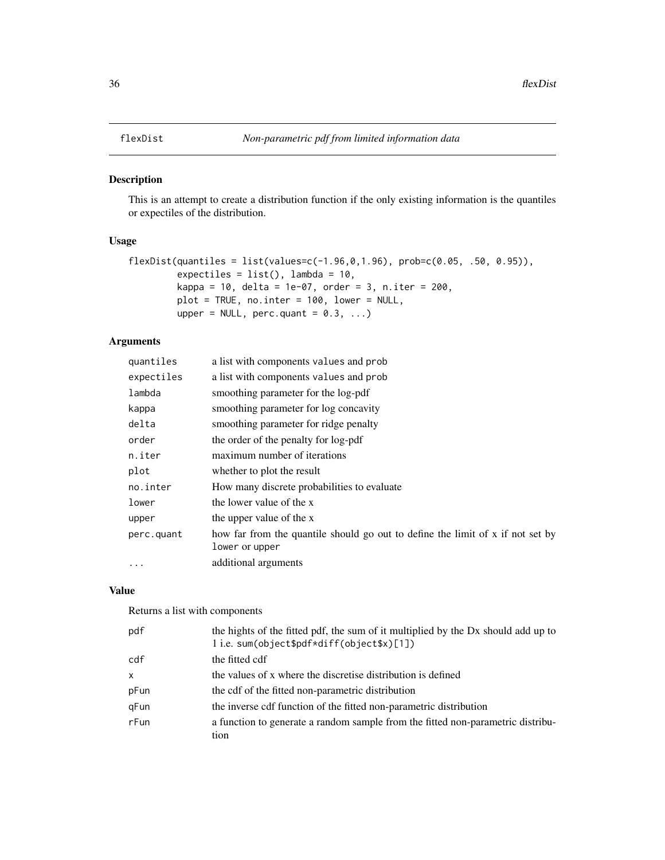# <span id="page-35-0"></span>Description

This is an attempt to create a distribution function if the only existing information is the quantiles or expectiles of the distribution.

#### Usage

```
flexDist(quantiles = list(values=c(-1.96,0,1.96), prob=c(0.05, .50, 0.95)),
         expectiles = list(), lambda = 10,
         kappa = 10, delta = 1e-07, order = 3, n.iter = 200,
         plot = TRUE, no.inter = 100, lower = NULL,
         upper = NULL, perc.quant = 0.3, ...)
```
# Arguments

| quantiles  | a list with components values and prob                                                           |
|------------|--------------------------------------------------------------------------------------------------|
| expectiles | a list with components values and prob                                                           |
| lambda     | smoothing parameter for the log-pdf                                                              |
| kappa      | smoothing parameter for log concavity                                                            |
| delta      | smoothing parameter for ridge penalty                                                            |
| order      | the order of the penalty for log-pdf                                                             |
| n.iter     | maximum number of iterations                                                                     |
| plot       | whether to plot the result                                                                       |
| no.inter   | How many discrete probabilities to evaluate                                                      |
| lower      | the lower value of the x                                                                         |
| upper      | the upper value of the x                                                                         |
| perc.quant | how far from the quantile should go out to define the limit of x if not set by<br>lower or upper |
| $\cdots$   | additional arguments                                                                             |

### Value

Returns a list with components

| pdf      | the hights of the fitted pdf, the sum of it multiplied by the Dx should add up to<br>1 i.e. sum(object\$pdf*diff(object\$x)[1]) |
|----------|---------------------------------------------------------------------------------------------------------------------------------|
| cdf      | the fitted cdf                                                                                                                  |
| $\times$ | the values of x where the discretise distribution is defined                                                                    |
| pFun     | the cdf of the fitted non-parametric distribution                                                                               |
| gFun     | the inverse cdf function of the fitted non-parametric distribution                                                              |
| rFun     | a function to generate a random sample from the fitted non-parametric distribu-<br>tion                                         |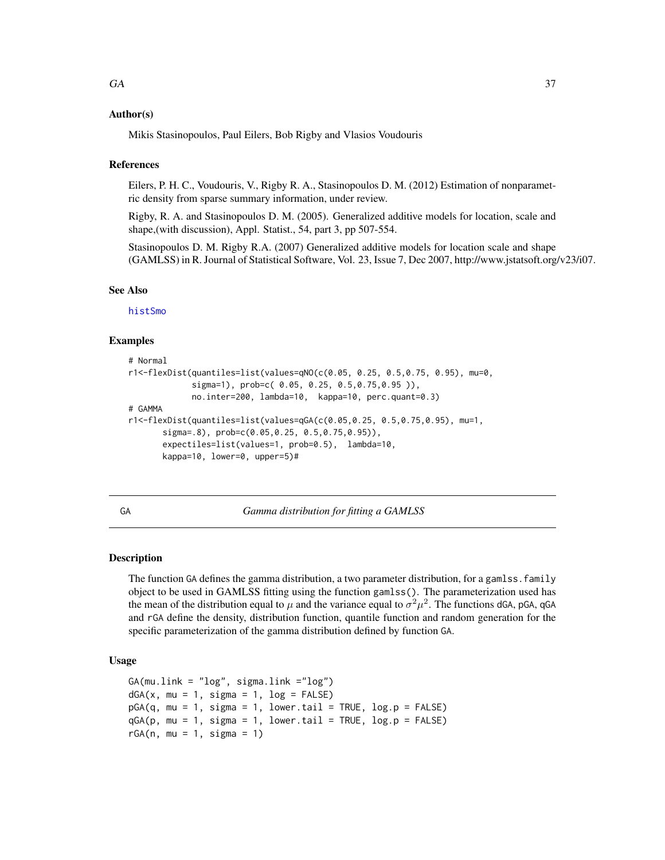### Author(s)

Mikis Stasinopoulos, Paul Eilers, Bob Rigby and Vlasios Voudouris

### References

Eilers, P. H. C., Voudouris, V., Rigby R. A., Stasinopoulos D. M. (2012) Estimation of nonparametric density from sparse summary information, under review.

Rigby, R. A. and Stasinopoulos D. M. (2005). Generalized additive models for location, scale and shape,(with discussion), Appl. Statist., 54, part 3, pp 507-554.

Stasinopoulos D. M. Rigby R.A. (2007) Generalized additive models for location scale and shape (GAMLSS) in R. Journal of Statistical Software, Vol. 23, Issue 7, Dec 2007, http://www.jstatsoft.org/v23/i07.

## See Also

[histSmo](#page-0-0)

## Examples

```
# Normal
r1<-flexDist(quantiles=list(values=qNO(c(0.05, 0.25, 0.5,0.75, 0.95), mu=0,
            sigma=1), prob=c( 0.05, 0.25, 0.5,0.75,0.95 )),
            no.inter=200, lambda=10, kappa=10, perc.quant=0.3)
# GAMMA
r1<-flexDist(quantiles=list(values=qGA(c(0.05,0.25, 0.5,0.75,0.95), mu=1,
      sigma=.8), prob=c(0.05,0.25, 0.5,0.75,0.95)),
      expectiles=list(values=1, prob=0.5), lambda=10,
      kappa=10, lower=0, upper=5)#
```
<span id="page-36-0"></span>GA *Gamma distribution for fitting a GAMLSS*

## Description

The function GA defines the gamma distribution, a two parameter distribution, for a gamlss. family object to be used in GAMLSS fitting using the function gamlss(). The parameterization used has the mean of the distribution equal to  $\mu$  and the variance equal to  $\sigma^2 \mu^2$ . The functions dGA, pGA, qGA and rGA define the density, distribution function, quantile function and random generation for the specific parameterization of the gamma distribution defined by function GA.

# Usage

```
GA(mu.link = "log", sigma.link ="log")
dGA(x, mu = 1, sigma = 1, log = FALSE)pGA(q, mu = 1, sigma = 1, lowertail = TRUE, <math>log.p = FALSE)
qGA(p, mu = 1, sigma = 1, lower.tail = TRUE, log.p = FALSE)rGA(n, mu = 1, sigma = 1)
```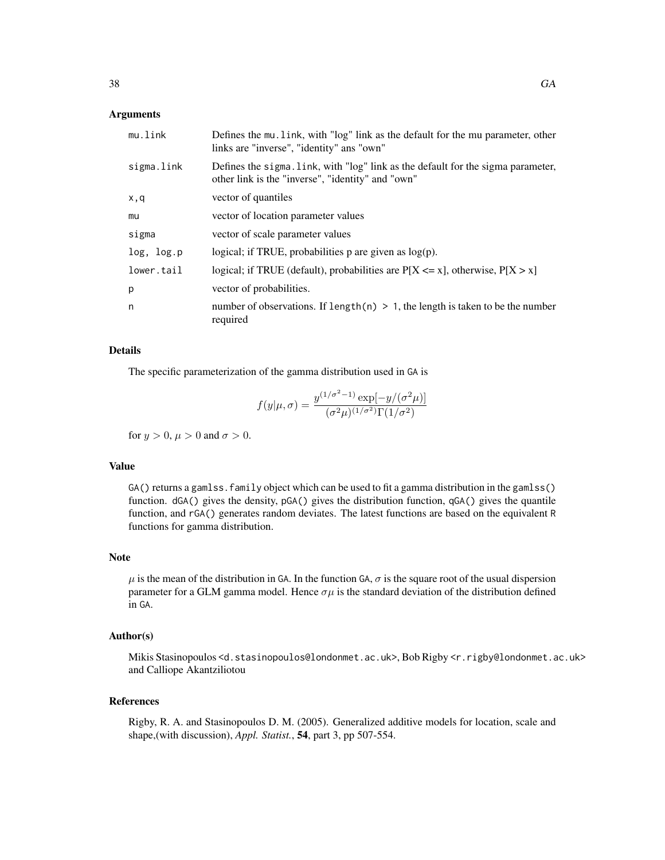## **Arguments**

| mu.link    | Defines the mu. link, with "log" link as the default for the mu parameter, other<br>links are "inverse", "identity" ans "own"         |
|------------|---------------------------------------------------------------------------------------------------------------------------------------|
| sigma.link | Defines the sigma. Link, with "log" link as the default for the sigma parameter,<br>other link is the "inverse", "identity" and "own" |
| x,q        | vector of quantiles                                                                                                                   |
| mu         | vector of location parameter values                                                                                                   |
| sigma      | vector of scale parameter values                                                                                                      |
| log, log.p | logical; if TRUE, probabilities $p$ are given as $log(p)$ .                                                                           |
| lower.tail | logical; if TRUE (default), probabilities are $P[X \le x]$ , otherwise, $P[X > x]$                                                    |
| p          | vector of probabilities.                                                                                                              |
| n          | number of observations. If length $(n) > 1$ , the length is taken to be the number<br>required                                        |

## Details

The specific parameterization of the gamma distribution used in GA is

$$
f(y|\mu,\sigma) = \frac{y^{(1/\sigma^2 - 1)} \exp[-y/(\sigma^2 \mu)]}{(\sigma^2 \mu)^{(1/\sigma^2)} \Gamma(1/\sigma^2)}
$$

for  $y > 0$ ,  $\mu > 0$  and  $\sigma > 0$ .

# Value

GA() returns a gamlss. family object which can be used to fit a gamma distribution in the gamlss() function. dGA() gives the density, pGA() gives the distribution function, qGA() gives the quantile function, and rGA() generates random deviates. The latest functions are based on the equivalent R functions for gamma distribution.

# Note

 $\mu$  is the mean of the distribution in GA. In the function GA,  $\sigma$  is the square root of the usual dispersion parameter for a GLM gamma model. Hence  $\sigma\mu$  is the standard deviation of the distribution defined in GA.

### Author(s)

Mikis Stasinopoulos <d.stasinopoulos@londonmet.ac.uk>, Bob Rigby <r.rigby@londonmet.ac.uk> and Calliope Akantziliotou

# References

Rigby, R. A. and Stasinopoulos D. M. (2005). Generalized additive models for location, scale and shape,(with discussion), *Appl. Statist.*, 54, part 3, pp 507-554.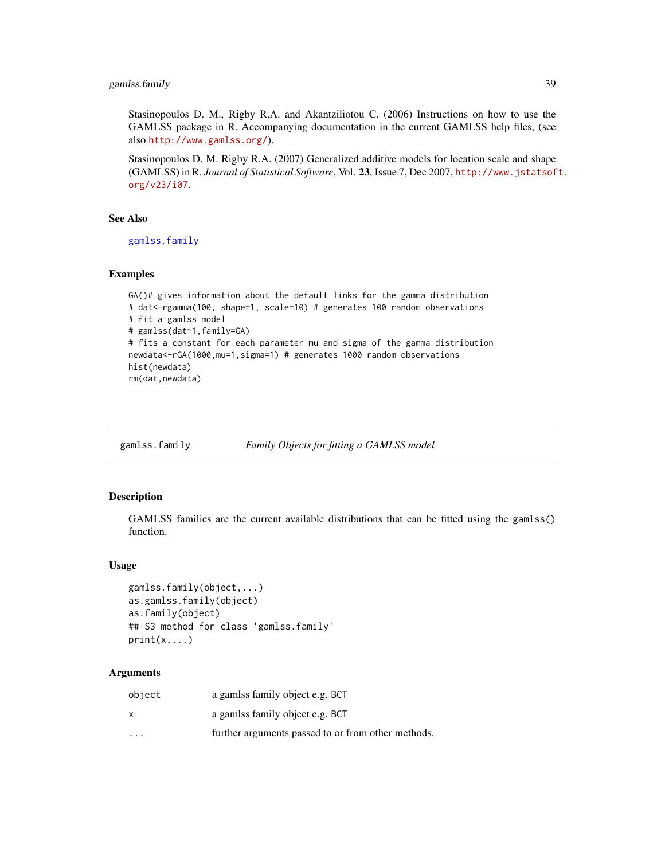# gamlss.family 39

Stasinopoulos D. M., Rigby R.A. and Akantziliotou C. (2006) Instructions on how to use the GAMLSS package in R. Accompanying documentation in the current GAMLSS help files, (see also <http://www.gamlss.org/>).

Stasinopoulos D. M. Rigby R.A. (2007) Generalized additive models for location scale and shape (GAMLSS) in R. *Journal of Statistical Software*, Vol. 23, Issue 7, Dec 2007, [http://www.jstatsof](http://www.jstatsoft.org/v23/i07)t. [org/v23/i07](http://www.jstatsoft.org/v23/i07).

### See Also

[gamlss.family](#page-38-0)

## Examples

```
GA()# gives information about the default links for the gamma distribution
# dat<-rgamma(100, shape=1, scale=10) # generates 100 random observations
# fit a gamlss model
# gamlss(dat~1,family=GA)
# fits a constant for each parameter mu and sigma of the gamma distribution
newdata<-rGA(1000,mu=1,sigma=1) # generates 1000 random observations
hist(newdata)
rm(dat,newdata)
```
<span id="page-38-0"></span>gamlss.family *Family Objects for fitting a GAMLSS model*

# Description

GAMLSS families are the current available distributions that can be fitted using the gamlss() function.

### Usage

```
gamlss.family(object,...)
as.gamlss.family(object)
as.family(object)
## S3 method for class 'gamlss.family'
print(x, \ldots)
```
## Arguments

| object   | a gamlss family object e.g. BCT                    |
|----------|----------------------------------------------------|
| x        | a gamlss family object e.g. BCT                    |
| $\cdots$ | further arguments passed to or from other methods. |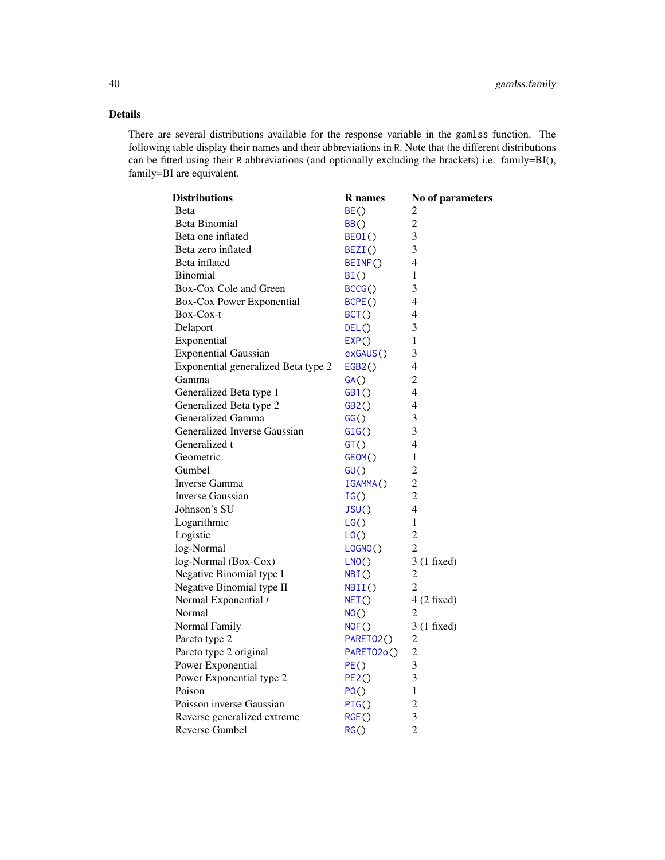# Details

There are several distributions available for the response variable in the gamlss function. The following table display their names and their abbreviations in R. Note that the different distributions can be fitted using their R abbreviations (and optionally excluding the brackets) i.e. family=BI(), family=BI are equivalent.

| <b>Distributions</b>                | <b>R</b> names         | No of parameters |
|-------------------------------------|------------------------|------------------|
| <b>Beta</b>                         | BE()                   | 2                |
| Beta Binomial                       | BB()                   | 2                |
| Beta one inflated                   | BEOI()                 | 3                |
| Beta zero inflated                  | BEZI()                 | 3                |
| Beta inflated                       | BEINF()                | $\overline{4}$   |
| <b>Binomial</b>                     | BI()                   | 1                |
| Box-Cox Cole and Green              | BCCG()                 | 3                |
| Box-Cox Power Exponential           | BCPE()                 | $\overline{4}$   |
| Box-Cox-t                           | BCT()                  | 4                |
| Delaport                            | DEL()                  | 3                |
| Exponential                         | EXP()                  | 1                |
| <b>Exponential Gaussian</b>         | exGAUS()               | 3                |
| Exponential generalized Beta type 2 | EGB2()                 | 4                |
| Gamma                               | GA()                   | $\overline{2}$   |
| Generalized Beta type 1             | GB1()                  | 4                |
| Generalized Beta type 2             | GB2()                  | 4                |
| Generalized Gamma                   | GG()                   | 3                |
| Generalized Inverse Gaussian        | GIG()                  | 3                |
| Generalized t                       | GT()                   | 4                |
| Geometric                           | GEOM()                 | 1                |
| Gumbel                              | GU()                   | $\overline{2}$   |
| <b>Inverse Gamma</b>                | IGAMMA()               | $\overline{2}$   |
| Inverse Gaussian                    | IG()                   | $\overline{2}$   |
| Johnson's SU                        | JSU()                  | $\overline{4}$   |
| Logarithmic                         | LG()                   | 1                |
| Logistic                            | LO()                   | $\overline{2}$   |
| log-Normal                          | LOGNO()                | $\overline{2}$   |
| log-Normal (Box-Cox)                | LNO()                  | $3(1$ fixed)     |
| Negative Binomial type I            | NBI()                  | $\overline{2}$   |
| Negative Binomial type II           | NBII()                 | $\overline{2}$   |
| Normal Exponential t                | NET()                  | $4(2$ fixed)     |
| Normal                              | NO()                   | 2                |
| Normal Family                       | NOF()                  | 3 (1 fixed)      |
| Pareto type 2                       | PARETO <sub>2</sub> () | $\overline{c}$   |
| Pareto type 2 original              | PARETO2o()             | $\overline{c}$   |
| Power Exponential                   | PE()                   | 3                |
| Power Exponential type 2            | PE2()                  | 3                |
| Poison                              | PO()                   | 1                |
| Poisson inverse Gaussian            | PIG()                  | $\overline{2}$   |
| Reverse generalized extreme         | RGE()                  | 3                |
| Reverse Gumbel                      | RG()                   | $\overline{2}$   |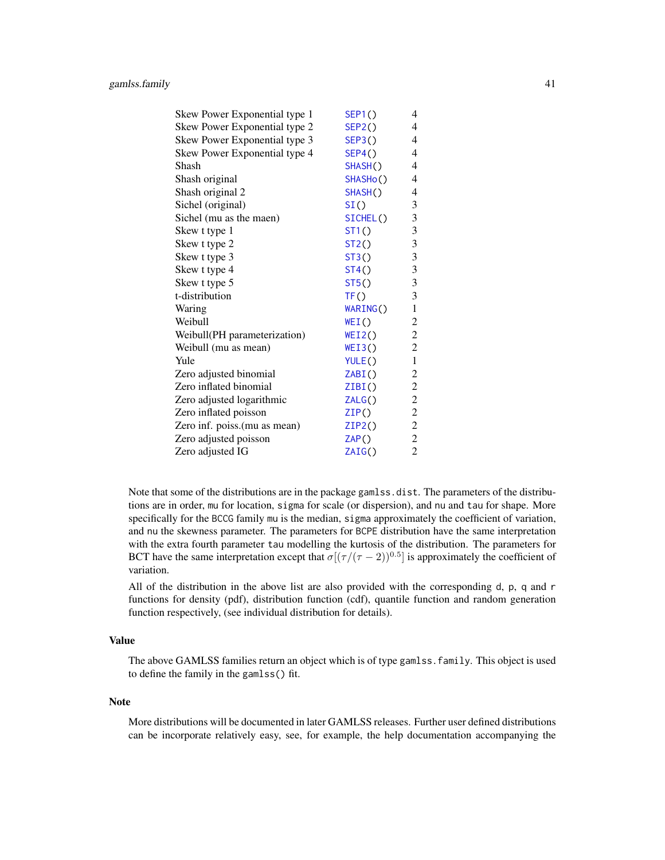| Skew Power Exponential type 1 | SEP1()   | 4              |
|-------------------------------|----------|----------------|
| Skew Power Exponential type 2 | SEP2()   | $\overline{4}$ |
| Skew Power Exponential type 3 | SEP3()   | $\overline{4}$ |
| Skew Power Exponential type 4 | SEP4()   | $\overline{4}$ |
| Shash                         | SHASH()  | 4              |
| Shash original                | SHASHo() | $\overline{4}$ |
| Shash original 2              | SHASH()  | 4              |
| Sichel (original)             | SI()     | $\mathfrak{Z}$ |
| Sichel (mu as the maen)       | SICHEL() | 3              |
| Skew t type 1                 | ST1()    | $\mathfrak{Z}$ |
| Skew t type 2                 | ST2()    | 3              |
| Skew t type 3                 | ST3()    | $\mathfrak{Z}$ |
| Skew t type 4                 | ST4()    | $\mathfrak{Z}$ |
| Skew t type 5                 | ST5()    | $\mathfrak{Z}$ |
| t-distribution                | TF()     | 3              |
| Waring                        | WARING() | $\mathbf{1}$   |
| Weibull                       | WEI()    | $\overline{c}$ |
| Weibull(PH parameterization)  | WEI2()   | $\overline{c}$ |
| Weibull (mu as mean)          | WEI3()   | $\overline{c}$ |
| Yule                          | YULE()   | $\mathbf{1}$   |
| Zero adjusted binomial        | ZABI()   | $\overline{c}$ |
| Zero inflated binomial        | ZIBI()   | $\overline{c}$ |
| Zero adjusted logarithmic     | ZALG()   | $\overline{c}$ |
| Zero inflated poisson         | ZIP()    | $\overline{c}$ |
| Zero inf. poiss.(mu as mean)  | ZIP2()   | $\overline{c}$ |
| Zero adjusted poisson         | ZAP()    | $\overline{c}$ |
| Zero adjusted IG              | ZAIG()   | $\overline{c}$ |

Note that some of the distributions are in the package gamlss.dist. The parameters of the distributions are in order, mu for location, sigma for scale (or dispersion), and nu and tau for shape. More specifically for the BCCG family mu is the median, sigma approximately the coefficient of variation, and nu the skewness parameter. The parameters for BCPE distribution have the same interpretation with the extra fourth parameter tau modelling the kurtosis of the distribution. The parameters for BCT have the same interpretation except that  $\sigma[(\tau/(\tau-2))^{0.5}]$  is approximately the coefficient of variation.

All of the distribution in the above list are also provided with the corresponding d, p, q and r functions for density (pdf), distribution function (cdf), quantile function and random generation function respectively, (see individual distribution for details).

# Value

The above GAMLSS families return an object which is of type gamlss.family. This object is used to define the family in the gamlss() fit.

### Note

More distributions will be documented in later GAMLSS releases. Further user defined distributions can be incorporate relatively easy, see, for example, the help documentation accompanying the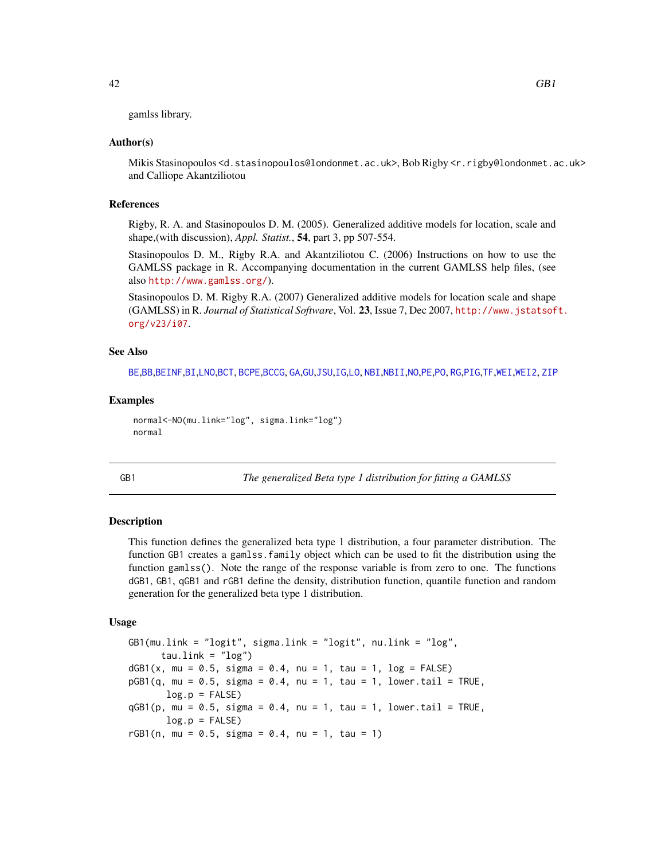gamlss library.

### Author(s)

Mikis Stasinopoulos <d.stasinopoulos@londonmet.ac.uk>, Bob Rigby <r.rigby@londonmet.ac.uk> and Calliope Akantziliotou

## References

Rigby, R. A. and Stasinopoulos D. M. (2005). Generalized additive models for location, scale and shape,(with discussion), *Appl. Statist.*, 54, part 3, pp 507-554.

Stasinopoulos D. M., Rigby R.A. and Akantziliotou C. (2006) Instructions on how to use the GAMLSS package in R. Accompanying documentation in the current GAMLSS help files, (see also <http://www.gamlss.org/>).

Stasinopoulos D. M. Rigby R.A. (2007) Generalized additive models for location scale and shape (GAMLSS) in R. *Journal of Statistical Software*, Vol. 23, Issue 7, Dec 2007, [http://www.jstatsof](http://www.jstatsoft.org/v23/i07)t. [org/v23/i07](http://www.jstatsoft.org/v23/i07).

## See Also

[BE](#page-13-0),[BB](#page-3-0),[BEINF](#page-15-0),[BI](#page-24-0),[LNO](#page-69-1),[BCT](#page-11-0), [BCPE](#page-8-0),[BCCG](#page-6-0), [GA](#page-36-0),[GU](#page-56-0),[JSU](#page-63-0),[IG](#page-59-0),[LO](#page-72-0), [NBI](#page-81-0),[NBII](#page-83-0),[NO](#page-87-0),[PE](#page-95-0),[PO](#page-99-0), [RG](#page-101-0),[PIG](#page-97-0),[TF](#page-124-0),[WEI](#page-127-0),[WEI2](#page-129-0), [ZIP](#page-146-0)

## Examples

```
normal<-NO(mu.link="log", sigma.link="log")
normal
```
<span id="page-41-0"></span>

GB1 *The generalized Beta type 1 distribution for fitting a GAMLSS*

### Description

This function defines the generalized beta type 1 distribution, a four parameter distribution. The function GB1 creates a gamlss.family object which can be used to fit the distribution using the function gamlss(). Note the range of the response variable is from zero to one. The functions dGB1, GB1, qGB1 and rGB1 define the density, distribution function, quantile function and random generation for the generalized beta type 1 distribution.

### Usage

GB1(mu.link = "logit", sigma.link = "logit", nu.link = "log",  $tau$ .link =  $"log"$ )  $dGB1(x, mu = 0.5, sigma = 0.4, nu = 1, tau = 1, log = FALSE)$  $pGB1(q, mu = 0.5, sigma = 0.4, nu = 1, tau = 1, lower.tail = TRUE,$  $log.p = FALSE$  $qGB1(p, mu = 0.5, sigma = 0.4, nu = 1, tau = 1, lower.tail = TRUE,$  $log.p = FALSE$  $rGB1(n, mu = 0.5, sigma = 0.4, nu = 1, tau = 1)$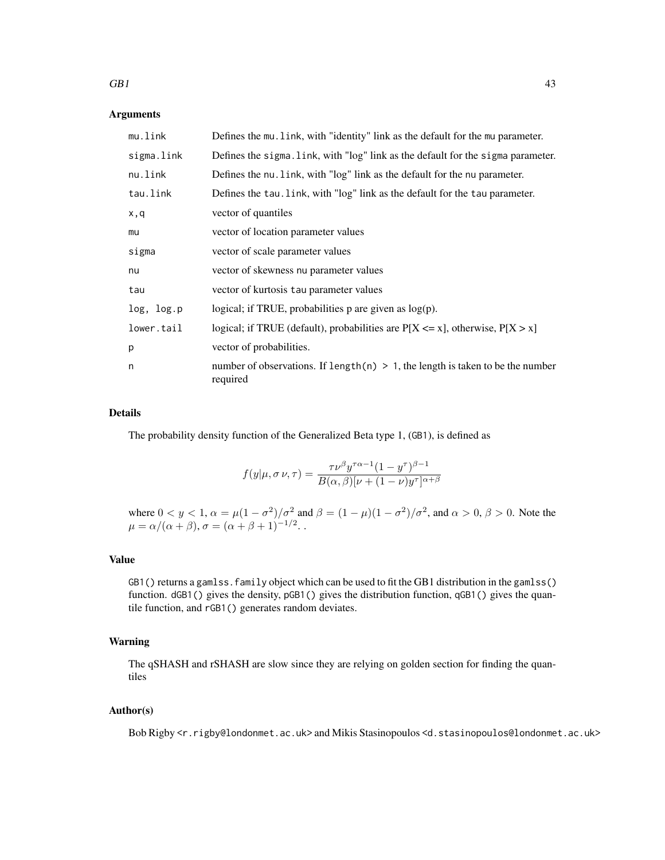## $GB1$  43

## Arguments

| mu.link    | Defines the mu. Link, with "identity" link as the default for the mu parameter.               |
|------------|-----------------------------------------------------------------------------------------------|
| sigma.link | Defines the sigma. link, with "log" link as the default for the sigma parameter.              |
| nu.link    | Defines the nu. Link, with "log" link as the default for the nu parameter.                    |
| tau.link   | Defines the tau. link, with "log" link as the default for the tau parameter.                  |
| x,q        | vector of quantiles                                                                           |
| mu         | vector of location parameter values                                                           |
| sigma      | vector of scale parameter values                                                              |
| nu         | vector of skewness nu parameter values                                                        |
| tau        | vector of kurtosis tau parameter values                                                       |
| log, log.p | logical; if TRUE, probabilities $p$ are given as $log(p)$ .                                   |
| lower.tail | logical; if TRUE (default), probabilities are $P[X \le x]$ , otherwise, $P[X > x]$            |
| p          | vector of probabilities.                                                                      |
| n          | number of observations. If length(n) $> 1$ , the length is taken to be the number<br>required |

# Details

The probability density function of the Generalized Beta type 1, (GB1), is defined as

$$
f(y|\mu, \sigma \nu, \tau) = \frac{\tau \nu^{\beta} y^{\tau \alpha - 1} (1 - y^{\tau})^{\beta - 1}}{B(\alpha, \beta) [\nu + (1 - \nu) y^{\tau}]^{\alpha + \beta}}
$$

where  $0 < y < 1$ ,  $\alpha = \mu(1 - \sigma^2)/\sigma^2$  and  $\beta = (1 - \mu)(1 - \sigma^2)/\sigma^2$ , and  $\alpha > 0$ ,  $\beta > 0$ . Note the  $\mu = \alpha/(\alpha + \beta), \sigma = (\alpha + \beta + 1)^{-1/2}.$ 

# Value

GB1() returns a gamlss. family object which can be used to fit the GB1 distribution in the gamlss() function. dGB1() gives the density, pGB1() gives the distribution function, qGB1() gives the quantile function, and rGB1() generates random deviates.

### Warning

The qSHASH and rSHASH are slow since they are relying on golden section for finding the quantiles

# Author(s)

Bob Rigby <r.rigby@londonmet.ac.uk> and Mikis Stasinopoulos <d.stasinopoulos@londonmet.ac.uk>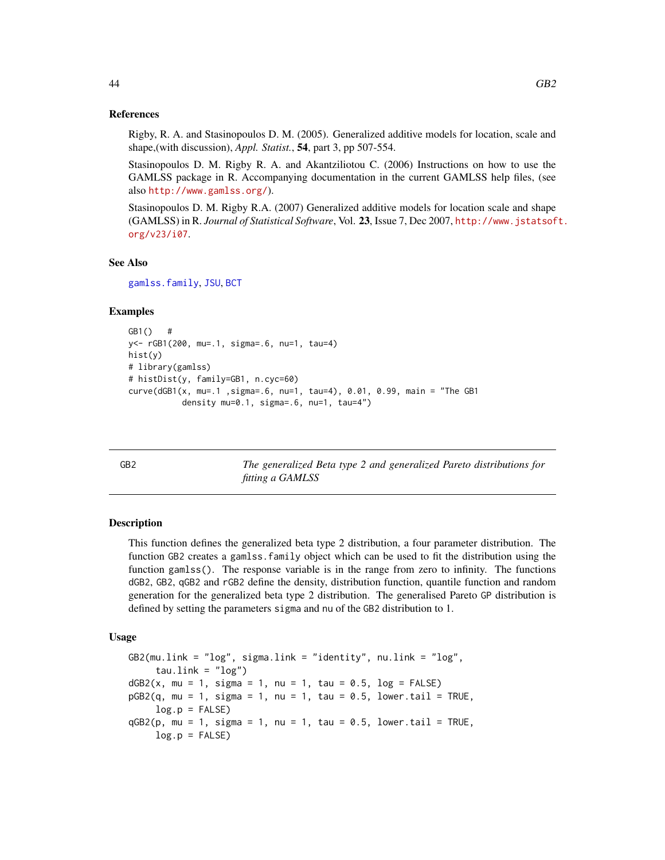### References

Rigby, R. A. and Stasinopoulos D. M. (2005). Generalized additive models for location, scale and shape,(with discussion), *Appl. Statist.*, 54, part 3, pp 507-554.

Stasinopoulos D. M. Rigby R. A. and Akantziliotou C. (2006) Instructions on how to use the GAMLSS package in R. Accompanying documentation in the current GAMLSS help files, (see also <http://www.gamlss.org/>).

Stasinopoulos D. M. Rigby R.A. (2007) Generalized additive models for location scale and shape (GAMLSS) in R. *Journal of Statistical Software*, Vol. 23, Issue 7, Dec 2007, [http://www.jstatsof](http://www.jstatsoft.org/v23/i07)t. [org/v23/i07](http://www.jstatsoft.org/v23/i07).

## See Also

[gamlss.family](#page-38-0), [JSU](#page-63-0), [BCT](#page-11-0)

# Examples

```
GB1() #
y<- rGB1(200, mu=.1, sigma=.6, nu=1, tau=4)
hist(y)
# library(gamlss)
# histDist(y, family=GB1, n.cyc=60)
curve(dGB1(x, mu=.1 ,sigma=.6, nu=1, tau=4), 0.01, 0.99, main = "The GB1
           density mu=0.1, sigma=.6, nu=1, tau=4")
```
<span id="page-43-0"></span>GB2 *The generalized Beta type 2 and generalized Pareto distributions for fitting a GAMLSS*

## Description

This function defines the generalized beta type 2 distribution, a four parameter distribution. The function GB2 creates a gamlss.family object which can be used to fit the distribution using the function gamlss(). The response variable is in the range from zero to infinity. The functions dGB2, GB2, qGB2 and rGB2 define the density, distribution function, quantile function and random generation for the generalized beta type 2 distribution. The generalised Pareto GP distribution is defined by setting the parameters sigma and nu of the GB2 distribution to 1.

### Usage

GB2(mu.link = "log", sigma.link = "identity", nu.link = "log",  $tau$ .link =  $"log"$ )  $dGB2(x, mu = 1, sigma = 1, nu = 1, tau = 0.5, log = FALSE)$  $pGB2(q, mu = 1, sigma = 1, nu = 1, tau = 0.5, lower$ **tail = TRUE** $,$  $log.p = FALSE$  $qGB2(p, mu = 1, sigma = 1, nu = 1, tau = 0.5, lower.tail = TRUE,$  $log.p = FALSE$ )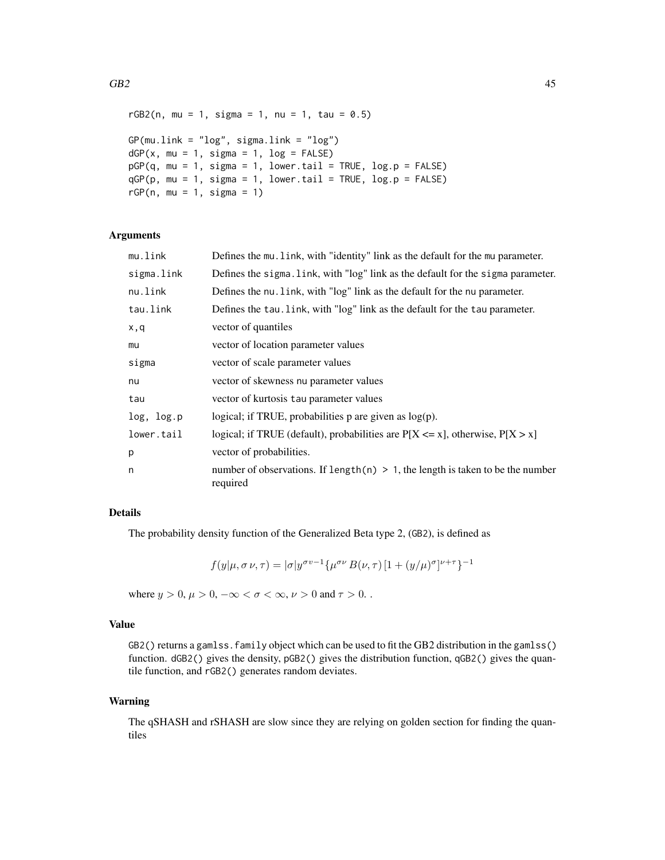```
rGB2(n, mu = 1, sigma = 1, nu = 1, tau = 0.5)GP(mu.link = "log", sigma.link = "log")dGP(x, mu = 1, sigma = 1, log = FALSE)pGP(q, mu = 1, sigma = 1, lower.tail = TRUE, log.p = FALSE)
qGP(p, mu = 1, sigma = 1, lower.tail = TRUE, log.p = FALSE)rGP(n, mu = 1, sigma = 1)
```
## Arguments

| mu.link    | Defines the mu. Link, with "identity" link as the default for the mu parameter.                |
|------------|------------------------------------------------------------------------------------------------|
| sigma.link | Defines the sigma. Link, with "log" link as the default for the sigma parameter.               |
| nu.link    | Defines the nu. Link, with "log" link as the default for the nu parameter.                     |
| tau.link   | Defines the tau. link, with "log" link as the default for the tau parameter.                   |
| x,q        | vector of quantiles                                                                            |
| mu         | vector of location parameter values                                                            |
| sigma      | vector of scale parameter values                                                               |
| nu         | vector of skewness nu parameter values                                                         |
| tau        | vector of kurtosis tau parameter values                                                        |
| log, log.p | logical; if TRUE, probabilities $p$ are given as $log(p)$ .                                    |
| lower.tail | logical; if TRUE (default), probabilities are $P[X \le x]$ , otherwise, $P[X > x]$             |
| p          | vector of probabilities.                                                                       |
| n          | number of observations. If length $(n) > 1$ , the length is taken to be the number<br>required |

# Details

The probability density function of the Generalized Beta type 2, (GB2), is defined as

$$
f(y|\mu, \sigma \nu, \tau) = |\sigma| y^{\sigma \nu - 1} \{ \mu^{\sigma \nu} B(\nu, \tau) [1 + (y/\mu)^{\sigma}]^{\nu + \tau} \}^{-1}
$$

where  $y > 0$ ,  $\mu > 0$ ,  $-\infty < \sigma < \infty$ ,  $\nu > 0$  and  $\tau > 0$ .

### Value

GB2() returns a gamlss. family object which can be used to fit the GB2 distribution in the gamlss() function. dGB2() gives the density, pGB2() gives the distribution function, qGB2() gives the quantile function, and rGB2() generates random deviates.

## Warning

The qSHASH and rSHASH are slow since they are relying on golden section for finding the quantiles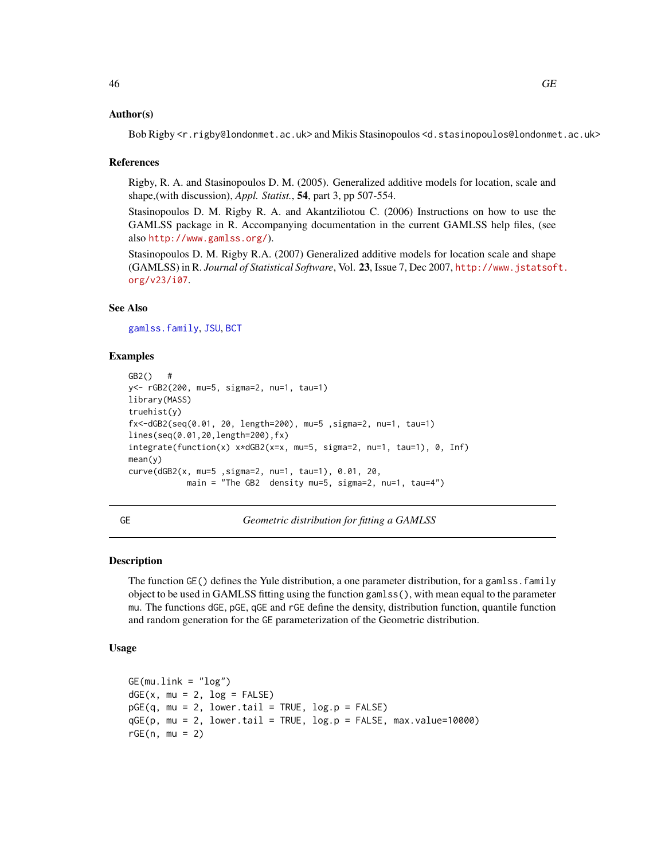### Author(s)

Bob Rigby <r.rigby@londonmet.ac.uk> and Mikis Stasinopoulos <d.stasinopoulos@londonmet.ac.uk>

### References

Rigby, R. A. and Stasinopoulos D. M. (2005). Generalized additive models for location, scale and shape,(with discussion), *Appl. Statist.*, 54, part 3, pp 507-554.

Stasinopoulos D. M. Rigby R. A. and Akantziliotou C. (2006) Instructions on how to use the GAMLSS package in R. Accompanying documentation in the current GAMLSS help files, (see also <http://www.gamlss.org/>).

Stasinopoulos D. M. Rigby R.A. (2007) Generalized additive models for location scale and shape (GAMLSS) in R. *Journal of Statistical Software*, Vol. 23, Issue 7, Dec 2007, [http://www.jstatsof](http://www.jstatsoft.org/v23/i07)t. [org/v23/i07](http://www.jstatsoft.org/v23/i07).

# See Also

[gamlss.family](#page-38-0), [JSU](#page-63-0), [BCT](#page-11-0)

### Examples

```
GB2() #
y<- rGB2(200, mu=5, sigma=2, nu=1, tau=1)
library(MASS)
truehist(y)
fx<-dGB2(seq(0.01, 20, length=200), mu=5 ,sigma=2, nu=1, tau=1)
lines(seq(0.01,20,length=200),fx)
integrate(function(x) x*dGB2(x=x, mu=5, sigma=2, nu=1, tau=1), 0, Inf)
mean(y)
curve(dGB2(x, mu=5 ,sigma=2, nu=1, tau=1), 0.01, 20,
            main = "The GB2 density mu=5, sigma=2, nu=1, tau=4")
```
GE *Geometric distribution for fitting a GAMLSS*

### Description

The function GE() defines the Yule distribution, a one parameter distribution, for a gamlss. family object to be used in GAMLSS fitting using the function gamlss(), with mean equal to the parameter mu. The functions dGE, pGE, qGE and rGE define the density, distribution function, quantile function and random generation for the GE parameterization of the Geometric distribution.

# Usage

```
GE(mu.link = "log")dGE(x, mu = 2, log = FALSE)pGE(q, mu = 2, lower.tail = TRUE, log.p = FALSE)qGE(p, mu = 2, lower.tail = TRUE, log.p = FALSE, max.value=10000)rGE(n, mu = 2)
```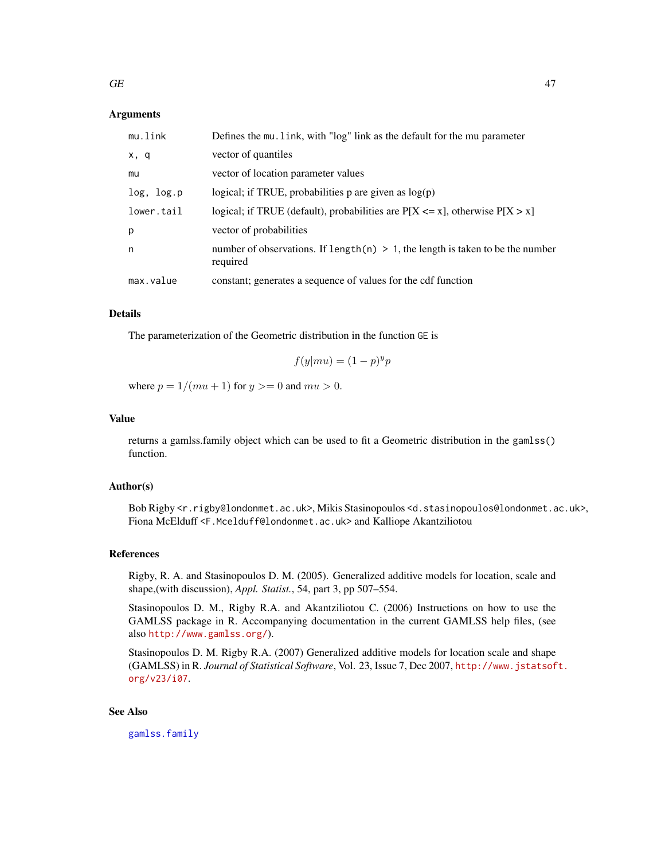## Arguments

| mu.link    | Defines the mu. link, with "log" link as the default for the mu parameter                     |
|------------|-----------------------------------------------------------------------------------------------|
| x, q       | vector of quantiles                                                                           |
| mu         | vector of location parameter values                                                           |
| log, log.p | logical; if TRUE, probabilities $p$ are given as $log(p)$                                     |
| lower.tail | logical; if TRUE (default), probabilities are $P[X \le x]$ , otherwise $P[X > x]$             |
| p          | vector of probabilities                                                                       |
| n          | number of observations. If length(n) $> 1$ , the length is taken to be the number<br>required |
| max.value  | constant; generates a sequence of values for the cdf function                                 |

# Details

The parameterization of the Geometric distribution in the function GE is

$$
f(y|mu) = (1 - p)^y p
$$

where  $p = 1/(mu + 1)$  for  $y \ge 0$  and  $mu > 0$ .

# Value

returns a gamlss.family object which can be used to fit a Geometric distribution in the gamlss() function.

## Author(s)

Bob Rigby <r.rigby@londonmet.ac.uk>, Mikis Stasinopoulos <d.stasinopoulos@londonmet.ac.uk>, Fiona McElduff <F.Mcelduff@londonmet.ac.uk> and Kalliope Akantziliotou

# References

Rigby, R. A. and Stasinopoulos D. M. (2005). Generalized additive models for location, scale and shape,(with discussion), *Appl. Statist.*, 54, part 3, pp 507–554.

Stasinopoulos D. M., Rigby R.A. and Akantziliotou C. (2006) Instructions on how to use the GAMLSS package in R. Accompanying documentation in the current GAMLSS help files, (see also <http://www.gamlss.org/>).

Stasinopoulos D. M. Rigby R.A. (2007) Generalized additive models for location scale and shape (GAMLSS) in R. *Journal of Statistical Software*, Vol. 23, Issue 7, Dec 2007, [http://www.jstatsof](http://www.jstatsoft.org/v23/i07)t. [org/v23/i07](http://www.jstatsoft.org/v23/i07).

# See Also

[gamlss.family](#page-38-0)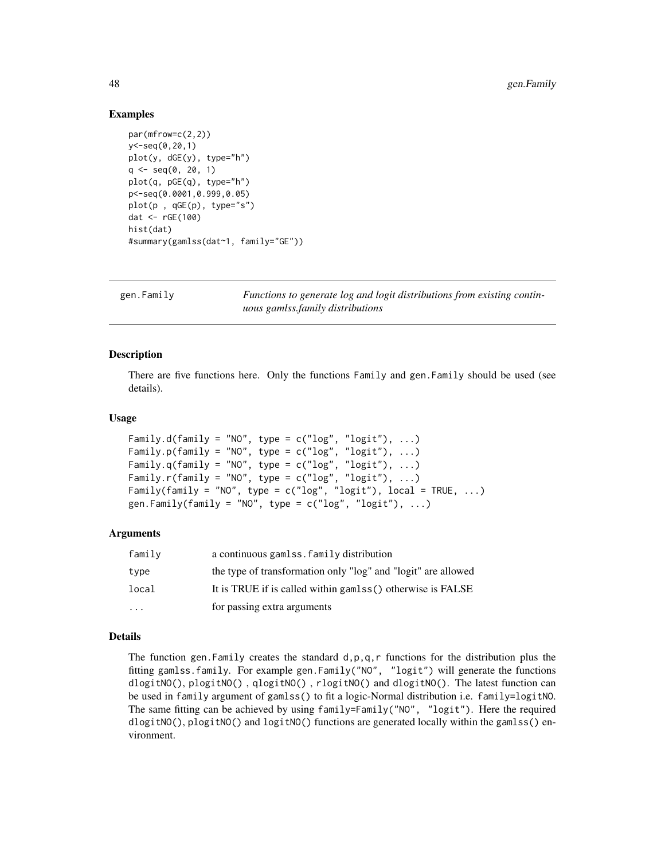## Examples

```
par(mfrow=c(2,2))
y<-seq(0,20,1)
plot(y, dGE(y), type="h")
q \leq - \text{seq}(0, 20, 1)plot(q, pGE(q), type="h")
p<-seq(0.0001,0.999,0.05)
plot(p , qGE(p), type="s")
dat <- rGE(100)
hist(dat)
#summary(gamlss(dat~1, family="GE"))
```
gen.Family *Functions to generate log and logit distributions from existing continuous gamlss.family distributions*

## Description

There are five functions here. Only the functions Family and gen.Family should be used (see details).

## Usage

```
Family.d(family = "NO", type = c("log", "logit"), ...)
Family.p(family = "NO", type = c("log", "logit"), ...)
Family.q(family = "NO", type = c("log", "logit"), ...)
Family.r(family = "NO", type = c("log", "logit"), ...)
Family(family = "NO", type = c("log", "logit"), local = TRUE, ...)gen.Family(family = "NO", type = c("log", "logit"), ...)
```
### **Arguments**

| family   | a continuous gamlss. family distribution                      |
|----------|---------------------------------------------------------------|
| type     | the type of transformation only "log" and "logit" are allowed |
| local    | It is TRUE if is called within gamlss() otherwise is FALSE    |
| $\cdots$ | for passing extra arguments                                   |

## Details

The function gen. Family creates the standard  $d$ ,  $p$ ,  $q$ ,  $r$  functions for the distribution plus the fitting gamlss.family. For example gen.Family("NO", "logit") will generate the functions dlogitNO(), plogitNO() , qlogitNO() , rlogitNO() and dlogitNO(). The latest function can be used in family argument of gamlss() to fit a logic-Normal distribution i.e. family=logitNO. The same fitting can be achieved by using family=Family("NO", "logit"). Here the required dlogitNO(), plogitNO() and logitNO() functions are generated locally within the gamlss() environment.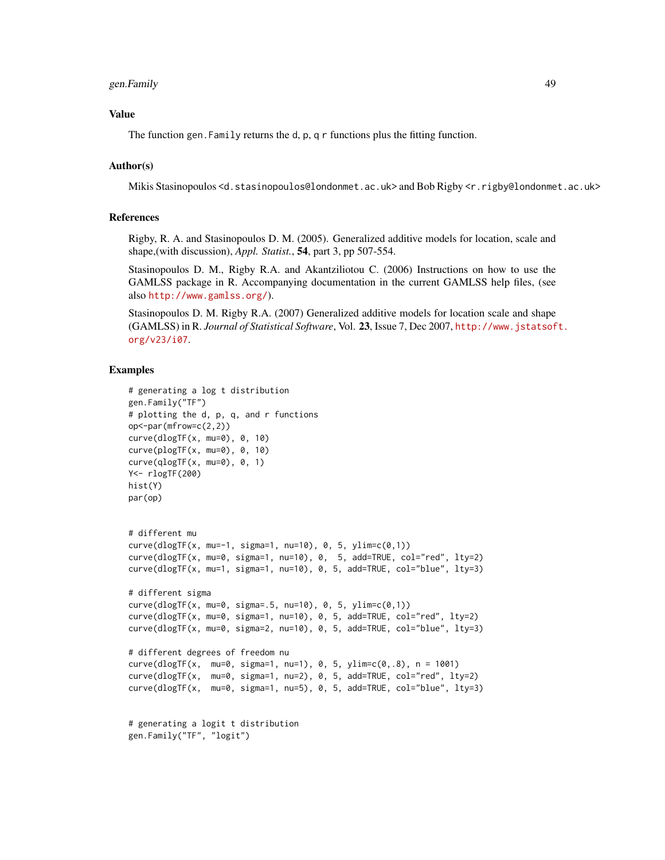# gen.Family 49

### Value

The function gen.Family returns the d, p, q r functions plus the fitting function.

# Author(s)

Mikis Stasinopoulos <d.stasinopoulos@londonmet.ac.uk> and Bob Rigby <r.rigby@londonmet.ac.uk>

# References

Rigby, R. A. and Stasinopoulos D. M. (2005). Generalized additive models for location, scale and shape,(with discussion), *Appl. Statist.*, 54, part 3, pp 507-554.

Stasinopoulos D. M., Rigby R.A. and Akantziliotou C. (2006) Instructions on how to use the GAMLSS package in R. Accompanying documentation in the current GAMLSS help files, (see also <http://www.gamlss.org/>).

Stasinopoulos D. M. Rigby R.A. (2007) Generalized additive models for location scale and shape (GAMLSS) in R. *Journal of Statistical Software*, Vol. 23, Issue 7, Dec 2007, [http://www.jstatsof](http://www.jstatsoft.org/v23/i07)t. [org/v23/i07](http://www.jstatsoft.org/v23/i07).

## Examples

```
# generating a log t distribution
gen.Family("TF")
# plotting the d, p, q, and r functions
op < -par(mfrow=c(2,2))curve(dlogTF(x, mu=0), 0, 10)
curve(plogTF(x, mu=0), 0, 10)
curve(\text{qlogTF}(x, \text{mu=0}), 0, 1)Y<- rlogTF(200)
hist(Y)
par(op)
# different mu
curve(dlogTF(x, mu=-1, sigma=1, nu=10), 0, 5, vlim=c(0,1))curve(dlogTF(x, mu=0, sigma=1, nu=10), 0, 5, add=TRUE, col="red", lty=2)
curve(dlogTF(x, mu=1, sigma=1, nu=10), 0, 5, add=TRUE, col="blue", lty=3)
# different sigma
curve(dlogTF(x, mu=0, sigma=.5, nu=10), 0, 5, ylim=c(0,1))
curve(dlogTF(x, mu=0, sigma=1, nu=10), 0, 5, add=TRUE, col="red", lty=2)
curve(dlogTF(x, mu=0, sigma=2, nu=10), 0, 5, add=TRUE, col="blue", lty=3)
# different degrees of freedom nu
curve(dlogTF(x, mu=0, sigma=1, nu=1), 0, 5, ylim=c(0,.8), n = 1001)curve(dlogTF(x, mu=0, sigma=1, nu=2), 0, 5, add=TRUE, col="red", lty=2)
curve(dlogTF(x, mu=0, sigma=1, nu=5), 0, 5, add=TRUE, col="blue", lty=3)
# generating a logit t distribution
gen.Family("TF", "logit")
```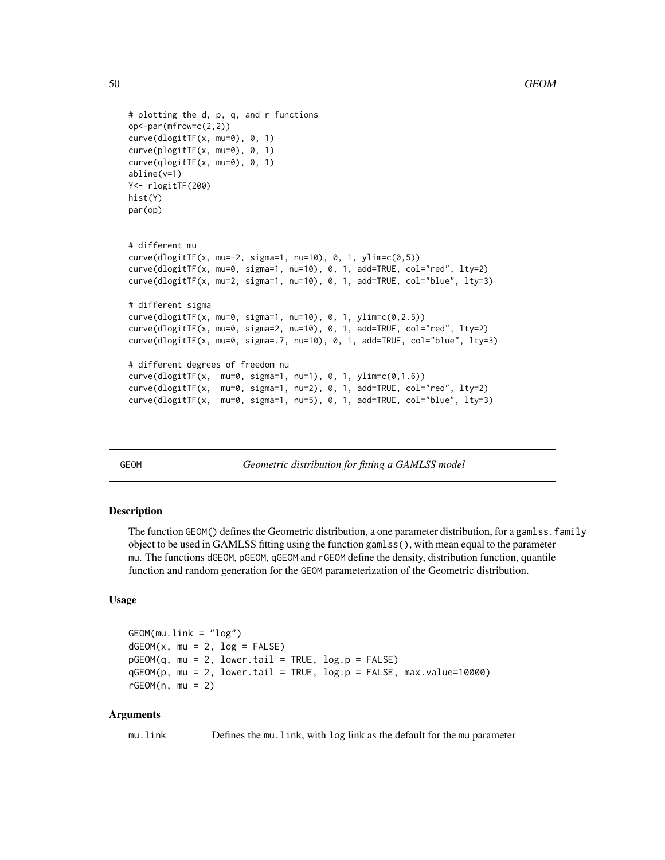```
# plotting the d, p, q, and r functions
op<-par(mfrow=c(2,2))
curve(dlogitTF(x, mu=0), 0, 1)
curve(plogitTF(x, mu=0), 0, 1)
curve(qlogitTF(x, mu=0), 0, 1)
abline(v=1)
Y<- rlogitTF(200)
hist(Y)
par(op)
# different mu
curve(dlogitTF(x, mu=-2, sigma=1, nu=10), 0, 1, ylim=c(0,5))
curve(dlogitTF(x, mu=0, sigma=1, nu=10), 0, 1, add=TRUE, col="red", lty=2)
curve(dlogitTF(x, mu=2, sigma=1, nu=10), 0, 1, add=TRUE, col="blue", lty=3)
# different sigma
curve(dlogitTF(x, mu=0, sigma=1, nu=10), 0, 1, ylim=c(0,2.5))
curve(dlogitTF(x, mu=0, sigma=2, nu=10), 0, 1, add=TRUE, col="red", lty=2)
curve(dlogitTF(x, mu=0, sigma=.7, nu=10), 0, 1, add=TRUE, col="blue", lty=3)
# different degrees of freedom nu
curve(dlogitTF(x, mu=0, sigma=1, nu=1), 0, 1, ylim=c(0,1.6))
curve(dlogitTF(x, mu=0, sigma=1, nu=2), 0, 1, add=TRUE, col="red", lty=2)
curve(dlogitTF(x, mu=0, sigma=1, nu=5), 0, 1, add=TRUE, col="blue", lty=3)
```
GEOM *Geometric distribution for fitting a GAMLSS model*

# Description

The function GEOM() defines the Geometric distribution, a one parameter distribution, for a gamlss.family object to be used in GAMLSS fitting using the function gamlss(), with mean equal to the parameter mu. The functions dGEOM, pGEOM, qGEOM and rGEOM define the density, distribution function, quantile function and random generation for the GEOM parameterization of the Geometric distribution.

## Usage

```
GEOM(mu.link = "log")
dGEOM(x, mu = 2, log = FALSE)pGEOM(q, mu = 2, lower.tail = TRUE, log.p = FALSE)qGEOM(p, mu = 2, lower.tail = TRUE, log.p = FALSE, max.value=10000)
rGEOM(n, mu = 2)
```
## Arguments

mu.link Defines the mu.link, with log link as the default for the mu parameter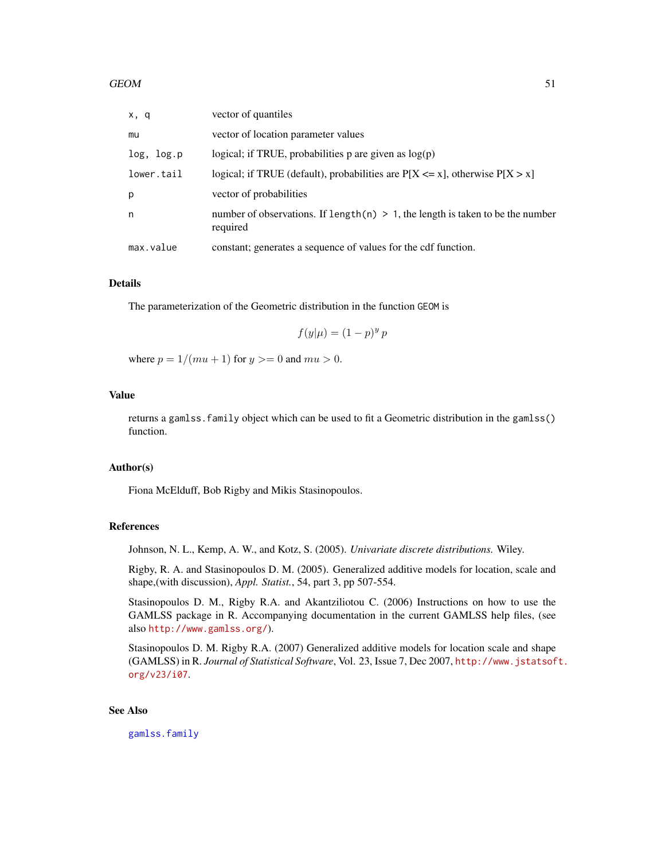| x, q       | vector of quantiles                                                                            |
|------------|------------------------------------------------------------------------------------------------|
| mu         | vector of location parameter values                                                            |
| log, log.p | logical; if TRUE, probabilities p are given as $log(p)$                                        |
| lower.tail | logical; if TRUE (default), probabilities are $P[X \le x]$ , otherwise $P[X > x]$              |
| p          | vector of probabilities                                                                        |
| n          | number of observations. If length $(n) > 1$ , the length is taken to be the number<br>required |
| max.value  | constant; generates a sequence of values for the cdf function.                                 |

## Details

The parameterization of the Geometric distribution in the function GEOM is

$$
f(y|\mu) = (1 - p)^y p
$$

where  $p = 1/(mu + 1)$  for  $y \ge 0$  and  $mu > 0$ .

# Value

returns a gamlss.family object which can be used to fit a Geometric distribution in the gamlss() function.

### Author(s)

Fiona McElduff, Bob Rigby and Mikis Stasinopoulos.

### References

Johnson, N. L., Kemp, A. W., and Kotz, S. (2005). *Univariate discrete distributions.* Wiley.

Rigby, R. A. and Stasinopoulos D. M. (2005). Generalized additive models for location, scale and shape,(with discussion), *Appl. Statist.*, 54, part 3, pp 507-554.

Stasinopoulos D. M., Rigby R.A. and Akantziliotou C. (2006) Instructions on how to use the GAMLSS package in R. Accompanying documentation in the current GAMLSS help files, (see also <http://www.gamlss.org/>).

Stasinopoulos D. M. Rigby R.A. (2007) Generalized additive models for location scale and shape (GAMLSS) in R. *Journal of Statistical Software*, Vol. 23, Issue 7, Dec 2007, [http://www.jstatsof](http://www.jstatsoft.org/v23/i07)t. [org/v23/i07](http://www.jstatsoft.org/v23/i07).

### See Also

[gamlss.family](#page-38-0)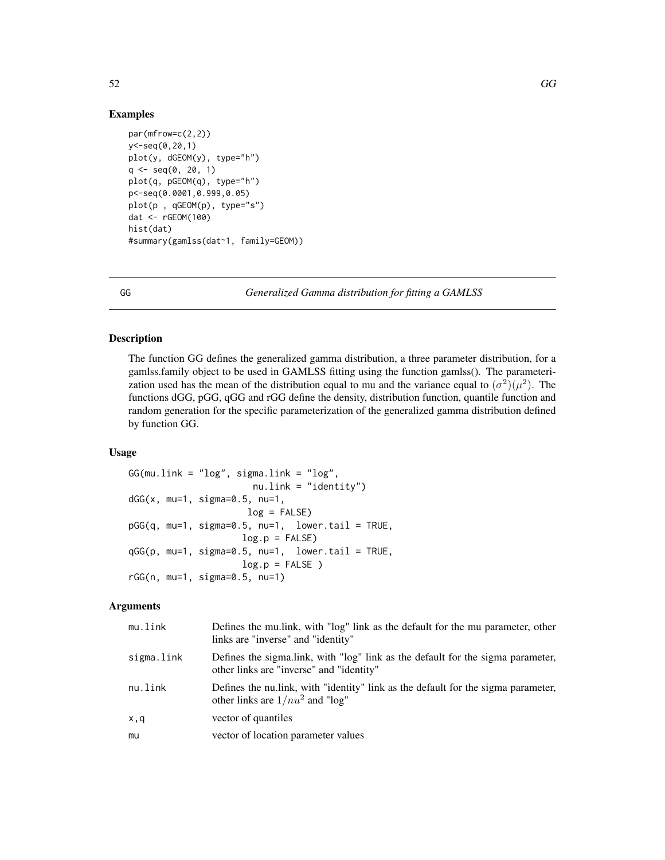## Examples

```
par(mfrow=c(2,2))
y<-seq(0,20,1)
plot(y, dGEOM(y), type="h")
q \leq -seq(0, 20, 1)plot(q, pGEOM(q), type="h")
p<-seq(0.0001,0.999,0.05)
plot(p , qGEOM(p), type="s")
dat <- rGEOM(100)
hist(dat)
#summary(gamlss(dat~1, family=GEOM))
```
<span id="page-51-0"></span>GG *Generalized Gamma distribution for fitting a GAMLSS*

# Description

The function GG defines the generalized gamma distribution, a three parameter distribution, for a gamlss.family object to be used in GAMLSS fitting using the function gamlss(). The parameterization used has the mean of the distribution equal to mu and the variance equal to  $(\sigma^2)(\mu^2)$ . The functions dGG, pGG, qGG and rGG define the density, distribution function, quantile function and random generation for the specific parameterization of the generalized gamma distribution defined by function GG.

# Usage

```
GG(mu.link = "log", sigma.link = "log",nu.link = "identity")
dGG(x, mu=1, sigma=0.5, nu=1,log = FALSE)pGG(q, mu=1, sigma=0.5, nu=1, lower.tail = TRUE,
                    log.p = FALSEqGG(p, mu=1, sigma=0.5, nu=1, lowertail = TRUE,log.p = FALSE)
rGG(n, mu=1, sigma=0.5, nu=1)
```
### Arguments

| mu.link    | Defines the multink, with "log" link as the default for the mu parameter, other<br>links are "inverse" and "identity"      |
|------------|----------------------------------------------------------------------------------------------------------------------------|
| sigma.link | Defines the sigmalink, with "log" link as the default for the sigma parameter,<br>other links are "inverse" and "identity" |
| nu.link    | Defines the nullink, with "identity" link as the default for the sigma parameter,<br>other links are $1/nu^2$ and "log"    |
| x,q        | vector of quantiles                                                                                                        |
| mu         | vector of location parameter values                                                                                        |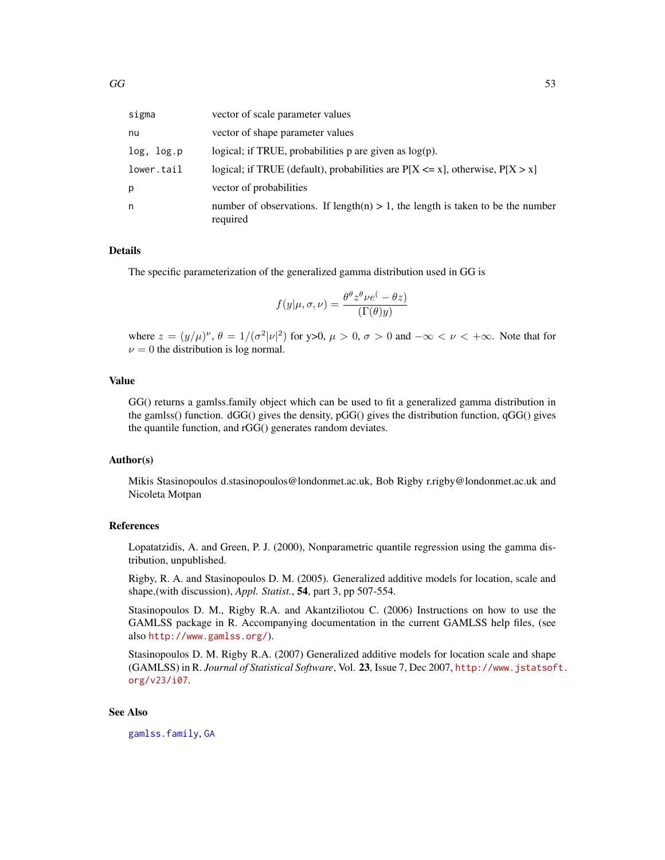| sigma      | vector of scale parameter values                                                              |
|------------|-----------------------------------------------------------------------------------------------|
| nu         | vector of shape parameter values                                                              |
| log, log.p | logical; if TRUE, probabilities $p$ are given as $log(p)$ .                                   |
| lower.tail | logical; if TRUE (default), probabilities are $P[X \le x]$ , otherwise, $P[X > x]$            |
| р          | vector of probabilities                                                                       |
| n          | number of observations. If length(n) $> 1$ , the length is taken to be the number<br>required |

# Details

The specific parameterization of the generalized gamma distribution used in GG is

$$
f(y|\mu, \sigma, \nu) = \frac{\theta^{\theta} z^{\theta} \nu e^{(-\theta z)}}{\Gamma(\theta y)}
$$

where  $z = (y/\mu)^{\nu}$ ,  $\theta = 1/(\sigma^2 |\nu|^2)$  for y>0,  $\mu > 0$ ,  $\sigma > 0$  and  $-\infty < \nu < +\infty$ . Note that for  $\nu = 0$  the distribution is log normal.

## Value

GG() returns a gamlss.family object which can be used to fit a generalized gamma distribution in the gamlss() function.  $dGG$ () gives the density,  $pGG$ () gives the distribution function,  $qGG$ () gives the quantile function, and rGG() generates random deviates.

# Author(s)

Mikis Stasinopoulos d.stasinopoulos@londonmet.ac.uk, Bob Rigby r.rigby@londonmet.ac.uk and Nicoleta Motpan

# References

Lopatatzidis, A. and Green, P. J. (2000), Nonparametric quantile regression using the gamma distribution, unpublished.

Rigby, R. A. and Stasinopoulos D. M. (2005). Generalized additive models for location, scale and shape,(with discussion), *Appl. Statist.*, 54, part 3, pp 507-554.

Stasinopoulos D. M., Rigby R.A. and Akantziliotou C. (2006) Instructions on how to use the GAMLSS package in R. Accompanying documentation in the current GAMLSS help files, (see also <http://www.gamlss.org/>).

Stasinopoulos D. M. Rigby R.A. (2007) Generalized additive models for location scale and shape (GAMLSS) in R. *Journal of Statistical Software*, Vol. 23, Issue 7, Dec 2007, [http://www.jstatsof](http://www.jstatsoft.org/v23/i07)t. [org/v23/i07](http://www.jstatsoft.org/v23/i07).

# See Also

[gamlss.family](#page-38-0), [GA](#page-36-0)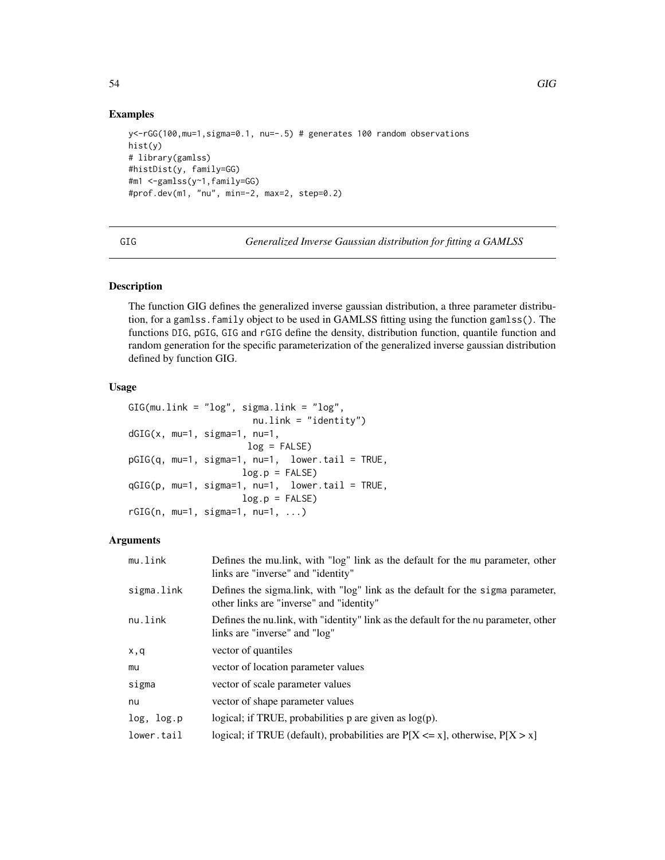```
y<-rGG(100,mu=1,sigma=0.1, nu=-.5) # generates 100 random observations
hist(y)
# library(gamlss)
#histDist(y, family=GG)
#m1 <-gamlss(y~1,family=GG)
#prof.dev(m1, "nu", min=-2, max=2, step=0.2)
```
<span id="page-53-0"></span>GIG *Generalized Inverse Gaussian distribution for fitting a GAMLSS*

# **Description**

The function GIG defines the generalized inverse gaussian distribution, a three parameter distribution, for a gamlss.family object to be used in GAMLSS fitting using the function gamlss(). The functions DIG, pGIG, GIG and rGIG define the density, distribution function, quantile function and random generation for the specific parameterization of the generalized inverse gaussian distribution defined by function GIG.

# Usage

```
GIG(mu.link = "log", sigma.link = "log",
                      nu.link = "identity")
dGIG(x, mu=1, sigma=1, nu=1,
                     log = FALSE)
pGIG(q, mu=1, sigma=1, nu=1, lower.tail = TRUE,
                    log.p = FALSEqGIG(p, mu=1, sigma=1, nu=1, lower.tail = TRUE,log.p = FALSErGIG(n, mu=1, sigma=1, nu=1, ...)
```
# Arguments

| mu.link    | Defines the multink, with "log" link as the default for the mu parameter, other<br>links are "inverse" and "identity"       |
|------------|-----------------------------------------------------------------------------------------------------------------------------|
| sigma.link | Defines the sigma.link, with "log" link as the default for the sigma parameter,<br>other links are "inverse" and "identity" |
| nu.link    | Defines the nullink, with "identity" link as the default for the nu parameter, other<br>links are "inverse" and "log"       |
| x, q       | vector of quantiles                                                                                                         |
| mu         | vector of location parameter values                                                                                         |
| sigma      | vector of scale parameter values                                                                                            |
| nu         | vector of shape parameter values                                                                                            |
| log, log.p | logical; if TRUE, probabilities $p$ are given as $log(p)$ .                                                                 |
| lower.tail | logical; if TRUE (default), probabilities are $P[X \le x]$ , otherwise, $P[X > x]$                                          |

54 GIG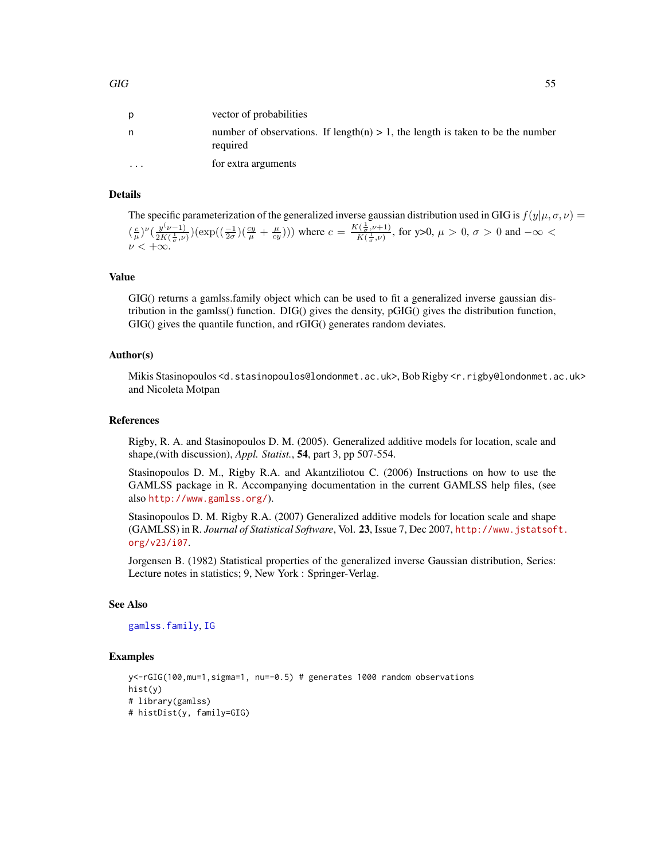|          | vector of probabilities                                                                       |
|----------|-----------------------------------------------------------------------------------------------|
| n        | number of observations. If length(n) $> 1$ , the length is taken to be the number<br>required |
| $\cdots$ | for extra arguments                                                                           |

### Details

The specific parameterization of the generalized inverse gaussian distribution used in GIG is  $f(y|\mu, \sigma, \nu)$  =  $\left(\frac{c}{\mu}\right)^{\nu}$  $\left(\frac{y^{(\nu-1)}}{2K(\frac{1}{\pi},\nu)}\right)$  $\frac{y(\nu-1)}{2K(\frac{1}{\sigma},\nu)}(\exp((\frac{-1}{2\sigma})(\frac{cy}{\mu}+\frac{\mu}{cy})))$  where  $c=\frac{K(\frac{1}{\sigma},\nu+1)}{K(\frac{1}{\sigma},\nu)}$  $\frac{(\frac{\tau}{\sigma},\nu+1)}{K(\frac{1}{\sigma},\nu)},$  for y>0,  $\mu > 0$ ,  $\sigma > 0$  and  $-\infty <$  $\nu < +\infty$ .

### Value

GIG() returns a gamlss.family object which can be used to fit a generalized inverse gaussian distribution in the gamlss() function. DIG() gives the density, pGIG() gives the distribution function, GIG() gives the quantile function, and rGIG() generates random deviates.

## Author(s)

Mikis Stasinopoulos <d.stasinopoulos@londonmet.ac.uk>, Bob Rigby <r.rigby@londonmet.ac.uk> and Nicoleta Motpan

### References

Rigby, R. A. and Stasinopoulos D. M. (2005). Generalized additive models for location, scale and shape,(with discussion), *Appl. Statist.*, 54, part 3, pp 507-554.

Stasinopoulos D. M., Rigby R.A. and Akantziliotou C. (2006) Instructions on how to use the GAMLSS package in R. Accompanying documentation in the current GAMLSS help files, (see also <http://www.gamlss.org/>).

Stasinopoulos D. M. Rigby R.A. (2007) Generalized additive models for location scale and shape (GAMLSS) in R. *Journal of Statistical Software*, Vol. 23, Issue 7, Dec 2007, [http://www.jstatsof](http://www.jstatsoft.org/v23/i07)t. [org/v23/i07](http://www.jstatsoft.org/v23/i07).

Jorgensen B. (1982) Statistical properties of the generalized inverse Gaussian distribution, Series: Lecture notes in statistics; 9, New York : Springer-Verlag.

# See Also

### [gamlss.family](#page-38-0), [IG](#page-59-0)

### Examples

```
y<-rGIG(100,mu=1,sigma=1, nu=-0.5) # generates 1000 random observations
hist(y)
# library(gamlss)
# histDist(y, family=GIG)
```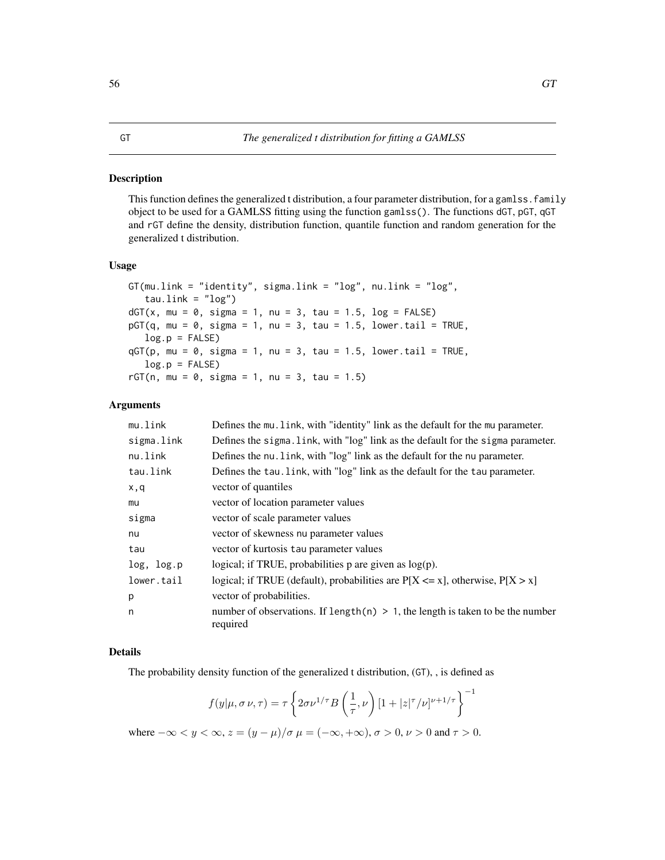# <span id="page-55-0"></span>Description

This function defines the generalized t distribution, a four parameter distribution, for a gamlss. family object to be used for a GAMLSS fitting using the function gamlss(). The functions dGT, pGT, qGT and rGT define the density, distribution function, quantile function and random generation for the generalized t distribution.

## Usage

```
GT(mu.link = "identity", sigma.link = "log", nu.link = "log",
   tau.link = "log")dGT(x, mu = 0, sigma = 1, nu = 3, tau = 1.5, log = FALSE)pGT(q, mu = 0, sigma = 1, nu = 3, tau = 1.5, lowertail = TRUE,log.p = FALSEqGT(p, mu = 0, sigma = 1, nu = 3, tau = 1.5, lowertail = TRUE,log.p = FALSErGT(n, mu = 0, sigma = 1, nu = 3, tau = 1.5)
```
## Arguments

| mu.link    | Defines the mu. Link, with "identity" link as the default for the mu parameter.               |
|------------|-----------------------------------------------------------------------------------------------|
| sigma.link | Defines the sigma. link, with "log" link as the default for the sigma parameter.              |
| nu.link    | Defines the nu. link, with "log" link as the default for the nu parameter.                    |
| tau.link   | Defines the tau. link, with "log" link as the default for the tau parameter.                  |
| x,q        | vector of quantiles                                                                           |
| mu         | vector of location parameter values                                                           |
| sigma      | vector of scale parameter values                                                              |
| nu         | vector of skewness nu parameter values                                                        |
| tau        | vector of kurtosis tau parameter values                                                       |
| log, log.p | logical; if TRUE, probabilities $p$ are given as $log(p)$ .                                   |
| lower.tail | logical; if TRUE (default), probabilities are $P[X \le x]$ , otherwise, $P[X > x]$            |
| p          | vector of probabilities.                                                                      |
| n          | number of observations. If length(n) $> 1$ , the length is taken to be the number<br>required |

# Details

The probability density function of the generalized t distribution, (GT), , is defined as

$$
f(y|\mu, \sigma \nu, \tau) = \tau \left\{ 2\sigma \nu^{1/\tau} B\left(\frac{1}{\tau}, \nu\right) \left[1 + |z|^{\tau}/\nu\right]^{\nu+1/\tau} \right\}^{-1}
$$

where  $-\infty < y < \infty$ ,  $z = (y - \mu)/\sigma$   $\mu = (-\infty, +\infty)$ ,  $\sigma > 0$ ,  $\nu > 0$  and  $\tau > 0$ .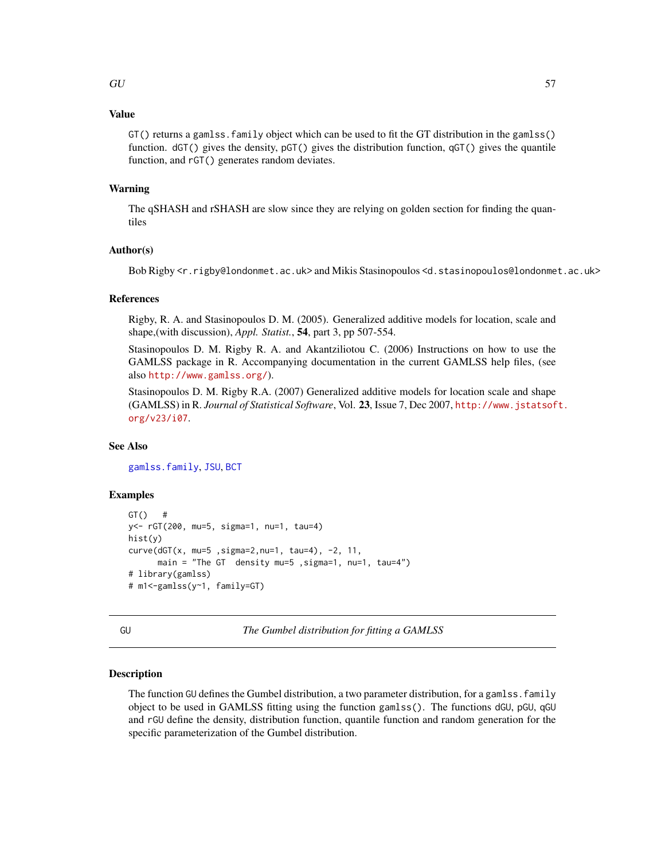# Value

 $GT()$  returns a gamlss. family object which can be used to fit the  $GT$  distribution in the gamlss() function. dGT() gives the density, pGT() gives the distribution function, qGT() gives the quantile function, and rGT() generates random deviates.

## Warning

The qSHASH and rSHASH are slow since they are relying on golden section for finding the quantiles

# Author(s)

Bob Rigby <r.rigby@londonmet.ac.uk> and Mikis Stasinopoulos <d.stasinopoulos@londonmet.ac.uk>

## References

Rigby, R. A. and Stasinopoulos D. M. (2005). Generalized additive models for location, scale and shape,(with discussion), *Appl. Statist.*, 54, part 3, pp 507-554.

Stasinopoulos D. M. Rigby R. A. and Akantziliotou C. (2006) Instructions on how to use the GAMLSS package in R. Accompanying documentation in the current GAMLSS help files, (see also <http://www.gamlss.org/>).

Stasinopoulos D. M. Rigby R.A. (2007) Generalized additive models for location scale and shape (GAMLSS) in R. *Journal of Statistical Software*, Vol. 23, Issue 7, Dec 2007, [http://www.jstatsof](http://www.jstatsoft.org/v23/i07)t. [org/v23/i07](http://www.jstatsoft.org/v23/i07).

## See Also

[gamlss.family](#page-38-0), [JSU](#page-63-0), [BCT](#page-11-0)

### Examples

```
GT() #
y<- rGT(200, mu=5, sigma=1, nu=1, tau=4)
hist(y)
curve(dGT(x, mu=5 ,sigma=2,nu=1, tau=4), -2, 11,
      main = "The GT density mu=5 ,sigma=1, nu=1, tau=4")
# library(gamlss)
# m1<-gamlss(y~1, family=GT)
```
<span id="page-56-0"></span>GU *The Gumbel distribution for fitting a GAMLSS*

## Description

The function GU defines the Gumbel distribution, a two parameter distribution, for a gamlss. family object to be used in GAMLSS fitting using the function gamlss(). The functions dGU, pGU, qGU and rGU define the density, distribution function, quantile function and random generation for the specific parameterization of the Gumbel distribution.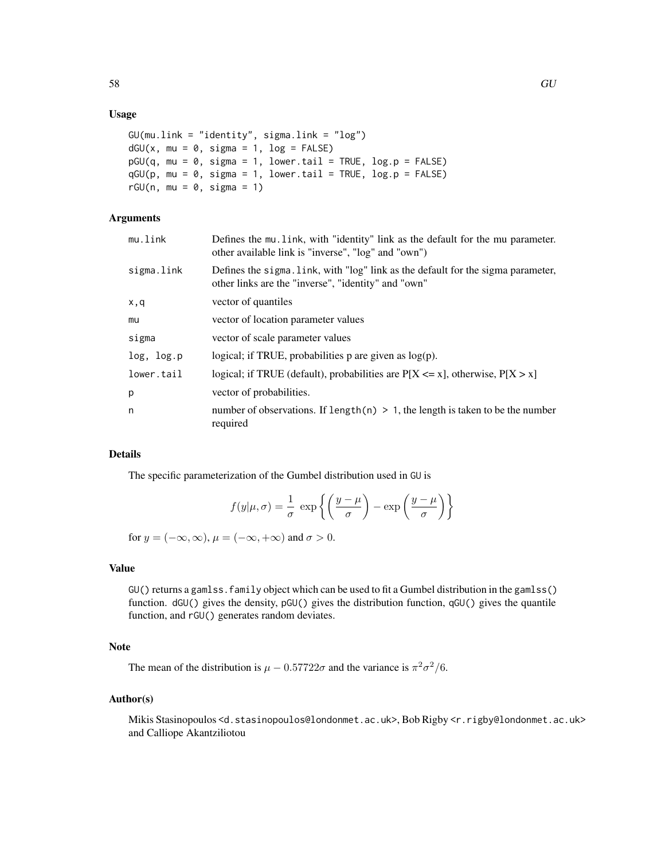## Usage

```
GU(mu.link = "identity", sigma.link = "log")
dGU(x, mu = 0, sigma = 1, log = FALSE)pGU(q, mu = 0, sigma = 1, lower.tail = TRUE, log.p = FALSE)qGU(p, mu = 0, sigma = 1, lower[a] = TRUE, log.p = FALSE)
rGU(n, mu = 0, sigma = 1)
```
## Arguments

| mu.link    | Defines the mu link, with "identity" link as the default for the mu parameter.<br>other available link is "inverse", "log" and "own")   |
|------------|-----------------------------------------------------------------------------------------------------------------------------------------|
| sigma.link | Defines the sigma. Link, with "log" link as the default for the sigma parameter,<br>other links are the "inverse", "identity" and "own" |
| x,q        | vector of quantiles                                                                                                                     |
| mu         | vector of location parameter values                                                                                                     |
| sigma      | vector of scale parameter values                                                                                                        |
| log, log.p | logical; if TRUE, probabilities $p$ are given as $log(p)$ .                                                                             |
| lower.tail | logical; if TRUE (default), probabilities are $P[X \le x]$ , otherwise, $P[X > x]$                                                      |
| p          | vector of probabilities.                                                                                                                |
| n          | number of observations. If length $(n) > 1$ , the length is taken to be the number<br>required                                          |

# Details

The specific parameterization of the Gumbel distribution used in GU is

$$
f(y|\mu,\sigma) = \frac{1}{\sigma} \exp\left\{ \left( \frac{y-\mu}{\sigma} \right) - \exp\left( \frac{y-\mu}{\sigma} \right) \right\}
$$

for  $y = (-\infty, \infty)$ ,  $\mu = (-\infty, +\infty)$  and  $\sigma > 0$ .

# Value

GU() returns a gamlss.family object which can be used to fit a Gumbel distribution in the gamlss() function. dGU() gives the density, pGU() gives the distribution function, qGU() gives the quantile function, and rGU() generates random deviates.

# Note

The mean of the distribution is  $\mu - 0.57722\sigma$  and the variance is  $\pi^2 \sigma^2/6$ .

### Author(s)

Mikis Stasinopoulos <d.stasinopoulos@londonmet.ac.uk>, Bob Rigby <r.rigby@londonmet.ac.uk> and Calliope Akantziliotou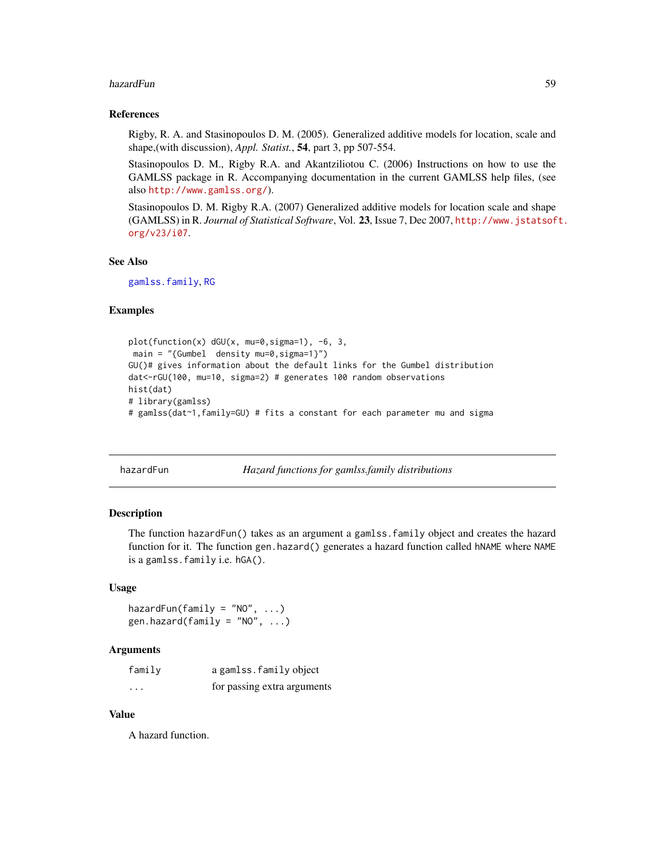### hazardFun 59 bis 1999 and 2009 and 2009 and 2009 and 2009 and 2009 and 2009 and 2009 and 2009 and 2009 and 200

### References

Rigby, R. A. and Stasinopoulos D. M. (2005). Generalized additive models for location, scale and shape,(with discussion), *Appl. Statist.*, 54, part 3, pp 507-554.

Stasinopoulos D. M., Rigby R.A. and Akantziliotou C. (2006) Instructions on how to use the GAMLSS package in R. Accompanying documentation in the current GAMLSS help files, (see also <http://www.gamlss.org/>).

Stasinopoulos D. M. Rigby R.A. (2007) Generalized additive models for location scale and shape (GAMLSS) in R. *Journal of Statistical Software*, Vol. 23, Issue 7, Dec 2007, [http://www.jstatsof](http://www.jstatsoft.org/v23/i07)t. [org/v23/i07](http://www.jstatsoft.org/v23/i07).

### See Also

[gamlss.family](#page-38-0), [RG](#page-101-0)

# Examples

```
plot(function(x) dGU(x, mu=0,sigma=1), -6, 3,
main = "{Gumbel density mu=0,sigma=1}")
GU()# gives information about the default links for the Gumbel distribution
dat<-rGU(100, mu=10, sigma=2) # generates 100 random observations
hist(dat)
# library(gamlss)
# gamlss(dat~1,family=GU) # fits a constant for each parameter mu and sigma
```
hazardFun *Hazard functions for gamlss.family distributions*

# Description

The function hazardFun() takes as an argument a gamlss.family object and creates the hazard function for it. The function gen.hazard() generates a hazard function called hNAME where NAME is a gamlss.family i.e. hGA().

### Usage

hazardFun(family = "NO", ...) gen.hazard(family = "NO",  $\ldots$ )

## Arguments

| family   | a gamlss. family object     |
|----------|-----------------------------|
| $\cdots$ | for passing extra arguments |

## Value

A hazard function.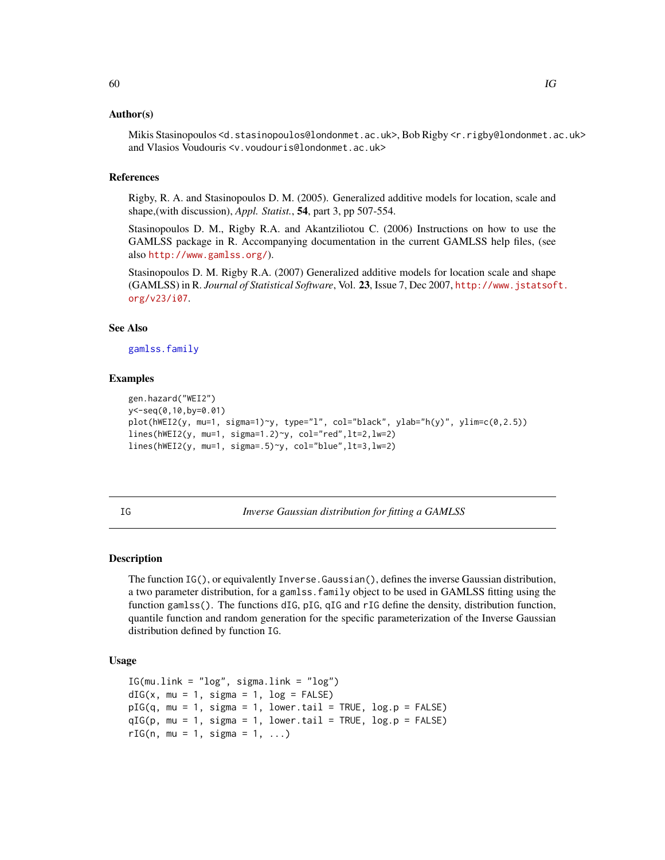## Author(s)

Mikis Stasinopoulos <d.stasinopoulos@londonmet.ac.uk>, Bob Rigby <r.rigby@londonmet.ac.uk> and Vlasios Voudouris <v.voudouris@londonmet.ac.uk>

### References

Rigby, R. A. and Stasinopoulos D. M. (2005). Generalized additive models for location, scale and shape,(with discussion), *Appl. Statist.*, 54, part 3, pp 507-554.

Stasinopoulos D. M., Rigby R.A. and Akantziliotou C. (2006) Instructions on how to use the GAMLSS package in R. Accompanying documentation in the current GAMLSS help files, (see also <http://www.gamlss.org/>).

Stasinopoulos D. M. Rigby R.A. (2007) Generalized additive models for location scale and shape (GAMLSS) in R. *Journal of Statistical Software*, Vol. 23, Issue 7, Dec 2007, [http://www.jstatsof](http://www.jstatsoft.org/v23/i07)t. [org/v23/i07](http://www.jstatsoft.org/v23/i07).

# See Also

[gamlss.family](#page-38-0)

### Examples

```
gen.hazard("WEI2")
y<-seq(0,10,by=0.01)
plot(hWEI2(y, mu=1, sigma=1)~y, type="l", col="black", ylab="h(y)", ylim=c(0,2.5))
lines(hWEI2(y, mu=1, sigma=1.2)~y, col="red",lt=2,lw=2)
lines(hWEI2(y, mu=1, sigma=.5)~y, col="blue",lt=3,lw=2)
```
<span id="page-59-0"></span>IG *Inverse Gaussian distribution for fitting a GAMLSS*

## Description

The function IG(), or equivalently Inverse.Gaussian(), defines the inverse Gaussian distribution, a two parameter distribution, for a gamlss.family object to be used in GAMLSS fitting using the function gamlss(). The functions dIG, pIG, qIG and rIG define the density, distribution function, quantile function and random generation for the specific parameterization of the Inverse Gaussian distribution defined by function IG.

## Usage

```
IG(mu.link = "log", sigma.link = "log")dIG(x, mu = 1, sigma = 1, log = FALSE)pIG(q, mu = 1, sigma = 1, lower.tail = TRUE, log.p = FALSE)qIG(p, mu = 1, sigma = 1, lower.tail = TRUE, log.p = FALSE)rIG(n, mu = 1, sigma = 1, ...)
```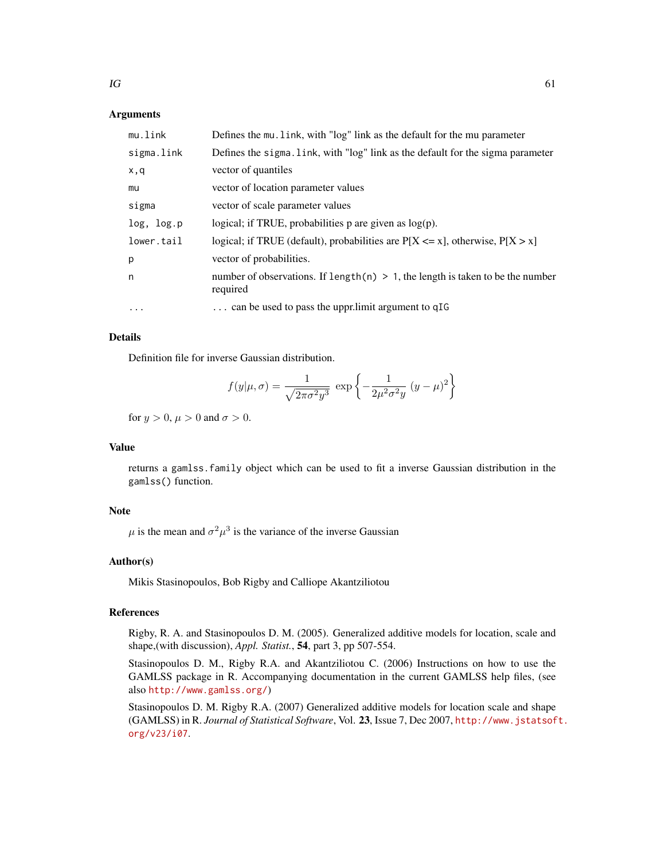# **Arguments**

| mu.link    | Defines the mu. link, with "log" link as the default for the mu parameter                     |
|------------|-----------------------------------------------------------------------------------------------|
| sigma.link | Defines the sigma. Link, with "log" link as the default for the sigma parameter               |
| x,q        | vector of quantiles                                                                           |
| mu         | vector of location parameter values                                                           |
| sigma      | vector of scale parameter values                                                              |
| log, log.p | logical; if TRUE, probabilities $p$ are given as $log(p)$ .                                   |
| lower.tail | logical; if TRUE (default), probabilities are $P[X \le x]$ , otherwise, $P[X > x]$            |
| р          | vector of probabilities.                                                                      |
| n          | number of observations. If length(n) $> 1$ , the length is taken to be the number<br>required |
| $\cdots$   | can be used to pass the uppr.limit argument to qIG                                            |

# Details

Definition file for inverse Gaussian distribution.

$$
f(y|\mu,\sigma) = \frac{1}{\sqrt{2\pi\sigma^2 y^3}} \exp\left\{-\frac{1}{2\mu^2\sigma^2 y} (y-\mu)^2\right\}
$$

for  $y > 0$ ,  $\mu > 0$  and  $\sigma > 0$ .

# Value

returns a gamlss.family object which can be used to fit a inverse Gaussian distribution in the gamlss() function.

## Note

 $\mu$  is the mean and  $\sigma^2 \mu^3$  is the variance of the inverse Gaussian

## Author(s)

Mikis Stasinopoulos, Bob Rigby and Calliope Akantziliotou

### References

Rigby, R. A. and Stasinopoulos D. M. (2005). Generalized additive models for location, scale and shape,(with discussion), *Appl. Statist.*, 54, part 3, pp 507-554.

Stasinopoulos D. M., Rigby R.A. and Akantziliotou C. (2006) Instructions on how to use the GAMLSS package in R. Accompanying documentation in the current GAMLSS help files, (see also <http://www.gamlss.org/>)

Stasinopoulos D. M. Rigby R.A. (2007) Generalized additive models for location scale and shape (GAMLSS) in R. *Journal of Statistical Software*, Vol. 23, Issue 7, Dec 2007, [http://www.jstatsof](http://www.jstatsoft.org/v23/i07)t. [org/v23/i07](http://www.jstatsoft.org/v23/i07).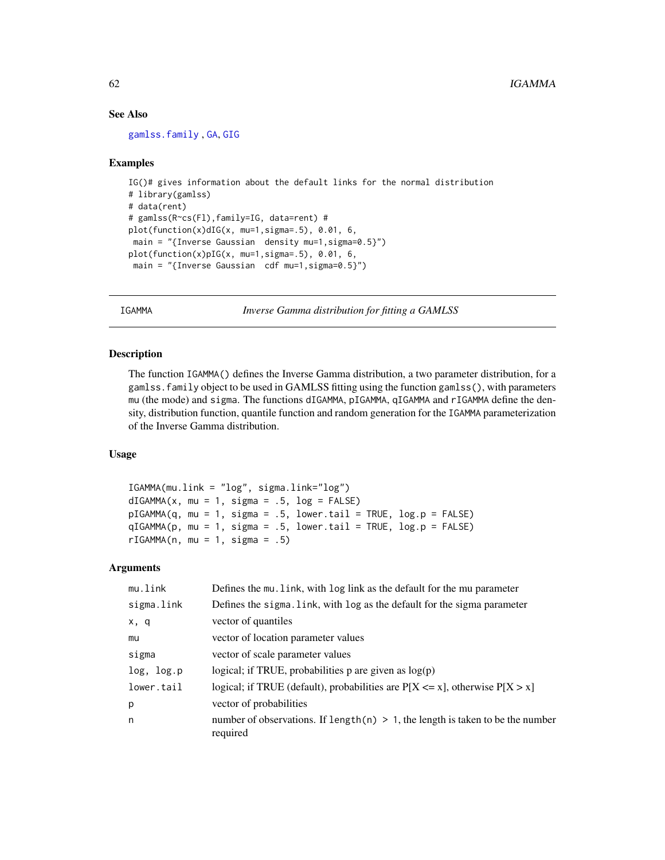## See Also

[gamlss.family](#page-38-0) , [GA](#page-36-0), [GIG](#page-53-0)

## Examples

```
IG()# gives information about the default links for the normal distribution
# library(gamlss)
# data(rent)
# gamlss(R~cs(Fl),family=IG, data=rent) #
plot(function(x)dIG(x, mu=1, sigma=.5), 0.01, 6,main = "{Inverse Gaussian density mu=1, sigma=0.5}")
plot(function(x)pIG(x, mu=1, sigma=.5), 0.01, 6,main = "{Inverse Gaussian cdf mu=1,sigma=0.5}")
```
<span id="page-61-0"></span>IGAMMA *Inverse Gamma distribution for fitting a GAMLSS*

# Description

The function IGAMMA() defines the Inverse Gamma distribution, a two parameter distribution, for a gamlss.family object to be used in GAMLSS fitting using the function gamlss(), with parameters mu (the mode) and sigma. The functions dIGAMMA, pIGAMMA, qIGAMMA and rIGAMMA define the density, distribution function, quantile function and random generation for the IGAMMA parameterization of the Inverse Gamma distribution.

# Usage

```
IGAMMA(mu.link = "log", sigma.link="log")
dIGAMMA(x, mu = 1, sigma = .5, log = FALSE)pIGAMMA(q, mu = 1, sigma = .5, lower.tail = TRUE, log.p = FALSE)qIGAMMA(p, mu = 1, sigma = .5, lower.tail = TRUE, log.p = FALSE)
rIGAMMA(n, mu = 1, sigma = .5)
```
### Arguments

| mu.link    | Defines the mu. link, with log link as the default for the mu parameter                       |
|------------|-----------------------------------------------------------------------------------------------|
| sigma.link | Defines the sigma. Link, with log as the default for the sigma parameter                      |
| x, q       | vector of quantiles                                                                           |
| mu         | vector of location parameter values                                                           |
| sigma      | vector of scale parameter values                                                              |
| log, log.p | logical; if TRUE, probabilities $p$ are given as $log(p)$                                     |
| lower.tail | logical; if TRUE (default), probabilities are $P[X \le x]$ , otherwise $P[X > x]$             |
| p          | vector of probabilities                                                                       |
| n          | number of observations. If length(n) $> 1$ , the length is taken to be the number<br>required |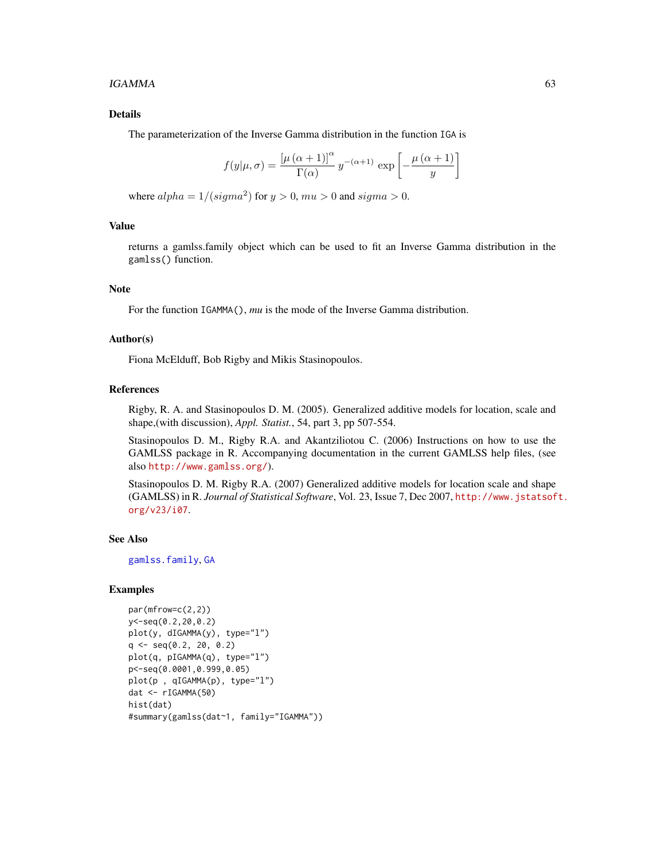### $IGAMMA$  63

# Details

The parameterization of the Inverse Gamma distribution in the function IGA is

$$
f(y|\mu,\sigma) = \frac{\left[\mu(\alpha+1)\right]^{\alpha}}{\Gamma(\alpha)} y^{-(\alpha+1)} \exp\left[-\frac{\mu(\alpha+1)}{y}\right]
$$

where  $alpha = 1/(sigma^2)$  for  $y > 0$ ,  $mu > 0$  and  $sigma > 0$ .

## Value

returns a gamlss.family object which can be used to fit an Inverse Gamma distribution in the gamlss() function.

### Note

For the function IGAMMA(), *mu* is the mode of the Inverse Gamma distribution.

# Author(s)

Fiona McElduff, Bob Rigby and Mikis Stasinopoulos.

### References

Rigby, R. A. and Stasinopoulos D. M. (2005). Generalized additive models for location, scale and shape,(with discussion), *Appl. Statist.*, 54, part 3, pp 507-554.

Stasinopoulos D. M., Rigby R.A. and Akantziliotou C. (2006) Instructions on how to use the GAMLSS package in R. Accompanying documentation in the current GAMLSS help files, (see also <http://www.gamlss.org/>).

Stasinopoulos D. M. Rigby R.A. (2007) Generalized additive models for location scale and shape (GAMLSS) in R. *Journal of Statistical Software*, Vol. 23, Issue 7, Dec 2007, [http://www.jstatsof](http://www.jstatsoft.org/v23/i07)t. [org/v23/i07](http://www.jstatsoft.org/v23/i07).

## See Also

[gamlss.family](#page-38-0), [GA](#page-36-0)

## Examples

```
par(mfrow=c(2,2))
y<-seq(0.2,20,0.2)
plot(y, dIGAMMA(y), type="l")
q \leq -\text{seq}(0.2, 20, 0.2)plot(q, pIGAMMA(q), type="l")
p<-seq(0.0001,0.999,0.05)
plot(p , qIGAMMA(p), type="l")
dat <- rIGAMMA(50)
hist(dat)
#summary(gamlss(dat~1, family="IGAMMA"))
```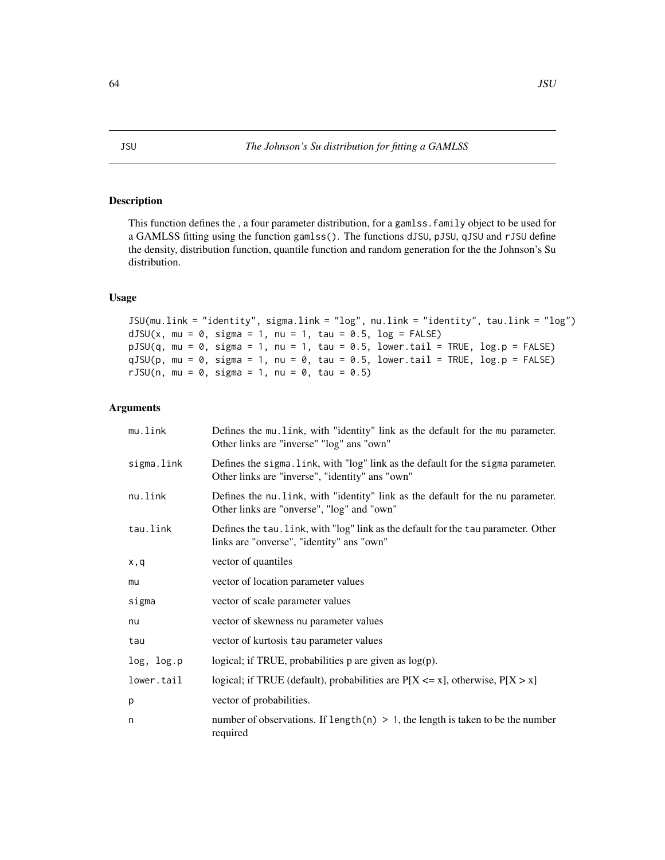# <span id="page-63-0"></span>Description

This function defines the , a four parameter distribution, for a gamlss.family object to be used for a GAMLSS fitting using the function gamlss(). The functions dJSU, pJSU, qJSU and rJSU define the density, distribution function, quantile function and random generation for the the Johnson's Su distribution.

# Usage

```
JSU(mu.link = "identity", sigma.link = "log", nu.link = "identity", tau.link = "log")
dJSU(x, mu = 0, sigma = 1, nu = 1, tau = 0.5, log = FALSE)pJSU(q, mu = 0, sigma = 1, nu = 1, tau = 0.5, lower.tail = TRUE, log.p = FALSE)qJSU(p, mu = 0, sigma = 1, nu = 0, tau = 0.5, lower.tail = TRUE, log.p = FALSE)
rJSU(n, mu = 0, sigma = 1, nu = 0, tau = 0.5)
```
# Arguments

| mu.link    | Defines the mu. Link, with "identity" link as the default for the mu parameter.<br>Other links are "inverse" "log" ans "own"        |
|------------|-------------------------------------------------------------------------------------------------------------------------------------|
| sigma.link | Defines the sigma. link, with "log" link as the default for the sigma parameter.<br>Other links are "inverse", "identity" ans "own" |
| nu.link    | Defines the nu. link, with "identity" link as the default for the nu parameter.<br>Other links are "onverse", "log" and "own"       |
| tau.link   | Defines the tau. link, with "log" link as the default for the tau parameter. Other<br>links are "onverse", "identity" ans "own"     |
| x,q        | vector of quantiles                                                                                                                 |
| mu         | vector of location parameter values                                                                                                 |
| sigma      | vector of scale parameter values                                                                                                    |
| nu         | vector of skewness nu parameter values                                                                                              |
| tau        | vector of kurtosis tau parameter values                                                                                             |
| log, log.p | logical; if TRUE, probabilities $p$ are given as $log(p)$ .                                                                         |
| lower.tail | logical; if TRUE (default), probabilities are $P[X \le x]$ , otherwise, $P[X > x]$                                                  |
| р          | vector of probabilities.                                                                                                            |
| n          | number of observations. If length(n) $> 1$ , the length is taken to be the number<br>required                                       |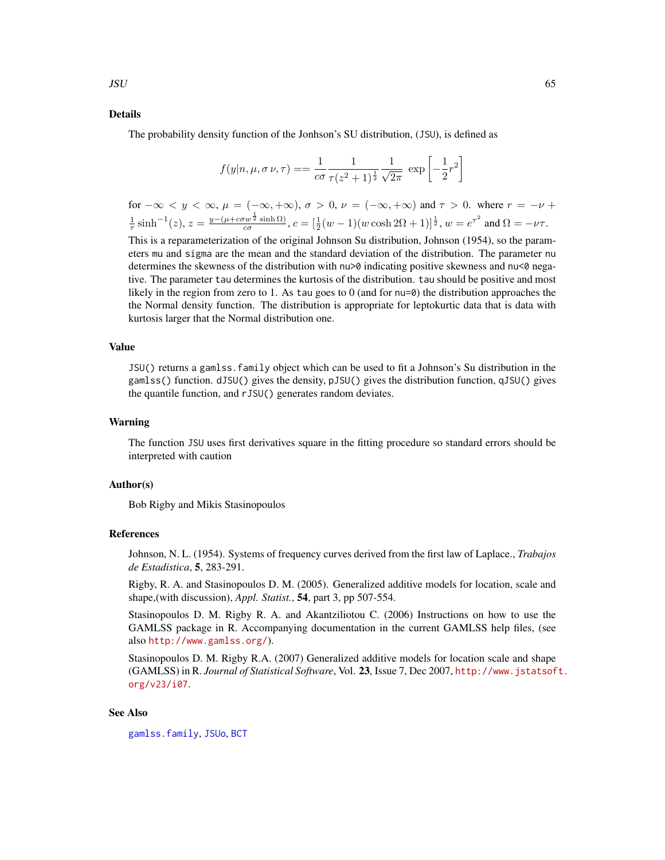### Details

The probability density function of the Jonhson's SU distribution, (JSU), is defined as

$$
f(y|n, \mu, \sigma \nu, \tau) = \frac{1}{c\sigma} \frac{1}{\tau (z^2 + 1)^{\frac{1}{2}}} \frac{1}{\sqrt{2\pi}} \exp \left[ -\frac{1}{2} r^2 \right]
$$

for  $-\infty < y < \infty$ ,  $\mu = (-\infty, +\infty)$ ,  $\sigma > 0$ ,  $\nu = (-\infty, +\infty)$  and  $\tau > 0$ . where  $r = -\nu + \nu$  $\frac{1}{\tau} \sinh^{-1}(z), z = \frac{y - (\mu + c\sigma w^{\frac{1}{2}} \sinh \Omega)}{c\sigma}$  $\frac{w^{\frac{1}{2}}\sinh\Omega}{\cos\alpha}$ ,  $c = [\frac{1}{2}(w-1)(w\cosh 2\Omega + 1)]^{\frac{1}{2}}$ ,  $w = e^{\tau^2}$  and  $\Omega = -\nu\tau$ .

This is a reparameterization of the original Johnson Su distribution, Johnson (1954), so the parameters mu and sigma are the mean and the standard deviation of the distribution. The parameter nu determines the skewness of the distribution with nu>0 indicating positive skewness and nu<0 negative. The parameter tau determines the kurtosis of the distribution. tau should be positive and most likely in the region from zero to 1. As tau goes to 0 (and for nu=0) the distribution approaches the the Normal density function. The distribution is appropriate for leptokurtic data that is data with kurtosis larger that the Normal distribution one.

### Value

JSU() returns a gamlss.family object which can be used to fit a Johnson's Su distribution in the gamlss() function. dJSU() gives the density, pJSU() gives the distribution function, qJSU() gives the quantile function, and rJSU() generates random deviates.

### Warning

The function JSU uses first derivatives square in the fitting procedure so standard errors should be interpreted with caution

## Author(s)

Bob Rigby and Mikis Stasinopoulos

### References

Johnson, N. L. (1954). Systems of frequency curves derived from the first law of Laplace., *Trabajos de Estadistica*, 5, 283-291.

Rigby, R. A. and Stasinopoulos D. M. (2005). Generalized additive models for location, scale and shape,(with discussion), *Appl. Statist.*, 54, part 3, pp 507-554.

Stasinopoulos D. M. Rigby R. A. and Akantziliotou C. (2006) Instructions on how to use the GAMLSS package in R. Accompanying documentation in the current GAMLSS help files, (see also <http://www.gamlss.org/>).

Stasinopoulos D. M. Rigby R.A. (2007) Generalized additive models for location scale and shape (GAMLSS) in R. *Journal of Statistical Software*, Vol. 23, Issue 7, Dec 2007, [http://www.jstatsof](http://www.jstatsoft.org/v23/i07)t. [org/v23/i07](http://www.jstatsoft.org/v23/i07).

### See Also

[gamlss.family](#page-38-0), [JSUo](#page-65-0), [BCT](#page-11-0)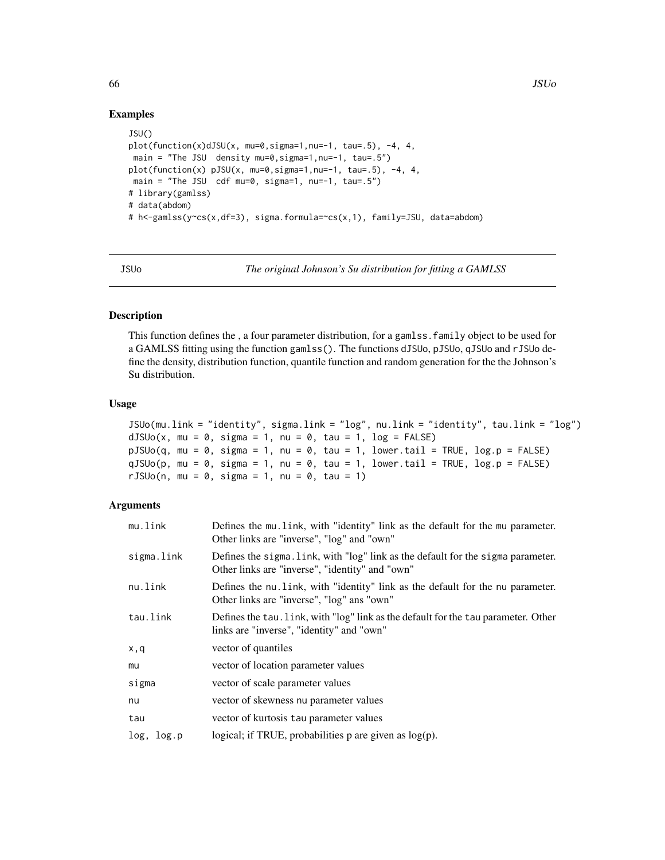# Examples

```
JSU()
plot(function(x)dJSU(x, mu=0,sigma=1,nu=-1, tau=.5), -4, 4,
main = "The JSU density mu=0, sigma=1, nu=-1, tau=.5")
plot(function(x) pJSU(x, mu=0, sigma=1, nu=-1, tau=.5), -4, 4,main = "The JSU cdf mu=0, sigma=1, nu=-1, tau=.5")
# library(gamlss)
# data(abdom)
# h<-gamlss(y~cs(x,df=3), sigma.formula=~cs(x,1), family=JSU, data=abdom)
```
<span id="page-65-0"></span>

JSUo *The original Johnson's Su distribution for fitting a GAMLSS*

# Description

This function defines the , a four parameter distribution, for a gamlss.family object to be used for a GAMLSS fitting using the function gamlss(). The functions dJSUo, pJSUo, qJSUo and rJSUo define the density, distribution function, quantile function and random generation for the the Johnson's Su distribution.

### Usage

```
JSUo(mu.link = "identity", sigma.link = "log", nu.link = "identity", tau.link = "log")
dJSUo(x, mu = 0, sigma = 1, nu = 0, tau = 1, log = FALSE)pJSUo(q, mu = 0, sigma = 1, nu = 0, tau = 1, lowertall = TRUE, log.p = FALSE)
qJSUo(p, mu = \theta, sigma = 1, nu = \theta, tau = 1, lower.tail = TRUE, log.p = FALSE)
rJSUo(n, mu = 0, sigma = 1, nu = 0, tau = 1)
```
# Arguments

| mu.link    | Defines the mu. Link, with "identity" link as the default for the mu parameter.<br>Other links are "inverse", "log" and "own"       |
|------------|-------------------------------------------------------------------------------------------------------------------------------------|
| sigma.link | Defines the sigma. Link, with "log" link as the default for the sigma parameter.<br>Other links are "inverse", "identity" and "own" |
| nu.link    | Defines the nu. Link, with "identity" link as the default for the nu parameter.<br>Other links are "inverse", "log" ans "own"       |
| tau.link   | Defines the tau. Link, with "log" link as the default for the tau parameter. Other<br>links are "inverse", "identity" and "own"     |
| x,q        | vector of quantiles                                                                                                                 |
| mu         | vector of location parameter values                                                                                                 |
| sigma      | vector of scale parameter values                                                                                                    |
| nu         | vector of skewness nu parameter values                                                                                              |
| tau        | vector of kurtosis tau parameter values                                                                                             |
| log, log.p | logical; if TRUE, probabilities $p$ are given as $log(p)$ .                                                                         |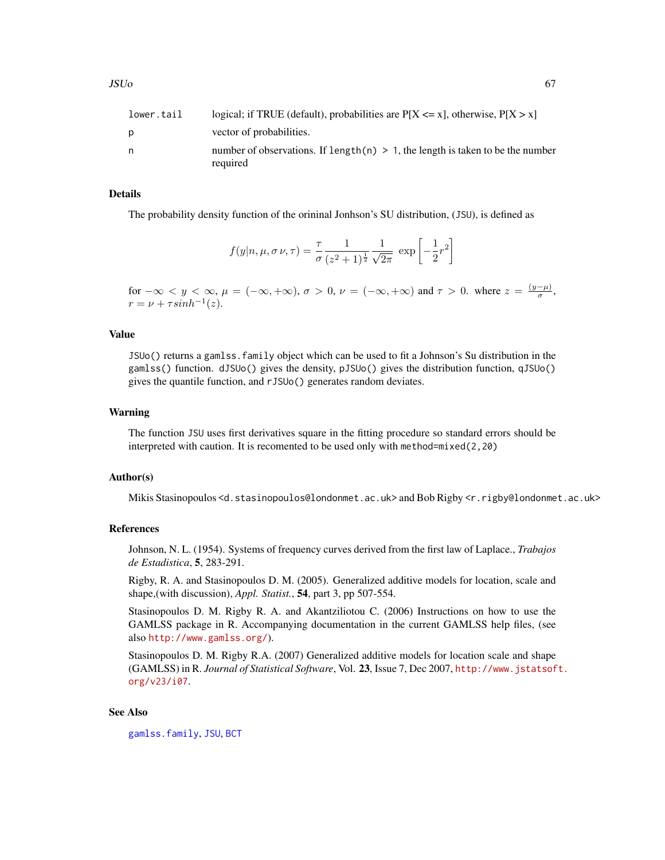| lower.tail | logical; if TRUE (default), probabilities are $P[X \le x]$ , otherwise, $P[X > x]$            |
|------------|-----------------------------------------------------------------------------------------------|
| D          | vector of probabilities.                                                                      |
| n          | number of observations. If length(n) $> 1$ , the length is taken to be the number<br>required |
|            |                                                                                               |

## Details

The probability density function of the orininal Jonhson's SU distribution, (JSU), is defined as

$$
f(y|n, \mu, \sigma \nu, \tau) = \frac{\tau}{\sigma} \frac{1}{(z^2 + 1)^{\frac{1}{2}}} \frac{1}{\sqrt{2\pi}} \exp \left[-\frac{1}{2}r^2\right]
$$

for  $-\infty < y < \infty$ ,  $\mu = (-\infty, +\infty)$ ,  $\sigma > 0$ ,  $\nu = (-\infty, +\infty)$  and  $\tau > 0$ . where  $z = \frac{(y-\mu)}{\sigma}$  $\frac{-\mu_j}{\sigma},$  $r = \nu + \tau sinh^{-1}(z).$ 

## Value

JSUo() returns a gamlss.family object which can be used to fit a Johnson's Su distribution in the gamlss() function. dJSUo() gives the density, pJSUo() gives the distribution function, qJSUo() gives the quantile function, and rJSUo() generates random deviates.

### Warning

The function JSU uses first derivatives square in the fitting procedure so standard errors should be interpreted with caution. It is recomented to be used only with method=mixed(2,20)

### Author(s)

Mikis Stasinopoulos <d.stasinopoulos@londonmet.ac.uk> and Bob Rigby <r.rigby@londonmet.ac.uk>

## References

Johnson, N. L. (1954). Systems of frequency curves derived from the first law of Laplace., *Trabajos de Estadistica*, 5, 283-291.

Rigby, R. A. and Stasinopoulos D. M. (2005). Generalized additive models for location, scale and shape,(with discussion), *Appl. Statist.*, 54, part 3, pp 507-554.

Stasinopoulos D. M. Rigby R. A. and Akantziliotou C. (2006) Instructions on how to use the GAMLSS package in R. Accompanying documentation in the current GAMLSS help files, (see also <http://www.gamlss.org/>).

Stasinopoulos D. M. Rigby R.A. (2007) Generalized additive models for location scale and shape (GAMLSS) in R. *Journal of Statistical Software*, Vol. 23, Issue 7, Dec 2007, [http://www.jstatsof](http://www.jstatsoft.org/v23/i07)t. [org/v23/i07](http://www.jstatsoft.org/v23/i07).

### See Also

[gamlss.family](#page-38-0), [JSU](#page-63-0), [BCT](#page-11-0)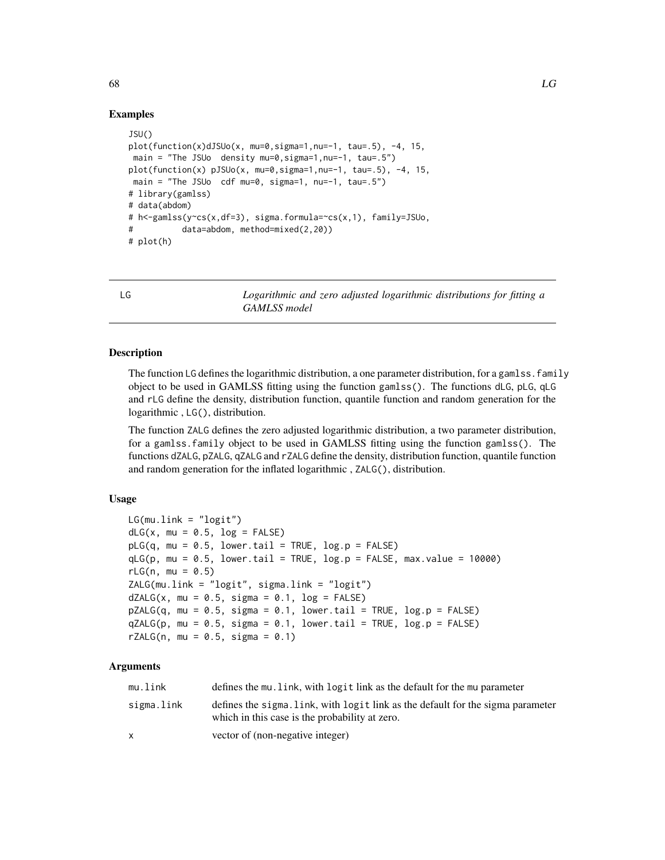# Examples

```
JSU()
plot(function(x)dJSUo(x, mu=0, sigma=1, nu=-1, tau=.5), -4, 15,main = "The JSUo density mu=0, sigma=1, nu=-1, tau=.5")
plot(function(x) pJSUo(x, mu=0, sigma=1, nu=-1, tau=.5), -4, 15,main = "The JSUo cdf mu=0, sigma=1, nu=-1, tau=.5")
# library(gamlss)
# data(abdom)
# h<-gamlss(y~cs(x,df=3), sigma.formula=~cs(x,1), family=JSUo,
# data=abdom, method=mixed(2,20))
# plot(h)
```
<span id="page-67-0"></span>LG *Logarithmic and zero adjusted logarithmic distributions for fitting a GAMLSS model*

# <span id="page-67-1"></span>Description

The function LG defines the logarithmic distribution, a one parameter distribution, for a gamlss. family object to be used in GAMLSS fitting using the function gamlss(). The functions dLG, pLG, qLG and rLG define the density, distribution function, quantile function and random generation for the logarithmic , LG(), distribution.

The function ZALG defines the zero adjusted logarithmic distribution, a two parameter distribution, for a gamlss.family object to be used in GAMLSS fitting using the function gamlss(). The functions dZALG, pZALG, qZALG and rZALG define the density, distribution function, quantile function and random generation for the inflated logarithmic , ZALG(), distribution.

## Usage

```
LG(mu.link = "logit")dLG(x, mu = 0.5, log = FALSE)pLG(q, mu = 0.5, lower.tail = TRUE, log.p = FALSE)qLG(p, mu = 0.5, lower.tail = TRUE, log.p = FALSE, max.value = 10000)rLG(n, mu = 0.5)ZALG(mu.link = "logit", sigma.link = "logit")
dZALG(x, mu = 0.5, sigma = 0.1, log = FALSE)pZALG(q, mu = 0.5, sigma = 0.1, lowertail = TRUE, <math>log.p = FALSE)
qZALG(p, mu = 0.5, sigma = 0.1, lower[allerage ] TRUE, <math>log.p = FALSE)
rZALG(n, mu = 0.5, sigma = 0.1)
```
# **Arguments**

| mu.link    | defines the mu. link, with logit link as the default for the mu parameter                                                         |
|------------|-----------------------------------------------------------------------------------------------------------------------------------|
| sigma.link | defines the sigma. Link, with logit link as the default for the sigma parameter<br>which in this case is the probability at zero. |
|            | vector of (non-negative integer)                                                                                                  |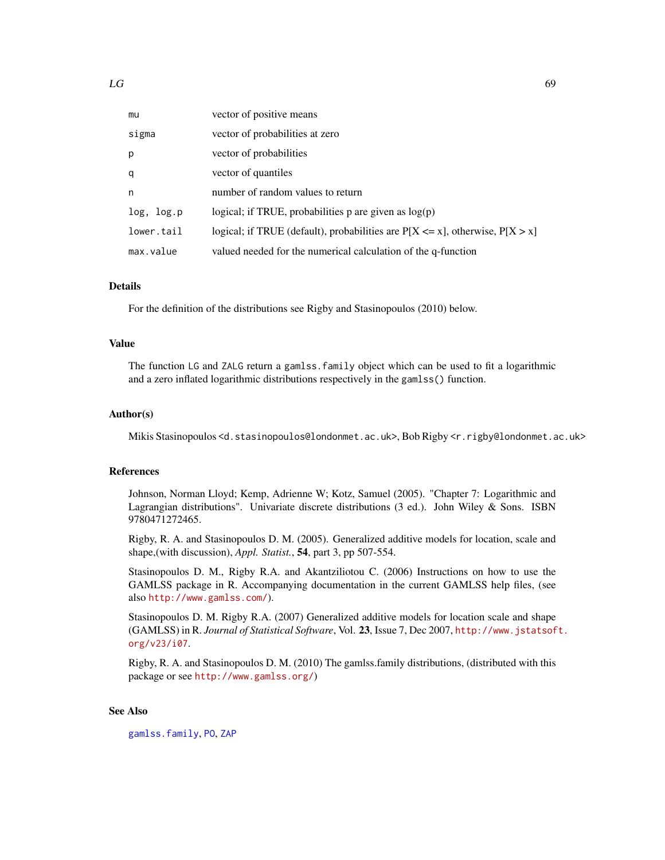| mu         | vector of positive means                                                           |
|------------|------------------------------------------------------------------------------------|
| sigma      | vector of probabilities at zero                                                    |
| p          | vector of probabilities                                                            |
| q          | vector of quantiles                                                                |
| n          | number of random values to return                                                  |
| log, log.p | logical; if TRUE, probabilities p are given as $log(p)$                            |
| lower.tail | logical; if TRUE (default), probabilities are $P[X \le x]$ , otherwise, $P[X > x]$ |
| max.value  | valued needed for the numerical calculation of the q-function                      |

# Details

For the definition of the distributions see Rigby and Stasinopoulos (2010) below.

### Value

The function LG and ZALG return a gamlss.family object which can be used to fit a logarithmic and a zero inflated logarithmic distributions respectively in the gamlss() function.

### Author(s)

Mikis Stasinopoulos <d.stasinopoulos@londonmet.ac.uk>, Bob Rigby <r.rigby@londonmet.ac.uk>

## References

Johnson, Norman Lloyd; Kemp, Adrienne W; Kotz, Samuel (2005). "Chapter 7: Logarithmic and Lagrangian distributions". Univariate discrete distributions (3 ed.). John Wiley & Sons. ISBN 9780471272465.

Rigby, R. A. and Stasinopoulos D. M. (2005). Generalized additive models for location, scale and shape,(with discussion), *Appl. Statist.*, 54, part 3, pp 507-554.

Stasinopoulos D. M., Rigby R.A. and Akantziliotou C. (2006) Instructions on how to use the GAMLSS package in R. Accompanying documentation in the current GAMLSS help files, (see also <http://www.gamlss.com/>).

Stasinopoulos D. M. Rigby R.A. (2007) Generalized additive models for location scale and shape (GAMLSS) in R. *Journal of Statistical Software*, Vol. 23, Issue 7, Dec 2007, [http://www.jstatsof](http://www.jstatsoft.org/v23/i07)t. [org/v23/i07](http://www.jstatsoft.org/v23/i07).

Rigby, R. A. and Stasinopoulos D. M. (2010) The gamlss.family distributions, (distributed with this package or see <http://www.gamlss.org/>)

### See Also

[gamlss.family](#page-38-0), [PO](#page-99-0), [ZAP](#page-145-0)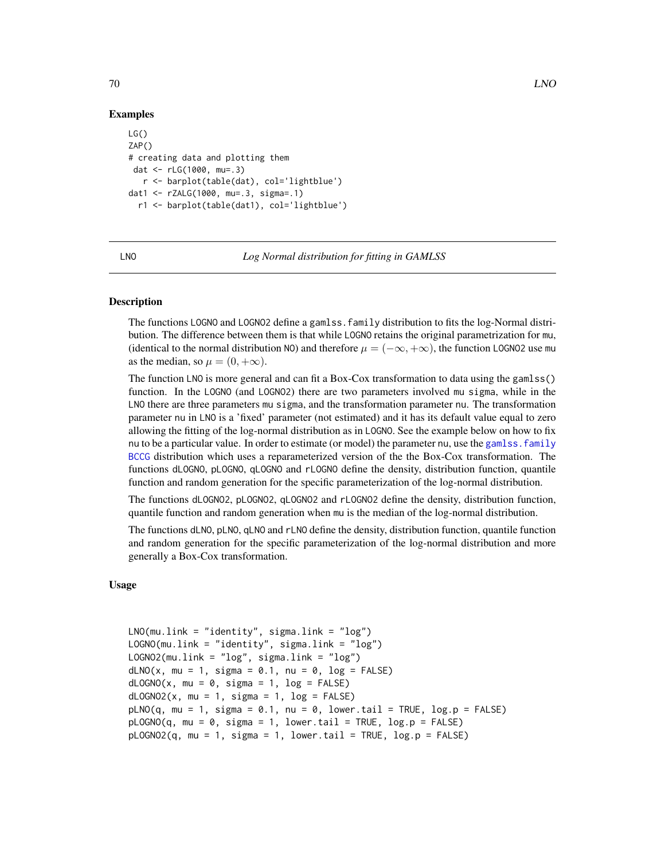## Examples

```
LG()ZAP()
# creating data and plotting them
dat <- rLG(1000, mu=.3)
   r <- barplot(table(dat), col='lightblue')
dat1 <- rZALG(1000, mu=.3, sigma=.1)
  r1 <- barplot(table(dat1), col='lightblue')
```
### <span id="page-69-1"></span>LNO *Log Normal distribution for fitting in GAMLSS*

### <span id="page-69-0"></span>Description

The functions LOGNO and LOGNO2 define a gamlss.family distribution to fits the log-Normal distribution. The difference between them is that while LOGNO retains the original parametrization for mu, (identical to the normal distribution NO) and therefore  $\mu = (-\infty, +\infty)$ , the function LOGNO2 use mu as the median, so  $\mu = (0, +\infty)$ .

The function LNO is more general and can fit a Box-Cox transformation to data using the gamlss() function. In the LOGNO (and LOGNO2) there are two parameters involved mu sigma, while in the LNO there are three parameters mu sigma, and the transformation parameter nu. The transformation parameter nu in LNO is a 'fixed' parameter (not estimated) and it has its default value equal to zero allowing the fitting of the log-normal distribution as in LOGNO. See the example below on how to fix nu to be a particular value. In order to estimate (or model) the parameter nu, use the gamlss, family [BCCG](#page-6-0) distribution which uses a reparameterized version of the the Box-Cox transformation. The functions dLOGNO, pLOGNO, qLOGNO and rLOGNO define the density, distribution function, quantile function and random generation for the specific parameterization of the log-normal distribution.

The functions dLOGNO2, pLOGNO2, qLOGNO2 and rLOGNO2 define the density, distribution function, quantile function and random generation when mu is the median of the log-normal distribution.

The functions dLNO, pLNO, qLNO and rLNO define the density, distribution function, quantile function and random generation for the specific parameterization of the log-normal distribution and more generally a Box-Cox transformation.

## Usage

```
LNO(mu.link = "identity", sigma.link = "log")
LOGNO(mu.link = "identity", sigma.link = "log")
LOGNO2(mu.link = "log", sigma.link = "log")
dLNO(x, mu = 1, sigma = 0.1, nu = 0, log = FALSE)dLOGNO(x, mu = 0, sigma = 1, log = FALSE)dLOGNO2(x, mu = 1, sigma = 1, log = FALSE)pLNO(q, mu = 1, sigma = 0.1, nu = 0, lower.tail = TRUE, log.p = FALSE)pLOGNO(q, mu = 0, sigma = 1, lower[avalentarative]   <math>p = FALSEpLOGNO2(q, mu = 1, sigma = 1, lower.tail = TRUE, log.p = FALSE)
```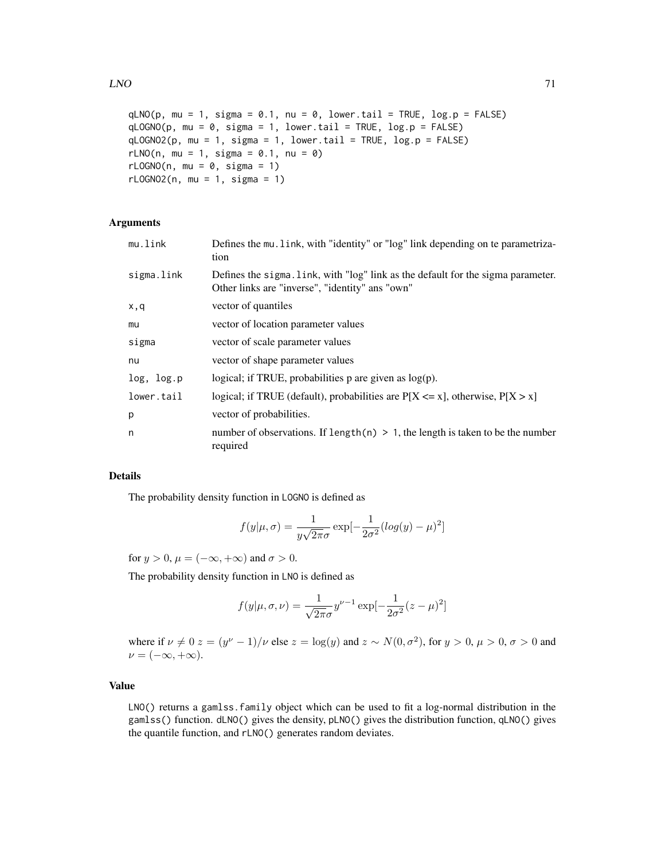```
qLNO(p, mu = 1, sigma = 0.1, nu = 0, lowertail = TRUE, log.p = FALSE)
qLOGNO(p, mu = 0, sigma = 1, lower.tail = TRUE, log.p = FALSE)
qLOGNO2(p, mu = 1, sigma = 1, lower.tail = TRUE, log.p = FALSE)
rLNO(n, mu = 1, sigma = 0.1, nu = 0)rLOGNO(n, mu = 0, sigma = 1)
rLOGNO2(n, mu = 1, sigma = 1)
```
### Arguments

| mu.link    | Defines the mu. link, with "identity" or "log" link depending on te parametriza-<br>tion                                            |
|------------|-------------------------------------------------------------------------------------------------------------------------------------|
| sigma.link | Defines the sigma. Link, with "log" link as the default for the sigma parameter.<br>Other links are "inverse", "identity" ans "own" |
| x,q        | vector of quantiles                                                                                                                 |
| mu         | vector of location parameter values                                                                                                 |
| sigma      | vector of scale parameter values                                                                                                    |
| nu         | vector of shape parameter values                                                                                                    |
| log, log.p | logical; if TRUE, probabilities $p$ are given as $log(p)$ .                                                                         |
| lower.tail | logical; if TRUE (default), probabilities are $P[X \le x]$ , otherwise, $P[X > x]$                                                  |
| p          | vector of probabilities.                                                                                                            |
| n          | number of observations. If length $(n) > 1$ , the length is taken to be the number<br>required                                      |

### Details

The probability density function in LOGNO is defined as

$$
f(y|\mu,\sigma) = \frac{1}{y\sqrt{2\pi}\sigma} \exp[-\frac{1}{2\sigma^2}(\log(y) - \mu)^2]
$$

for  $y > 0$ ,  $\mu = (-\infty, +\infty)$  and  $\sigma > 0$ .

The probability density function in LNO is defined as

$$
f(y|\mu, \sigma, \nu) = \frac{1}{\sqrt{2\pi}\sigma} y^{\nu - 1} \exp[-\frac{1}{2\sigma^2}(z - \mu)^2]
$$

where if  $\nu \neq 0$   $z = (y^{\nu} - 1)/\nu$  else  $z = \log(y)$  and  $z \sim N(0, \sigma^2)$ , for  $y > 0$ ,  $\mu > 0$ ,  $\sigma > 0$  and  $\nu = (-\infty, +\infty).$ 

# Value

LNO() returns a gamlss.family object which can be used to fit a log-normal distribution in the gamlss() function. dLNO() gives the density, pLNO() gives the distribution function, qLNO() gives the quantile function, and rLNO() generates random deviates.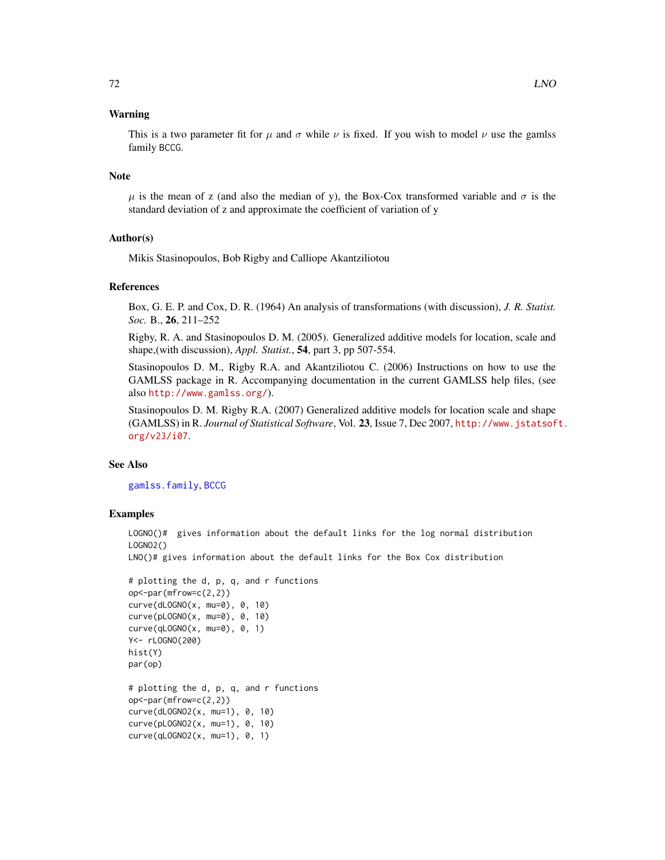# Warning

This is a two parameter fit for  $\mu$  and  $\sigma$  while  $\nu$  is fixed. If you wish to model  $\nu$  use the gamles family BCCG.

### Note

 $\mu$  is the mean of z (and also the median of y), the Box-Cox transformed variable and  $\sigma$  is the standard deviation of z and approximate the coefficient of variation of y

## Author(s)

Mikis Stasinopoulos, Bob Rigby and Calliope Akantziliotou

## References

Box, G. E. P. and Cox, D. R. (1964) An analysis of transformations (with discussion), *J. R. Statist. Soc.* B., 26, 211–252

Rigby, R. A. and Stasinopoulos D. M. (2005). Generalized additive models for location, scale and shape,(with discussion), *Appl. Statist.*, 54, part 3, pp 507-554.

Stasinopoulos D. M., Rigby R.A. and Akantziliotou C. (2006) Instructions on how to use the GAMLSS package in R. Accompanying documentation in the current GAMLSS help files, (see also <http://www.gamlss.org/>).

Stasinopoulos D. M. Rigby R.A. (2007) Generalized additive models for location scale and shape (GAMLSS) in R. *Journal of Statistical Software*, Vol. 23, Issue 7, Dec 2007, [http://www.jstatsof](http://www.jstatsoft.org/v23/i07)t. [org/v23/i07](http://www.jstatsoft.org/v23/i07).

# See Also

[gamlss.family](#page-38-0), [BCCG](#page-6-0)

## Examples

LOGNO()# gives information about the default links for the log normal distribution LOGNO2()

LNO()# gives information about the default links for the Box Cox distribution

```
# plotting the d, p, q, and r functions
op<-par(mfrow=c(2,2))
curve(dLOGNO(x, mu=0), 0, 10)
curve(pLOGNO(x, mu=0), 0, 10)curve(qLOGNO(x, mu=0), 0, 1)Y<- rLOGNO(200)
hist(Y)
par(op)
# plotting the d, p, q, and r functions
op<-par(mfrow=c(2,2))
curve(dLOGNO2(x, mu=1), 0, 10)
curve(pLOGNO2(x, mu=1), 0, 10)
curve(qLOGNO2(x, mu=1), 0, 1)
```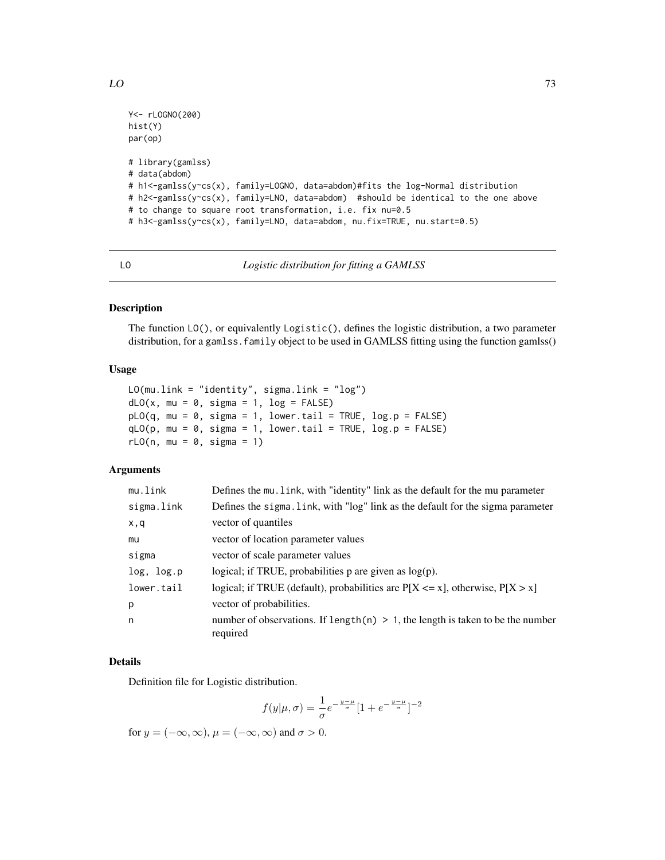```
Y<- rLOGNO(200)
hist(Y)
par(op)
# library(gamlss)
# data(abdom)
# h1<-gamlss(y~cs(x), family=LOGNO, data=abdom)#fits the log-Normal distribution
# h2<-gamlss(y~cs(x), family=LNO, data=abdom) #should be identical to the one above
# to change to square root transformation, i.e. fix nu=0.5
# h3<-gamlss(y~cs(x), family=LNO, data=abdom, nu.fix=TRUE, nu.start=0.5)
```
LO *Logistic distribution for fitting a GAMLSS*

# Description

The function LO(), or equivalently Logistic(), defines the logistic distribution, a two parameter distribution, for a gamlss. family object to be used in GAMLSS fitting using the function gamlss()

### Usage

```
LO(mu.link = "identity", sigma.link = "log")
dLO(x, mu = 0, sigma = 1, log = FALSE)pLO(q, mu = 0, sigma = 1, lower.tail = TRUE, log.p = FALSE)qLO(p, mu = 0, sigma = 1, lower.tail = TRUE, log.p = FALSE)rLO(n, mu = 0, sigma = 1)
```
# **Arguments**

| mu.link    | Defines the mu. link, with "identity" link as the default for the mu parameter                |
|------------|-----------------------------------------------------------------------------------------------|
| sigma.link | Defines the sigma. Link, with "log" link as the default for the sigma parameter               |
| x,q        | vector of quantiles                                                                           |
| mu         | vector of location parameter values                                                           |
| sigma      | vector of scale parameter values                                                              |
| log, log.p | logical; if TRUE, probabilities $p$ are given as $log(p)$ .                                   |
| lower.tail | logical; if TRUE (default), probabilities are $P[X \le x]$ , otherwise, $P[X > x]$            |
| p          | vector of probabilities.                                                                      |
| n          | number of observations. If length(n) $> 1$ , the length is taken to be the number<br>required |

# Details

Definition file for Logistic distribution.

$$
f(y|\mu,\sigma) = \frac{1}{\sigma}e^{-\frac{y-\mu}{\sigma}}[1+e^{-\frac{y-\mu}{\sigma}}]^{-2}
$$

for  $y = (-\infty, \infty)$ ,  $\mu = (-\infty, \infty)$  and  $\sigma > 0$ .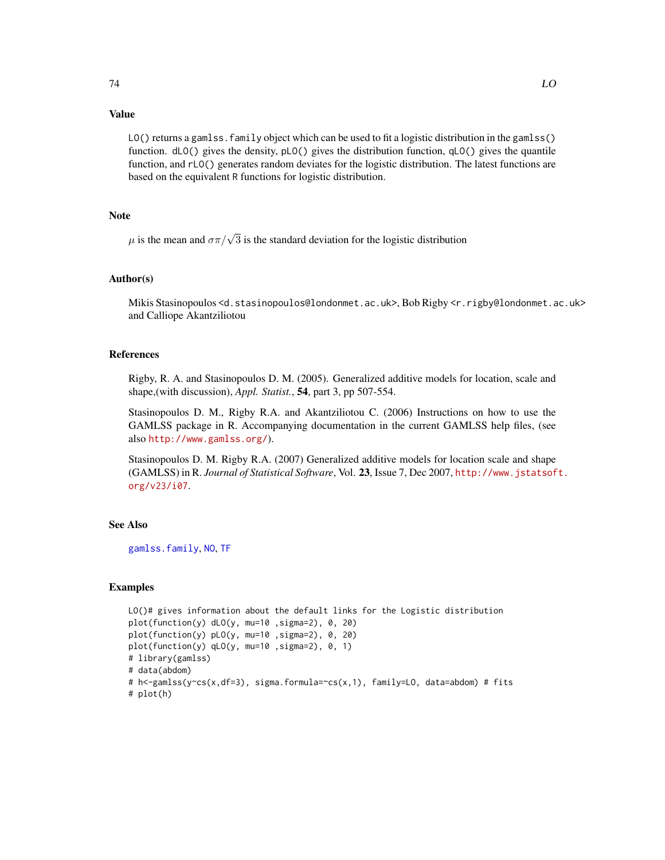# Value

LO() returns a gamlss. family object which can be used to fit a logistic distribution in the gamlss() function. dLO() gives the density, pLO() gives the distribution function, qLO() gives the quantile function, and rLO() generates random deviates for the logistic distribution. The latest functions are based on the equivalent R functions for logistic distribution.

# Note

 $\mu$  is the mean and  $\sigma \pi / \sqrt{3}$  is the standard deviation for the logistic distribution

# Author(s)

Mikis Stasinopoulos <d.stasinopoulos@londonmet.ac.uk>, Bob Rigby <r.rigby@londonmet.ac.uk> and Calliope Akantziliotou

# References

Rigby, R. A. and Stasinopoulos D. M. (2005). Generalized additive models for location, scale and shape,(with discussion), *Appl. Statist.*, 54, part 3, pp 507-554.

Stasinopoulos D. M., Rigby R.A. and Akantziliotou C. (2006) Instructions on how to use the GAMLSS package in R. Accompanying documentation in the current GAMLSS help files, (see also <http://www.gamlss.org/>).

Stasinopoulos D. M. Rigby R.A. (2007) Generalized additive models for location scale and shape (GAMLSS) in R. *Journal of Statistical Software*, Vol. 23, Issue 7, Dec 2007, [http://www.jstatsof](http://www.jstatsoft.org/v23/i07)t. [org/v23/i07](http://www.jstatsoft.org/v23/i07).

# See Also

[gamlss.family](#page-38-0), [NO](#page-87-0), [TF](#page-124-0)

```
LO()# gives information about the default links for the Logistic distribution
plot(function(y) dLO(y, mu=10 ,sigma=2), 0, 20)
plot(function(y) pLO(y, mu=10 ,sigma=2), 0, 20)
plot(function(y) qLO(y, mu=10 ,sigma=2), 0, 1)
# library(gamlss)
# data(abdom)
# h<-gamlss(y~cs(x,df=3), sigma.formula=~cs(x,1), family=LO, data=abdom) # fits
# plot(h)
```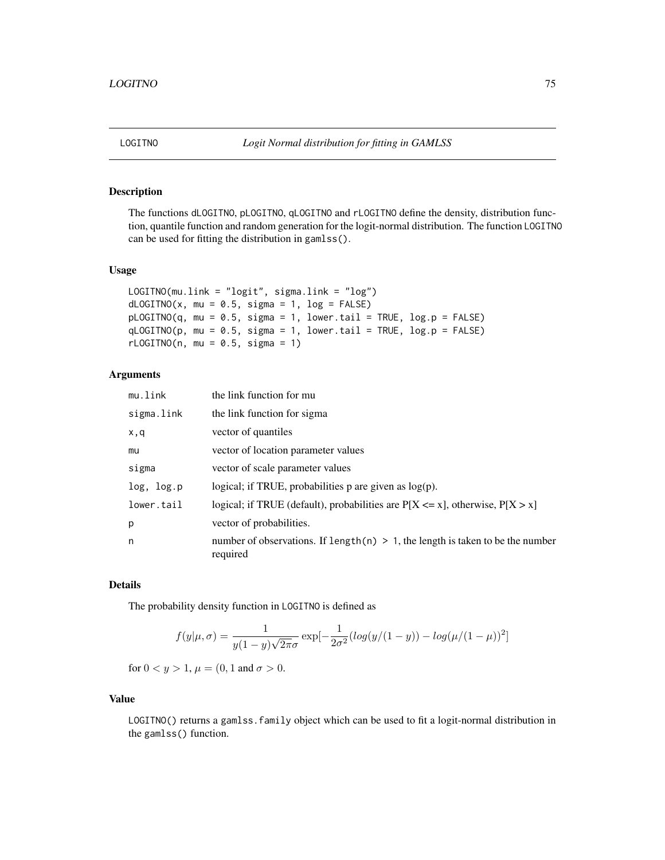The functions dLOGITNO, pLOGITNO, qLOGITNO and rLOGITNO define the density, distribution function, quantile function and random generation for the logit-normal distribution. The function LOGITNO can be used for fitting the distribution in gamlss().

## Usage

```
LOGITNO(mu.link = "logit", sigma.link = "log")
dLOGITNO(x, mu = 0.5, sigma = 1, log = FALSE)pLOGITNO(q, mu = 0.5, sigma = 1, lower.tail = TRUE, log.p = FALSE)qLOGITNO(p, mu = 0.5, sigma = 1, lower.tail = TRUE, log.p = FALSE)
rLOGITNO(n, mu = 0.5, sigma = 1)
```
# Arguments

| mu.link    | the link function for mu                                                                      |
|------------|-----------------------------------------------------------------------------------------------|
| sigma.link | the link function for sigma                                                                   |
| x,q        | vector of quantiles                                                                           |
| mu         | vector of location parameter values                                                           |
| sigma      | vector of scale parameter values                                                              |
| log, log.p | logical; if TRUE, probabilities $p$ are given as $log(p)$ .                                   |
| lower.tail | logical; if TRUE (default), probabilities are $P[X \le x]$ , otherwise, $P[X > x]$            |
| p          | vector of probabilities.                                                                      |
| n          | number of observations. If length(n) $> 1$ , the length is taken to be the number<br>required |

# Details

The probability density function in LOGITNO is defined as

$$
f(y|\mu,\sigma) = \frac{1}{y(1-y)\sqrt{2\pi}\sigma} \exp[-\frac{1}{2\sigma^2}(\log(y/(1-y)) - \log(\mu/(1-\mu))^2]
$$

for  $0 < y > 1$ ,  $\mu = (0, 1 \text{ and } \sigma > 0$ .

## Value

LOGITNO() returns a gamlss.family object which can be used to fit a logit-normal distribution in the gamlss() function.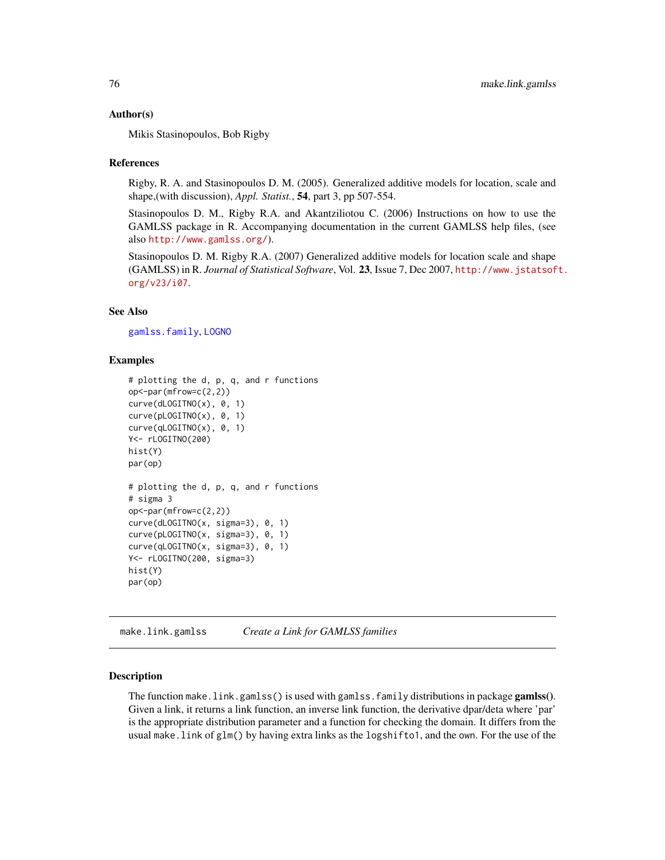#### Author(s)

Mikis Stasinopoulos, Bob Rigby

#### References

Rigby, R. A. and Stasinopoulos D. M. (2005). Generalized additive models for location, scale and shape,(with discussion), *Appl. Statist.*, 54, part 3, pp 507-554.

Stasinopoulos D. M., Rigby R.A. and Akantziliotou C. (2006) Instructions on how to use the GAMLSS package in R. Accompanying documentation in the current GAMLSS help files, (see also <http://www.gamlss.org/>).

Stasinopoulos D. M. Rigby R.A. (2007) Generalized additive models for location scale and shape (GAMLSS) in R. *Journal of Statistical Software*, Vol. 23, Issue 7, Dec 2007, [http://www.jstatsof](http://www.jstatsoft.org/v23/i07)t. [org/v23/i07](http://www.jstatsoft.org/v23/i07).

#### See Also

[gamlss.family](#page-38-0), [LOGNO](#page-69-0)

#### Examples

```
# plotting the d, p, q, and r functions
op<-par(mfrow=c(2,2))
curve(dLOGITNO(x), 0, 1)curve(pLOGITNO(x), 0, 1)
curve(qLOGITNO(x), 0, 1)Y<- rLOGITNO(200)
hist(Y)
par(op)
# plotting the d, p, q, and r functions
# sigma 3
op<-par(mfrow=c(2,2))
curve(dLOGITNO(x, sigma=3), 0, 1)
curve(pLOGITNO(x, sigma=3), 0, 1)
curve(qLOGITNO(x, sigma=3), 0, 1)
Y<- rLOGITNO(200, sigma=3)
hist(Y)
par(op)
```
make.link.gamlss *Create a Link for GAMLSS families*

## Description

The function make.link.gamlss() is used with gamlss.family distributions in package gamlss(). Given a link, it returns a link function, an inverse link function, the derivative dpar/deta where 'par' is the appropriate distribution parameter and a function for checking the domain. It differs from the usual make.link of glm() by having extra links as the logshifto1, and the own. For the use of the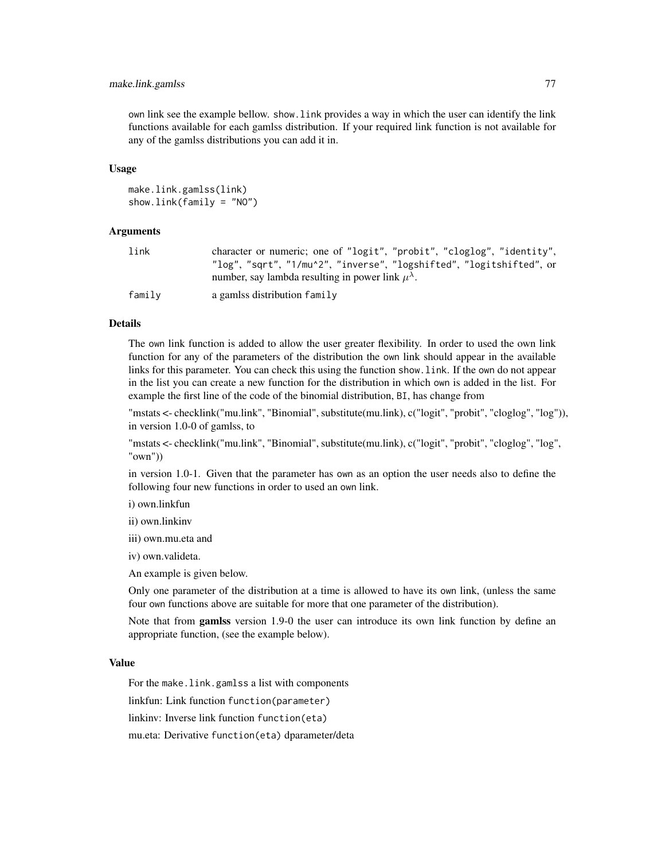# make.link.gamlss 77

own link see the example bellow. show.link provides a way in which the user can identify the link functions available for each gamlss distribution. If your required link function is not available for any of the gamlss distributions you can add it in.

#### Usage

```
make.link.gamlss(link)
show.link(family = "NO")
```
## Arguments

| link   | character or numeric; one of "logit", "probit", "cloglog", "identity", |
|--------|------------------------------------------------------------------------|
|        | "log", "sqrt", "1/mu^2", "inverse", "logshifted", "logitshifted", or   |
|        | number, say lambda resulting in power link $\mu^{\lambda}$ .           |
| family | a gamlss distribution family                                           |

#### Details

The own link function is added to allow the user greater flexibility. In order to used the own link function for any of the parameters of the distribution the own link should appear in the available links for this parameter. You can check this using the function show.link. If the own do not appear in the list you can create a new function for the distribution in which own is added in the list. For example the first line of the code of the binomial distribution, BI, has change from

"mstats <- checklink("mu.link", "Binomial", substitute(mu.link), c("logit", "probit", "cloglog", "log")), in version 1.0-0 of gamlss, to

"mstats <- checklink("mu.link", "Binomial", substitute(mu.link), c("logit", "probit", "cloglog", "log", "own"))

in version 1.0-1. Given that the parameter has own as an option the user needs also to define the following four new functions in order to used an own link.

i) own.linkfun

ii) own.linkinv

iii) own.mu.eta and

iv) own.valideta.

An example is given below.

Only one parameter of the distribution at a time is allowed to have its own link, (unless the same four own functions above are suitable for more that one parameter of the distribution).

Note that from gamlss version 1.9-0 the user can introduce its own link function by define an appropriate function, (see the example below).

# Value

For the make.link.gamlss a list with components

linkfun: Link function function(parameter)

linkinv: Inverse link function function(eta)

mu.eta: Derivative function(eta) dparameter/deta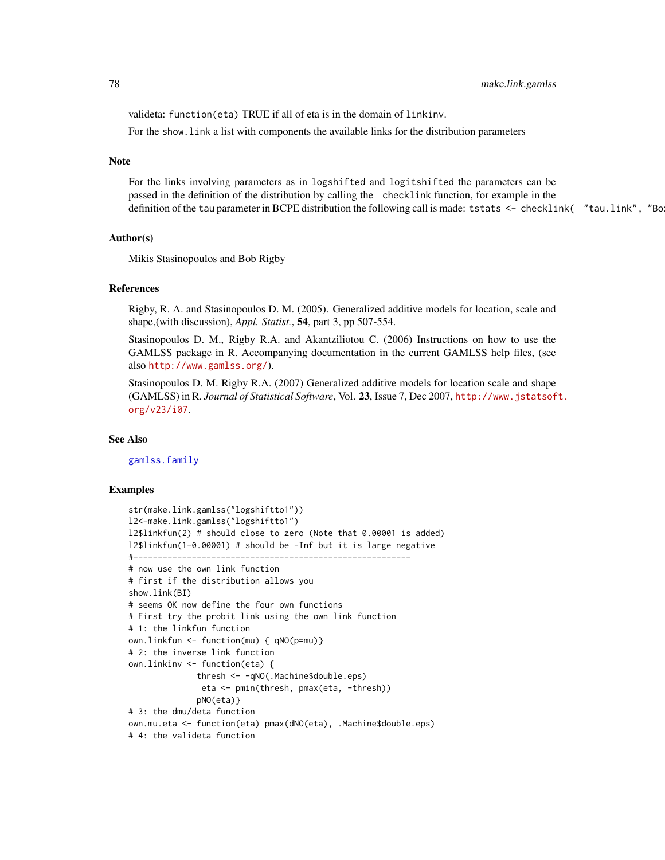valideta: function(eta) TRUE if all of eta is in the domain of linkinv.

For the show.link a list with components the available links for the distribution parameters

## Note

For the links involving parameters as in logshifted and logitshifted the parameters can be passed in the definition of the distribution by calling the checklink function, for example in the definition of the tau parameter in BCPE distribution the following call is made: tstats <- checklink( "tau.link", "Bo

# Author(s)

Mikis Stasinopoulos and Bob Rigby

#### References

Rigby, R. A. and Stasinopoulos D. M. (2005). Generalized additive models for location, scale and shape,(with discussion), *Appl. Statist.*, 54, part 3, pp 507-554.

Stasinopoulos D. M., Rigby R.A. and Akantziliotou C. (2006) Instructions on how to use the GAMLSS package in R. Accompanying documentation in the current GAMLSS help files, (see also <http://www.gamlss.org/>).

Stasinopoulos D. M. Rigby R.A. (2007) Generalized additive models for location scale and shape (GAMLSS) in R. *Journal of Statistical Software*, Vol. 23, Issue 7, Dec 2007, [http://www.jstatsof](http://www.jstatsoft.org/v23/i07)t. [org/v23/i07](http://www.jstatsoft.org/v23/i07).

## See Also

[gamlss.family](#page-38-0)

```
str(make.link.gamlss("logshiftto1"))
l2<-make.link.gamlss("logshiftto1")
l2$linkfun(2) # should close to zero (Note that 0.00001 is added)
l2$linkfun(1-0.00001) # should be -Inf but it is large negative
#---------------------------------------------------------
# now use the own link function
# first if the distribution allows you
show.link(BI)
# seems OK now define the four own functions
# First try the probit link using the own link function
# 1: the linkfun function
own.linkfun <- function(mu) { qNO(p=mu)}
# 2: the inverse link function
own.linkinv <- function(eta) {
              thresh <- -qNO(.Machine$double.eps)
               eta <- pmin(thresh, pmax(eta, -thresh))
              pNO(eta)}
# 3: the dmu/deta function
own.mu.eta <- function(eta) pmax(dNO(eta), .Machine$double.eps)
# 4: the valideta function
```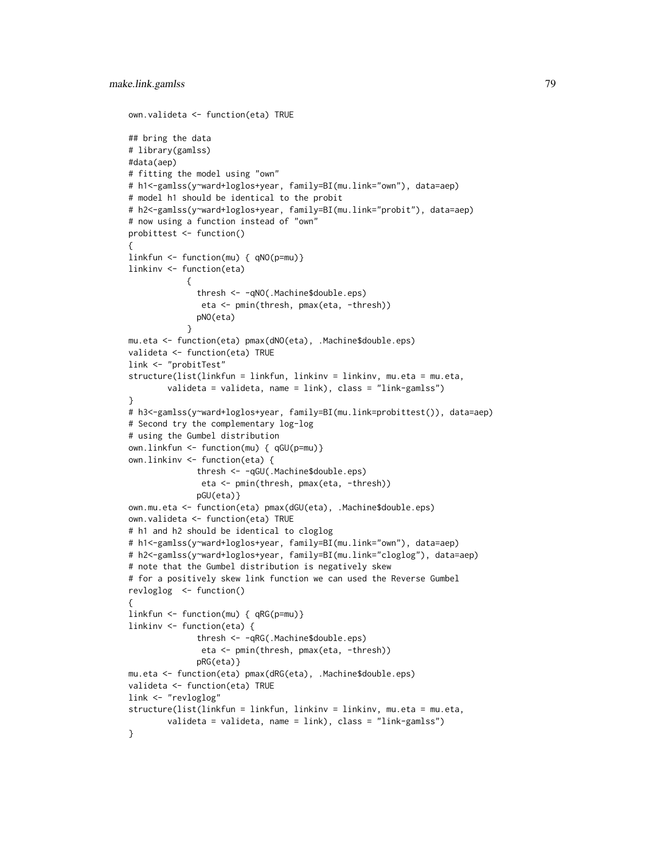```
own.valideta <- function(eta) TRUE
## bring the data
# library(gamlss)
#data(aep)
# fitting the model using "own"
# h1<-gamlss(y~ward+loglos+year, family=BI(mu.link="own"), data=aep)
# model h1 should be identical to the probit
# h2<-gamlss(y~ward+loglos+year, family=BI(mu.link="probit"), data=aep)
# now using a function instead of "own"
probittest <- function()
{
linkfun <- function(mu) { qNO(p=mu)}
linkinv <- function(eta)
            {
              thresh <- -qNO(.Machine$double.eps)
               eta <- pmin(thresh, pmax(eta, -thresh))
              pNO(eta)
            }
mu.eta <- function(eta) pmax(dNO(eta), .Machine$double.eps)
valideta <- function(eta) TRUE
link <- "probitTest"
structure(list(linkfun = linkfun, linkinv = linkinv, mu.eta = mu.eta,
        valideta = valideta, name = link), class = "link-gamlss")
}
# h3<-gamlss(y~ward+loglos+year, family=BI(mu.link=probittest()), data=aep)
# Second try the complementary log-log
# using the Gumbel distribution
own.linkfun <- function(mu) { qGU(p=mu)}
own.linkinv <- function(eta) {
              thresh <- -qGU(.Machine$double.eps)
               eta <- pmin(thresh, pmax(eta, -thresh))
              pGU(eta)}
own.mu.eta <- function(eta) pmax(dGU(eta), .Machine$double.eps)
own.valideta <- function(eta) TRUE
# h1 and h2 should be identical to cloglog
# h1<-gamlss(y~ward+loglos+year, family=BI(mu.link="own"), data=aep)
# h2<-gamlss(y~ward+loglos+year, family=BI(mu.link="cloglog"), data=aep)
# note that the Gumbel distribution is negatively skew
# for a positively skew link function we can used the Reverse Gumbel
revloglog <- function()
{
linkfun <- function(mu) { qRG(p=mu)}
linkinv <- function(eta) {
              thresh <- -qRG(.Machine$double.eps)
               eta <- pmin(thresh, pmax(eta, -thresh))
              pRG(eta)}
mu.eta <- function(eta) pmax(dRG(eta), .Machine$double.eps)
valideta <- function(eta) TRUE
link <- "revloglog"
structure(list(linkfun = linkfun, linkinv = linkinv, mu.eta = mu.eta,
        valideta = valideta, name = link), class = "link-gamlss")
}
```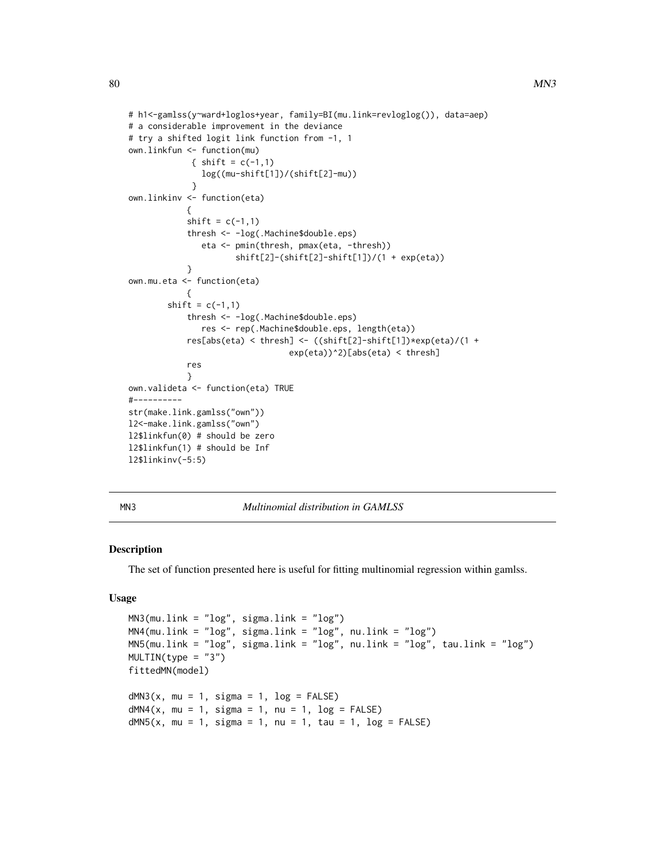```
# h1<-gamlss(y~ward+loglos+year, family=BI(mu.link=revloglog()), data=aep)
# a considerable improvement in the deviance
# try a shifted logit link function from -1, 1
own.linkfun <- function(mu)
             { shift = c(-1,1)
               log((mu-shift[1])/(shift[2]-mu))
             }
own.linkinv <- function(eta)
            {
            shift = c(-1,1)thresh <- -log(.Machine$double.eps)
               eta <- pmin(thresh, pmax(eta, -thresh))
                      shift[2]-(shift[2]-shift[1])/(1 + exp(eta))
            }
own.mu.eta <- function(eta)
            {
        shift = c(-1,1)thresh <- -log(.Machine$double.eps)
               res <- rep(.Machine$double.eps, length(eta))
            res[abs(eta) < thresh] <- ((shift[2]-shift[1])*exp(eta)/(1 +
                                 exp(eta))^2)[abs(eta) < thresh]
            res
            }
own.valideta <- function(eta) TRUE
#----------
str(make.link.gamlss("own"))
l2<-make.link.gamlss("own")
l2$linkfun(0) # should be zero
l2$linkfun(1) # should be Inf
l2$linkinv(-5:5)
```
MN3 *Multinomial distribution in GAMLSS*

## Description

The set of function presented here is useful for fitting multinomial regression within gamlss.

# Usage

```
MN3(mu.link = "log", sigma.link = "log")MN4(mu.link = "log", sigma.link = "log", nu.link = "log")
MN5(mu.link = "log", sigma.link = "log", nu.link = "log", tau.link = "log")
MULTIN(type = "3")fittedMN(model)
dMN3(x, mu = 1, sigma = 1, log = FALSE)dMN4(x, mu = 1, sigma = 1, nu = 1, log = FALSE)dMN5(x, mu = 1, sigma = 1, nu = 1, tau = 1, log = FALSE)
```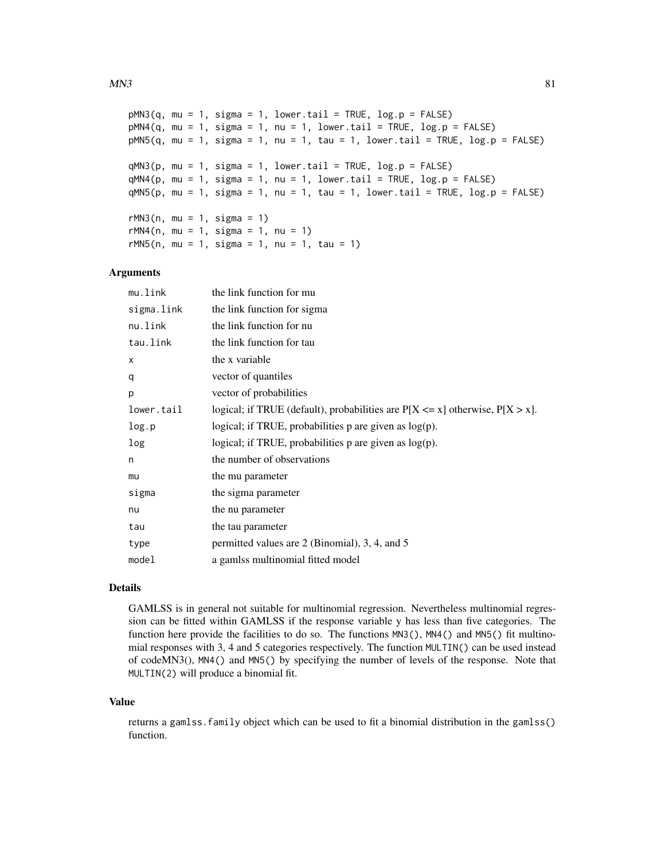```
pMN3(q, mu = 1, sigma = 1, lower.tail = TRUE, log.p = FALSE)pMM4(q, mu = 1, sigma = 1, nu = 1, lower.tail = TRUE, log.p = FALSE)pMN5(q, mu = 1, sigma = 1, nu = 1, tau = 1, lower.tail = TRUE, log.p = FALSE)qMN3(p, mu = 1, sigma = 1, lower.tail = TRUE, log.p = FALSE)qMN4(p, mu = 1, sigma = 1, nu = 1, lower.tail = TRUE, log.p = FALSE)qMN5(p, mu = 1, sigma = 1, nu = 1, tau = 1, lower.tail = TRUE, log.p = FALSE)rMN3(n, mu = 1, sigma = 1)rMN4(n, mu = 1, sigma = 1, nu = 1)rMN5(n, mu = 1, sigma = 1, nu = 1, tau = 1)
```
# Arguments

| the link function for mu                                                           |
|------------------------------------------------------------------------------------|
| the link function for sigma                                                        |
| the link function for nu                                                           |
| the link function for tau                                                          |
| the x variable                                                                     |
| vector of quantiles                                                                |
| vector of probabilities                                                            |
| logical; if TRUE (default), probabilities are $P[X \le x]$ otherwise, $P[X > x]$ . |
| logical; if TRUE, probabilities $p$ are given as $log(p)$ .                        |
| logical; if TRUE, probabilities p are given as log(p).                             |
| the number of observations                                                         |
| the mu parameter                                                                   |
| the sigma parameter                                                                |
| the nu parameter                                                                   |
| the tau parameter                                                                  |
| permitted values are 2 (Binomial), 3, 4, and 5                                     |
| a gamlss multinomial fitted model                                                  |
|                                                                                    |

#### Details

GAMLSS is in general not suitable for multinomial regression. Nevertheless multinomial regression can be fitted within GAMLSS if the response variable y has less than five categories. The function here provide the facilities to do so. The functions MN3(), MN4() and MN5() fit multinomial responses with 3, 4 and 5 categories respectively. The function MULTIN() can be used instead of codeMN3(), MN4() and MN5() by specifying the number of levels of the response. Note that MULTIN(2) will produce a binomial fit.

#### Value

returns a gamlss.family object which can be used to fit a binomial distribution in the gamlss() function.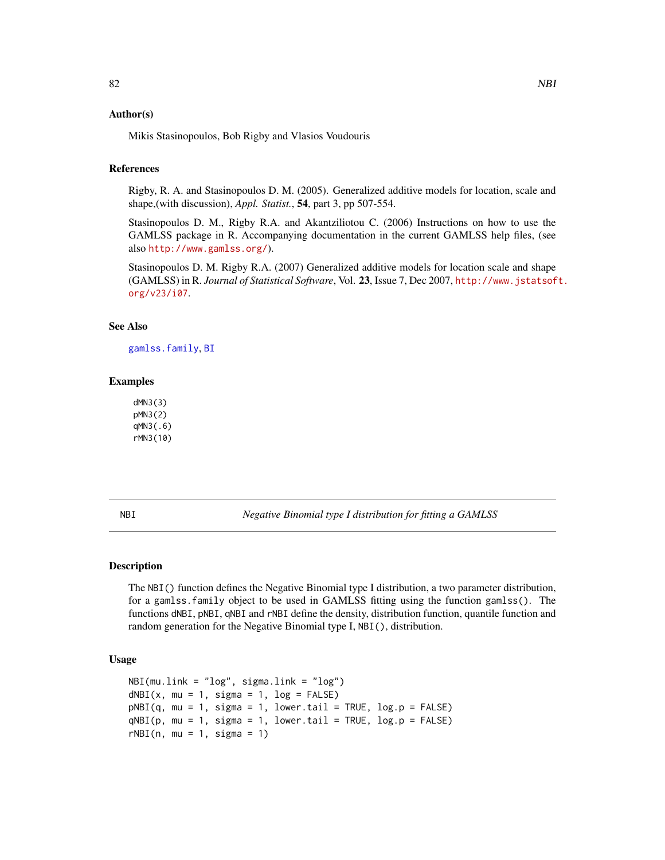# Author(s)

Mikis Stasinopoulos, Bob Rigby and Vlasios Voudouris

# References

Rigby, R. A. and Stasinopoulos D. M. (2005). Generalized additive models for location, scale and shape,(with discussion), *Appl. Statist.*, 54, part 3, pp 507-554.

Stasinopoulos D. M., Rigby R.A. and Akantziliotou C. (2006) Instructions on how to use the GAMLSS package in R. Accompanying documentation in the current GAMLSS help files, (see also <http://www.gamlss.org/>).

Stasinopoulos D. M. Rigby R.A. (2007) Generalized additive models for location scale and shape (GAMLSS) in R. *Journal of Statistical Software*, Vol. 23, Issue 7, Dec 2007, [http://www.jstatsof](http://www.jstatsoft.org/v23/i07)t. [org/v23/i07](http://www.jstatsoft.org/v23/i07).

## See Also

[gamlss.family](#page-38-0), [BI](#page-24-0)

# Examples

dMN3(3) pMN3(2) qMN3(.6) rMN3(10)

<span id="page-81-0"></span>NBI *Negative Binomial type I distribution for fitting a GAMLSS*

## Description

The NBI() function defines the Negative Binomial type I distribution, a two parameter distribution, for a gamlss.family object to be used in GAMLSS fitting using the function gamlss(). The functions dNBI, pNBI, qNBI and rNBI define the density, distribution function, quantile function and random generation for the Negative Binomial type I, NBI(), distribution.

# Usage

```
NBI(mu.link = "log", sigma.link = "log")
dNBI(x, mu = 1, sigma = 1, log = FALSE)pNBI(q, mu = 1, sigma = 1, lower.tail = TRUE, log.p = FALSE)qNBI(p, mu = 1, sigma = 1, lowertail = TRUE, log.p = FALSE)
rNBI(n, mu = 1, sigma = 1)
```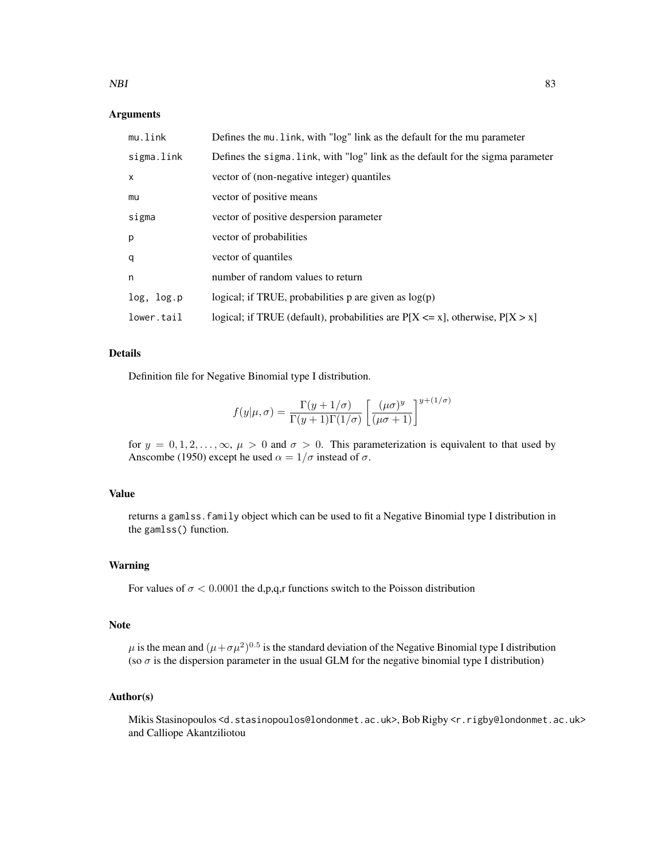## NBI 83

# Arguments

| mu.link    | Defines the mu. link, with "log" link as the default for the mu parameter          |
|------------|------------------------------------------------------------------------------------|
| sigma.link | Defines the sigma. link, with "log" link as the default for the sigma parameter    |
| X          | vector of (non-negative integer) quantiles                                         |
| mu         | vector of positive means                                                           |
| sigma      | vector of positive despersion parameter                                            |
| p          | vector of probabilities                                                            |
| q          | vector of quantiles                                                                |
| n          | number of random values to return                                                  |
| log, log.p | logical; if TRUE, probabilities p are given as $log(p)$                            |
| lower.tail | logical; if TRUE (default), probabilities are $P[X \le x]$ , otherwise, $P[X > x]$ |

# Details

Definition file for Negative Binomial type I distribution.

$$
f(y|\mu,\sigma) = \frac{\Gamma(y+1/\sigma)}{\Gamma(y+1)\Gamma(1/\sigma)} \left[ \frac{(\mu\sigma)^y}{(\mu\sigma+1)} \right]^{y+(1/\sigma)}
$$

for  $y = 0, 1, 2, \ldots, \infty, \mu > 0$  and  $\sigma > 0$ . This parameterization is equivalent to that used by Anscombe (1950) except he used  $\alpha = 1/\sigma$  instead of  $\sigma$ .

# Value

returns a gamlss.family object which can be used to fit a Negative Binomial type I distribution in the gamlss() function.

## Warning

For values of  $\sigma$  < 0.0001 the d,p,q,r functions switch to the Poisson distribution

### Note

 $\mu$  is the mean and  $(\mu + \sigma \mu^2)^{0.5}$  is the standard deviation of the Negative Binomial type I distribution (so  $\sigma$  is the dispersion parameter in the usual GLM for the negative binomial type I distribution)

# Author(s)

Mikis Stasinopoulos <d.stasinopoulos@londonmet.ac.uk>, Bob Rigby <r.rigby@londonmet.ac.uk> and Calliope Akantziliotou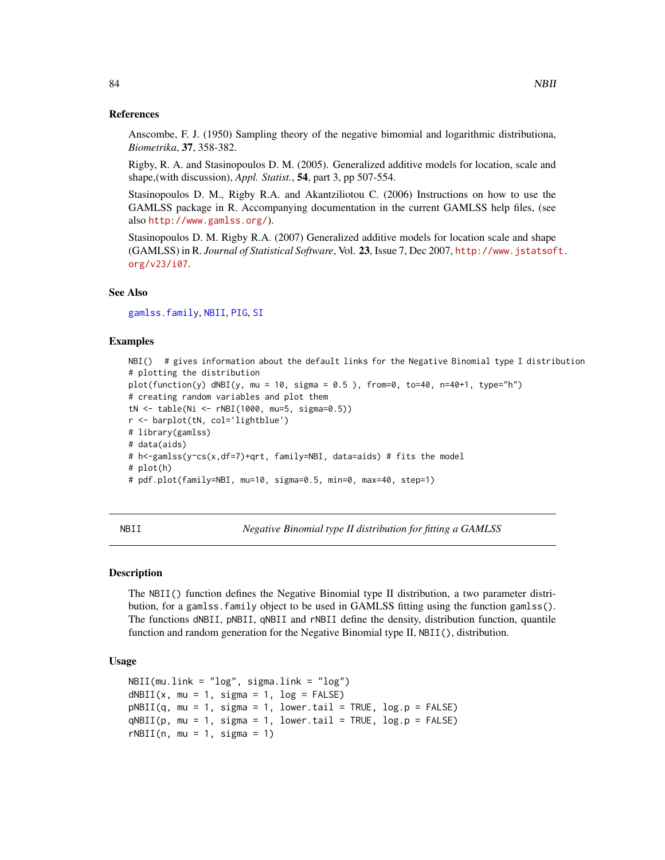#### References

Anscombe, F. J. (1950) Sampling theory of the negative bimomial and logarithmic distributiona, *Biometrika*, 37, 358-382.

Rigby, R. A. and Stasinopoulos D. M. (2005). Generalized additive models for location, scale and shape,(with discussion), *Appl. Statist.*, 54, part 3, pp 507-554.

Stasinopoulos D. M., Rigby R.A. and Akantziliotou C. (2006) Instructions on how to use the GAMLSS package in R. Accompanying documentation in the current GAMLSS help files, (see also <http://www.gamlss.org/>).

Stasinopoulos D. M. Rigby R.A. (2007) Generalized additive models for location scale and shape (GAMLSS) in R. *Journal of Statistical Software*, Vol. 23, Issue 7, Dec 2007, [http://www.jstatsof](http://www.jstatsoft.org/v23/i07)t. [org/v23/i07](http://www.jstatsoft.org/v23/i07).

# See Also

[gamlss.family](#page-38-0), [NBII](#page-83-0), [PIG](#page-97-0), [SI](#page-112-0)

# Examples

```
NBI() # gives information about the default links for the Negative Binomial type I distribution
# plotting the distribution
plot(function(y) dNBI(y, mu = 10, sigma = 0.5), from=0, to=40, n=40+1, type="h")
# creating random variables and plot them
tN <- table(Ni <- rNBI(1000, mu=5, sigma=0.5))
r <- barplot(tN, col='lightblue')
# library(gamlss)
# data(aids)
# h<-gamlss(y~cs(x,df=7)+qrt, family=NBI, data=aids) # fits the model
# plot(h)
# pdf.plot(family=NBI, mu=10, sigma=0.5, min=0, max=40, step=1)
```
<span id="page-83-0"></span>NBII *Negative Binomial type II distribution for fitting a GAMLSS*

## Description

The NBII() function defines the Negative Binomial type II distribution, a two parameter distribution, for a gamlss.family object to be used in GAMLSS fitting using the function gamlss(). The functions dNBII, pNBII, qNBII and rNBII define the density, distribution function, quantile function and random generation for the Negative Binomial type II, NBII(), distribution.

## Usage

```
NBII(mu.link = "log", sigma.link = "log")
dNBII(x, mu = 1, sigma = 1, log = FALSE)pNBII(q, mu = 1, sigma = 1, lower.tail = TRUE, log.p = FALSE)qNBII(p, mu = 1, sigma = 1, lower.tail = TRUE, log.p = FALSE)rNBII(n, mu = 1, sigma = 1)
```
84 NBII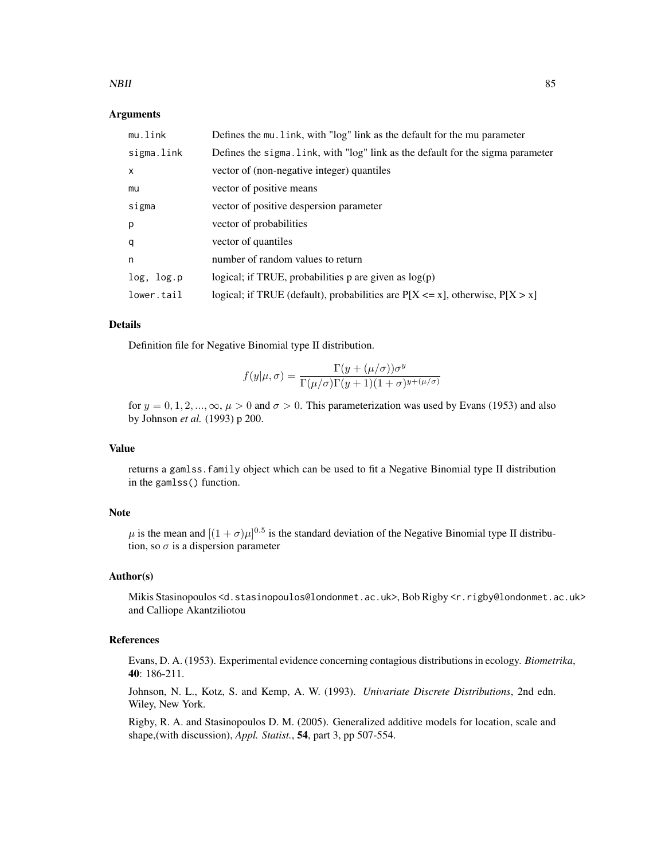## NBII 85

# Arguments

| mu.link      | Defines the mu. link, with "log" link as the default for the mu parameter          |
|--------------|------------------------------------------------------------------------------------|
| sigma.link   | Defines the sigma. link, with "log" link as the default for the sigma parameter    |
| $\mathsf{x}$ | vector of (non-negative integer) quantiles                                         |
| mu           | vector of positive means                                                           |
| sigma        | vector of positive despersion parameter                                            |
| p            | vector of probabilities                                                            |
| q            | vector of quantiles                                                                |
| n            | number of random values to return                                                  |
| log, log.p   | logical; if TRUE, probabilities $p$ are given as $log(p)$                          |
| lower.tail   | logical; if TRUE (default), probabilities are $P[X \le x]$ , otherwise, $P[X > x]$ |

## Details

Definition file for Negative Binomial type II distribution.

$$
f(y|\mu,\sigma) = \frac{\Gamma(y + (\mu/\sigma))\sigma^y}{\Gamma(\mu/\sigma)\Gamma(y+1)(1+\sigma)^{y+(\mu/\sigma)}}
$$

for  $y = 0, 1, 2, ..., \infty$ ,  $\mu > 0$  and  $\sigma > 0$ . This parameterization was used by Evans (1953) and also by Johnson *et al.* (1993) p 200.

# Value

returns a gamlss.family object which can be used to fit a Negative Binomial type II distribution in the gamlss() function.

# Note

 $\mu$  is the mean and  $[(1+\sigma)\mu]^{0.5}$  is the standard deviation of the Negative Binomial type II distribution, so  $\sigma$  is a dispersion parameter

## Author(s)

Mikis Stasinopoulos <d.stasinopoulos@londonmet.ac.uk>, Bob Rigby <r.rigby@londonmet.ac.uk> and Calliope Akantziliotou

# References

Evans, D. A. (1953). Experimental evidence concerning contagious distributions in ecology. *Biometrika*, 40: 186-211.

Johnson, N. L., Kotz, S. and Kemp, A. W. (1993). *Univariate Discrete Distributions*, 2nd edn. Wiley, New York.

Rigby, R. A. and Stasinopoulos D. M. (2005). Generalized additive models for location, scale and shape,(with discussion), *Appl. Statist.*, 54, part 3, pp 507-554.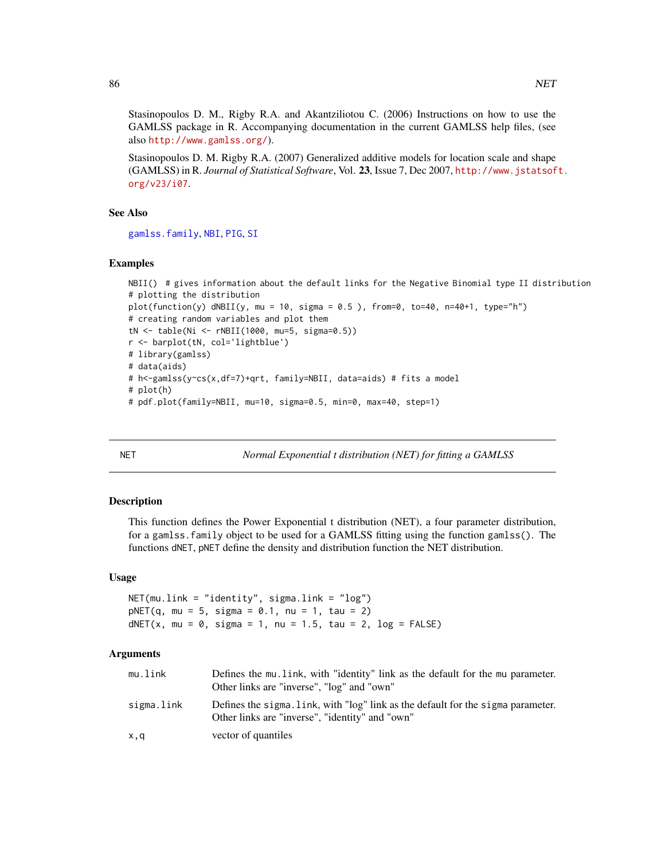Stasinopoulos D. M., Rigby R.A. and Akantziliotou C. (2006) Instructions on how to use the GAMLSS package in R. Accompanying documentation in the current GAMLSS help files, (see also <http://www.gamlss.org/>).

Stasinopoulos D. M. Rigby R.A. (2007) Generalized additive models for location scale and shape (GAMLSS) in R. *Journal of Statistical Software*, Vol. 23, Issue 7, Dec 2007, [http://www.jstatsof](http://www.jstatsoft.org/v23/i07)t. [org/v23/i07](http://www.jstatsoft.org/v23/i07).

# See Also

[gamlss.family](#page-38-0), [NBI](#page-81-0), [PIG](#page-97-0), [SI](#page-112-0)

## Examples

```
NBII() # gives information about the default links for the Negative Binomial type II distribution
# plotting the distribution
plot(function(y) dNBII(y, mu = 10, sigma = 0.5), from=0, to=40, n=40+1, type="h")
# creating random variables and plot them
tN <- table(Ni <- rNBII(1000, mu=5, sigma=0.5))
r <- barplot(tN, col='lightblue')
# library(gamlss)
# data(aids)
# h<-gamlss(y~cs(x,df=7)+qrt, family=NBII, data=aids) # fits a model
# plot(h)
# pdf.plot(family=NBII, mu=10, sigma=0.5, min=0, max=40, step=1)
```
NET *Normal Exponential t distribution (NET) for fitting a GAMLSS*

## Description

This function defines the Power Exponential t distribution (NET), a four parameter distribution, for a gamlss.family object to be used for a GAMLSS fitting using the function gamlss(). The functions dNET, pNET define the density and distribution function the NET distribution.

## Usage

NET(mu.link = "identity", sigma.link = "log")  $pNET(q, mu = 5, sigma = 0.1, nu = 1, tau = 2)$ dNET(x, mu =  $0$ , sigma = 1, nu = 1.5, tau = 2, log = FALSE)

# Arguments

| mu.link    | Defines the mu. link, with "identity" link as the default for the mu parameter.<br>Other links are "inverse", "log" and "own"       |
|------------|-------------------------------------------------------------------------------------------------------------------------------------|
| sigma.link | Defines the sigma. Link, with "log" link as the default for the sigma parameter.<br>Other links are "inverse", "identity" and "own" |
| x,q        | vector of quantiles                                                                                                                 |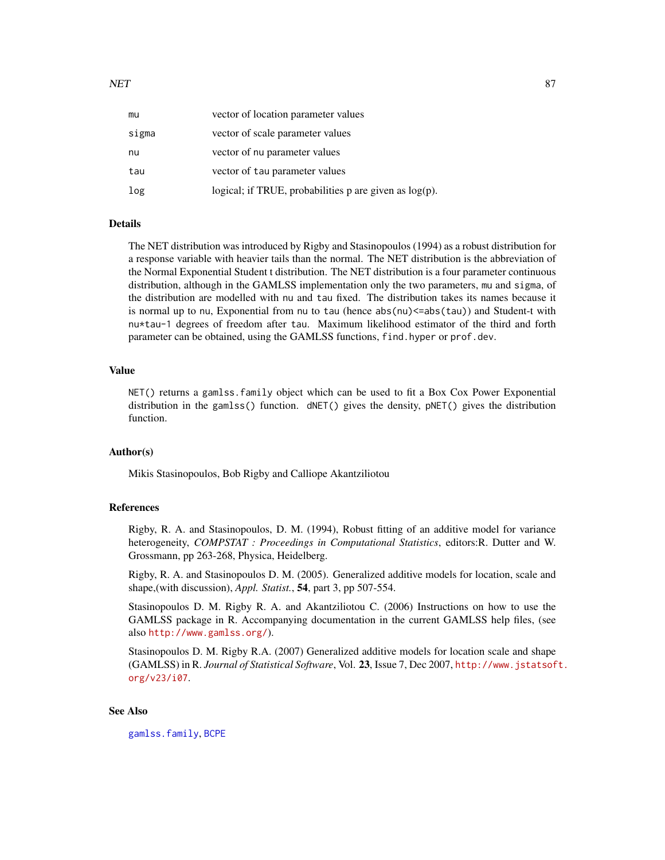| mu    | vector of location parameter values                         |
|-------|-------------------------------------------------------------|
| sigma | vector of scale parameter values                            |
| nu    | vector of nu parameter values                               |
| tau   | vector of tau parameter values                              |
| log   | logical; if TRUE, probabilities $p$ are given as $log(p)$ . |

## Details

The NET distribution was introduced by Rigby and Stasinopoulos (1994) as a robust distribution for a response variable with heavier tails than the normal. The NET distribution is the abbreviation of the Normal Exponential Student t distribution. The NET distribution is a four parameter continuous distribution, although in the GAMLSS implementation only the two parameters, mu and sigma, of the distribution are modelled with nu and tau fixed. The distribution takes its names because it is normal up to nu, Exponential from nu to tau (hence abs(nu) <= abs(tau)) and Student-t with nu\*tau-1 degrees of freedom after tau. Maximum likelihood estimator of the third and forth parameter can be obtained, using the GAMLSS functions, find.hyper or prof.dev.

# Value

NET() returns a gamlss.family object which can be used to fit a Box Cox Power Exponential distribution in the gamlss() function. dNET() gives the density, pNET() gives the distribution function.

#### Author(s)

Mikis Stasinopoulos, Bob Rigby and Calliope Akantziliotou

# References

Rigby, R. A. and Stasinopoulos, D. M. (1994), Robust fitting of an additive model for variance heterogeneity, *COMPSTAT : Proceedings in Computational Statistics*, editors:R. Dutter and W. Grossmann, pp 263-268, Physica, Heidelberg.

Rigby, R. A. and Stasinopoulos D. M. (2005). Generalized additive models for location, scale and shape,(with discussion), *Appl. Statist.*, 54, part 3, pp 507-554.

Stasinopoulos D. M. Rigby R. A. and Akantziliotou C. (2006) Instructions on how to use the GAMLSS package in R. Accompanying documentation in the current GAMLSS help files, (see also <http://www.gamlss.org/>).

Stasinopoulos D. M. Rigby R.A. (2007) Generalized additive models for location scale and shape (GAMLSS) in R. *Journal of Statistical Software*, Vol. 23, Issue 7, Dec 2007, [http://www.jstatsof](http://www.jstatsoft.org/v23/i07)t. [org/v23/i07](http://www.jstatsoft.org/v23/i07).

# See Also

[gamlss.family](#page-38-0), [BCPE](#page-8-0)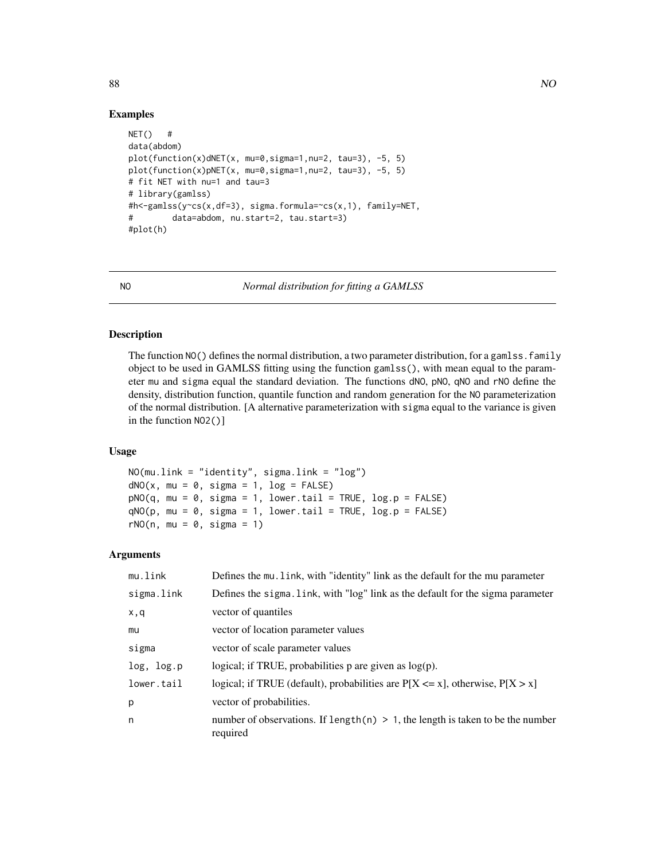# Examples

```
NET() #
data(abdom)
plot(function(x)dNET(x, mu=0,sigma=1,nu=2, tau=3), -5, 5)
plot(function(x)pNET(x, mu=0,sigma=1,nu=2, tau=3), -5, 5)
# fit NET with nu=1 and tau=3
# library(gamlss)
#h<-gamlss(y~cs(x,df=3), sigma.formula=~cs(x,1), family=NET,
# data=abdom, nu.start=2, tau.start=3)
#plot(h)
```
<span id="page-87-0"></span>NO *Normal distribution for fitting a GAMLSS*

# Description

The function NO() defines the normal distribution, a two parameter distribution, for a gamlss. family object to be used in GAMLSS fitting using the function gamlss(), with mean equal to the parameter mu and sigma equal the standard deviation. The functions dNO, pNO, qNO and rNO define the density, distribution function, quantile function and random generation for the NO parameterization of the normal distribution. [A alternative parameterization with sigma equal to the variance is given in the function NO2()]

# Usage

```
NO(mu.link = "identity", sigma.link = "log")
dNO(x, mu = 0, sigma = 1, log = FALSE)pNO(q, mu = 0, sigma = 1, lowertail = TRUE, log.p = FALSE)qNO(p, mu = 0, sigma = 1, lower.tail = TRUE, log.p = FALSE)rNO(n, mu = 0, sigma = 1)
```
# Arguments

| mu.link    | Defines the mu. link, with "identity" link as the default for the mu parameter                 |
|------------|------------------------------------------------------------------------------------------------|
| sigma.link | Defines the sigma. Link, with "log" link as the default for the sigma parameter                |
| x, q       | vector of quantiles                                                                            |
| mu         | vector of location parameter values                                                            |
| sigma      | vector of scale parameter values                                                               |
| log, log.p | logical; if TRUE, probabilities $p$ are given as $log(p)$ .                                    |
| lower.tail | logical; if TRUE (default), probabilities are $P[X \le x]$ , otherwise, $P[X > x]$             |
| p          | vector of probabilities.                                                                       |
| n          | number of observations. If length $(n) > 1$ , the length is taken to be the number<br>required |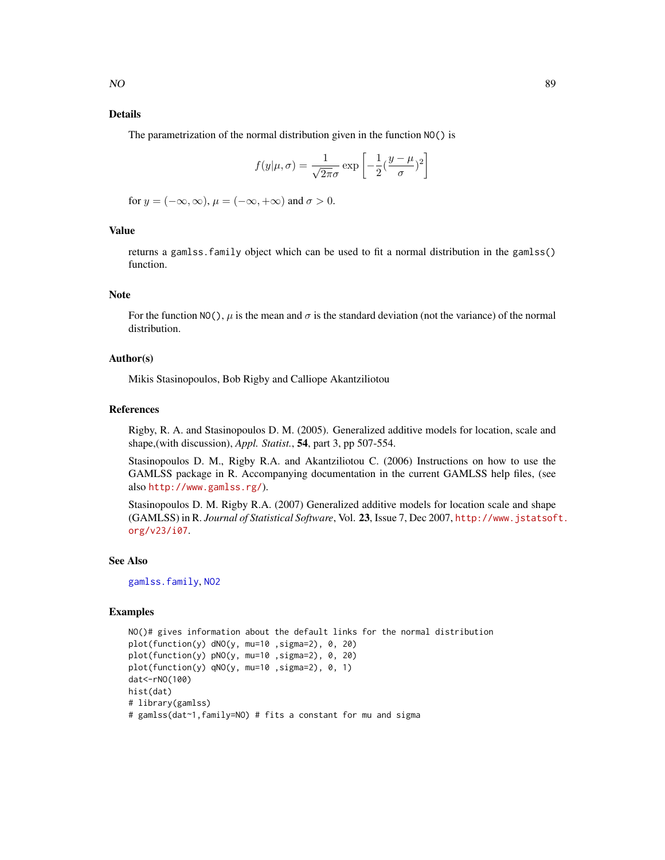# Details

The parametrization of the normal distribution given in the function NO() is

$$
f(y|\mu,\sigma) = \frac{1}{\sqrt{2\pi}\sigma} \exp\left[-\frac{1}{2}(\frac{y-\mu}{\sigma})^2\right]
$$

for  $y = (-\infty, \infty)$ ,  $\mu = (-\infty, +\infty)$  and  $\sigma > 0$ .

# Value

returns a gamlss.family object which can be used to fit a normal distribution in the gamlss() function.

# Note

For the function NO(),  $\mu$  is the mean and  $\sigma$  is the standard deviation (not the variance) of the normal distribution.

# Author(s)

Mikis Stasinopoulos, Bob Rigby and Calliope Akantziliotou

## References

Rigby, R. A. and Stasinopoulos D. M. (2005). Generalized additive models for location, scale and shape,(with discussion), *Appl. Statist.*, 54, part 3, pp 507-554.

Stasinopoulos D. M., Rigby R.A. and Akantziliotou C. (2006) Instructions on how to use the GAMLSS package in R. Accompanying documentation in the current GAMLSS help files, (see also <http://www.gamlss.rg/>).

Stasinopoulos D. M. Rigby R.A. (2007) Generalized additive models for location scale and shape (GAMLSS) in R. *Journal of Statistical Software*, Vol. 23, Issue 7, Dec 2007, [http://www.jstatsof](http://www.jstatsoft.org/v23/i07)t. [org/v23/i07](http://www.jstatsoft.org/v23/i07).

# See Also

[gamlss.family](#page-38-0), [NO2](#page-89-0)

```
NO()# gives information about the default links for the normal distribution
plot(function(y) dNO(y, mu=10 ,sigma=2), 0, 20)
plot(function(y) pNO(y, mu=10 ,sigma=2), 0, 20)
plot(function(y) qNO(y, mu=10 ,sigma=2), 0, 1)
dat<-rNO(100)
hist(dat)
# library(gamlss)
# gamlss(dat~1,family=NO) # fits a constant for mu and sigma
```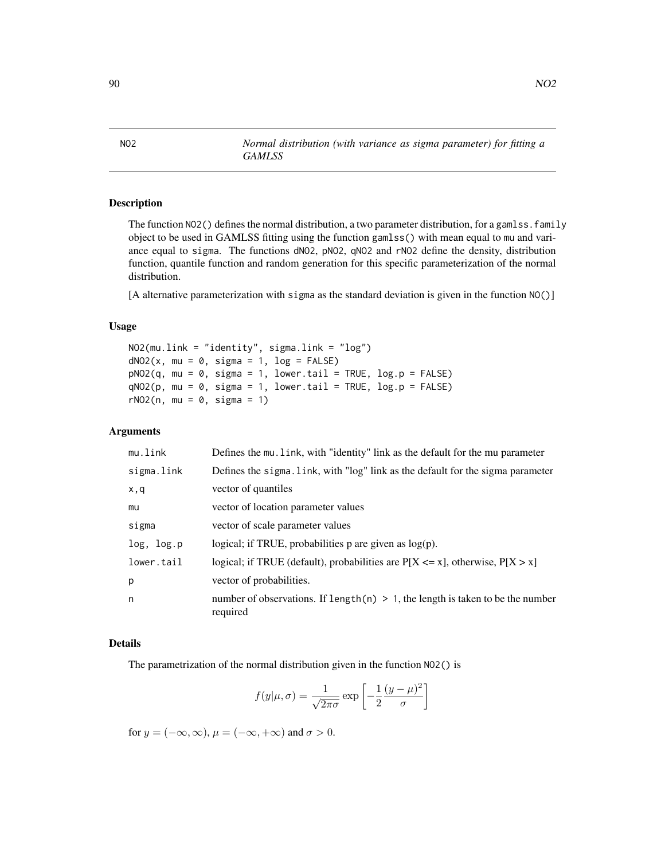The function NO2() defines the normal distribution, a two parameter distribution, for a gamlss. family object to be used in GAMLSS fitting using the function gamlss() with mean equal to mu and variance equal to sigma. The functions dNO2, pNO2, qNO2 and rNO2 define the density, distribution function, quantile function and random generation for this specific parameterization of the normal distribution.

[A alternative parameterization with sigma as the standard deviation is given in the function NO()]

# Usage

```
NO2(mu.link = "identity", sigma.link = "log")
dNO2(x, mu = 0, sigma = 1, log = FALSE)pNO2(q, mu = 0, sigma = 1, lower.tail = TRUE, log.p = FALSE)qNO2(p, mu = 0, sigma = 1, lower[avated] = TRUE, <math>log.p = FALSE)
rNO2(n, mu = 0, sigma = 1)
```
*GAMLSS*

## Arguments

| Defines the mu. link, with "identity" link as the default for the mu parameter                |
|-----------------------------------------------------------------------------------------------|
| Defines the sigma. Link, with "log" link as the default for the sigma parameter               |
| vector of quantiles                                                                           |
| vector of location parameter values                                                           |
| vector of scale parameter values                                                              |
| logical; if TRUE, probabilities $p$ are given as $log(p)$ .                                   |
| logical; if TRUE (default), probabilities are $P[X \le x]$ , otherwise, $P[X > x]$            |
| vector of probabilities.                                                                      |
| number of observations. If length(n) $> 1$ , the length is taken to be the number<br>required |
|                                                                                               |

## Details

The parametrization of the normal distribution given in the function NO2() is

$$
f(y|\mu,\sigma) = \frac{1}{\sqrt{2\pi\sigma}} \exp\left[-\frac{1}{2}\frac{(y-\mu)^2}{\sigma}\right]
$$

for  $y = (-\infty, \infty)$ ,  $\mu = (-\infty, +\infty)$  and  $\sigma > 0$ .

<span id="page-89-0"></span>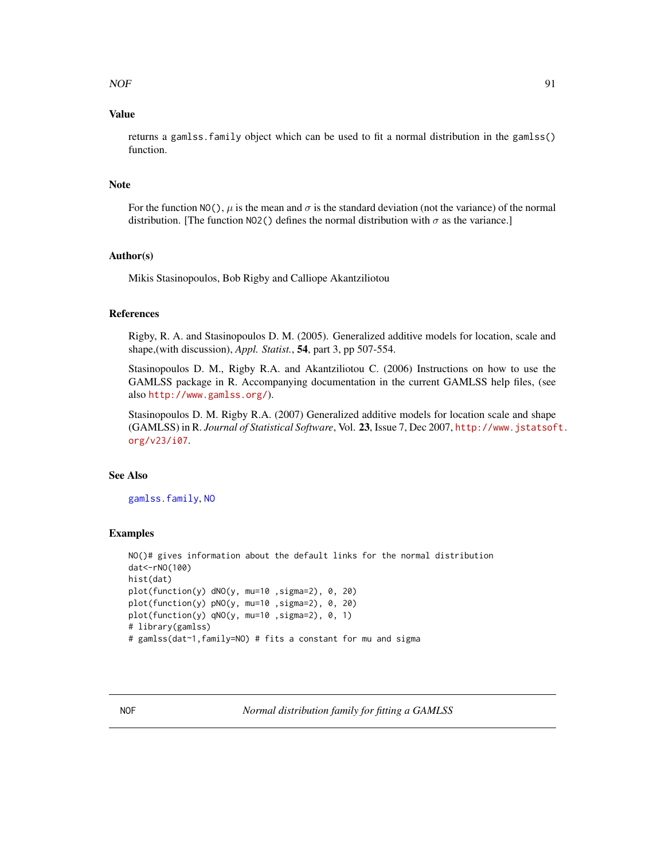# Value

returns a gamlss.family object which can be used to fit a normal distribution in the gamlss() function.

# Note

For the function NO(),  $\mu$  is the mean and  $\sigma$  is the standard deviation (not the variance) of the normal distribution. [The function NO2() defines the normal distribution with  $\sigma$  as the variance.]

# Author(s)

Mikis Stasinopoulos, Bob Rigby and Calliope Akantziliotou

## References

Rigby, R. A. and Stasinopoulos D. M. (2005). Generalized additive models for location, scale and shape,(with discussion), *Appl. Statist.*, 54, part 3, pp 507-554.

Stasinopoulos D. M., Rigby R.A. and Akantziliotou C. (2006) Instructions on how to use the GAMLSS package in R. Accompanying documentation in the current GAMLSS help files, (see also <http://www.gamlss.org/>).

Stasinopoulos D. M. Rigby R.A. (2007) Generalized additive models for location scale and shape (GAMLSS) in R. *Journal of Statistical Software*, Vol. 23, Issue 7, Dec 2007, [http://www.jstatsof](http://www.jstatsoft.org/v23/i07)t. [org/v23/i07](http://www.jstatsoft.org/v23/i07).

#### See Also

[gamlss.family](#page-38-0), [NO](#page-87-0)

#### Examples

```
NO()# gives information about the default links for the normal distribution
dat<-rNO(100)
hist(dat)
plot(function(y) dNO(y, mu=10 ,sigma=2), 0, 20)
plot(function(y) pNO(y, mu=10 ,sigma=2), 0, 20)
plot(function(y) qNO(y, mu=10 ,sigma=2), 0, 1)
# library(gamlss)
# gamlss(dat~1,family=NO) # fits a constant for mu and sigma
```
NOF *Normal distribution family for fitting a GAMLSS*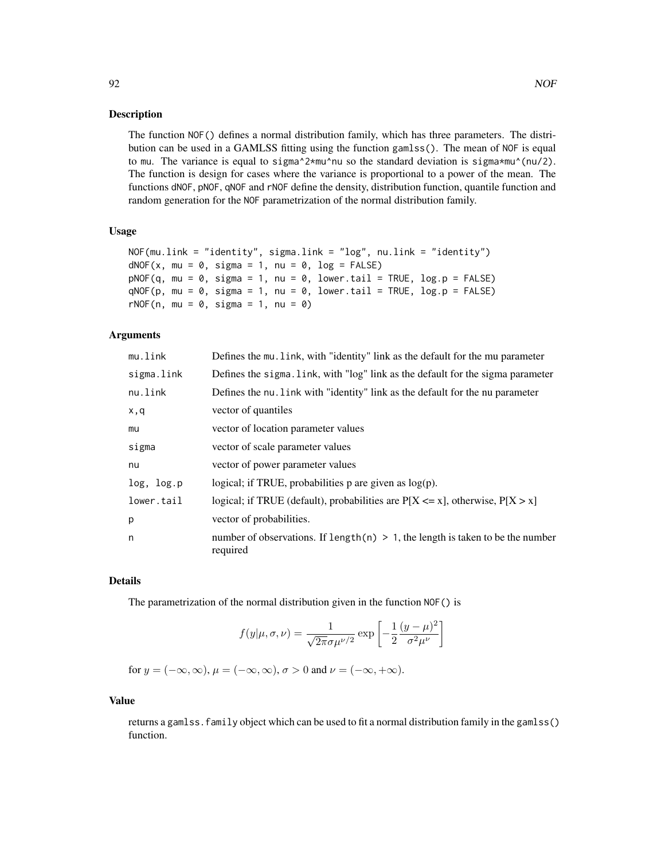The function NOF() defines a normal distribution family, which has three parameters. The distribution can be used in a GAMLSS fitting using the function gamlss(). The mean of NOF is equal to mu. The variance is equal to sigma $^2$ \*mu^nu so the standard deviation is sigma\*mu^(nu/2). The function is design for cases where the variance is proportional to a power of the mean. The functions dNOF, pNOF, qNOF and rNOF define the density, distribution function, quantile function and random generation for the NOF parametrization of the normal distribution family.

## Usage

```
NOF(mu.link = "identity", sigma.link = "log", nu.link = "identity")
dNOF(x, mu = 0, sigma = 1, nu = 0, log = FALSE)pNOF(q, mu = 0, sigma = 1, nu = 0, lower.tail = TRUE, log.p = FALSE)qNOF(p, mu = 0, sigma = 1, nu = 0, lowertail = TRUE, log.p = FALSE)
rNOF(n, mu = 0, sigma = 1, nu = 0)
```
## Arguments

| mu.link    | Defines the mu. link, with "identity" link as the default for the mu parameter                 |
|------------|------------------------------------------------------------------------------------------------|
| sigma.link | Defines the sigma. Link, with "log" link as the default for the sigma parameter                |
| nu.link    | Defines the nu. Link with "identity" link as the default for the nu parameter                  |
| x,q        | vector of quantiles                                                                            |
| mu         | vector of location parameter values                                                            |
| sigma      | vector of scale parameter values                                                               |
| nu         | vector of power parameter values                                                               |
| log, log.p | logical; if TRUE, probabilities $p$ are given as $log(p)$ .                                    |
| lower.tail | logical; if TRUE (default), probabilities are $P[X \le x]$ , otherwise, $P[X > x]$             |
| p          | vector of probabilities.                                                                       |
| n          | number of observations. If length $(n) > 1$ , the length is taken to be the number<br>required |

# Details

The parametrization of the normal distribution given in the function NOF() is

$$
f(y|\mu,\sigma,\nu) = \frac{1}{\sqrt{2\pi}\sigma\mu^{\nu/2}} \exp\left[-\frac{1}{2}\frac{(y-\mu)^2}{\sigma^2\mu^{\nu}}\right]
$$

for  $y = (-\infty, \infty)$ ,  $\mu = (-\infty, \infty)$ ,  $\sigma > 0$  and  $\nu = (-\infty, +\infty)$ .

# Value

returns a gamlss.family object which can be used to fit a normal distribution family in the gamlss() function.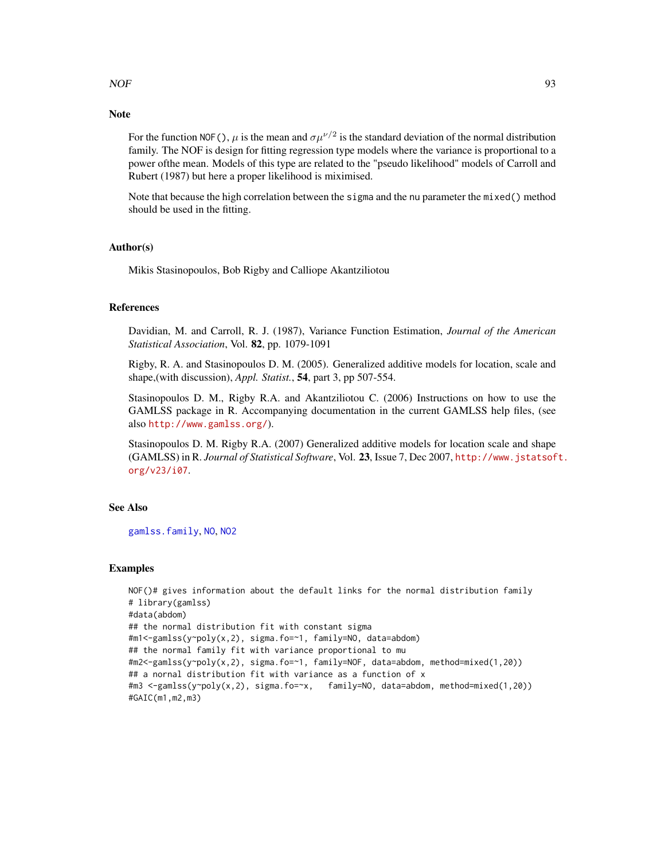# $NOF$  93

# **Note**

For the function NOF(),  $\mu$  is the mean and  $\sigma \mu^{\nu/2}$  is the standard deviation of the normal distribution family. The NOF is design for fitting regression type models where the variance is proportional to a power ofthe mean. Models of this type are related to the "pseudo likelihood" models of Carroll and Rubert (1987) but here a proper likelihood is miximised.

Note that because the high correlation between the sigma and the nu parameter the mixed() method should be used in the fitting.

# Author(s)

Mikis Stasinopoulos, Bob Rigby and Calliope Akantziliotou

#### References

Davidian, M. and Carroll, R. J. (1987), Variance Function Estimation, *Journal of the American Statistical Association*, Vol. 82, pp. 1079-1091

Rigby, R. A. and Stasinopoulos D. M. (2005). Generalized additive models for location, scale and shape,(with discussion), *Appl. Statist.*, 54, part 3, pp 507-554.

Stasinopoulos D. M., Rigby R.A. and Akantziliotou C. (2006) Instructions on how to use the GAMLSS package in R. Accompanying documentation in the current GAMLSS help files, (see also <http://www.gamlss.org/>).

Stasinopoulos D. M. Rigby R.A. (2007) Generalized additive models for location scale and shape (GAMLSS) in R. *Journal of Statistical Software*, Vol. 23, Issue 7, Dec 2007, [http://www.jstatsof](http://www.jstatsoft.org/v23/i07)t. [org/v23/i07](http://www.jstatsoft.org/v23/i07).

## See Also

[gamlss.family](#page-38-0), [NO](#page-87-0), [NO2](#page-89-0)

```
NOF()# gives information about the default links for the normal distribution family
# library(gamlss)
#data(abdom)
## the normal distribution fit with constant sigma
#m1<-gamlss(y~poly(x,2), sigma.fo=~1, family=NO, data=abdom)
## the normal family fit with variance proportional to mu
#m2<-gamlss(y~poly(x,2), sigma.fo=~1, family=NOF, data=abdom, method=mixed(1,20))
## a nornal distribution fit with variance as a function of x
#m3 <-gamlss(y~poly(x,2), sigma.fo=~x, family=NO, data=abdom, method=mixed(1,20))
#GAIC(m1,m2,m3)
```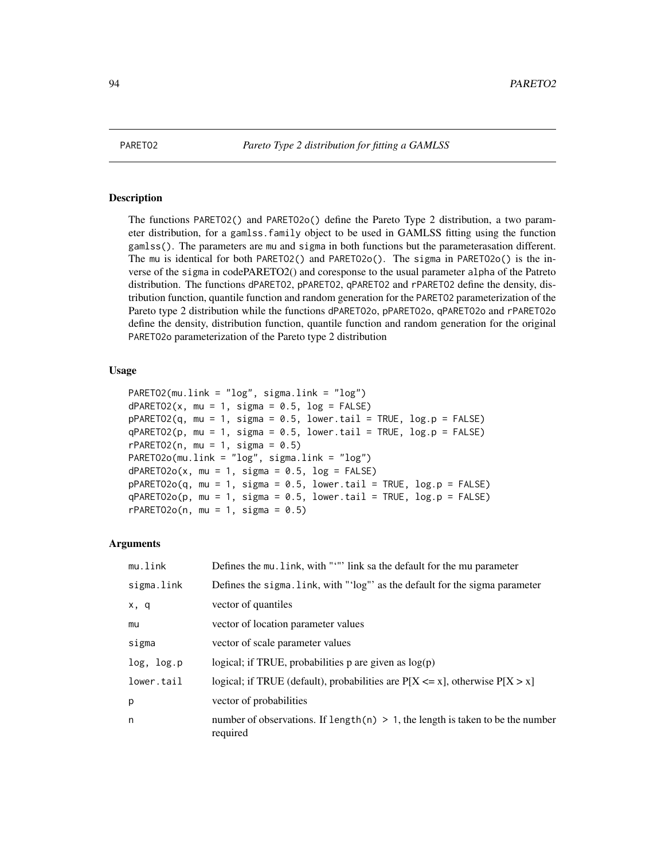The functions PARETO2() and PARETO2o() define the Pareto Type 2 distribution, a two parameter distribution, for a gamlss.family object to be used in GAMLSS fitting using the function gamlss(). The parameters are mu and sigma in both functions but the parameterasation different. The mu is identical for both PARETO2() and PARETO2o(). The sigma in PARETO2o() is the inverse of the sigma in codePARETO2() and coresponse to the usual parameter alpha of the Patreto distribution. The functions dPARETO2, pPARETO2, qPARETO2 and rPARETO2 define the density, distribution function, quantile function and random generation for the PARETO2 parameterization of the Pareto type 2 distribution while the functions dPARETO2o, pPARETO2o, qPARETO2o and rPARETO2o define the density, distribution function, quantile function and random generation for the original PARETO2o parameterization of the Pareto type 2 distribution

# Usage

```
PARETO2(mu.link = "log", sigma.link = "log")
dPARETO2(x, mu = 1, sigma = 0.5, log = FALSE)pPARETO2(q, mu = 1, sigma = 0.5, lower[a] = TRUE, log.p = FALSE)qPARETO2(p, mu = 1, sigma = 0.5, lower[angleraor] <math>p = FALSErPARETO2(n, mu = 1, sigma = 0.5)PARETO2o(mu.link = "log", sigma.link = "log")
dPARETO2o(x, mu = 1, sigma = 0.5, log = FALSE)pPARETO2o(q, mu = 1, sigma = 0.5, lower[allerage ] <math>pPARETO2o(q, mu = 1, sigma = 0.5, lower[blace ] <math>p = FalseqPARETO2o(p, mu = 1, sigma = 0.5, lower[allerage ] <math>nPARETO2o(p, mu = 1, sigma = 0.5, lower[allerage ] <math>nPRETO2o(p, mu = 1, sigma = 0.5, lowerrPARETO2o(n, mu = 1, sigma = 0.5)
```
### Arguments

| mu.link    | Defines the mu. link, with """ link sa the default for the mu parameter                       |
|------------|-----------------------------------------------------------------------------------------------|
| sigma.link | Defines the sigma. link, with "'log"' as the default for the sigma parameter                  |
| x, q       | vector of quantiles                                                                           |
| mu         | vector of location parameter values                                                           |
| sigma      | vector of scale parameter values                                                              |
| log, log.p | logical; if TRUE, probabilities $p$ are given as $log(p)$                                     |
| lower.tail | logical; if TRUE (default), probabilities are $P[X \le x]$ , otherwise $P[X > x]$             |
| p          | vector of probabilities                                                                       |
| n          | number of observations. If length(n) $> 1$ , the length is taken to be the number<br>required |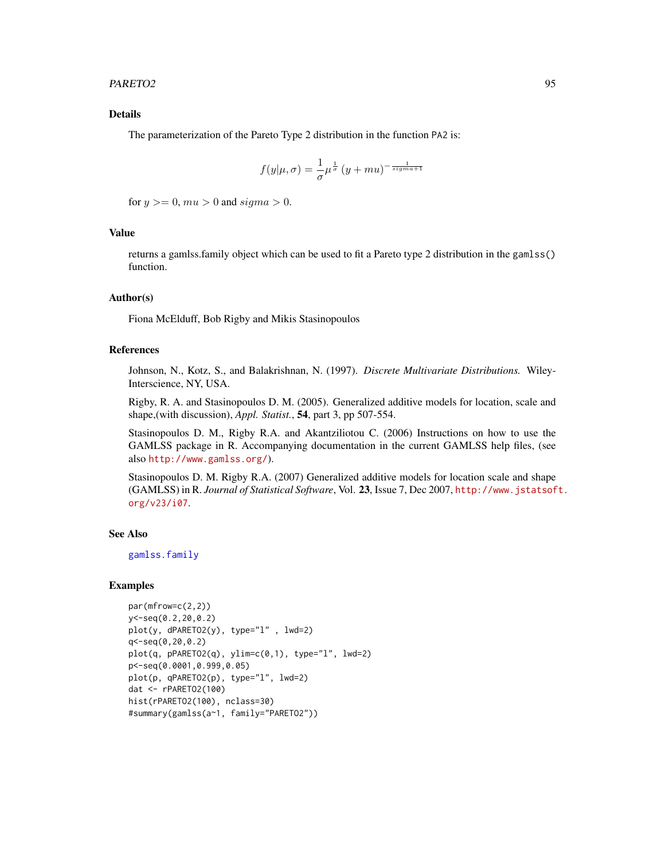## PARETO2 95

# Details

The parameterization of the Pareto Type 2 distribution in the function PA2 is:

$$
f(y|\mu,\sigma) = \frac{1}{\sigma} \mu^{\frac{1}{\sigma}} (y+mu)^{-\frac{1}{signa+1}}
$$

for  $y \ge 0$ ,  $mu > 0$  and  $sigma > 0$ .

# Value

returns a gamlss.family object which can be used to fit a Pareto type 2 distribution in the gamlss() function.

#### Author(s)

Fiona McElduff, Bob Rigby and Mikis Stasinopoulos

# References

Johnson, N., Kotz, S., and Balakrishnan, N. (1997). *Discrete Multivariate Distributions.* Wiley-Interscience, NY, USA.

Rigby, R. A. and Stasinopoulos D. M. (2005). Generalized additive models for location, scale and shape,(with discussion), *Appl. Statist.*, 54, part 3, pp 507-554.

Stasinopoulos D. M., Rigby R.A. and Akantziliotou C. (2006) Instructions on how to use the GAMLSS package in R. Accompanying documentation in the current GAMLSS help files, (see also <http://www.gamlss.org/>).

Stasinopoulos D. M. Rigby R.A. (2007) Generalized additive models for location scale and shape (GAMLSS) in R. *Journal of Statistical Software*, Vol. 23, Issue 7, Dec 2007, [http://www.jstatsof](http://www.jstatsoft.org/v23/i07)t. [org/v23/i07](http://www.jstatsoft.org/v23/i07).

# See Also

[gamlss.family](#page-38-0)

```
par(mfrow=c(2,2))
y<-seq(0.2,20,0.2)
plot(y, dPARETO2(y), type="l" , lwd=2)
q<-seq(0,20,0.2)
plot(q, pPARETO2(q), ylim=c(0,1), type="l", lwd=2)
p<-seq(0.0001,0.999,0.05)
plot(p, qPARETO2(p), type="l", lwd=2)
dat <- rPARETO2(100)
hist(rPARETO2(100), nclass=30)
#summary(gamlss(a~1, family="PARETO2"))
```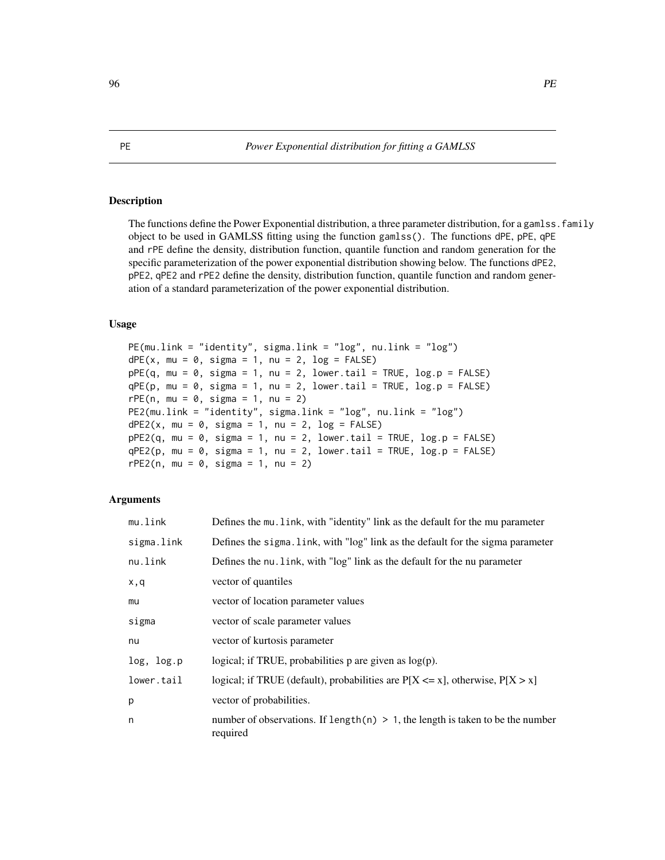The functions define the Power Exponential distribution, a three parameter distribution, for a gamlss. family object to be used in GAMLSS fitting using the function gamlss(). The functions dPE, pPE, qPE and rPE define the density, distribution function, quantile function and random generation for the specific parameterization of the power exponential distribution showing below. The functions dPE2, pPE2, qPE2 and rPE2 define the density, distribution function, quantile function and random generation of a standard parameterization of the power exponential distribution.

# Usage

```
PE(mu.link = "identity", sigma.link = "log", nu.link = "log")
dPE(x, mu = 0, sigma = 1, nu = 2, log = FALSE)pPE(q, mu = 0, sigma = 1, nu = 2, lower[20] <math>i = TRUE, log.p = FALSE)
qPE(p, mu = 0, sigma = 1, nu = 2, lower[avabraof] = TRUE, <math>log.p = FALSE)
rPE(n, mu = 0, sigma = 1, nu = 2)PE2(mu.link = "identity", sigma.link = "log", nu.link = "log")
dPE2(x, mu = 0, sigma = 1, nu = 2, log = FALSE)pPE2(q, mu = 0, sigma = 1, nu = 2, lower[amaching] <math>p = FALEEqPE2(p, mu = 0, sigma = 1, nu = 2, lower[avated] = TRUE, <math>log.p = FALSE)
rPE2(n, mu = 0, sigma = 1, nu = 2)
```
## **Arguments**

| mu.link    | Defines the mu. link, with "identity" link as the default for the mu parameter                 |
|------------|------------------------------------------------------------------------------------------------|
| sigma.link | Defines the sigma. Link, with "log" link as the default for the sigma parameter                |
| nu.link    | Defines the nu. link, with "log" link as the default for the nu parameter                      |
| x,q        | vector of quantiles                                                                            |
| mu         | vector of location parameter values                                                            |
| sigma      | vector of scale parameter values                                                               |
| nu         | vector of kurtosis parameter                                                                   |
| log, log.p | logical; if TRUE, probabilities $p$ are given as $log(p)$ .                                    |
| lower.tail | logical; if TRUE (default), probabilities are $P[X \le x]$ , otherwise, $P[X > x]$             |
| p          | vector of probabilities.                                                                       |
| n          | number of observations. If length $(n) > 1$ , the length is taken to be the number<br>required |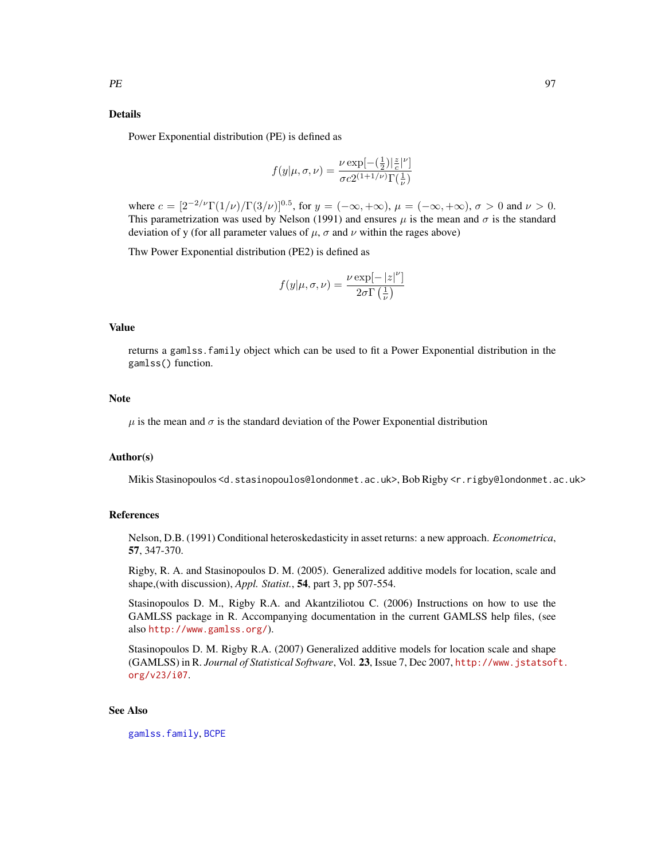# Details

Power Exponential distribution (PE) is defined as

$$
f(y|\mu,\sigma,\nu) = \frac{\nu \exp[-(\frac{1}{2})|\frac{z}{c}|^{\nu}]}{\sigma c 2^{(1+1/\nu)} \Gamma(\frac{1}{\nu})}
$$

where  $c = [2^{-2/\nu} \Gamma(1/\nu) / \Gamma(3/\nu)]^{0.5}$ , for  $y = (-\infty, +\infty)$ ,  $\mu = (-\infty, +\infty)$ ,  $\sigma > 0$  and  $\nu > 0$ . This parametrization was used by Nelson (1991) and ensures  $\mu$  is the mean and  $\sigma$  is the standard deviation of y (for all parameter values of  $\mu$ ,  $\sigma$  and  $\nu$  within the rages above)

Thw Power Exponential distribution (PE2) is defined as

$$
f(y|\mu, \sigma, \nu) = \frac{\nu \exp[-|z|^{\nu}]}{2\sigma \Gamma(\frac{1}{\nu})}
$$

# Value

returns a gamlss.family object which can be used to fit a Power Exponential distribution in the gamlss() function.

#### Note

 $\mu$  is the mean and  $\sigma$  is the standard deviation of the Power Exponential distribution

## Author(s)

Mikis Stasinopoulos <d.stasinopoulos@londonmet.ac.uk>, Bob Rigby <r.rigby@londonmet.ac.uk>

#### References

Nelson, D.B. (1991) Conditional heteroskedasticity in asset returns: a new approach. *Econometrica*, 57, 347-370.

Rigby, R. A. and Stasinopoulos D. M. (2005). Generalized additive models for location, scale and shape,(with discussion), *Appl. Statist.*, 54, part 3, pp 507-554.

Stasinopoulos D. M., Rigby R.A. and Akantziliotou C. (2006) Instructions on how to use the GAMLSS package in R. Accompanying documentation in the current GAMLSS help files, (see also <http://www.gamlss.org/>).

Stasinopoulos D. M. Rigby R.A. (2007) Generalized additive models for location scale and shape (GAMLSS) in R. *Journal of Statistical Software*, Vol. 23, Issue 7, Dec 2007, [http://www.jstatsof](http://www.jstatsoft.org/v23/i07)t. [org/v23/i07](http://www.jstatsoft.org/v23/i07).

## See Also

[gamlss.family](#page-38-0), [BCPE](#page-8-0)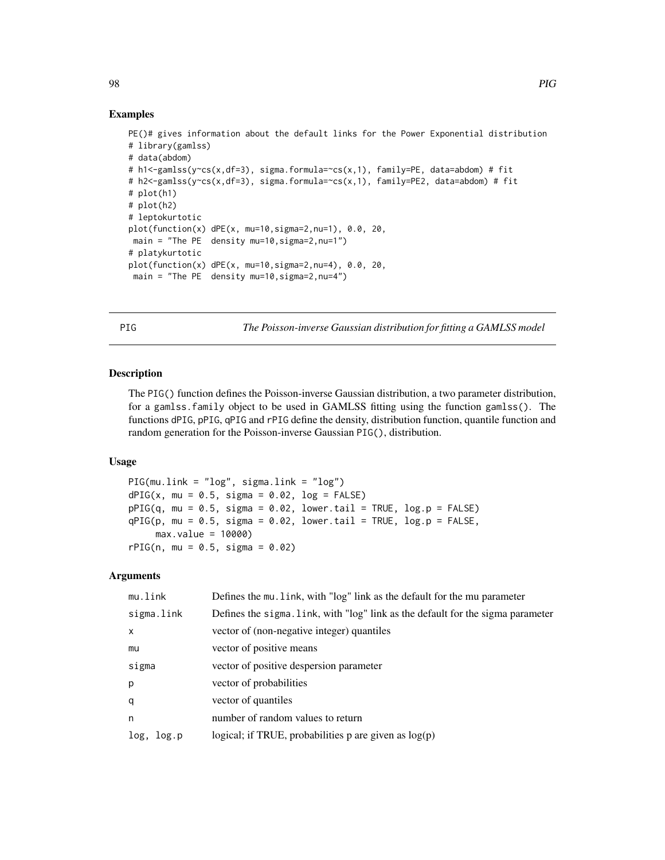## Examples

```
PE()# gives information about the default links for the Power Exponential distribution
# library(gamlss)
# data(abdom)
# h1<-gamlss(y~cs(x,df=3), sigma.formula=~cs(x,1), family=PE, data=abdom) # fit
# h2<-gamlss(y~cs(x,df=3), sigma.formula=~cs(x,1), family=PE2, data=abdom) # fit
# plot(h1)
# plot(h2)
# leptokurtotic
plot(function(x) dPE(x, mu=10,sigma=2,nu=1), 0.0, 20,
main = "The PE density mu=10, sigma=2, nu=1")
# platykurtotic
plot(function(x) dPE(x, mu=10,sigma=2,nu=4), 0.0, 20,
main = "The PE density mu=10, sigma=2, nu=4")
```
<span id="page-97-0"></span>PIG *The Poisson-inverse Gaussian distribution for fitting a GAMLSS model*

#### Description

The PIG() function defines the Poisson-inverse Gaussian distribution, a two parameter distribution, for a gamlss.family object to be used in GAMLSS fitting using the function gamlss(). The functions dPIG, pPIG, qPIG and rPIG define the density, distribution function, quantile function and random generation for the Poisson-inverse Gaussian PIG(), distribution.

## Usage

```
PIG(mu.link = "log", sigma.link = "log")
dPIG(x, mu = 0.5, sigma = 0.02, log = FALSE)pPIG(q, mu = 0.5, sigma = 0.02, lower.tail = TRUE, log.p = FALSE)qPIG(p, mu = 0.5, sigma = 0.02, lowerti = TRUE, <math>log.p = FALSE,
     max.value = 10000)
rPIG(n, mu = 0.5, sigma = 0.02)
```
# Arguments

| mu.link       | Defines the mu. link, with "log" link as the default for the mu parameter       |
|---------------|---------------------------------------------------------------------------------|
| sigma.link    | Defines the sigma. link, with "log" link as the default for the sigma parameter |
| $\times$      | vector of (non-negative integer) quantiles                                      |
| mu            | vector of positive means                                                        |
| sigma         | vector of positive despersion parameter                                         |
| p             | vector of probabilities                                                         |
| q             | vector of quantiles                                                             |
| n             | number of random values to return                                               |
| log,<br>Log.p | logical; if TRUE, probabilities $p$ are given as $log(p)$                       |

98 PIG and the contract of the contract of the contract of the contract of the contract of the contract of the contract of the contract of the contract of the contract of the contract of the contract of the contract of the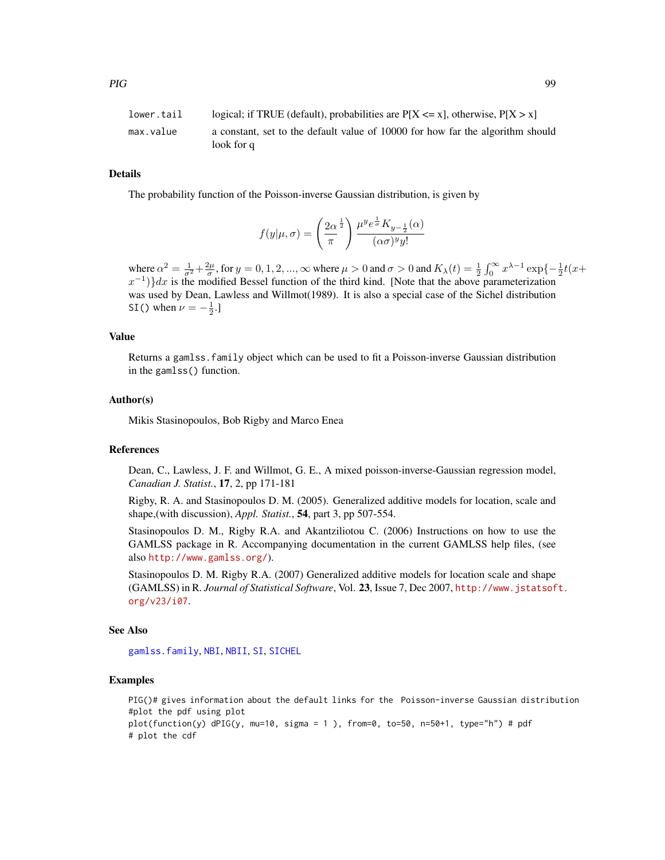| lower.tail | logical; if TRUE (default), probabilities are $P[X \le x]$ , otherwise, $P[X > x]$ |
|------------|------------------------------------------------------------------------------------|
| max.value  | a constant, set to the default value of 10000 for how far the algorithm should     |
|            | look for q                                                                         |

# Details

The probability function of the Poisson-inverse Gaussian distribution, is given by

$$
f(y|\mu,\sigma)=\left(\frac{2\alpha}{\pi}^{\frac{1}{2}}\right)\frac{\mu^ye^{\frac{1}{\sigma}}K_{y-\frac{1}{2}}(\alpha)}{(\alpha\sigma)^y y!}
$$

where  $\alpha^2 = \frac{1}{\sigma^2} + \frac{2\mu}{\sigma}$ , for  $y = 0, 1, 2, ..., \infty$  where  $\mu > 0$  and  $\sigma > 0$  and  $K_\lambda(t) = \frac{1}{2} \int_0^\infty x^{\lambda - 1} \exp\{-\frac{1}{2}t(x +$  $(x^{-1})$ }dx is the modified Bessel function of the third kind. [Note that the above parameterization was used by Dean, Lawless and Willmot(1989). It is also a special case of the Sichel distribution SI() when  $\nu = -\frac{1}{2}$ .

## Value

Returns a gamlss.family object which can be used to fit a Poisson-inverse Gaussian distribution in the gamlss() function.

# Author(s)

Mikis Stasinopoulos, Bob Rigby and Marco Enea

### References

Dean, C., Lawless, J. F. and Willmot, G. E., A mixed poisson-inverse-Gaussian regression model, *Canadian J. Statist.*, 17, 2, pp 171-181

Rigby, R. A. and Stasinopoulos D. M. (2005). Generalized additive models for location, scale and shape,(with discussion), *Appl. Statist.*, 54, part 3, pp 507-554.

Stasinopoulos D. M., Rigby R.A. and Akantziliotou C. (2006) Instructions on how to use the GAMLSS package in R. Accompanying documentation in the current GAMLSS help files, (see also <http://www.gamlss.org/>).

Stasinopoulos D. M. Rigby R.A. (2007) Generalized additive models for location scale and shape (GAMLSS) in R. *Journal of Statistical Software*, Vol. 23, Issue 7, Dec 2007, [http://www.jstatsof](http://www.jstatsoft.org/v23/i07)t. [org/v23/i07](http://www.jstatsoft.org/v23/i07).

#### See Also

[gamlss.family](#page-38-0), [NBI](#page-81-0), [NBII](#page-83-0), [SI](#page-112-0), [SICHEL](#page-114-0)

```
PIG()# gives information about the default links for the Poisson-inverse Gaussian distribution
#plot the pdf using plot
plot(function(y) dPIG(y, mu=10, sigma = 1), from=0, to=50, n=50+1, type="n") # pdf# plot the cdf
```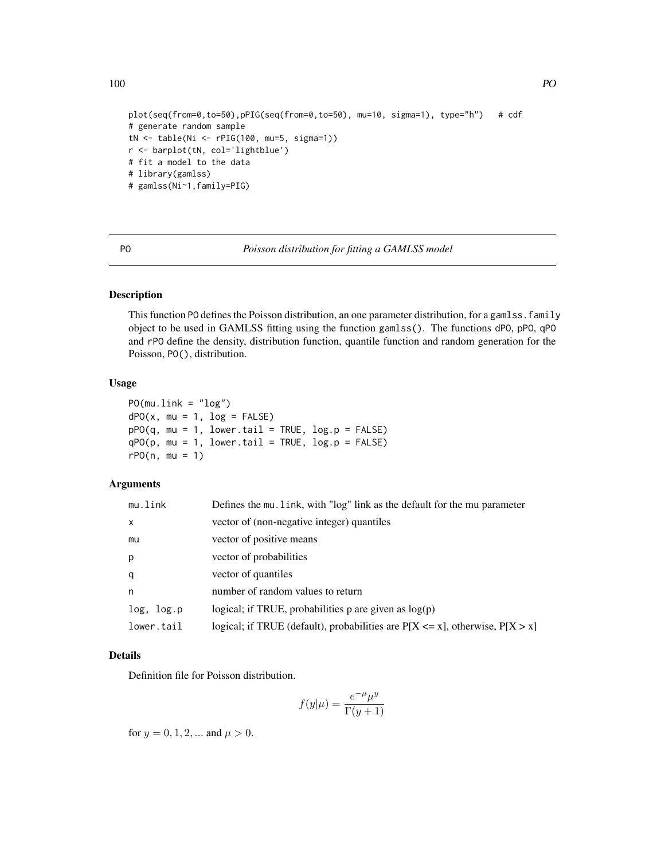```
plot(seq(from=0,to=50),pPIG(seq(from=0,to=50), mu=10, sigma=1), type="h") # cdf
# generate random sample
tN <- table(Ni <- rPIG(100, mu=5, sigma=1))
r <- barplot(tN, col='lightblue')
# fit a model to the data
# library(gamlss)
# gamlss(Ni~1,family=PIG)
```
PO *Poisson distribution for fitting a GAMLSS model*

# Description

This function PO defines the Poisson distribution, an one parameter distribution, for a gamlss. family object to be used in GAMLSS fitting using the function gamlss(). The functions dPO, pPO, qPO and rPO define the density, distribution function, quantile function and random generation for the Poisson, PO(), distribution.

### Usage

```
PO(mu.link = "log")
dPO(x, mu = 1, log = FALSE)pPO(q, mu = 1, lower.tail = TRUE, log.p = FALSE)qPO(p, mu = 1, lower.tail = TRUE, log.p = FALSE)rPO(n, mu = 1)
```
# Arguments

| mu.link    | Defines the mu. link, with "log" link as the default for the mu parameter          |
|------------|------------------------------------------------------------------------------------|
| X          | vector of (non-negative integer) quantiles                                         |
| mu         | vector of positive means                                                           |
| p          | vector of probabilities                                                            |
| q          | vector of quantiles                                                                |
| n          | number of random values to return                                                  |
| log, log.p | logical; if TRUE, probabilities p are given as $log(p)$                            |
| lower.tail | logical; if TRUE (default), probabilities are $P[X \le x]$ , otherwise, $P[X > x]$ |

#### Details

Definition file for Poisson distribution.

$$
f(y|\mu) = \frac{e^{-\mu}\mu^y}{\Gamma(y+1)}
$$

for  $y = 0, 1, 2, ...$  and  $\mu > 0$ .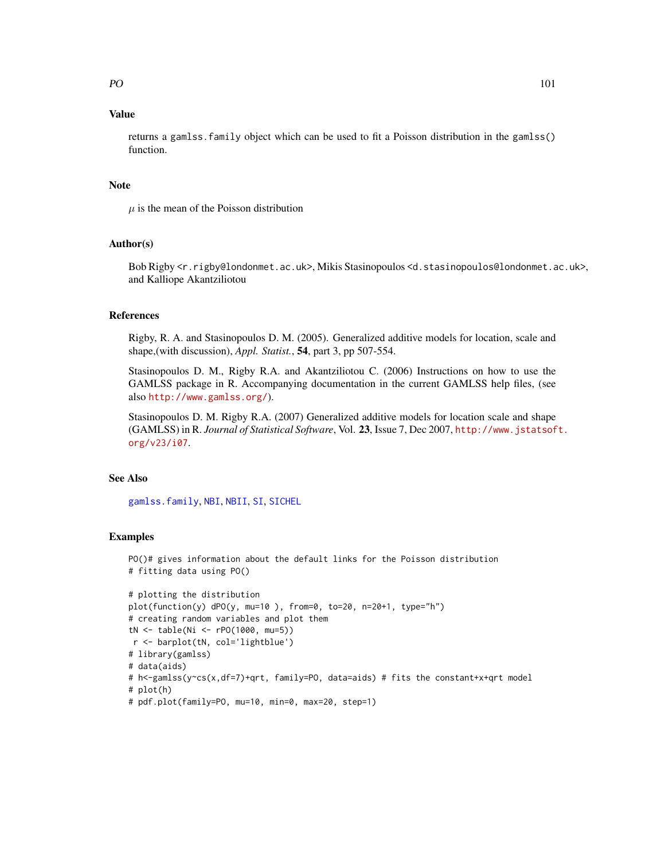# Value

returns a gamlss.family object which can be used to fit a Poisson distribution in the gamlss() function.

## Note

 $\mu$  is the mean of the Poisson distribution

# Author(s)

Bob Rigby <r.rigby@londonmet.ac.uk>, Mikis Stasinopoulos <d.stasinopoulos@londonmet.ac.uk>, and Kalliope Akantziliotou

# References

Rigby, R. A. and Stasinopoulos D. M. (2005). Generalized additive models for location, scale and shape,(with discussion), *Appl. Statist.*, 54, part 3, pp 507-554.

Stasinopoulos D. M., Rigby R.A. and Akantziliotou C. (2006) Instructions on how to use the GAMLSS package in R. Accompanying documentation in the current GAMLSS help files, (see also <http://www.gamlss.org/>).

Stasinopoulos D. M. Rigby R.A. (2007) Generalized additive models for location scale and shape (GAMLSS) in R. *Journal of Statistical Software*, Vol. 23, Issue 7, Dec 2007, [http://www.jstatsof](http://www.jstatsoft.org/v23/i07)t. [org/v23/i07](http://www.jstatsoft.org/v23/i07).

# See Also

[gamlss.family](#page-38-0), [NBI](#page-81-0), [NBII](#page-83-0), [SI](#page-112-0), [SICHEL](#page-114-0)

```
PO()# gives information about the default links for the Poisson distribution
# fitting data using PO()
```

```
# plotting the distribution
plot(function(y) dPO(y, mu=10 ), from=0, to=20, n=20+1, type="h")
# creating random variables and plot them
tN <- table(Ni <- rPO(1000, mu=5))
r <- barplot(tN, col='lightblue')
# library(gamlss)
# data(aids)
# h<-gamlss(y~cs(x,df=7)+qrt, family=PO, data=aids) # fits the constant+x+qrt model
# plot(h)
# pdf.plot(family=PO, mu=10, min=0, max=20, step=1)
```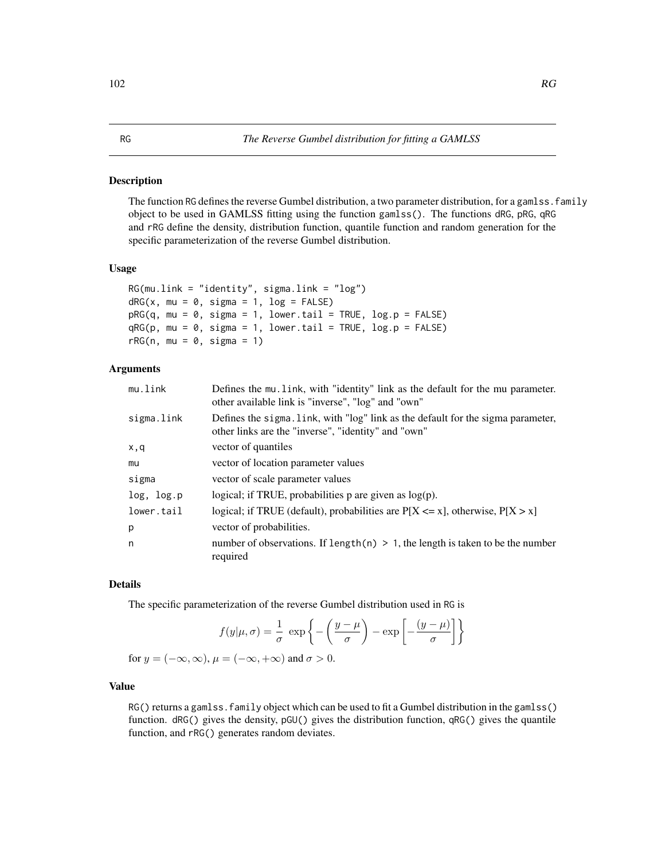The function RG defines the reverse Gumbel distribution, a two parameter distribution, for a gamlss. family object to be used in GAMLSS fitting using the function gamlss(). The functions dRG, pRG, qRG and rRG define the density, distribution function, quantile function and random generation for the specific parameterization of the reverse Gumbel distribution.

### Usage

```
RG(mu.link = "identity", sigma.link = "log")
dRG(x, mu = 0, sigma = 1, log = FALSE)pRG(q, mu = 0, sigma = 1, lower.tail = TRUE, log.p = FALSE)qRG(p, mu = 0, sigma = 1, lower.tail = TRUE, log.p = FALSE)rRG(n, mu = 0, sigma = 1)
```
# Arguments

| mu.link    | Defines the mu. link, with "identity" link as the default for the mu parameter.<br>other available link is "inverse", "log" and "own"   |
|------------|-----------------------------------------------------------------------------------------------------------------------------------------|
| sigma.link | Defines the sigma. Link, with "log" link as the default for the sigma parameter,<br>other links are the "inverse", "identity" and "own" |
| x,q        | vector of quantiles                                                                                                                     |
| mu         | vector of location parameter values                                                                                                     |
| sigma      | vector of scale parameter values                                                                                                        |
| log, log.p | logical; if TRUE, probabilities $p$ are given as $log(p)$ .                                                                             |
| lower.tail | logical; if TRUE (default), probabilities are $P[X \le x]$ , otherwise, $P[X > x]$                                                      |
| p          | vector of probabilities.                                                                                                                |
| n          | number of observations. If length(n) $> 1$ , the length is taken to be the number<br>required                                           |

# Details

The specific parameterization of the reverse Gumbel distribution used in RG is

$$
f(y|\mu,\sigma) = \frac{1}{\sigma} \exp\left\{-\left(\frac{y-\mu}{\sigma}\right) - \exp\left[-\frac{(y-\mu)}{\sigma}\right]\right\}
$$
  
for  $y = (-\infty, \infty)$ ,  $\mu = (-\infty, +\infty)$  and  $\sigma > 0$ .

# Value

RG() returns a gamlss. family object which can be used to fit a Gumbel distribution in the gamlss() function. dRG() gives the density, pGU() gives the distribution function, qRG() gives the quantile function, and rRG() generates random deviates.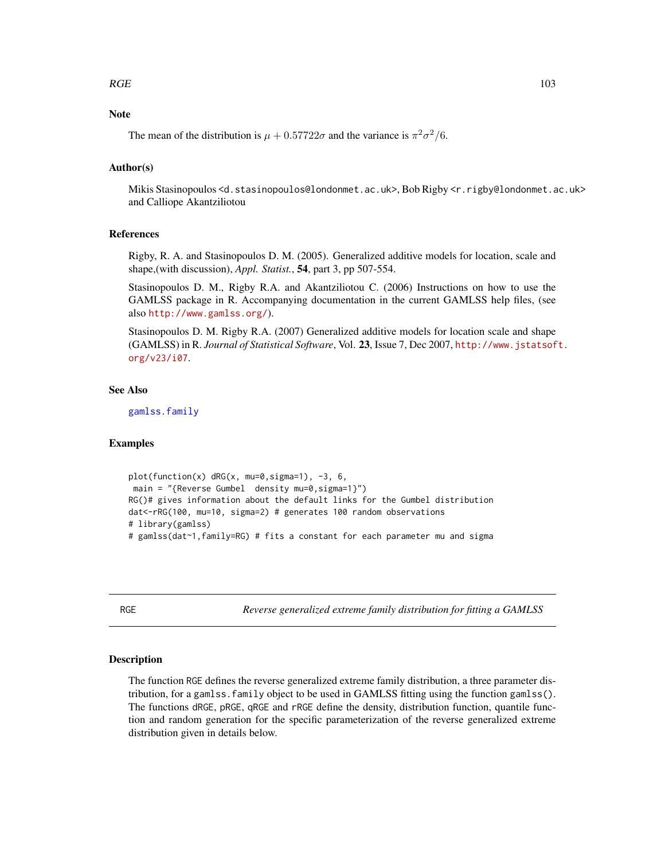# Note

The mean of the distribution is  $\mu + 0.57722\sigma$  and the variance is  $\pi^2 \sigma^2/6$ .

# Author(s)

Mikis Stasinopoulos <d.stasinopoulos@londonmet.ac.uk>, Bob Rigby <r.rigby@londonmet.ac.uk> and Calliope Akantziliotou

## References

Rigby, R. A. and Stasinopoulos D. M. (2005). Generalized additive models for location, scale and shape,(with discussion), *Appl. Statist.*, 54, part 3, pp 507-554.

Stasinopoulos D. M., Rigby R.A. and Akantziliotou C. (2006) Instructions on how to use the GAMLSS package in R. Accompanying documentation in the current GAMLSS help files, (see also <http://www.gamlss.org/>).

Stasinopoulos D. M. Rigby R.A. (2007) Generalized additive models for location scale and shape (GAMLSS) in R. *Journal of Statistical Software*, Vol. 23, Issue 7, Dec 2007, [http://www.jstatsof](http://www.jstatsoft.org/v23/i07)t. [org/v23/i07](http://www.jstatsoft.org/v23/i07).

# See Also

[gamlss.family](#page-38-0)

## Examples

```
plot(function(x) dRG(x, mu=0,sigma=1), -3, 6,
main = "{Reverse Gumbel density mu=0, sigma=1}")
RG()# gives information about the default links for the Gumbel distribution
dat<-rRG(100, mu=10, sigma=2) # generates 100 random observations
# library(gamlss)
# gamlss(dat~1,family=RG) # fits a constant for each parameter mu and sigma
```
RGE *Reverse generalized extreme family distribution for fitting a GAMLSS*

#### **Description**

The function RGE defines the reverse generalized extreme family distribution, a three parameter distribution, for a gamlss.family object to be used in GAMLSS fitting using the function gamlss(). The functions dRGE, pRGE, qRGE and rRGE define the density, distribution function, quantile function and random generation for the specific parameterization of the reverse generalized extreme distribution given in details below.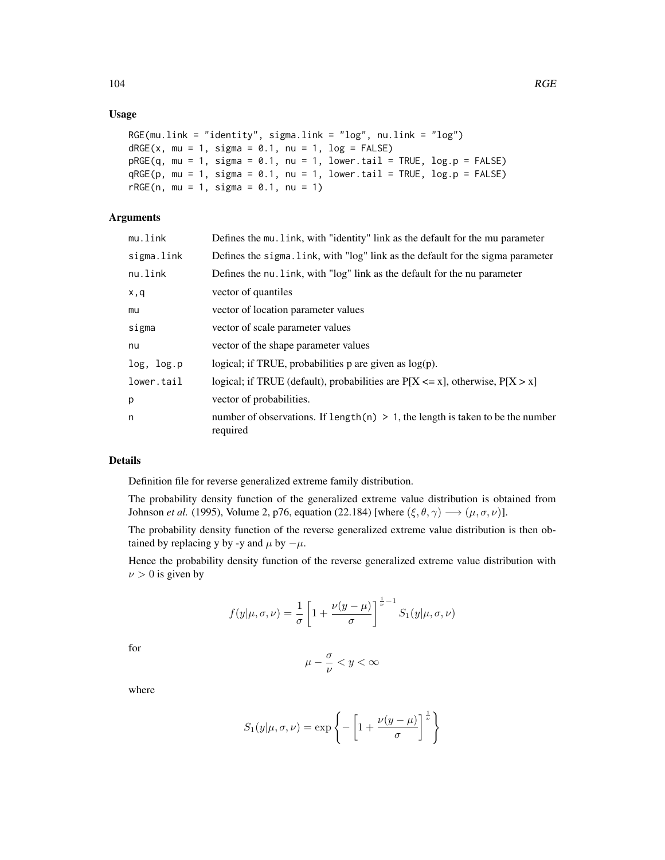## Usage

```
RGE(mu.link = "identity", sigma.link = "log", nu.link = "log")
dRGE(x, mu = 1, sigma = 0.1, nu = 1, log = FALSE)pRGE(q, mu = 1, sigma = 0.1, nu = 1, lowertail = TRUE, log.p = FALSE)qRGE(p, mu = 1, sigma = 0.1, nu = 1, lower[allerging the state] <math>qRGE(p, mu = 1, sigma = 0.1, nu = 1, lower. tail = TRUE, log.p = FALSE)rRGE(n, mu = 1, sigma = 0.1, nu = 1)
```
# Arguments

| mu.link    | Defines the mu. Link, with "identity" link as the default for the mu parameter                |
|------------|-----------------------------------------------------------------------------------------------|
| sigma.link | Defines the sigma. Link, with "log" link as the default for the sigma parameter               |
| nu.link    | Defines the nu. link, with "log" link as the default for the nu parameter                     |
| x,q        | vector of quantiles                                                                           |
| mu         | vector of location parameter values                                                           |
| sigma      | vector of scale parameter values                                                              |
| nu         | vector of the shape parameter values                                                          |
| log, log.p | logical; if TRUE, probabilities $p$ are given as $log(p)$ .                                   |
| lower.tail | logical; if TRUE (default), probabilities are $P[X \le x]$ , otherwise, $P[X > x]$            |
| p          | vector of probabilities.                                                                      |
| n          | number of observations. If length(n) $> 1$ , the length is taken to be the number<br>required |

# Details

Definition file for reverse generalized extreme family distribution.

The probability density function of the generalized extreme value distribution is obtained from Johnson *et al.* (1995), Volume 2, p76, equation (22.184) [where  $(\xi, \theta, \gamma) \longrightarrow (\mu, \sigma, \nu)$ ].

The probability density function of the reverse generalized extreme value distribution is then obtained by replacing y by -y and  $\mu$  by  $-\mu$ .

Hence the probability density function of the reverse generalized extreme value distribution with  $\nu > 0$  is given by

$$
f(y|\mu,\sigma,\nu) = \frac{1}{\sigma} \left[ 1 + \frac{\nu(y-\mu)}{\sigma} \right]^{\frac{1}{\nu}-1} S_1(y|\mu,\sigma,\nu)
$$

for

$$
\mu-\frac{\sigma}{\nu}
$$

where

$$
S_1(y|\mu,\sigma,\nu) = \exp\left\{-\left[1 + \frac{\nu(y-\mu)}{\sigma}\right]^{\frac{1}{\nu}}\right\}
$$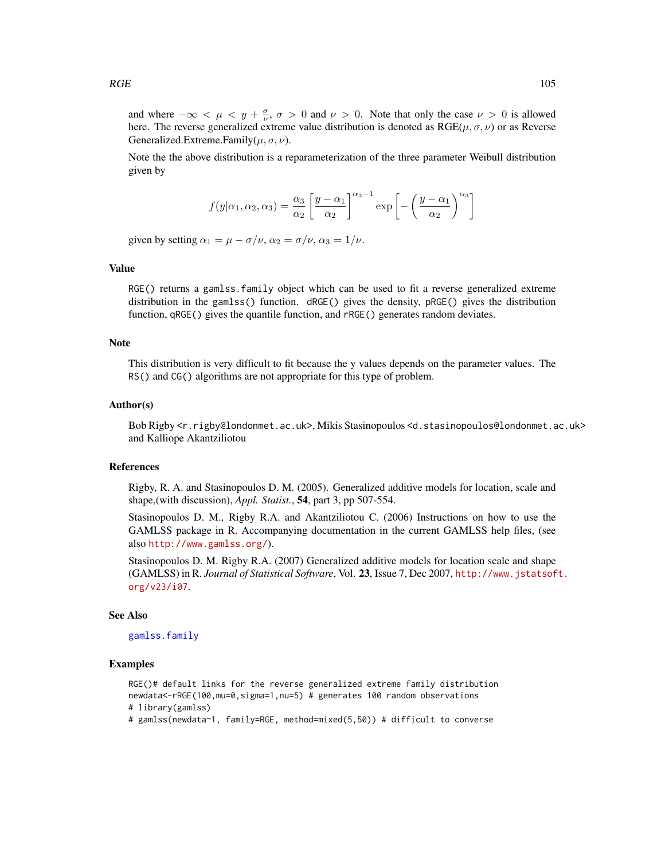and where  $-\infty < \mu < y + \frac{\sigma}{\nu}$ ,  $\sigma > 0$  and  $\nu > 0$ . Note that only the case  $\nu > 0$  is allowed here. The reverse generalized extreme value distribution is denoted as  $RGE(\mu, \sigma, \nu)$  or as Reverse Generalized.Extreme.Family( $\mu$ ,  $\sigma$ ,  $\nu$ ).

Note the the above distribution is a reparameterization of the three parameter Weibull distribution given by

$$
f(y|\alpha_1, \alpha_2, \alpha_3) = \frac{\alpha_3}{\alpha_2} \left[ \frac{y - \alpha_1}{\alpha_2} \right]^{\alpha_3 - 1} \exp \left[ - \left( \frac{y - \alpha_1}{\alpha_2} \right)^{\alpha_3} \right]
$$

given by setting  $\alpha_1 = \mu - \sigma/\nu$ ,  $\alpha_2 = \sigma/\nu$ ,  $\alpha_3 = 1/\nu$ .

# Value

RGE() returns a gamlss. family object which can be used to fit a reverse generalized extreme distribution in the gamlss() function. dRGE() gives the density, pRGE() gives the distribution function, qRGE() gives the quantile function, and rRGE() generates random deviates.

## **Note**

This distribution is very difficult to fit because the y values depends on the parameter values. The RS() and CG() algorithms are not appropriate for this type of problem.

## Author(s)

Bob Rigby <r.rigby@londonmet.ac.uk>, Mikis Stasinopoulos <d.stasinopoulos@londonmet.ac.uk> and Kalliope Akantziliotou

## References

Rigby, R. A. and Stasinopoulos D. M. (2005). Generalized additive models for location, scale and shape,(with discussion), *Appl. Statist.*, 54, part 3, pp 507-554.

Stasinopoulos D. M., Rigby R.A. and Akantziliotou C. (2006) Instructions on how to use the GAMLSS package in R. Accompanying documentation in the current GAMLSS help files, (see also <http://www.gamlss.org/>).

Stasinopoulos D. M. Rigby R.A. (2007) Generalized additive models for location scale and shape (GAMLSS) in R. *Journal of Statistical Software*, Vol. 23, Issue 7, Dec 2007, [http://www.jstatsof](http://www.jstatsoft.org/v23/i07)t. [org/v23/i07](http://www.jstatsoft.org/v23/i07).

# See Also

[gamlss.family](#page-38-0)

```
RGE()# default links for the reverse generalized extreme family distribution
newdata<-rRGE(100,mu=0,sigma=1,nu=5) # generates 100 random observations
# library(gamlss)
# gamlss(newdata~1, family=RGE, method=mixed(5,50)) # difficult to converse
```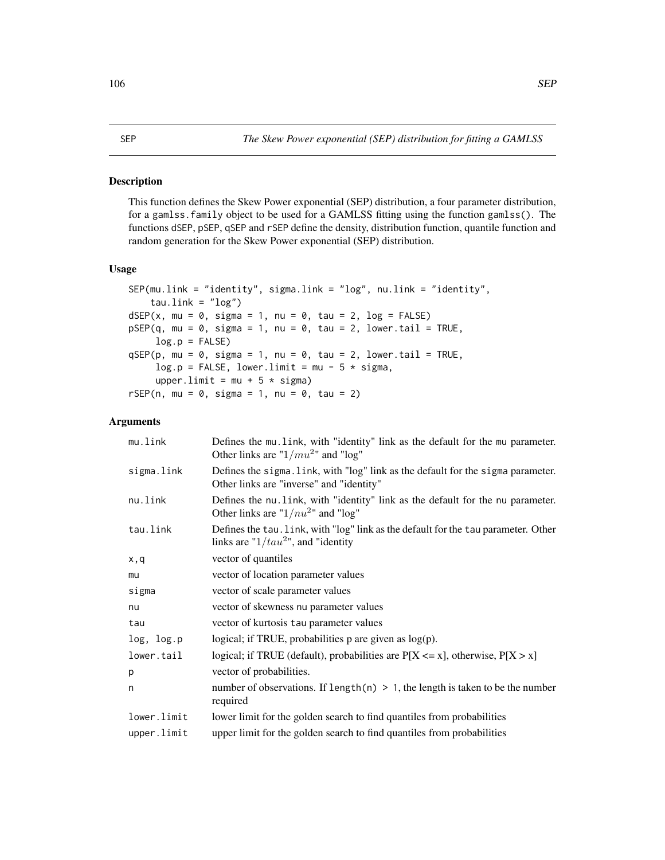This function defines the Skew Power exponential (SEP) distribution, a four parameter distribution, for a gamlss.family object to be used for a GAMLSS fitting using the function gamlss(). The functions dSEP, pSEP, qSEP and rSEP define the density, distribution function, quantile function and random generation for the Skew Power exponential (SEP) distribution.

## Usage

```
SEP(mu.link = "identity", sigma.link = "log", nu.link = "identity",
    tau.link = "log")dSEP(x, mu = 0, sigma = 1, nu = 0, tau = 2, log = FALSE)pSEP(q, mu = 0, sigma = 1, nu = 0, tau = 2, lowertail = TRUE,log.p = FALSEqSEP(p, mu = 0, sigma = 1, nu = 0, tau = 2, lowertail = TRUE,log.p = FALSE, lower-limit = mu - 5 * sigma,upper.limit = mu + 5 \star sigma)
rSEP(n, mu = 0, sigma = 1, nu = 0, tau = 2)
```
# Arguments

| mu.link     | Defines the mu. link, with "identity" link as the default for the mu parameter.<br>Other links are " $1/mu^2$ " and "log"     |
|-------------|-------------------------------------------------------------------------------------------------------------------------------|
| sigma.link  | Defines the sigma. link, with "log" link as the default for the sigma parameter.<br>Other links are "inverse" and "identity"  |
| nu.link     | Defines the nu. link, with "identity" link as the default for the nu parameter.<br>Other links are " $1/nu2$ " and "log"      |
| tau.link    | Defines the tau. link, with "log" link as the default for the tau parameter. Other<br>links are " $1/tau^2$ ", and "identity" |
| x,q         | vector of quantiles                                                                                                           |
| mu          | vector of location parameter values                                                                                           |
| sigma       | vector of scale parameter values                                                                                              |
| nu          | vector of skewness nu parameter values                                                                                        |
| tau         | vector of kurtosis tau parameter values                                                                                       |
| log, log.p  | logical; if TRUE, probabilities $p$ are given as $log(p)$ .                                                                   |
| lower.tail  | logical; if TRUE (default), probabilities are $P[X \le x]$ , otherwise, $P[X > x]$                                            |
| p           | vector of probabilities.                                                                                                      |
| n           | number of observations. If length(n) $> 1$ , the length is taken to be the number<br>required                                 |
| lower.limit | lower limit for the golden search to find quantiles from probabilities                                                        |
| upper.limit | upper limit for the golden search to find quantiles from probabilities                                                        |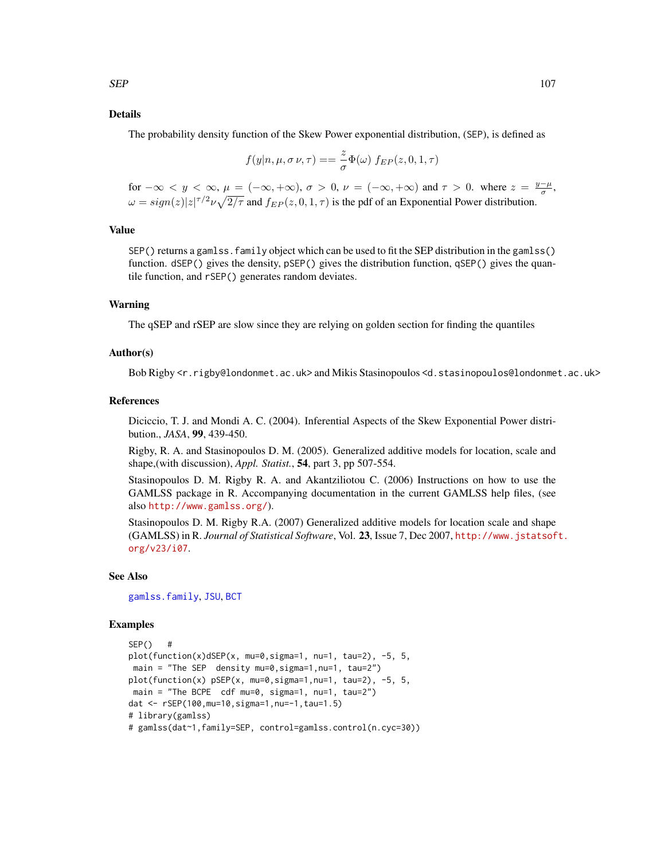# Details

The probability density function of the Skew Power exponential distribution, (SEP), is defined as

$$
f(y|n, \mu, \sigma \nu, \tau) = \frac{z}{\sigma} \Phi(\omega) f_{EP}(z, 0, 1, \tau)
$$

for  $-\infty < y < \infty$ ,  $\mu = (-\infty, +\infty)$ ,  $\sigma > 0$ ,  $\nu = (-\infty, +\infty)$  and  $\tau > 0$ . where  $z = \frac{y-\mu}{\sigma}$ ,  $\omega = sign(z)|z|^{\tau/2} \nu \sqrt{2/\tau}$  and  $f_{EP}(z,0,1,\tau)$  is the pdf of an Exponential Power distribution.

## Value

SEP() returns a gamlss.family object which can be used to fit the SEP distribution in the gamlss() function. dSEP() gives the density, pSEP() gives the distribution function, qSEP() gives the quantile function, and rSEP() generates random deviates.

# Warning

The qSEP and rSEP are slow since they are relying on golden section for finding the quantiles

## Author(s)

Bob Rigby <r.rigby@londonmet.ac.uk> and Mikis Stasinopoulos <d.stasinopoulos@londonmet.ac.uk>

## References

Diciccio, T. J. and Mondi A. C. (2004). Inferential Aspects of the Skew Exponential Power distribution., *JASA*, 99, 439-450.

Rigby, R. A. and Stasinopoulos D. M. (2005). Generalized additive models for location, scale and shape,(with discussion), *Appl. Statist.*, 54, part 3, pp 507-554.

Stasinopoulos D. M. Rigby R. A. and Akantziliotou C. (2006) Instructions on how to use the GAMLSS package in R. Accompanying documentation in the current GAMLSS help files, (see also <http://www.gamlss.org/>).

Stasinopoulos D. M. Rigby R.A. (2007) Generalized additive models for location scale and shape (GAMLSS) in R. *Journal of Statistical Software*, Vol. 23, Issue 7, Dec 2007, [http://www.jstatsof](http://www.jstatsoft.org/v23/i07)t. [org/v23/i07](http://www.jstatsoft.org/v23/i07).

## See Also

[gamlss.family](#page-38-0), [JSU](#page-63-0), [BCT](#page-11-0)

```
SEP() #
plot(function(x)dSEP(x, mu=0,sigma=1, nu=1, tau=2), -5, 5,
main = "The SEP density mu=0,sigma=1,nu=1, tau=2")
plot(function(x) pSEP(x, mu=0,sigma=1,nu=1, tau=2), -5, 5,
main = "The BCPE cdf mu=0, sigma=1, nu=1, tau=2")
dat <- rSEP(100,mu=10,sigma=1,nu=-1,tau=1.5)
# library(gamlss)
# gamlss(dat~1,family=SEP, control=gamlss.control(n.cyc=30))
```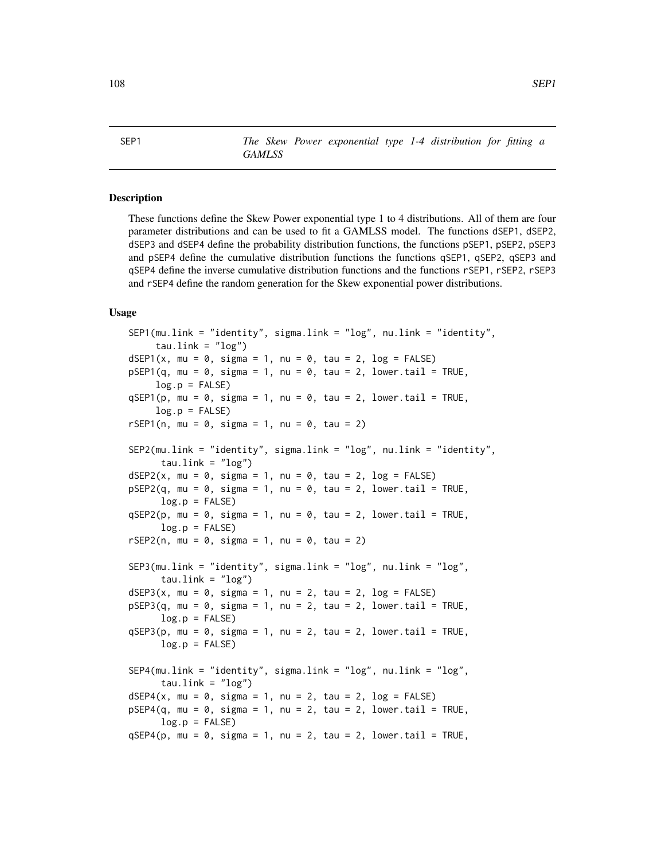SEP1 *The Skew Power exponential type 1-4 distribution for fitting a GAMLSS*

# Description

These functions define the Skew Power exponential type 1 to 4 distributions. All of them are four parameter distributions and can be used to fit a GAMLSS model. The functions dSEP1, dSEP2, dSEP3 and dSEP4 define the probability distribution functions, the functions pSEP1, pSEP2, pSEP3 and pSEP4 define the cumulative distribution functions the functions qSEP1, qSEP2, qSEP3 and qSEP4 define the inverse cumulative distribution functions and the functions rSEP1, rSEP2, rSEP3 and rSEP4 define the random generation for the Skew exponential power distributions.

## Usage

```
SEP1(mu.link = "identity", sigma.link = "log", nu.link = "identity",
    tau.link = "log")
dSEP1(x, mu = 0, sigma = 1, nu = 0, tau = 2, log = FALSE)
pSEP1(q, mu = 0, sigma = 1, nu = 0, tau = 2, lowertail = TRUE,log.p = FALSEqSEP1(p, mu = 0, sigma = 1, nu = 0, tau = 2, lowertail = TRUE,log.p = FALSErSEP1(n, mu = 0, sigma = 1, nu = 0, tau = 2)SEP2(mu.link = "identity", sigma.link = "log", nu.link = "identity",
     tau.link = "log")
dSEP2(x, mu = 0, sigma = 1, nu = 0, tau = 2, log = FALSE)pSEP2(q, mu = 0, sigma = 1, nu = 0, tau = 2, lowertail = TRUE,log.p = FALSEqSEP2(p, mu = 0, sigma = 1, nu = 0, tau = 2, lowertail = TRUE,log.p = FALSErSEP2(n, mu = 0, sigma = 1, nu = 0, tau = 2)SEP3(mu.link = "identity", sigma.link = "log", nu.link = "log",
     tau.link = "log")dSEP3(x, mu = 0, sigma = 1, nu = 2, tau = 2, log = FALSE)pSEP3(q, mu = 0, sigma = 1, nu = 2, tau = 2, lowertail = TRUE,log.p = FALSEqSEP3(p, mu = 0, sigma = 1, nu = 2, tau = 2, lowertail = TRUE,log.p = FALSESEP4(mu.link = "identity", sigma.link = "log", nu.link = "log",
     tau.link = "log")dSEP4(x, mu = 0, sigma = 1, nu = 2, tau = 2, log = FALSE)pSEP4(q, mu = 0, sigma = 1, nu = 2, tau = 2, lowertail = TRUE,log.p = FALSEqSEP4(p, mu = 0, sigma = 1, nu = 2, tau = 2, lower.tail = TRUE,
```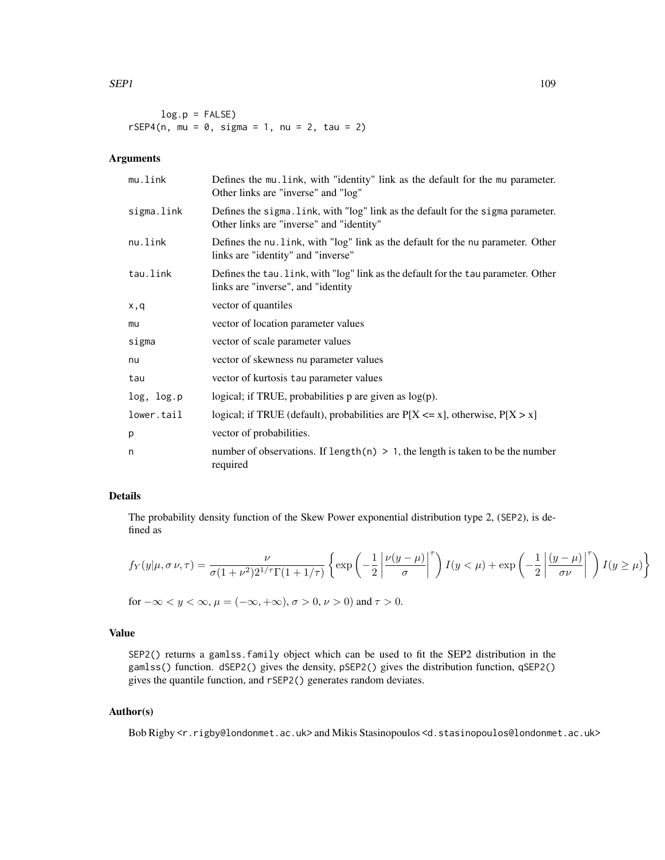$log.p = FALSE$  $rSEP4(n, mu = 0, sigma = 1, nu = 2, tau = 2)$ 

# Arguments

| mu.link    | Defines the mu. link, with "identity" link as the default for the mu parameter.<br>Other links are "inverse" and "log"       |
|------------|------------------------------------------------------------------------------------------------------------------------------|
| sigma.link | Defines the sigma. link, with "log" link as the default for the sigma parameter.<br>Other links are "inverse" and "identity" |
| nu.link    | Defines the nu. link, with "log" link as the default for the nu parameter. Other<br>links are "identity" and "inverse"       |
| tau.link   | Defines the tau. Link, with "log" link as the default for the tau parameter. Other<br>links are "inverse", and "identity     |
| x,q        | vector of quantiles                                                                                                          |
| mu         | vector of location parameter values                                                                                          |
| sigma      | vector of scale parameter values                                                                                             |
| nu         | vector of skewness nu parameter values                                                                                       |
| tau        | vector of kurtosis tau parameter values                                                                                      |
| log, log.p | logical; if TRUE, probabilities $p$ are given as $log(p)$ .                                                                  |
| lower.tail | logical; if TRUE (default), probabilities are $P[X \le x]$ , otherwise, $P[X > x]$                                           |
| p          | vector of probabilities.                                                                                                     |
| n          | number of observations. If length(n) $> 1$ , the length is taken to be the number<br>required                                |

# Details

The probability density function of the Skew Power exponential distribution type 2, (SEP2), is defined as

$$
f_Y(y|\mu, \sigma \nu, \tau) = \frac{\nu}{\sigma (1 + \nu^2) 2^{1/\tau} \Gamma(1 + 1/\tau)} \left\{ \exp\left(-\frac{1}{2} \left| \frac{\nu(y - \mu)}{\sigma} \right|^{\tau}\right) I(y < \mu) + \exp\left(-\frac{1}{2} \left| \frac{(y - \mu)}{\sigma \nu} \right|^{\tau}\right) I(y \ge \mu) \right\}
$$

for 
$$
-\infty < y < \infty
$$
,  $\mu = (-\infty, +\infty)$ ,  $\sigma > 0$ ,  $\nu > 0$  and  $\tau > 0$ .

# Value

SEP2() returns a gamlss.family object which can be used to fit the SEP2 distribution in the gamlss() function. dSEP2() gives the density, pSEP2() gives the distribution function, qSEP2() gives the quantile function, and rSEP2() generates random deviates.

# Author(s)

Bob Rigby <r.rigby@londonmet.ac.uk> and Mikis Stasinopoulos <d.stasinopoulos@londonmet.ac.uk>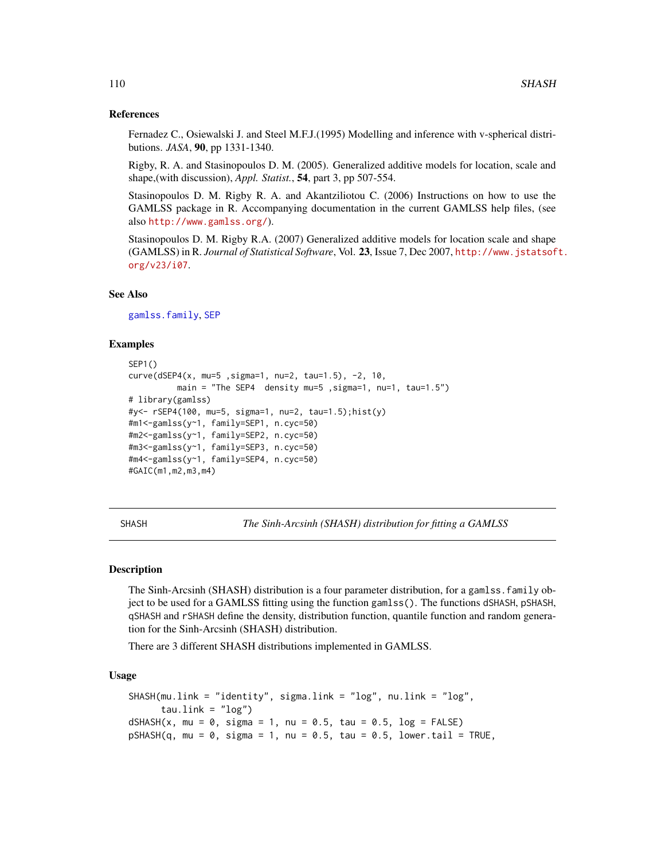## References

Fernadez C., Osiewalski J. and Steel M.F.J.(1995) Modelling and inference with v-spherical distributions. *JASA*, 90, pp 1331-1340.

Rigby, R. A. and Stasinopoulos D. M. (2005). Generalized additive models for location, scale and shape,(with discussion), *Appl. Statist.*, 54, part 3, pp 507-554.

Stasinopoulos D. M. Rigby R. A. and Akantziliotou C. (2006) Instructions on how to use the GAMLSS package in R. Accompanying documentation in the current GAMLSS help files, (see also <http://www.gamlss.org/>).

Stasinopoulos D. M. Rigby R.A. (2007) Generalized additive models for location scale and shape (GAMLSS) in R. *Journal of Statistical Software*, Vol. 23, Issue 7, Dec 2007, [http://www.jstatsof](http://www.jstatsoft.org/v23/i07)t. [org/v23/i07](http://www.jstatsoft.org/v23/i07).

## See Also

[gamlss.family](#page-38-0), [SEP](#page-105-0)

# Examples

```
SEP1()
curve(dSEP4(x, mu=5 ,sigma=1, nu=2, tau=1.5), -2, 10,
         main = "The SEP4 density mu=5 ,sigma=1, nu=1, tau=1.5")
# library(gamlss)
#y<- rSEP4(100, mu=5, sigma=1, nu=2, tau=1.5);hist(y)
#m1<-gamlss(y~1, family=SEP1, n.cyc=50)
#m2<-gamlss(y~1, family=SEP2, n.cyc=50)
#m3<-gamlss(y~1, family=SEP3, n.cyc=50)
#m4<-gamlss(y~1, family=SEP4, n.cyc=50)
#GAIC(m1,m2,m3,m4)
```
<span id="page-109-0"></span>SHASH *The Sinh-Arcsinh (SHASH) distribution for fitting a GAMLSS*

# Description

The Sinh-Arcsinh (SHASH) distribution is a four parameter distribution, for a gamlss.family object to be used for a GAMLSS fitting using the function gamlss(). The functions dSHASH, pSHASH, qSHASH and rSHASH define the density, distribution function, quantile function and random generation for the Sinh-Arcsinh (SHASH) distribution.

There are 3 different SHASH distributions implemented in GAMLSS.

## Usage

```
SHASH(mu.link = "identity", sigma.link = "log", nu.link = "log",
     tau.link = "log")dSHASH(x, mu = 0, sigma = 1, nu = 0.5, tau = 0.5, log = FALSE)pSHASH(q, mu = 0, sigma = 1, nu = 0.5, tau = 0.5, lowertail = TRUE,
```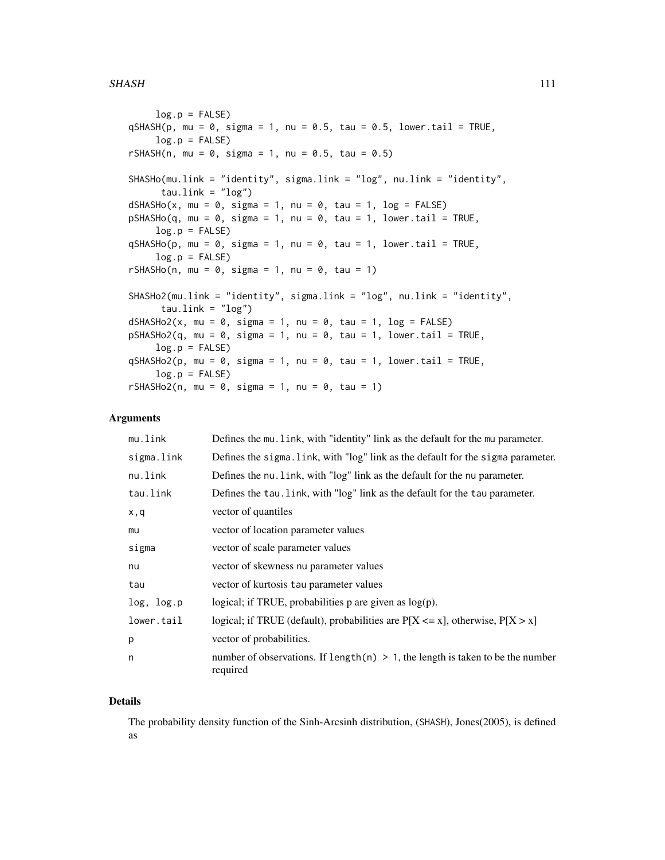### SHASH 111

```
log.p = FALSEqSHASH(p, mu = 0, sigma = 1, nu = 0.5, tau = 0.5, lowertail = TRUE,log.p = FALSErSHASH(n, mu = 0, sigma = 1, nu = 0.5, tau = 0.5)
SHASHo(mu.link = "identity", sigma.link = "log", nu.link = "identity",
     tau.link = "log")
dSHASHo(x, mu = 0, sigma = 1, nu = 0, tau = 1, log = FALSE)pSHASHo(q, mu = 0, sigma = 1, nu = 0, tau = 1, lower.tail = TRUE,log.p = FALSE)
qSHASHo(p, mu = 0, sigma = 1, nu = 0, tau = 1, lowertail = TRUE,log.p = FALSErSHASHo(n, mu = 0, sigma = 1, nu = 0, tau = 1)
SHASHo2(mu.link = "identity", sigma.link = "log", nu.link = "identity",
     tau.link = "log")dSHASHo2(x, mu = 0, sigma = 1, nu = 0, tau = 1, log = FALSE)pSHASHo2(q, mu = 0, sigma = 1, nu = 0, tau = 1, lower.tail = TRUE,log.p = FALSEqSHASHo2(p, mu = 0, sigma = 1, nu = 0, tau = 1, lowertail = TRUE,log.p = FALSE)
rSHASHo2(n, mu = 0, sigma = 1, nu = 0, tau = 1)
```
# **Arguments**

| mu.link    | Defines the mu. link, with "identity" link as the default for the mu parameter.               |
|------------|-----------------------------------------------------------------------------------------------|
| sigma.link | Defines the sigma. link, with "log" link as the default for the sigma parameter.              |
| nu.link    | Defines the nu. link, with "log" link as the default for the nu parameter.                    |
| tau.link   | Defines the tau. link, with "log" link as the default for the tau parameter.                  |
| x,q        | vector of quantiles                                                                           |
| mu         | vector of location parameter values                                                           |
| sigma      | vector of scale parameter values                                                              |
| nu         | vector of skewness nu parameter values                                                        |
| tau        | vector of kurtosis tau parameter values                                                       |
| log, log.p | logical; if TRUE, probabilities $p$ are given as $log(p)$ .                                   |
| lower.tail | logical; if TRUE (default), probabilities are $P[X \le x]$ , otherwise, $P[X > x]$            |
| p          | vector of probabilities.                                                                      |
| n          | number of observations. If length(n) $> 1$ , the length is taken to be the number<br>required |

### Details

The probability density function of the Sinh-Arcsinh distribution, (SHASH), Jones(2005), is defined as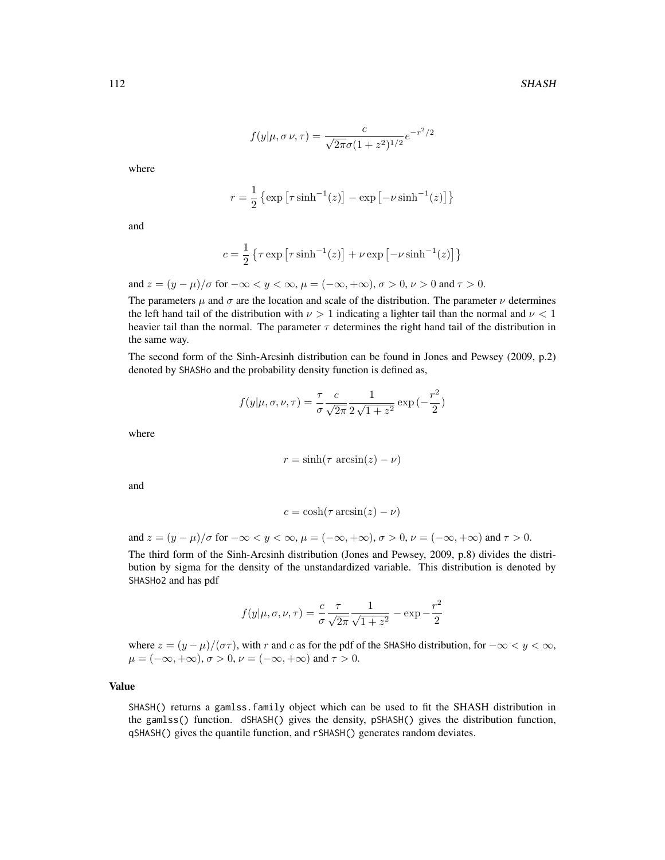$$
f(y|\mu, \sigma \nu, \tau) = \frac{c}{\sqrt{2\pi}\sigma (1 + z^2)^{1/2}} e^{-r^2/2}
$$

where

$$
r = \frac{1}{2} \left\{ \exp \left[ \tau \sinh^{-1}(z) \right] - \exp \left[ -\nu \sinh^{-1}(z) \right] \right\}
$$

and

$$
c = \frac{1}{2} \left\{ \tau \exp \left[ \tau \sinh^{-1}(z) \right] + \nu \exp \left[ -\nu \sinh^{-1}(z) \right] \right\}
$$

and  $z = (y - \mu)/\sigma$  for  $-\infty < y < \infty$ ,  $\mu = (-\infty, +\infty)$ ,  $\sigma > 0$ ,  $\nu > 0$  and  $\tau > 0$ .

The parameters  $\mu$  and  $\sigma$  are the location and scale of the distribution. The parameter  $\nu$  determines the left hand tail of the distribution with  $\nu > 1$  indicating a lighter tail than the normal and  $\nu < 1$ heavier tail than the normal. The parameter  $\tau$  determines the right hand tail of the distribution in the same way.

The second form of the Sinh-Arcsinh distribution can be found in Jones and Pewsey (2009, p.2) denoted by SHASHo and the probability density function is defined as,

$$
f(y|\mu, \sigma, \nu, \tau) = \frac{\tau}{\sigma} \frac{c}{\sqrt{2\pi}} \frac{1}{2\sqrt{1+z^2}} \exp\left(-\frac{r^2}{2}\right)
$$

where

$$
r = \sinh(\tau \arcsin(z) - \nu)
$$

and

$$
c = \cosh(\tau \arcsin(z) - \nu)
$$

and  $z = (y - \mu)/\sigma$  for  $-\infty < y < \infty$ ,  $\mu = (-\infty, +\infty)$ ,  $\sigma > 0$ ,  $\nu = (-\infty, +\infty)$  and  $\tau > 0$ .

The third form of the Sinh-Arcsinh distribution (Jones and Pewsey, 2009, p.8) divides the distribution by sigma for the density of the unstandardized variable. This distribution is denoted by SHASHo2 and has pdf

$$
f(y|\mu, \sigma, \nu, \tau) = \frac{c}{\sigma} \frac{\tau}{\sqrt{2\pi}} \frac{1}{\sqrt{1+z^2}} - \exp{-\frac{r^2}{2}}
$$

where  $z = (y - \mu)/(\sigma \tau)$ , with r and c as for the pdf of the SHASHo distribution, for  $-\infty < y < \infty$ ,  $\mu = (-\infty, +\infty), \sigma > 0, \nu = (-\infty, +\infty)$  and  $\tau > 0$ .

# Value

SHASH() returns a gamlss.family object which can be used to fit the SHASH distribution in the gamlss() function. dSHASH() gives the density, pSHASH() gives the distribution function, qSHASH() gives the quantile function, and rSHASH() generates random deviates.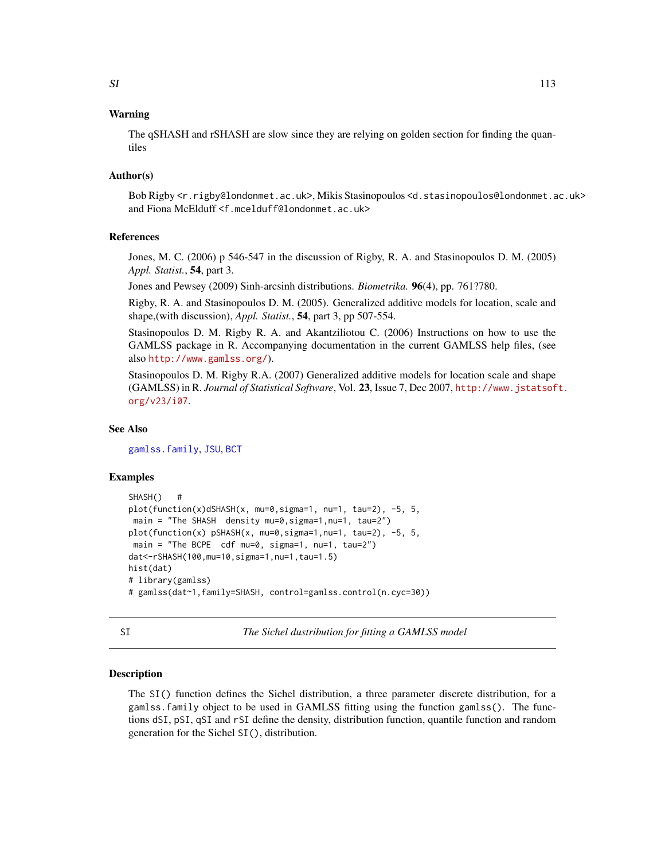# Warning

The qSHASH and rSHASH are slow since they are relying on golden section for finding the quantiles

## Author(s)

Bob Rigby <r.rigby@londonmet.ac.uk>, Mikis Stasinopoulos <d.stasinopoulos@londonmet.ac.uk> and Fiona McElduff <f.mcelduff@londonmet.ac.uk>

# References

Jones, M. C. (2006) p 546-547 in the discussion of Rigby, R. A. and Stasinopoulos D. M. (2005) *Appl. Statist.*, 54, part 3.

Jones and Pewsey (2009) Sinh-arcsinh distributions. *Biometrika.* 96(4), pp. 761?780.

Rigby, R. A. and Stasinopoulos D. M. (2005). Generalized additive models for location, scale and shape,(with discussion), *Appl. Statist.*, 54, part 3, pp 507-554.

Stasinopoulos D. M. Rigby R. A. and Akantziliotou C. (2006) Instructions on how to use the GAMLSS package in R. Accompanying documentation in the current GAMLSS help files, (see also <http://www.gamlss.org/>).

Stasinopoulos D. M. Rigby R.A. (2007) Generalized additive models for location scale and shape (GAMLSS) in R. *Journal of Statistical Software*, Vol. 23, Issue 7, Dec 2007, [http://www.jstatsof](http://www.jstatsoft.org/v23/i07)t. [org/v23/i07](http://www.jstatsoft.org/v23/i07).

# See Also

[gamlss.family](#page-38-0), [JSU](#page-63-0), [BCT](#page-11-0)

## Examples

```
SHASH() #
plot(function(x)dSHASH(x, mu=0,sigma=1, nu=1, tau=2), -5, 5,
main = "The SHASH density mu=0,sigma=1,nu=1, tau=2")
plot(function(x) pSHASH(x, mu=0,sigma=1,nu=1, tau=2), -5, 5,
main = "The BCPE cdf mu=0, sigma=1, nu=1, tau=2")
dat<-rSHASH(100,mu=10,sigma=1,nu=1,tau=1.5)
hist(dat)
# library(gamlss)
# gamlss(dat~1,family=SHASH, control=gamlss.control(n.cyc=30))
```
<span id="page-112-0"></span>SI *The Sichel dustribution for fitting a GAMLSS model*

## **Description**

The SI() function defines the Sichel distribution, a three parameter discrete distribution, for a gamlss.family object to be used in GAMLSS fitting using the function gamlss(). The functions dSI, pSI, qSI and rSI define the density, distribution function, quantile function and random generation for the Sichel SI(), distribution.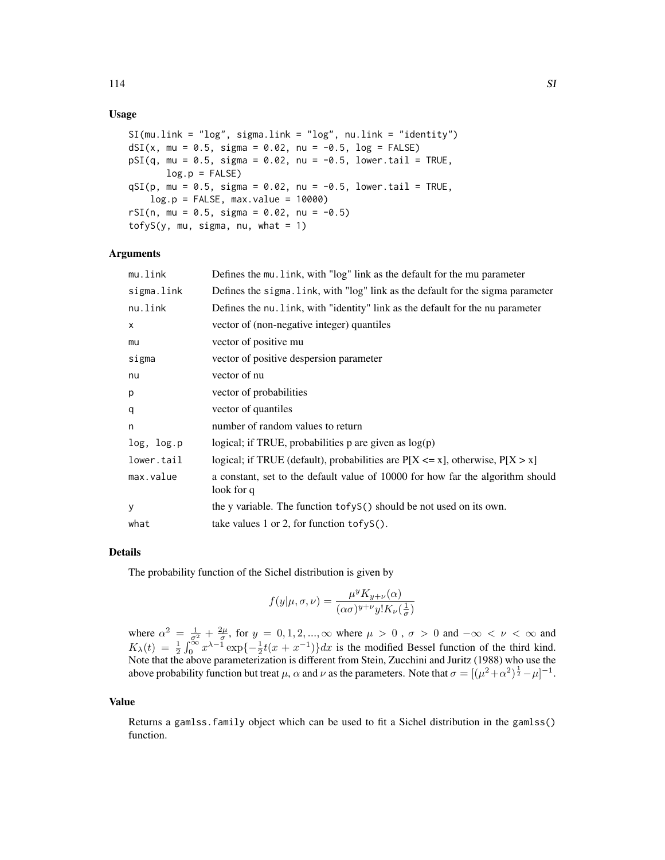# Usage

```
SI(mu.link = "log", sigma.link = "log", nu.link = "identity")dSI(x, mu = 0.5, sigma = 0.02, nu = -0.5, log = FALSE)
pSI(q, mu = 0.5, sigma = 0.02, nu = -0.5, lower.tail = TRUE,log.p = FALSEqSI(p, mu = 0.5, sigma = 0.02, nu = -0.5, lower.tail = TRUE,log.p = FALSE, max.value = 10000rSI(n, mu = 0.5, sigma = 0.02, nu = -0.5)
tofys(y, mu, sigma, nu, what = 1)
```
## Arguments

| mu.link    | Defines the mu. link, with "log" link as the default for the mu parameter                    |
|------------|----------------------------------------------------------------------------------------------|
| sigma.link | Defines the sigma. Link, with "log" link as the default for the sigma parameter              |
| nu.link    | Defines the nu, Link, with "identity" link as the default for the nu parameter               |
| X          | vector of (non-negative integer) quantiles                                                   |
| mu         | vector of positive mu                                                                        |
| sigma      | vector of positive despersion parameter                                                      |
| nu         | vector of nu                                                                                 |
| p          | vector of probabilities                                                                      |
| q          | vector of quantiles                                                                          |
| n          | number of random values to return                                                            |
| log, log.p | logical; if TRUE, probabilities p are given as $log(p)$                                      |
| lower.tail | logical; if TRUE (default), probabilities are $P[X \le x]$ , otherwise, $P[X > x]$           |
| max.value  | a constant, set to the default value of 10000 for how far the algorithm should<br>look for q |
| y          | the y variable. The function to fys() should be not used on its own.                         |
| what       | take values 1 or 2, for function $\text{tofyS}()$ .                                          |

### Details

The probability function of the Sichel distribution is given by

$$
f(y|\mu,\sigma,\nu)=\frac{\mu^y K_{y+\nu}(\alpha)}{(\alpha\sigma)^{y+\nu}y!K_{\nu}(\frac{1}{\sigma})}
$$

where  $\alpha^2 = \frac{1}{\sigma_1^2} + \frac{2\mu}{\sigma}$ , for  $y = 0, 1, 2, ..., \infty$  where  $\mu > 0$ ,  $\sigma > 0$  and  $-\infty < \nu < \infty$  and  $K_{\lambda}(t) = \frac{1}{2} \int_0^{\infty} x^{\lambda - 1} \exp\{-\frac{1}{2}t(x + x^{-1})\} dx$  is the modified Bessel function of the third kind. Note that the above parameterization is different from Stein, Zucchini and Juritz (1988) who use the above probability function but treat  $\mu$ ,  $\alpha$  and  $\nu$  as the parameters. Note that  $\sigma = [(\mu^2 + \alpha^2)^{\frac{1}{2}} - \mu]^{-1}$ .

#### Value

Returns a gamlss.family object which can be used to fit a Sichel distribution in the gamlss() function.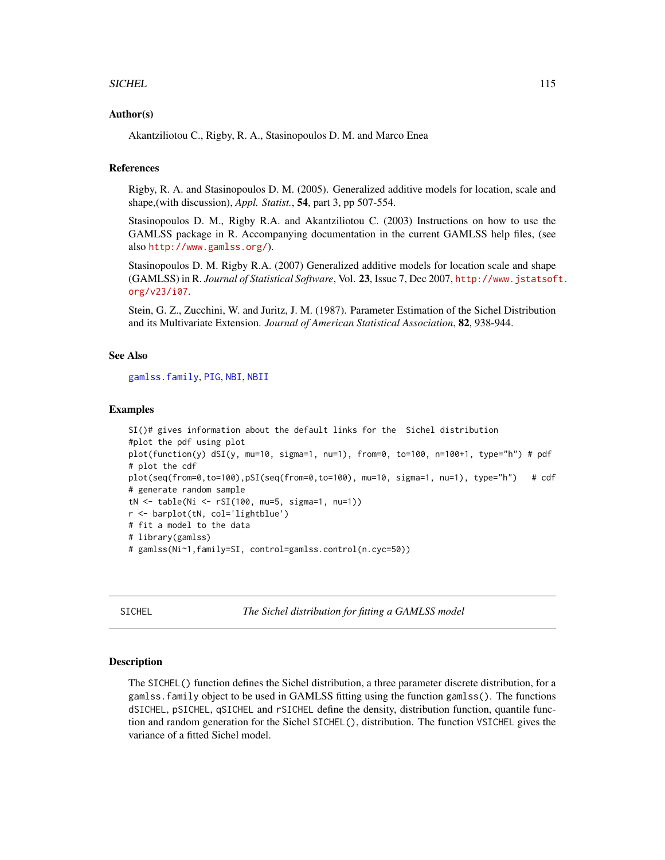## SICHEL 115

## Author(s)

Akantziliotou C., Rigby, R. A., Stasinopoulos D. M. and Marco Enea

# References

Rigby, R. A. and Stasinopoulos D. M. (2005). Generalized additive models for location, scale and shape,(with discussion), *Appl. Statist.*, 54, part 3, pp 507-554.

Stasinopoulos D. M., Rigby R.A. and Akantziliotou C. (2003) Instructions on how to use the GAMLSS package in R. Accompanying documentation in the current GAMLSS help files, (see also <http://www.gamlss.org/>).

Stasinopoulos D. M. Rigby R.A. (2007) Generalized additive models for location scale and shape (GAMLSS) in R. *Journal of Statistical Software*, Vol. 23, Issue 7, Dec 2007, [http://www.jstatsof](http://www.jstatsoft.org/v23/i07)t. [org/v23/i07](http://www.jstatsoft.org/v23/i07).

Stein, G. Z., Zucchini, W. and Juritz, J. M. (1987). Parameter Estimation of the Sichel Distribution and its Multivariate Extension. *Journal of American Statistical Association*, 82, 938-944.

# See Also

[gamlss.family](#page-38-0), [PIG](#page-97-0), [NBI](#page-81-0), [NBII](#page-83-0)

#### Examples

```
SI()# gives information about the default links for the Sichel distribution
#plot the pdf using plot
plot(function(y) dSI(y, mu=10, sigma=1, nu=1), from=0, to=100, n=100+1, type="h") # pdf
# plot the cdf
plot(seq(from=0,to=100),pSI(seq(from=0,to=100), mu=10, sigma=1, nu=1), type="h") # cdf
# generate random sample
tN <- table(Ni <- rSI(100, mu=5, sigma=1, nu=1))
r <- barplot(tN, col='lightblue')
# fit a model to the data
# library(gamlss)
# gamlss(Ni~1,family=SI, control=gamlss.control(n.cyc=50))
```
SICHEL *The Sichel distribution for fitting a GAMLSS model*

## Description

The SICHEL() function defines the Sichel distribution, a three parameter discrete distribution, for a gamlss.family object to be used in GAMLSS fitting using the function gamlss(). The functions dSICHEL, pSICHEL, qSICHEL and rSICHEL define the density, distribution function, quantile function and random generation for the Sichel SICHEL(), distribution. The function VSICHEL gives the variance of a fitted Sichel model.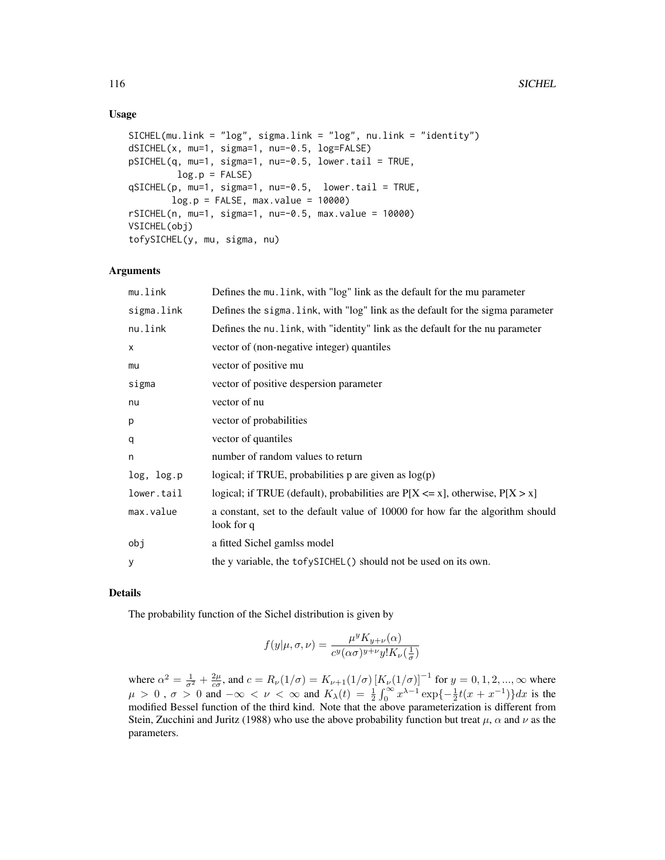# Usage

```
SICHEL(mu.link = "log", sigma.link = "log", nu.link = "identity")
dSICHEL(x, mu=1, sigma=1, nu=-0.5, log=FALSE)
pSICHEL(q, mu=1, sigma=1, nu=-0.5, lower.tail = TRUE,
        log.p = FALSEqSICHEL(p, mu=1, sigma=1, nu=-0.5, lower.tail = TRUE,
       log.p = FALSE, max.value = 10000rSICHEL(n, mu=1, sigma=1, nu=-0.5, max.value = 10000)VSICHEL(obj)
tofySICHEL(y, mu, sigma, nu)
```
# Arguments

| mu.link    | Defines the mu. link, with "log" link as the default for the mu parameter                    |
|------------|----------------------------------------------------------------------------------------------|
| sigma.link | Defines the sigma. Link, with "log" link as the default for the sigma parameter              |
| nu.link    | Defines the nu. link, with "identity" link as the default for the nu parameter               |
| X          | vector of (non-negative integer) quantiles                                                   |
| mu         | vector of positive mu                                                                        |
| sigma      | vector of positive despersion parameter                                                      |
| nu         | vector of nu                                                                                 |
| p          | vector of probabilities                                                                      |
| q          | vector of quantiles                                                                          |
| n          | number of random values to return                                                            |
| log, log.p | logical; if TRUE, probabilities $p$ are given as $log(p)$                                    |
| lower.tail | logical; if TRUE (default), probabilities are $P[X \le x]$ , otherwise, $P[X > x]$           |
| max.value  | a constant, set to the default value of 10000 for how far the algorithm should<br>look for q |
| obj        | a fitted Sichel gamlss model                                                                 |
| y          | the y variable, the tofySICHEL() should not be used on its own.                              |
|            |                                                                                              |

# Details

The probability function of the Sichel distribution is given by

$$
f(y|\mu,\sigma,\nu) = \frac{\mu^y K_{y+\nu}(\alpha)}{c^y(\alpha\sigma)^{y+\nu} y! K_{\nu}(\frac{1}{\sigma})}
$$

where  $\alpha^2 = \frac{1}{\sigma^2} + \frac{2\mu}{c\sigma}$ , and  $c = R_{\nu}(1/\sigma) = K_{\nu+1}(1/\sigma) [K_{\nu}(1/\sigma)]^{-1}$  for  $y = 0, 1, 2, ..., \infty$  where  $\mu > 0$ ,  $\sigma > 0$  and  $-\infty < \nu < \infty$  and  $K_{\lambda}(t) = \frac{1}{2} \int_{0}^{\infty} x^{\lambda-1} \exp\{-\frac{1}{2}t(x+x^{-1})\} dx$  is the modified Bessel function of the third kind. Note that the above parameterization is different from Stein, Zucchini and Juritz (1988) who use the above probability function but treat  $\mu$ ,  $\alpha$  and  $\nu$  as the parameters.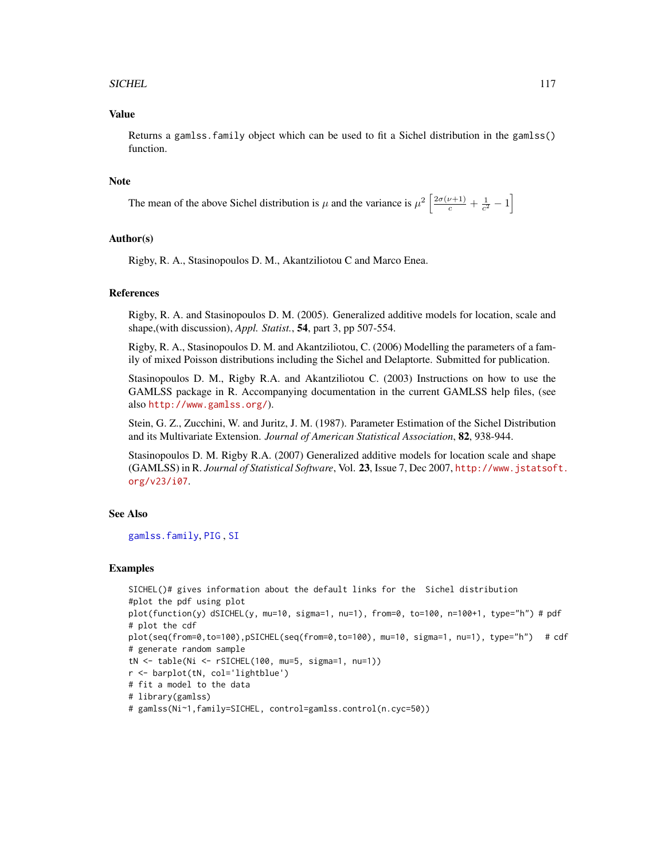## SICHEL 117

## Value

Returns a gamlss.family object which can be used to fit a Sichel distribution in the gamlss() function.

## **Note**

The mean of the above Sichel distribution is  $\mu$  and the variance is  $\mu^2 \left[ \frac{2\sigma(\nu+1)}{c} + \frac{1}{c^2} - 1 \right]$ 

# Author(s)

Rigby, R. A., Stasinopoulos D. M., Akantziliotou C and Marco Enea.

## References

Rigby, R. A. and Stasinopoulos D. M. (2005). Generalized additive models for location, scale and shape,(with discussion), *Appl. Statist.*, 54, part 3, pp 507-554.

Rigby, R. A., Stasinopoulos D. M. and Akantziliotou, C. (2006) Modelling the parameters of a family of mixed Poisson distributions including the Sichel and Delaptorte. Submitted for publication.

Stasinopoulos D. M., Rigby R.A. and Akantziliotou C. (2003) Instructions on how to use the GAMLSS package in R. Accompanying documentation in the current GAMLSS help files, (see also <http://www.gamlss.org/>).

Stein, G. Z., Zucchini, W. and Juritz, J. M. (1987). Parameter Estimation of the Sichel Distribution and its Multivariate Extension. *Journal of American Statistical Association*, 82, 938-944.

Stasinopoulos D. M. Rigby R.A. (2007) Generalized additive models for location scale and shape (GAMLSS) in R. *Journal of Statistical Software*, Vol. 23, Issue 7, Dec 2007, [http://www.jstatsof](http://www.jstatsoft.org/v23/i07)t. [org/v23/i07](http://www.jstatsoft.org/v23/i07).

# See Also

[gamlss.family](#page-38-0), [PIG](#page-97-0) , [SI](#page-112-0)

## Examples

```
SICHEL()# gives information about the default links for the Sichel distribution
#plot the pdf using plot
plot(function(y) dSICHEL(y, mu=10, sigma=1, nu=1), from=0, to=100, n=100+1, type="h") # pdf# plot the cdf
plot(seq(from=0,to=100),pSICHEL(seq(from=0,to=100), mu=10, sigma=1, nu=1), type="h") # cdf
# generate random sample
tN <- table(Ni <- rSICHEL(100, mu=5, sigma=1, nu=1))
r <- barplot(tN, col='lightblue')
# fit a model to the data
# library(gamlss)
# gamlss(Ni~1,family=SICHEL, control=gamlss.control(n.cyc=50))
```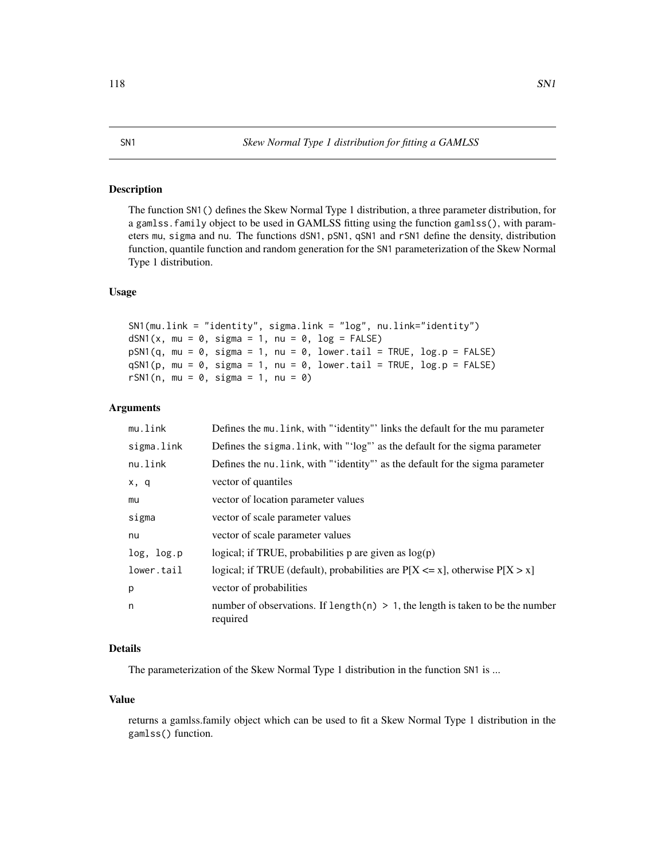## Description

The function SN1() defines the Skew Normal Type 1 distribution, a three parameter distribution, for a gamlss.family object to be used in GAMLSS fitting using the function gamlss(), with parameters mu, sigma and nu. The functions dSN1, pSN1, qSN1 and rSN1 define the density, distribution function, quantile function and random generation for the SN1 parameterization of the Skew Normal Type 1 distribution.

# Usage

```
SN1(mu.link = "identity", sigma.link = "log", nu.link="identity")
dSN1(x, mu = 0, sigma = 1, nu = 0, log = FALSE)pSN1(q, mu = 0, sigma = 1, nu = 0, lowertail = TRUE, log.p = FALSE)qSN1(p, mu = 0, sigma = 1, nu = 0, lowertail = TRUE, log.p = FALSE)
rSN1(n, mu = 0, sigma = 1, nu = 0)
```
#### Arguments

| mu.link    | Defines the mu. link, with "'identity"' links the default for the mu parameter                |
|------------|-----------------------------------------------------------------------------------------------|
| sigma.link | Defines the sigma. link, with "'log"' as the default for the sigma parameter                  |
| nu.link    | Defines the nu. link, with "'identity" as the default for the sigma parameter                 |
| x, q       | vector of quantiles                                                                           |
| mu         | vector of location parameter values                                                           |
| sigma      | vector of scale parameter values                                                              |
| nu         | vector of scale parameter values                                                              |
| log, log.p | logical; if TRUE, probabilities $p$ are given as $log(p)$                                     |
| lower.tail | logical; if TRUE (default), probabilities are $P[X \le x]$ , otherwise $P[X > x]$             |
| p          | vector of probabilities                                                                       |
| n          | number of observations. If length(n) $> 1$ , the length is taken to be the number<br>required |

# Details

The parameterization of the Skew Normal Type 1 distribution in the function SN1 is ...

## Value

returns a gamlss.family object which can be used to fit a Skew Normal Type 1 distribution in the gamlss() function.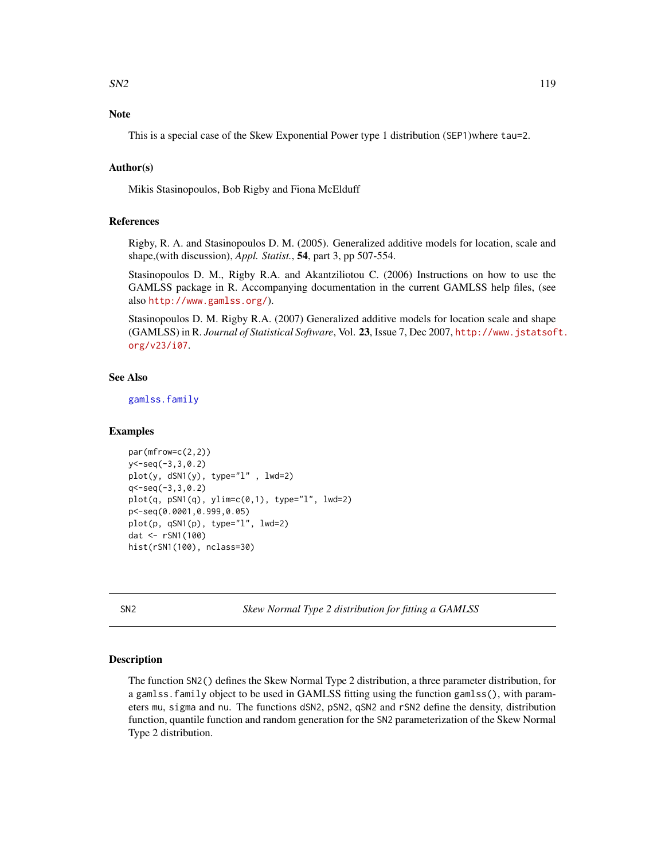# Note

This is a special case of the Skew Exponential Power type 1 distribution (SEP1)where tau=2.

# Author(s)

Mikis Stasinopoulos, Bob Rigby and Fiona McElduff

# References

Rigby, R. A. and Stasinopoulos D. M. (2005). Generalized additive models for location, scale and shape,(with discussion), *Appl. Statist.*, 54, part 3, pp 507-554.

Stasinopoulos D. M., Rigby R.A. and Akantziliotou C. (2006) Instructions on how to use the GAMLSS package in R. Accompanying documentation in the current GAMLSS help files, (see also <http://www.gamlss.org/>).

Stasinopoulos D. M. Rigby R.A. (2007) Generalized additive models for location scale and shape (GAMLSS) in R. *Journal of Statistical Software*, Vol. 23, Issue 7, Dec 2007, [http://www.jstatsof](http://www.jstatsoft.org/v23/i07)t. [org/v23/i07](http://www.jstatsoft.org/v23/i07).

## See Also

[gamlss.family](#page-38-0)

### Examples

```
par(mfrow=c(2,2))
y<-seq(-3,3,0.2)
plot(y, dSN1(y), type="l" , lwd=2)
q<-seq(-3,3,0.2)
plot(q, pSN1(q), ylim=c(0,1), type="1", lwd=2)p<-seq(0.0001,0.999,0.05)
plot(p, qSN1(p), type="l", lwd=2)
dat <- rSN1(100)
hist(rSN1(100), nclass=30)
```
SN2 *Skew Normal Type 2 distribution for fitting a GAMLSS*

### **Description**

The function SN2() defines the Skew Normal Type 2 distribution, a three parameter distribution, for a gamlss.family object to be used in GAMLSS fitting using the function gamlss(), with parameters mu, sigma and nu. The functions dSN2, pSN2, qSN2 and rSN2 define the density, distribution function, quantile function and random generation for the SN2 parameterization of the Skew Normal Type 2 distribution.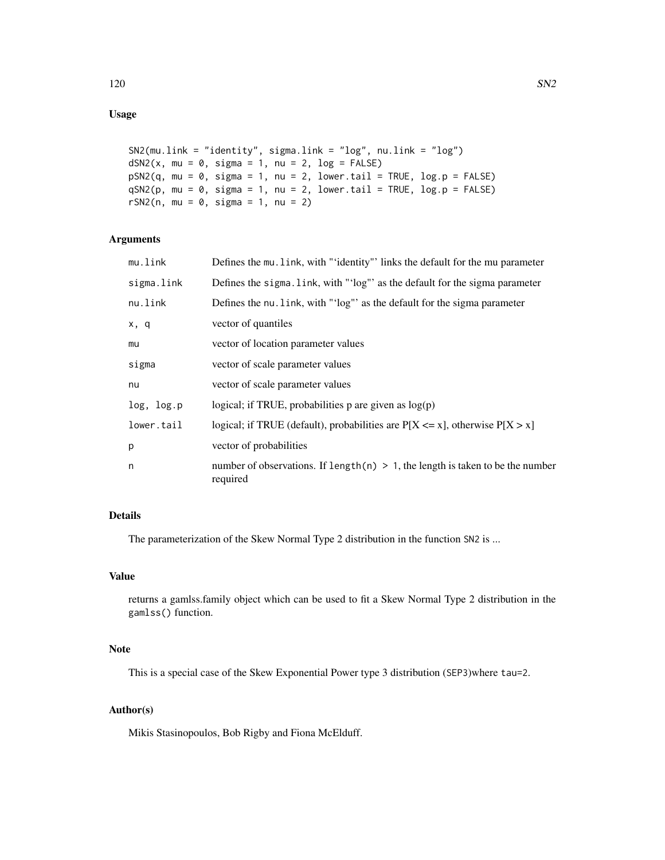```
SN2(mu.link = "identity", sigma.link = "log", nu.link = "log")
dSN2(x, mu = 0, sigma = 1, nu = 2, log = FALSE)pSN2(q, mu = 0, sigma = 1, nu = 2, lower[a] = TRUE, log.p = FALSE)qSN2(p, mu = 0, sigma = 1, nu = 2, lower[2014] <math>= TRUE, log.p = FALSErSN2(n, mu = 0, sigma = 1, nu = 2)
```
# Arguments

| mu.link    | Defines the mu. Link, with "'identity"' links the default for the mu parameter                |
|------------|-----------------------------------------------------------------------------------------------|
| sigma.link | Defines the sigma. Link, with "'log"' as the default for the sigma parameter                  |
| nu.link    | Defines the nu. link, with "'log"' as the default for the sigma parameter                     |
| x, q       | vector of quantiles                                                                           |
| mu         | vector of location parameter values                                                           |
| sigma      | vector of scale parameter values                                                              |
| nu         | vector of scale parameter values                                                              |
| log, log.p | logical; if TRUE, probabilities p are given as $log(p)$                                       |
| lower.tail | logical; if TRUE (default), probabilities are $P[X \le x]$ , otherwise $P[X > x]$             |
| p          | vector of probabilities                                                                       |
| n          | number of observations. If length(n) $> 1$ , the length is taken to be the number<br>required |

# Details

The parameterization of the Skew Normal Type 2 distribution in the function SN2 is ...

# Value

returns a gamlss.family object which can be used to fit a Skew Normal Type 2 distribution in the gamlss() function.

# Note

This is a special case of the Skew Exponential Power type 3 distribution (SEP3)where tau=2.

# Author(s)

Mikis Stasinopoulos, Bob Rigby and Fiona McElduff.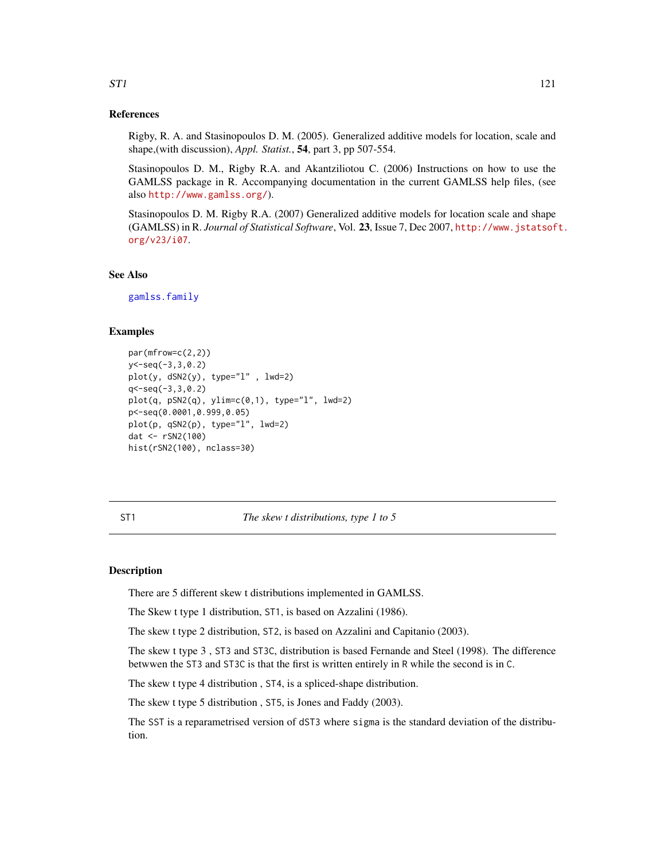## References

Rigby, R. A. and Stasinopoulos D. M. (2005). Generalized additive models for location, scale and shape,(with discussion), *Appl. Statist.*, 54, part 3, pp 507-554.

Stasinopoulos D. M., Rigby R.A. and Akantziliotou C. (2006) Instructions on how to use the GAMLSS package in R. Accompanying documentation in the current GAMLSS help files, (see also <http://www.gamlss.org/>).

Stasinopoulos D. M. Rigby R.A. (2007) Generalized additive models for location scale and shape (GAMLSS) in R. *Journal of Statistical Software*, Vol. 23, Issue 7, Dec 2007, [http://www.jstatsof](http://www.jstatsoft.org/v23/i07)t. [org/v23/i07](http://www.jstatsoft.org/v23/i07).

# See Also

[gamlss.family](#page-38-0)

## Examples

```
par(mfrow=c(2,2))
y<-seq(-3,3,0.2)
plot(y, dSN2(y), type="l" , lwd=2)
q < -seq(-3,3,0.2)plot(q, pSN2(q), ylim=c(0,1), type="1", lwd=2)p<-seq(0.0001,0.999,0.05)
plot(p, qSN2(p), type="l", lwd=2)
dat <- rSN2(100)
hist(rSN2(100), nclass=30)
```
ST1 *The skew t distributions, type 1 to 5*

## **Description**

There are 5 different skew t distributions implemented in GAMLSS.

The Skew t type 1 distribution, ST1, is based on Azzalini (1986).

The skew t type 2 distribution, ST2, is based on Azzalini and Capitanio (2003).

The skew t type 3 , ST3 and ST3C, distribution is based Fernande and Steel (1998). The difference betwwen the ST3 and ST3C is that the first is written entirely in R while the second is in C.

The skew t type 4 distribution , ST4, is a spliced-shape distribution.

The skew t type 5 distribution , ST5, is Jones and Faddy (2003).

The SST is a reparametrised version of dST3 where sigma is the standard deviation of the distribution.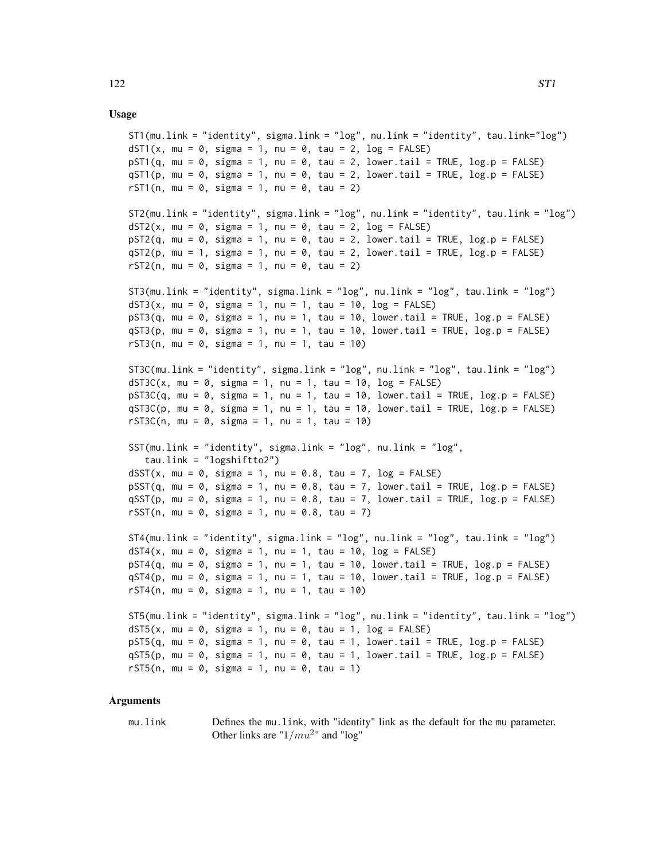## Usage

```
ST1(mu.link = "identity", sigma.link = "log", nu.link = "identity", tau.link="log")
dST1(x, mu = 0, sigma = 1, nu = 0, tau = 2, log = FALSE)
pST1(q, mu = 0, sigma = 1, nu = 0, tau = 2, lower[a] = TRUE, log.p = FALSE)qST1(p, mu = 0, sigma = 1, nu = 0, tau = 2, lower[avated] = TRUE, <math>log.p = FALSE)
rST1(n, mu = 0, sigma = 1, nu = 0, tau = 2)
ST2(mu.link = "identity", sigma.link = "log", nu.link = "identity", tau.link = "log")
dST2(x, mu = 0, sigma = 1, nu = 0, tau = 2, log = FALSE)pST2(q, mu = 0, sigma = 1, nu = 0, tau = 2, lower[2014] = TRUE, <math>log.p = FALSEqST2(p, mu = 1, sigma = 1, nu = 0, tau = 2, lower[2014] = TRUE, <math>log.p = FALSErST2(n, mu = 0, sigma = 1, nu = 0, tau = 2)ST3(mu.link = "identity", sigma.link = "log", nu.link = "log", tau.link = "log")
dST3(x, mu = 0, sigma = 1, nu = 1, tau = 10, log = FALSE)pST3(q, mu = 0, sigma = 1, nu = 1, tau = 10, loweru1 = TRUE, log.p = FALSE)qST3(p, mu = 0, sigma = 1, nu = 1, tau = 10, lower[a] = TRUE, log.p = FALSE)rST3(n, mu = 0, sigma = 1, nu = 1, tau = 10)
ST3C(mu.link = "identity", sigma.link = "log", nu.link = "log", tau.link = "log")
dST3C(x, mu = 0, sigma = 1, nu = 1, tau = 10, log = FALSE)pST3C(q, mu = 0, sigma = 1, nu = 1, tau = 10, lowertail = TRUE, <math>log.p = FALSE)qST3C(p, mu = 0, sigma = 1, nu = 1, tau = 10, lower.tail = TRUE, log.p = FALSE)rST3C(n, mu = 0, sigma = 1, nu = 1, tau = 10)
SST(mu.link = "identity", sigma.link = "log", nu.link = "log",
   tau.link = "logshiftto2")
dSST(x, mu = 0, sigma = 1, nu = 0.8, tau = 7, log = FALSE)pSST(q, mu = 0, sigma = 1, nu = 0.8, tau = 7, lower[2014] = TRUE, <math>log.p = FALSE)
qSST(p, mu = 0, sigma = 1, nu = 0.8, tau = 7, lower[amal] = TRUE, log.p = FALSE)rSST(n, mu = 0, sigma = 1, nu = 0.8, tau = 7)ST4(mu.link = "identity", sigma.link = "log", nu.link = "log", tau.link = "log")
dST4(x, mu = 0, sigma = 1, nu = 1, tau = 10, log = FALSE)
pST4(q, mu = 0, sigma = 1, nu = 1, tau = 10, lowernall = TRUE, log.p = FALSE)qST4(p, mu = 0, sigma = 1, nu = 1, tau = 10, lowertail = TRUE, log.p = FALSE)rST4(n, mu = 0, sigma = 1, nu = 1, tau = 10)
ST5(mu.link = "identity", sigma.link = "log", nu.link = "identity", tau.link = "log")
dST5(x, mu = 0, sigma = 1, nu = 0, tau = 1, log = FALSE)
pST5(q, mu = 0, sigma = 1, nu = 0, tau = 1, lowertail = TRUE, <math>log.p = FALSE)
qST5(p, mu = 0, sigma = 1, nu = 0, tau = 1, lower.tail = TRUE, log.p = FALSE)rST5(n, mu = 0, sigma = 1, nu = 0, tau = 1)
```
## Arguments

mu.link Defines the mu.link, with "identity" link as the default for the mu parameter. Other links are " $1/mu^2$ " and "log"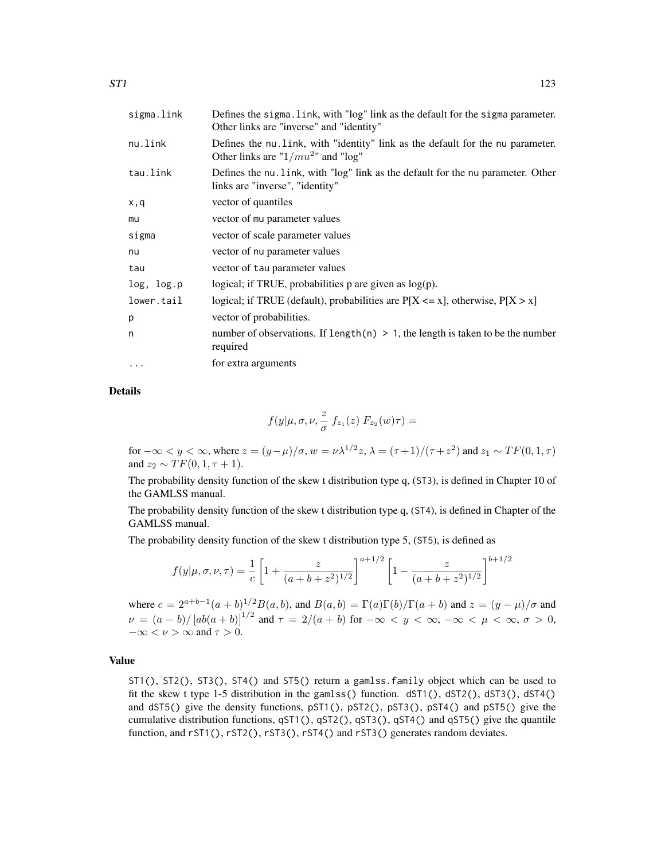| sigma.link | Defines the sigma. link, with "log" link as the default for the sigma parameter.<br>Other links are "inverse" and "identity" |
|------------|------------------------------------------------------------------------------------------------------------------------------|
| nu.link    | Defines the nu link, with "identity" link as the default for the nu parameter.<br>Other links are " $1/mu^{2}$ " and "log"   |
| tau.link   | Defines the nu. link, with "log" link as the default for the nu parameter. Other<br>links are "inverse", "identity"          |
| x,q        | vector of quantiles                                                                                                          |
| mu         | vector of mu parameter values                                                                                                |
| sigma      | vector of scale parameter values                                                                                             |
| nu         | vector of nu parameter values                                                                                                |
| tau        | vector of tau parameter values                                                                                               |
| log, log.p | logical; if TRUE, probabilities $p$ are given as $log(p)$ .                                                                  |
| lower.tail | logical; if TRUE (default), probabilities are $P[X \le x]$ , otherwise, $P[X > x]$                                           |
| p          | vector of probabilities.                                                                                                     |
| n          | number of observations. If length(n) $> 1$ , the length is taken to be the number<br>required                                |
| $\cdots$   | for extra arguments                                                                                                          |
|            |                                                                                                                              |

Details

$$
f(y|\mu,\sigma,\nu,\frac{z}{\sigma}\;f_{z_1}(z)\;F_{z_2}(w)\tau)=
$$

for  $-\infty < y < \infty$ , where  $z = (y - \mu)/\sigma$ ,  $w = \nu \lambda^{1/2} z$ ,  $\lambda = (\tau + 1)/(\tau + z^2)$  and  $z_1 \sim TF(0, 1, \tau)$ and  $z_2 \sim TF(0, 1, \tau + 1)$ .

The probability density function of the skew t distribution type q, (ST3), is defined in Chapter 10 of the GAMLSS manual.

The probability density function of the skew t distribution type q, (ST4), is defined in Chapter of the GAMLSS manual.

The probability density function of the skew t distribution type 5, (ST5), is defined as

$$
f(y|\mu,\sigma,\nu,\tau) = \frac{1}{c} \left[ 1 + \frac{z}{(a+b+z^2)^{1/2}} \right]^{a+1/2} \left[ 1 - \frac{z}{(a+b+z^2)^{1/2}} \right]^{b+1/2}
$$

where  $c = 2^{a+b-1}(a+b)^{1/2}B(a,b)$ , and  $B(a,b) = \Gamma(a)\Gamma(b)/\Gamma(a+b)$  and  $z = (y - \mu)/\sigma$  and  $\nu = (a - b)/[ab(a + b)]^{1/2}$  and  $\tau = 2/(a + b)$  for  $-\infty < y < \infty$ ,  $-\infty < \mu < \infty$ ,  $\sigma > 0$ ,  $-\infty < \nu > \infty$  and  $\tau > 0$ .

## Value

ST1(), ST2(), ST3(), ST4() and ST5() return a gamlss.family object which can be used to fit the skew t type 1-5 distribution in the gamlss() function. dST1(), dST2(), dST3(), dST4() and dST5() give the density functions, pST1(), pST2(), pST3(), pST4() and pST5() give the cumulative distribution functions, qST1(), qST2(), qST3(), qST4() and qST5() give the quantile function, and rST1(), rST2(), rST3(), rST4() and rST3() generates random deviates.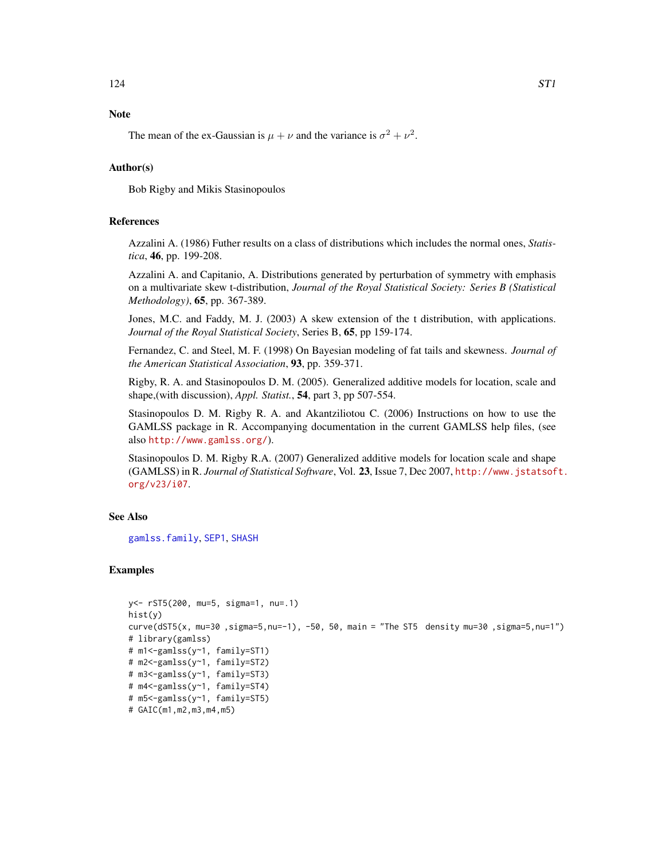# Note

The mean of the ex-Gaussian is  $\mu + \nu$  and the variance is  $\sigma^2 + \nu^2$ .

# Author(s)

Bob Rigby and Mikis Stasinopoulos

# References

Azzalini A. (1986) Futher results on a class of distributions which includes the normal ones, *Statistica*, 46, pp. 199-208.

Azzalini A. and Capitanio, A. Distributions generated by perturbation of symmetry with emphasis on a multivariate skew t-distribution, *Journal of the Royal Statistical Society: Series B (Statistical Methodology)*, 65, pp. 367-389.

Jones, M.C. and Faddy, M. J. (2003) A skew extension of the t distribution, with applications. *Journal of the Royal Statistical Society*, Series B, 65, pp 159-174.

Fernandez, C. and Steel, M. F. (1998) On Bayesian modeling of fat tails and skewness. *Journal of the American Statistical Association*, 93, pp. 359-371.

Rigby, R. A. and Stasinopoulos D. M. (2005). Generalized additive models for location, scale and shape,(with discussion), *Appl. Statist.*, 54, part 3, pp 507-554.

Stasinopoulos D. M. Rigby R. A. and Akantziliotou C. (2006) Instructions on how to use the GAMLSS package in R. Accompanying documentation in the current GAMLSS help files, (see also <http://www.gamlss.org/>).

Stasinopoulos D. M. Rigby R.A. (2007) Generalized additive models for location scale and shape (GAMLSS) in R. *Journal of Statistical Software*, Vol. 23, Issue 7, Dec 2007, [http://www.jstatsof](http://www.jstatsoft.org/v23/i07)t. [org/v23/i07](http://www.jstatsoft.org/v23/i07).

# See Also

[gamlss.family](#page-38-0), [SEP1](#page-107-0), [SHASH](#page-109-0)

## Examples

```
y<- rST5(200, mu=5, sigma=1, nu=.1)
hist(y)
curve(dST5(x, mu=30 ,sigma=5,nu=-1), -50, 50, main = "The ST5 density mu=30 ,sigma=5,nu=1")
# library(gamlss)
# m1<-gamlss(y~1, family=ST1)
# m2<-gamlss(y~1, family=ST2)
# m3<-gamlss(y~1, family=ST3)
# m4<-gamlss(y~1, family=ST4)
# m5<-gamlss(y~1, family=ST5)
# GAIC(m1,m2,m3,m4,m5)
```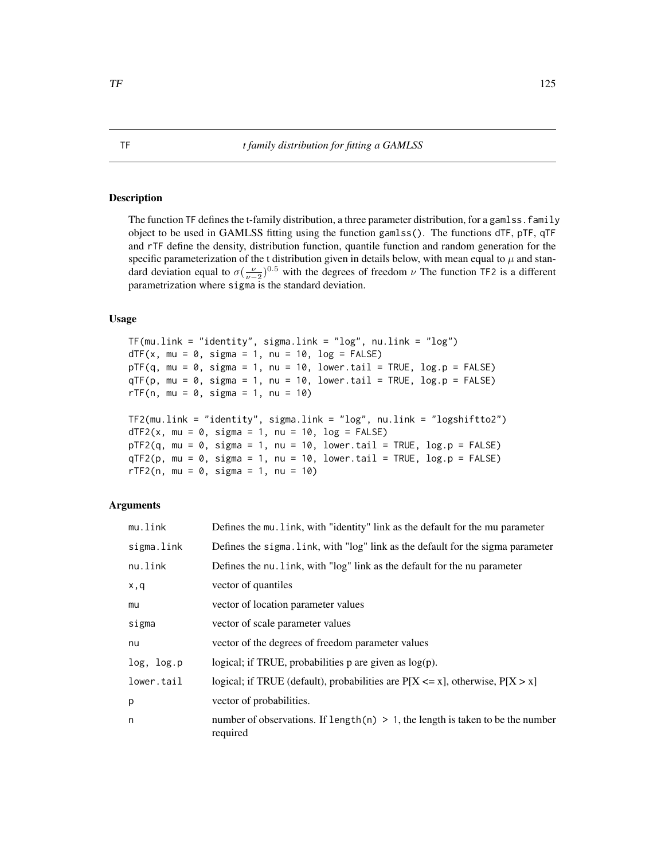# Description

The function TF defines the t-family distribution, a three parameter distribution, for a gamlss. family object to be used in GAMLSS fitting using the function gamlss(). The functions dTF, pTF, qTF and rTF define the density, distribution function, quantile function and random generation for the specific parameterization of the t distribution given in details below, with mean equal to  $\mu$  and standard deviation equal to  $\sigma(\frac{\nu}{\nu-2})^{0.5}$  with the degrees of freedom  $\nu$  The function TF2 is a different parametrization where sigma is the standard deviation.

# Usage

```
TF(mu.link = "identity", sigma.link = "log", nu.link = "log")dTF(x, mu = 0, sigma = 1, nu = 10, log = FALSE)pTF(q, mu = 0, sigma = 1, nu = 10, lowertail = TRUE, log.p = FALSE)qTF(p, mu = 0, sigma = 1, nu = 10, lower[a] = TRUE, log.p = FALSE)rTF(n, mu = 0, sigma = 1, nu = 10)TF2(mu.link = "identity", sigma.link = "log", nu.link = "logshiftto2")
dTF2(x, mu = 0, sigma = 1, nu = 10, log = FALSE)pTF2(q, mu = 0, sigma = 1, nu = 10, lowertail = TRUE, log.p = FALSE)qTF2(p, mu = 0, sigma = 1, nu = 10, lowertail = TRUE, log.p = FALSE)rTF2(n, mu = 0, sigma = 1, nu = 10)
```
# Arguments

| Defines the mu. link, with "identity" link as the default for the mu parameter                |
|-----------------------------------------------------------------------------------------------|
| Defines the sigma. Link, with "log" link as the default for the sigma parameter               |
| Defines the nu. link, with "log" link as the default for the nu parameter                     |
| vector of quantiles                                                                           |
| vector of location parameter values                                                           |
| vector of scale parameter values                                                              |
| vector of the degrees of freedom parameter values                                             |
| logical; if TRUE, probabilities $p$ are given as $log(p)$ .                                   |
| logical; if TRUE (default), probabilities are $P[X \le x]$ , otherwise, $P[X > x]$            |
| vector of probabilities.                                                                      |
| number of observations. If length(n) $> 1$ , the length is taken to be the number<br>required |
|                                                                                               |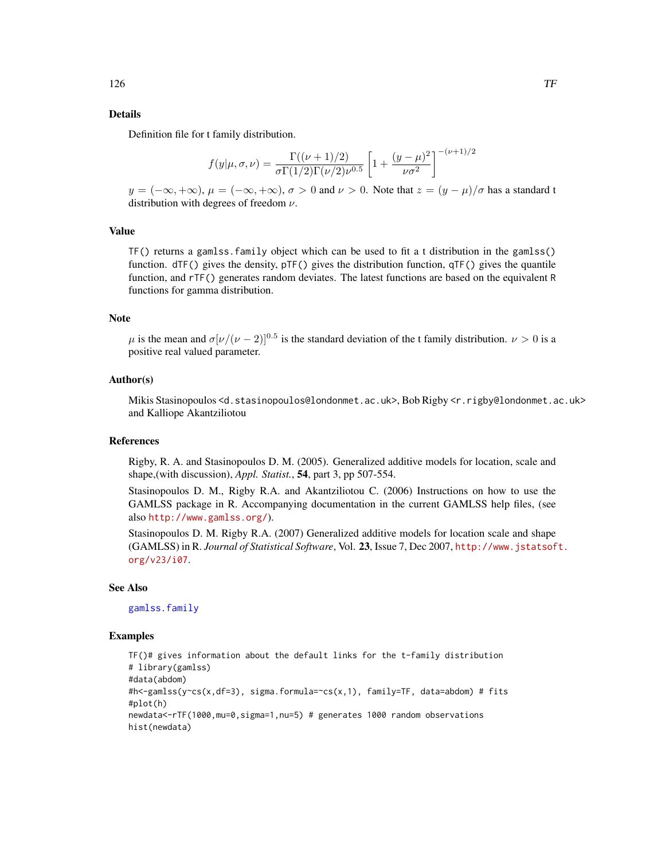## Details

Definition file for t family distribution.

$$
f(y|\mu,\sigma,\nu) = \frac{\Gamma((\nu+1)/2)}{\sigma \Gamma(1/2)\Gamma(\nu/2)\nu^{0.5}} \left[1 + \frac{(y-\mu)^2}{\nu \sigma^2}\right]^{-(\nu+1)/2}
$$

 $y = (-\infty, +\infty), \mu = (-\infty, +\infty), \sigma > 0$  and  $\nu > 0$ . Note that  $z = (y - \mu)/\sigma$  has a standard t distribution with degrees of freedom  $\nu$ .

## Value

TF() returns a gamlss.family object which can be used to fit a t distribution in the gamlss() function.  $dTF()$  gives the density,  $pTF()$  gives the distribution function,  $qTF()$  gives the quantile function, and rTF() generates random deviates. The latest functions are based on the equivalent R functions for gamma distribution.

## Note

 $\mu$  is the mean and  $\sigma[\nu/(\nu-2)]^{0.5}$  is the standard deviation of the t family distribution.  $\nu > 0$  is a positive real valued parameter.

#### Author(s)

Mikis Stasinopoulos <d.stasinopoulos@londonmet.ac.uk>, Bob Rigby <r.rigby@londonmet.ac.uk> and Kalliope Akantziliotou

## References

Rigby, R. A. and Stasinopoulos D. M. (2005). Generalized additive models for location, scale and shape,(with discussion), *Appl. Statist.*, 54, part 3, pp 507-554.

Stasinopoulos D. M., Rigby R.A. and Akantziliotou C. (2006) Instructions on how to use the GAMLSS package in R. Accompanying documentation in the current GAMLSS help files, (see also <http://www.gamlss.org/>).

Stasinopoulos D. M. Rigby R.A. (2007) Generalized additive models for location scale and shape (GAMLSS) in R. *Journal of Statistical Software*, Vol. 23, Issue 7, Dec 2007, [http://www.jstatsof](http://www.jstatsoft.org/v23/i07)t. [org/v23/i07](http://www.jstatsoft.org/v23/i07).

## See Also

[gamlss.family](#page-38-0)

#### Examples

```
TF()# gives information about the default links for the t-family distribution
# library(gamlss)
#data(abdom)
#h<-gamlss(y~cs(x,df=3), sigma.formula=~cs(x,1), family=TF, data=abdom) # fits
#plot(h)
newdata<-rTF(1000,mu=0,sigma=1,nu=5) # generates 1000 random observations
hist(newdata)
```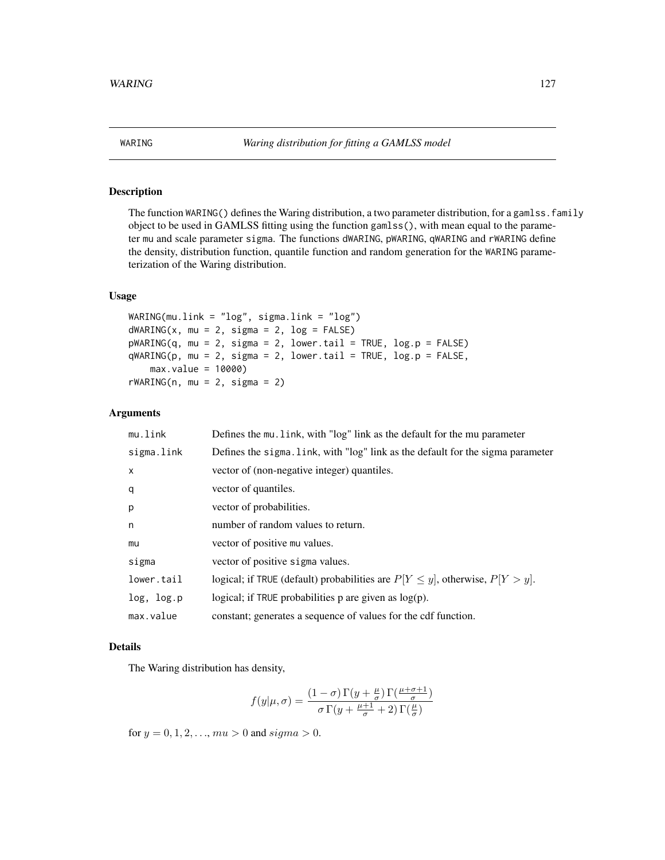# Description

The function WARING() defines the Waring distribution, a two parameter distribution, for a gamlss. family object to be used in GAMLSS fitting using the function gamlss(), with mean equal to the parameter mu and scale parameter sigma. The functions dWARING, pWARING, qWARING and rWARING define the density, distribution function, quantile function and random generation for the WARING parameterization of the Waring distribution.

## Usage

```
WARING(mu.link = "log", sigma.link = "log")
dWARTNG(x, mu = 2, sigma = 2, log = FALSE)pWARTNG(q, mu = 2, sigma = 2, lower.tail = TRUE, log.p = FALSE)qWARTNG(p, mu = 2, sigma = 2, lower.tail = TRUE, log.p = FALSE,max.value = 10000)
rWARTNG(n, mu = 2, sigma = 2)
```
# Arguments

| mu.link    | Defines the mu. link, with "log" link as the default for the mu parameter            |
|------------|--------------------------------------------------------------------------------------|
| sigma.link | Defines the sigma. link, with "log" link as the default for the sigma parameter      |
| X          | vector of (non-negative integer) quantiles.                                          |
| q          | vector of quantiles.                                                                 |
| p          | vector of probabilities.                                                             |
| n          | number of random values to return.                                                   |
| mu         | vector of positive mu values.                                                        |
| sigma      | vector of positive sigma values.                                                     |
| lower.tail | logical; if TRUE (default) probabilities are $P[Y \leq y]$ , otherwise, $P[Y > y]$ . |
| log, log.p | logical; if TRUE probabilities $p$ are given as $log(p)$ .                           |
| max.value  | constant; generates a sequence of values for the cdf function.                       |

### Details

The Waring distribution has density,

$$
f(y|\mu,\sigma) = \frac{(1-\sigma)\,\Gamma(y+\frac{\mu}{\sigma})\,\Gamma(\frac{\mu+\sigma+1}{\sigma})}{\sigma\,\Gamma(y+\frac{\mu+1}{\sigma}+2)\,\Gamma(\frac{\mu}{\sigma})}
$$

for  $y = 0, 1, 2, \ldots, mu > 0$  and  $sigma > 0$ .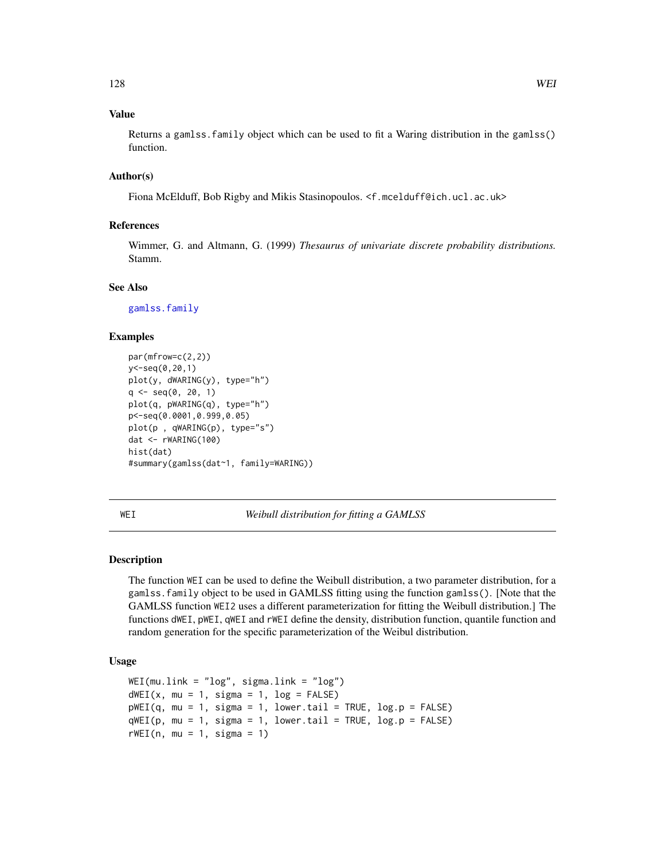# Value

Returns a gamlss.family object which can be used to fit a Waring distribution in the gamlss() function.

## Author(s)

Fiona McElduff, Bob Rigby and Mikis Stasinopoulos. <f.mcelduff@ich.ucl.ac.uk>

# References

Wimmer, G. and Altmann, G. (1999) *Thesaurus of univariate discrete probability distributions.* Stamm.

## See Also

[gamlss.family](#page-38-0)

# Examples

```
par(mfrow=c(2,2))
y<-seq(0,20,1)
plot(y, dWARING(y), type="h")
q \leq - \text{seq}(0, 20, 1)plot(q, pWARING(q), type="h")
p<-seq(0.0001,0.999,0.05)
plot(p , qWARING(p), type="s")
dat <- rWARING(100)
hist(dat)
#summary(gamlss(dat~1, family=WARING))
```
<span id="page-127-0"></span>WEI *Weibull distribution for fitting a GAMLSS*

## Description

The function WEI can be used to define the Weibull distribution, a two parameter distribution, for a gamlss.family object to be used in GAMLSS fitting using the function gamlss(). [Note that the GAMLSS function WEI2 uses a different parameterization for fitting the Weibull distribution.] The functions dWEI, pWEI, qWEI and rWEI define the density, distribution function, quantile function and random generation for the specific parameterization of the Weibul distribution.

# Usage

```
WEI(mu.link = "log", sigma.link = "log")dWEI(x, mu = 1, sigma = 1, log = FALSE)pWEI(q, mu = 1, sigma = 1, lower.tail = TRUE, log.p = FALSE)qWEI(p, mu = 1, sigma = 1, lowertail = TRUE, log.p = FALSE)
rWEI(n, mu = 1, sigma = 1)
```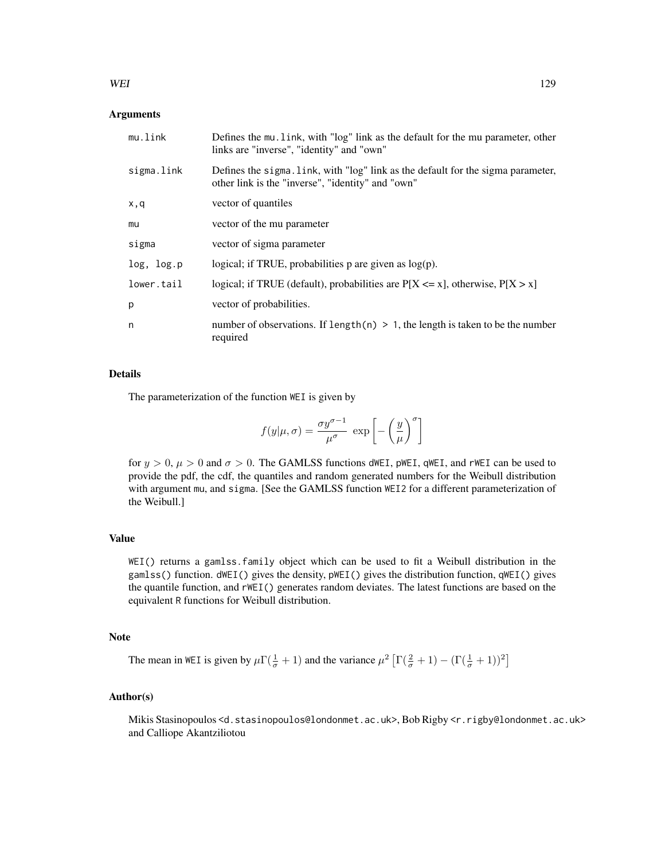## WEI 29

# Arguments

| mu.link    | Defines the mu. link, with "log" link as the default for the mu parameter, other<br>links are "inverse", "identity" and "own"         |
|------------|---------------------------------------------------------------------------------------------------------------------------------------|
| sigma.link | Defines the sigma. Link, with "log" link as the default for the sigma parameter,<br>other link is the "inverse", "identity" and "own" |
| x,q        | vector of quantiles                                                                                                                   |
| mu         | vector of the mu parameter                                                                                                            |
| sigma      | vector of sigma parameter                                                                                                             |
| log, log.p | logical; if TRUE, probabilities $p$ are given as $log(p)$ .                                                                           |
| lower.tail | logical; if TRUE (default), probabilities are $P[X \le x]$ , otherwise, $P[X > x]$                                                    |
| p          | vector of probabilities.                                                                                                              |
| n          | number of observations. If length(n) $> 1$ , the length is taken to be the number<br>required                                         |

## Details

The parameterization of the function WEI is given by

$$
f(y|\mu,\sigma) = \frac{\sigma y^{\sigma-1}}{\mu^{\sigma}} \exp \left[ -\left(\frac{y}{\mu}\right)^{\sigma} \right]
$$

for  $y > 0$ ,  $\mu > 0$  and  $\sigma > 0$ . The GAMLSS functions dWEI, pWEI, qWEI, and rWEI can be used to provide the pdf, the cdf, the quantiles and random generated numbers for the Weibull distribution with argument mu, and sigma. [See the GAMLSS function WEI2 for a different parameterization of the Weibull.]

# Value

WEI() returns a gamlss.family object which can be used to fit a Weibull distribution in the gamlss() function. dWEI() gives the density, pWEI() gives the distribution function, qWEI() gives the quantile function, and rWEI() generates random deviates. The latest functions are based on the equivalent R functions for Weibull distribution.

## Note

The mean in WEI is given by  $\mu \Gamma(\frac{1}{\sigma}+1)$  and the variance  $\mu^2 \left[ \Gamma(\frac{2}{\sigma}+1) - (\Gamma(\frac{1}{\sigma}+1))^2 \right]$ 

# Author(s)

Mikis Stasinopoulos <d.stasinopoulos@londonmet.ac.uk>, Bob Rigby <r.rigby@londonmet.ac.uk> and Calliope Akantziliotou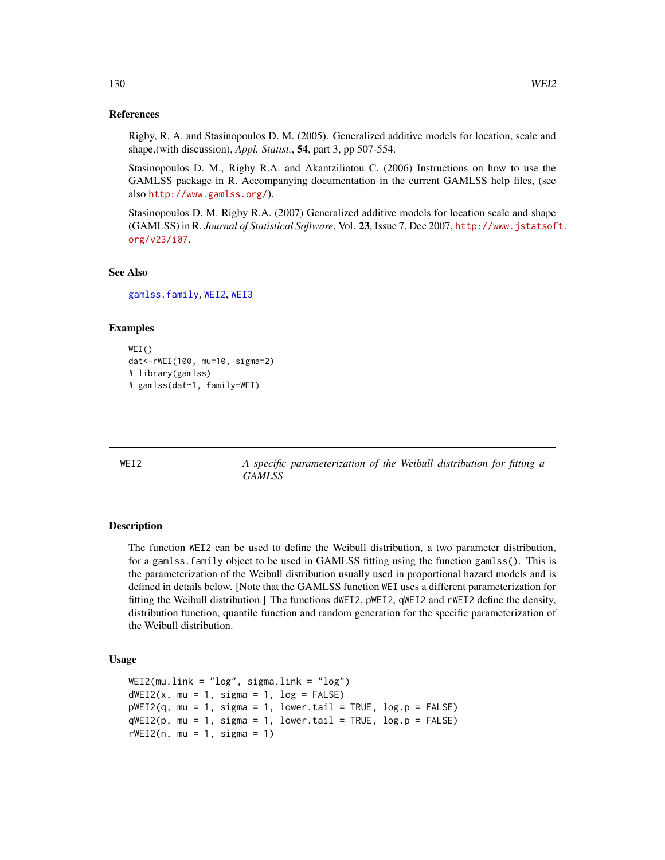## References

Rigby, R. A. and Stasinopoulos D. M. (2005). Generalized additive models for location, scale and shape,(with discussion), *Appl. Statist.*, 54, part 3, pp 507-554.

Stasinopoulos D. M., Rigby R.A. and Akantziliotou C. (2006) Instructions on how to use the GAMLSS package in R. Accompanying documentation in the current GAMLSS help files, (see also <http://www.gamlss.org/>).

Stasinopoulos D. M. Rigby R.A. (2007) Generalized additive models for location scale and shape (GAMLSS) in R. *Journal of Statistical Software*, Vol. 23, Issue 7, Dec 2007, [http://www.jstatsof](http://www.jstatsoft.org/v23/i07)t. [org/v23/i07](http://www.jstatsoft.org/v23/i07).

## See Also

[gamlss.family](#page-38-0), [WEI2](#page-129-0), [WEI3](#page-131-0)

## Examples

```
WEI()
dat<-rWEI(100, mu=10, sigma=2)
# library(gamlss)
# gamlss(dat~1, family=WEI)
```
<span id="page-129-0"></span>WEI2 *A specific parameterization of the Weibull distribution for fitting a GAMLSS*

## Description

The function WEI2 can be used to define the Weibull distribution, a two parameter distribution, for a gamlss.family object to be used in GAMLSS fitting using the function gamlss(). This is the parameterization of the Weibull distribution usually used in proportional hazard models and is defined in details below. [Note that the GAMLSS function WEI uses a different parameterization for fitting the Weibull distribution.] The functions dWEI2, pWEI2, qWEI2 and rWEI2 define the density, distribution function, quantile function and random generation for the specific parameterization of the Weibull distribution.

## Usage

```
WEI2(mu.link = "log", sigma.link = "log")dWEI2(x, mu = 1, sigma = 1, log = FALSE)pWEI2(q, mu = 1, sigma = 1, lower.tail = TRUE, log.p = FALSE)qWE12(p, mu = 1, sigma = 1, lower.tail = TRUE, log.p = FALSE)rWEI2(n, mu = 1, sigma = 1)
```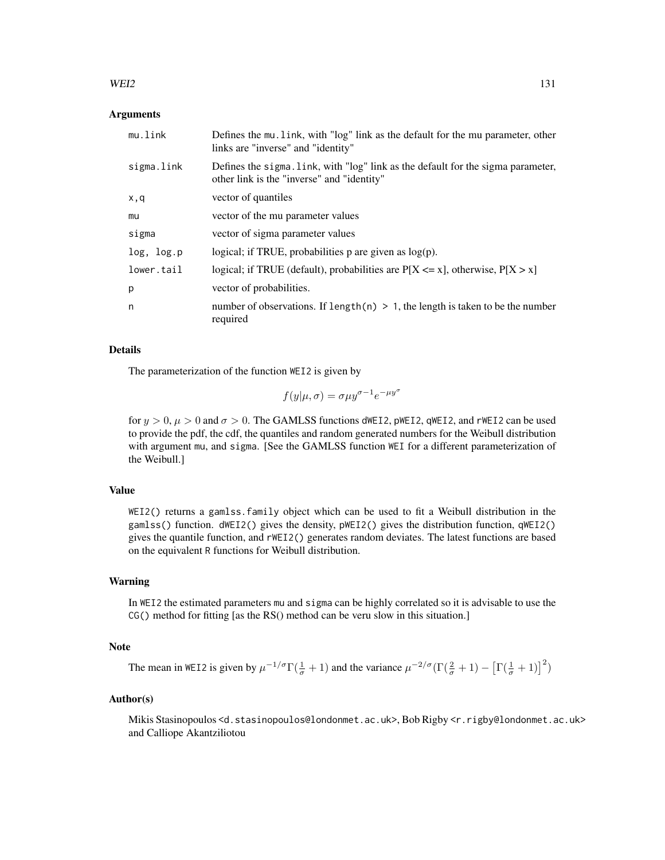## $WEI2$  131

#### Arguments

| mu.link    | Defines the mu. link, with "log" link as the default for the mu parameter, other<br>links are "inverse" and "identity"         |
|------------|--------------------------------------------------------------------------------------------------------------------------------|
| sigma.link | Defines the sigma. Link, with "log" link as the default for the sigma parameter,<br>other link is the "inverse" and "identity" |
| x,q        | vector of quantiles                                                                                                            |
| mu         | vector of the mu parameter values                                                                                              |
| sigma      | vector of sigma parameter values                                                                                               |
| log, log.p | logical; if TRUE, probabilities $p$ are given as $log(p)$ .                                                                    |
| lower.tail | logical; if TRUE (default), probabilities are $P[X \le x]$ , otherwise, $P[X > x]$                                             |
| p          | vector of probabilities.                                                                                                       |
| n          | number of observations. If length $(n) > 1$ , the length is taken to be the number<br>required                                 |

### Details

The parameterization of the function WEI2 is given by

$$
f(y|\mu,\sigma) = \sigma \mu y^{\sigma-1} e^{-\mu y^{\sigma}}
$$

for  $y > 0$ ,  $\mu > 0$  and  $\sigma > 0$ . The GAMLSS functions dWEI2, pWEI2, qWEI2, and rWEI2 can be used to provide the pdf, the cdf, the quantiles and random generated numbers for the Weibull distribution with argument mu, and sigma. [See the GAMLSS function WEI for a different parameterization of the Weibull.]

# Value

WEI2() returns a gamlss.family object which can be used to fit a Weibull distribution in the gamlss() function. dWEI2() gives the density, pWEI2() gives the distribution function, qWEI2() gives the quantile function, and rWEI2() generates random deviates. The latest functions are based on the equivalent R functions for Weibull distribution.

## Warning

In WEI2 the estimated parameters mu and sigma can be highly correlated so it is advisable to use the CG() method for fitting [as the RS() method can be veru slow in this situation.]

# Note

The mean in WEI2 is given by  $\mu^{-1/\sigma} \Gamma(\frac{1}{\sigma} + 1)$  and the variance  $\mu^{-2/\sigma} (\Gamma(\frac{2}{\sigma} + 1) - [\Gamma(\frac{1}{\sigma} + 1)]^2)$ 

# Author(s)

Mikis Stasinopoulos <d.stasinopoulos@londonmet.ac.uk>, Bob Rigby <r.rigby@londonmet.ac.uk> and Calliope Akantziliotou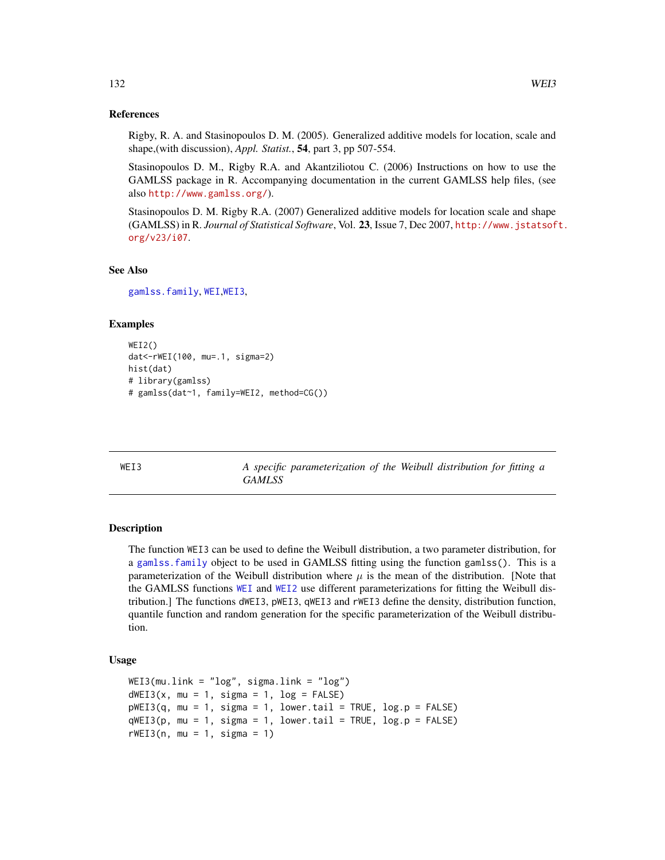## References

Rigby, R. A. and Stasinopoulos D. M. (2005). Generalized additive models for location, scale and shape,(with discussion), *Appl. Statist.*, 54, part 3, pp 507-554.

Stasinopoulos D. M., Rigby R.A. and Akantziliotou C. (2006) Instructions on how to use the GAMLSS package in R. Accompanying documentation in the current GAMLSS help files, (see also <http://www.gamlss.org/>).

Stasinopoulos D. M. Rigby R.A. (2007) Generalized additive models for location scale and shape (GAMLSS) in R. *Journal of Statistical Software*, Vol. 23, Issue 7, Dec 2007, [http://www.jstatsof](http://www.jstatsoft.org/v23/i07)t. [org/v23/i07](http://www.jstatsoft.org/v23/i07).

## See Also

[gamlss.family](#page-38-0), [WEI](#page-127-0),[WEI3](#page-131-0),

## Examples

```
WEI2()
dat<-rWEI(100, mu=.1, sigma=2)
hist(dat)
# library(gamlss)
# gamlss(dat~1, family=WEI2, method=CG())
```
<span id="page-131-0"></span>WEI3 *A specific parameterization of the Weibull distribution for fitting a GAMLSS*

# Description

The function WEI3 can be used to define the Weibull distribution, a two parameter distribution, for a [gamlss.family](#page-38-0) object to be used in GAMLSS fitting using the function gamlss(). This is a parameterization of the Weibull distribution where  $\mu$  is the mean of the distribution. [Note that the GAMLSS functions [WEI](#page-127-0) and [WEI2](#page-129-0) use different parameterizations for fitting the Weibull distribution.] The functions dWEI3, pWEI3, qWEI3 and rWEI3 define the density, distribution function, quantile function and random generation for the specific parameterization of the Weibull distribution.

#### Usage

```
WEI3(mu.link = "log", sigma.link = "log")
dWEI3(x, mu = 1, sigma = 1, log = FALSE)pWEI3(q, mu = 1, sigma = 1, lower.tail = TRUE, log.p = FALSE)qWE13(p, mu = 1, sigma = 1, lower.tail = TRUE, log.p = FALSE)rWEI3(n, mu = 1, sigma = 1)
```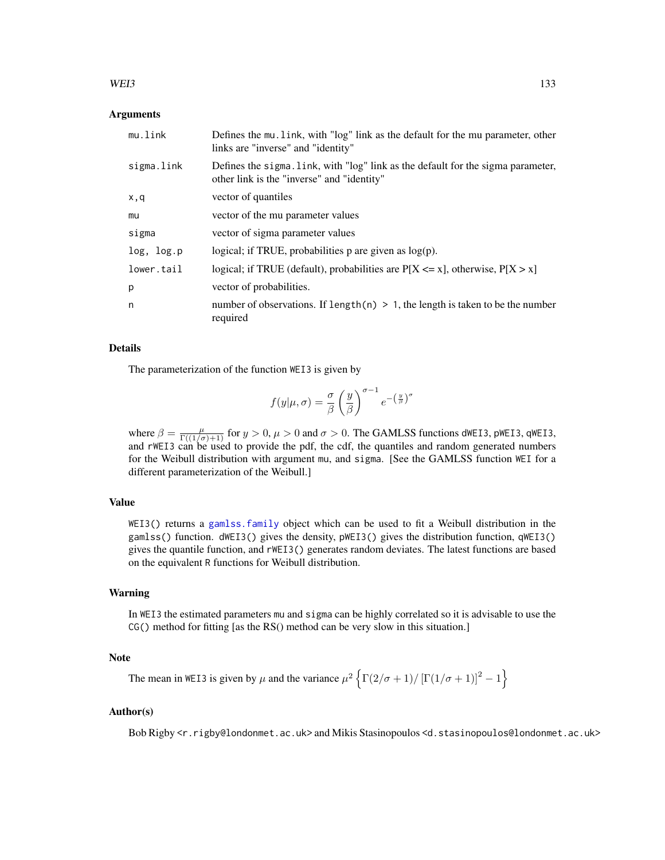## $WEI3$  133

## Arguments

| mu.link    | Defines the mu. link, with "log" link as the default for the mu parameter, other<br>links are "inverse" and "identity"         |
|------------|--------------------------------------------------------------------------------------------------------------------------------|
| sigma.link | Defines the sigma. Link, with "log" link as the default for the sigma parameter,<br>other link is the "inverse" and "identity" |
| x,q        | vector of quantiles                                                                                                            |
| mu         | vector of the mu parameter values                                                                                              |
| sigma      | vector of sigma parameter values                                                                                               |
| log, log.p | logical; if TRUE, probabilities $p$ are given as $log(p)$ .                                                                    |
| lower.tail | logical; if TRUE (default), probabilities are $P[X \le x]$ , otherwise, $P[X > x]$                                             |
| p          | vector of probabilities.                                                                                                       |
| n          | number of observations. If length $(n) > 1$ , the length is taken to be the number<br>required                                 |

# Details

The parameterization of the function WEI3 is given by

$$
f(y|\mu,\sigma) = \frac{\sigma}{\beta} \left(\frac{y}{\beta}\right)^{\sigma-1} e^{-\left(\frac{y}{\beta}\right)^{\sigma}}
$$

where  $\beta = \frac{\mu}{\Gamma((1/\sigma)+1)}$  for  $y > 0$ ,  $\mu > 0$  and  $\sigma > 0$ . The GAMLSS functions dWEI3, pWEI3, qWEI3, and rWEI3 can be used to provide the pdf, the cdf, the quantiles and random generated numbers for the Weibull distribution with argument mu, and sigma. [See the GAMLSS function WEI for a different parameterization of the Weibull.]

# Value

WEI3() returns a [gamlss.family](#page-38-0) object which can be used to fit a Weibull distribution in the gamlss() function. dWEI3() gives the density, pWEI3() gives the distribution function, qWEI3() gives the quantile function, and rWEI3() generates random deviates. The latest functions are based on the equivalent R functions for Weibull distribution.

### Warning

In WEI3 the estimated parameters mu and sigma can be highly correlated so it is advisable to use the CG() method for fitting [as the RS() method can be very slow in this situation.]

# Note

The mean in WEI3 is given by  $\mu$  and the variance  $\mu^2 \left\{ \Gamma(2/\sigma+1)/[\Gamma(1/\sigma+1)]^2 - 1 \right\}$ 

# Author(s)

Bob Rigby <r.rigby@londonmet.ac.uk> and Mikis Stasinopoulos <d.stasinopoulos@londonmet.ac.uk>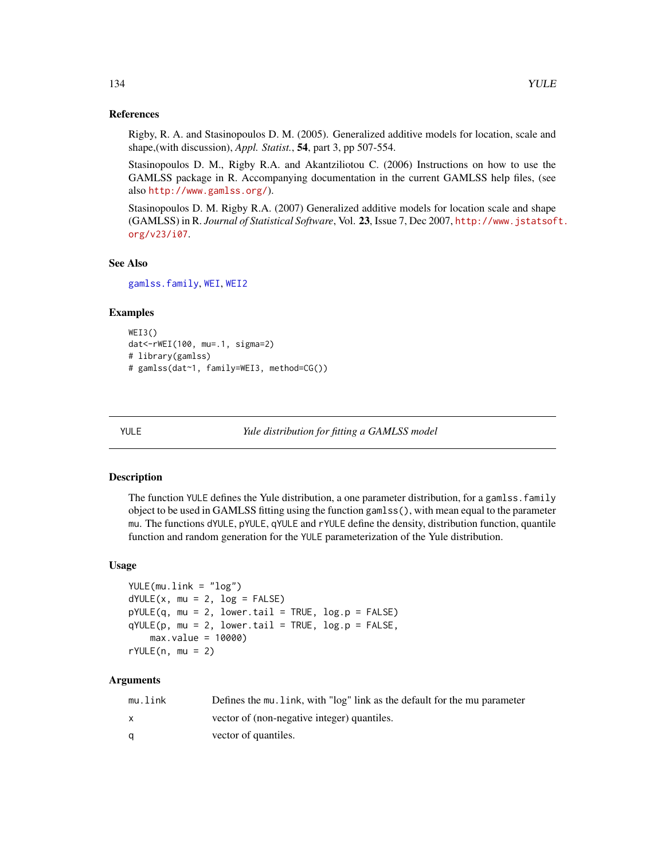## References

Rigby, R. A. and Stasinopoulos D. M. (2005). Generalized additive models for location, scale and shape,(with discussion), *Appl. Statist.*, 54, part 3, pp 507-554.

Stasinopoulos D. M., Rigby R.A. and Akantziliotou C. (2006) Instructions on how to use the GAMLSS package in R. Accompanying documentation in the current GAMLSS help files, (see also <http://www.gamlss.org/>).

Stasinopoulos D. M. Rigby R.A. (2007) Generalized additive models for location scale and shape (GAMLSS) in R. *Journal of Statistical Software*, Vol. 23, Issue 7, Dec 2007, [http://www.jstatsof](http://www.jstatsoft.org/v23/i07)t. [org/v23/i07](http://www.jstatsoft.org/v23/i07).

# See Also

[gamlss.family](#page-38-0), [WEI](#page-127-0), [WEI2](#page-129-0)

# Examples

```
WEI3()
dat<-rWEI(100, mu=.1, sigma=2)
# library(gamlss)
# gamlss(dat~1, family=WEI3, method=CG())
```
YULE *Yule distribution for fitting a GAMLSS model*

# **Description**

The function YULE defines the Yule distribution, a one parameter distribution, for a gamlss,  $f$ amily object to be used in GAMLSS fitting using the function gamlss(), with mean equal to the parameter mu. The functions dYULE, pYULE, qYULE and rYULE define the density, distribution function, quantile function and random generation for the YULE parameterization of the Yule distribution.

### Usage

```
YULE(mu.link = "log")
dYULE(x, mu = 2, log = FALSE)pYULE(q, mu = 2, lower.tail = TRUE, log.p = FALSE)qYULE(p, mu = 2, lower.tail = TRUE, log.p = FALSE,max.value = 10000)
rYULE(n, mu = 2)
```
# **Arguments**

| mu.link | Defines the mu, link, with "log" link as the default for the mu parameter |
|---------|---------------------------------------------------------------------------|
|         | vector of (non-negative integer) quantiles.                               |
| α       | vector of quantiles.                                                      |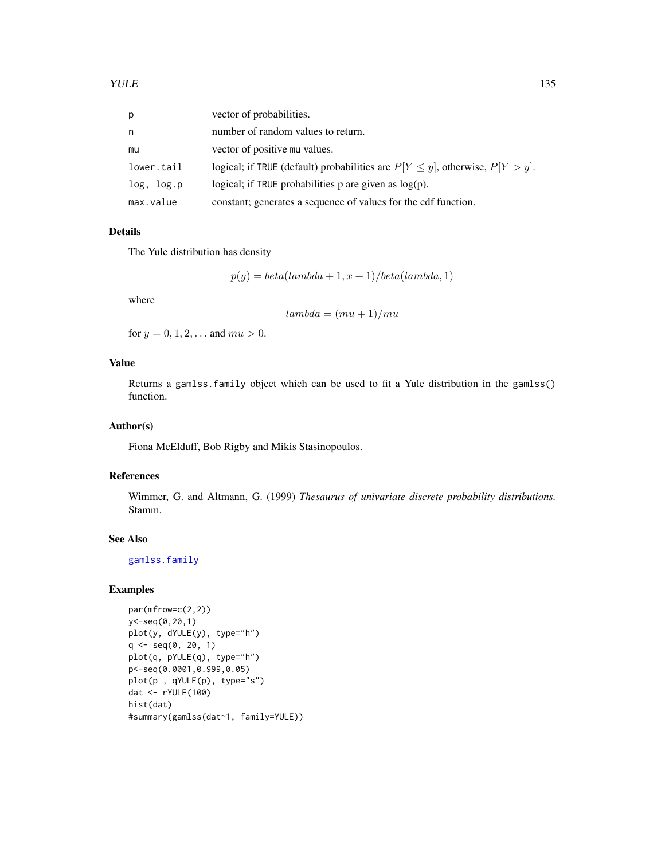| р          | vector of probabilities.                                                             |
|------------|--------------------------------------------------------------------------------------|
| n          | number of random values to return.                                                   |
| mu         | vector of positive mu values.                                                        |
| lower.tail | logical; if TRUE (default) probabilities are $P[Y \leq y]$ , otherwise, $P[Y > y]$ . |
| log, log.p | logical; if TRUE probabilities p are given as $log(p)$ .                             |
| max.value  | constant; generates a sequence of values for the cdf function.                       |

# Details

The Yule distribution has density

$$
p(y) = beta(lambda + 1, x + 1)/beta(lambda, 1)
$$

where

 $lambda = (mu + 1)/mu$ 

for  $y = 0, 1, 2, ...$  and  $mu > 0$ .

# Value

Returns a gamlss.family object which can be used to fit a Yule distribution in the gamlss() function.

## Author(s)

Fiona McElduff, Bob Rigby and Mikis Stasinopoulos.

## References

Wimmer, G. and Altmann, G. (1999) *Thesaurus of univariate discrete probability distributions.* Stamm.

# See Also

[gamlss.family](#page-38-0)

# Examples

```
par(mfrow=c(2,2))
y<-seq(0,20,1)
plot(y, dYULE(y), type="h")
q <- seq(0, 20, 1)
plot(q, pYULE(q), type="h")
p<-seq(0.0001,0.999,0.05)
plot(p , qYULE(p), type="s")
dat <- rYULE(100)
hist(dat)
#summary(gamlss(dat~1, family=YULE))
```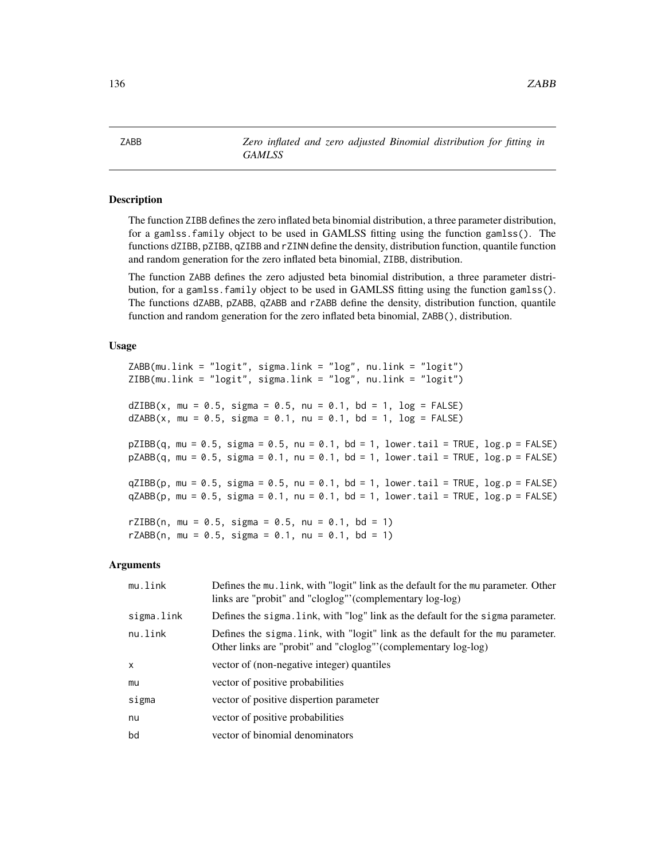ZABB *Zero inflated and zero adjusted Binomial distribution for fitting in GAMLSS*

# Description

The function ZIBB defines the zero inflated beta binomial distribution, a three parameter distribution, for a gamlss.family object to be used in GAMLSS fitting using the function gamlss(). The functions dZIBB, pZIBB, qZIBB and rZINN define the density, distribution function, quantile function and random generation for the zero inflated beta binomial, ZIBB, distribution.

The function ZABB defines the zero adjusted beta binomial distribution, a three parameter distribution, for a gamlss.family object to be used in GAMLSS fitting using the function gamlss(). The functions dZABB, pZABB, qZABB and rZABB define the density, distribution function, quantile function and random generation for the zero inflated beta binomial, ZABB(), distribution.

## Usage

ZABB(mu.link = "logit", sigma.link = "log", nu.link = "logit") ZIBB(mu.link = "logit", sigma.link = "log", nu.link = "logit")  $dZIBB(x, mu = 0.5, sigma = 0.5, nu = 0.1, bd = 1, log = FALSE)$  $dZABB(x, mu = 0.5, sigma = 0.1, nu = 0.1, bd = 1, log = FALSE)$  $pZIBB(q, mu = 0.5, sigma = 0.5, nu = 0.1, bd = 1, lower.tail = TRUE, log.p = FALSE)$  $pZABB(q, mu = 0.5, sigma = 0.1, nu = 0.1, bd = 1, lower$  $.\n tail = TRUE, log.p = FALSE)$  $qZIBB(p, mu = 0.5, sigma = 0.5, nu = 0.1, bd = 1, lower$  $.\ntail = TRUE, log.p = FALSE)$  $qZABB(p, mu = 0.5, sigma = 0.1, nu = 0.1, bd = 1, lower.tail = TRUE, log.p = FALSE)$ rZIBB(n, mu =  $0.5$ , sigma =  $0.5$ , nu =  $0.1$ , bd = 1) rZABB(n, mu = 0.5, sigma = 0.1, nu = 0.1, bd = 1)

### Arguments

| mu.link      | Defines the mu. link, with "logit" link as the default for the mu parameter. Other<br>links are "probit" and "cloglog" (complementary log-log)    |
|--------------|---------------------------------------------------------------------------------------------------------------------------------------------------|
| sigma.link   | Defines the sigma. Link, with "log" link as the default for the sigma parameter.                                                                  |
| nu.link      | Defines the sigma. Link, with "logit" link as the default for the mu parameter.<br>Other links are "probit" and "cloglog" (complementary log-log) |
| $\mathsf{x}$ | vector of (non-negative integer) quantiles                                                                                                        |
| mu           | vector of positive probabilities                                                                                                                  |
| sigma        | vector of positive dispertion parameter                                                                                                           |
| nu           | vector of positive probabilities                                                                                                                  |
| bd           | vector of binomial denominators                                                                                                                   |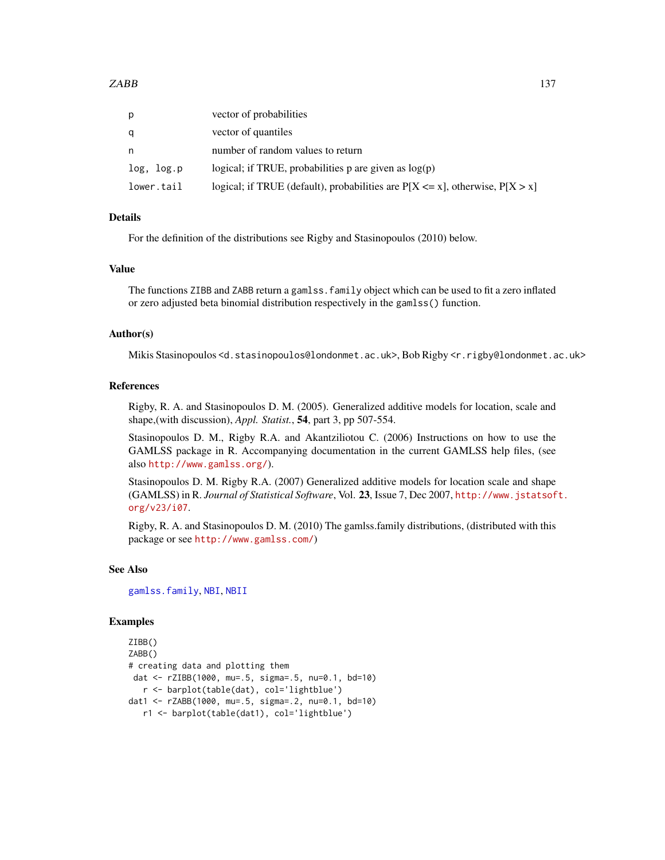| p          | vector of probabilities                                                            |
|------------|------------------------------------------------------------------------------------|
| q          | vector of quantiles                                                                |
| n          | number of random values to return                                                  |
| log, log.p | logical; if TRUE, probabilities p are given as $log(p)$                            |
| lower.tail | logical; if TRUE (default), probabilities are $P[X \le x]$ , otherwise, $P[X > x]$ |

# Details

For the definition of the distributions see Rigby and Stasinopoulos (2010) below.

#### Value

The functions ZIBB and ZABB return a gamlss.family object which can be used to fit a zero inflated or zero adjusted beta binomial distribution respectively in the gamlss() function.

# Author(s)

Mikis Stasinopoulos <d.stasinopoulos@londonmet.ac.uk>, Bob Rigby <r.rigby@londonmet.ac.uk>

## References

Rigby, R. A. and Stasinopoulos D. M. (2005). Generalized additive models for location, scale and shape,(with discussion), *Appl. Statist.*, 54, part 3, pp 507-554.

Stasinopoulos D. M., Rigby R.A. and Akantziliotou C. (2006) Instructions on how to use the GAMLSS package in R. Accompanying documentation in the current GAMLSS help files, (see also <http://www.gamlss.org/>).

Stasinopoulos D. M. Rigby R.A. (2007) Generalized additive models for location scale and shape (GAMLSS) in R. *Journal of Statistical Software*, Vol. 23, Issue 7, Dec 2007, [http://www.jstatsof](http://www.jstatsoft.org/v23/i07)t. [org/v23/i07](http://www.jstatsoft.org/v23/i07).

Rigby, R. A. and Stasinopoulos D. M. (2010) The gamlss.family distributions, (distributed with this package or see <http://www.gamlss.com/>)

# See Also

[gamlss.family](#page-38-0), [NBI](#page-81-0), [NBII](#page-83-0)

## Examples

```
ZIBB()
ZABB()
# creating data and plotting them
dat <- rZIBB(1000, mu=.5, sigma=.5, nu=0.1, bd=10)
  r <- barplot(table(dat), col='lightblue')
dat1 <- rZABB(1000, mu=.5, sigma=.2, nu=0.1, bd=10)
  r1 <- barplot(table(dat1), col='lightblue')
```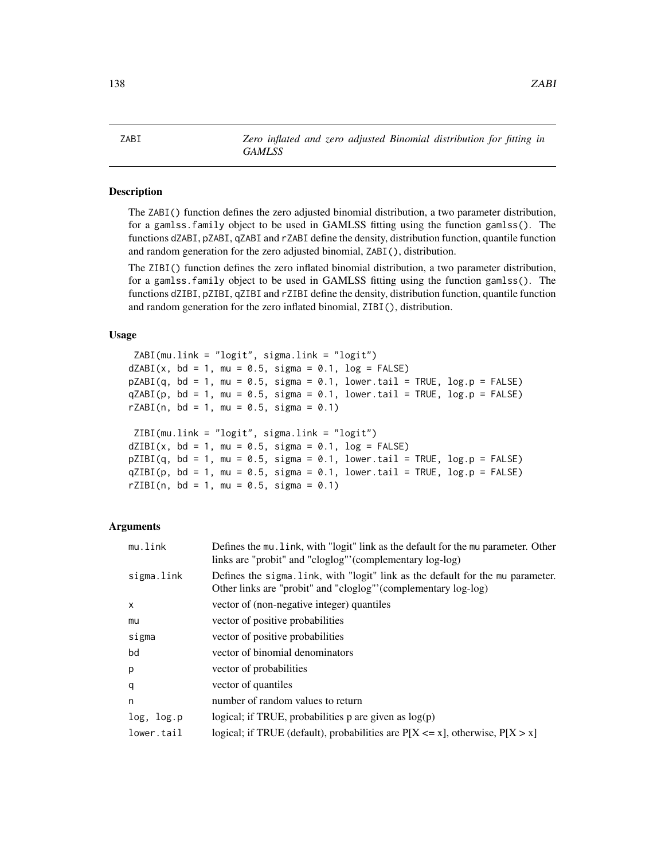## **Description**

The ZABI() function defines the zero adjusted binomial distribution, a two parameter distribution, for a gamlss.family object to be used in GAMLSS fitting using the function gamlss(). The functions dZABI, pZABI, qZABI and rZABI define the density, distribution function, quantile function and random generation for the zero adjusted binomial, ZABI(), distribution.

The ZIBI() function defines the zero inflated binomial distribution, a two parameter distribution, for a gamlss.family object to be used in GAMLSS fitting using the function gamlss(). The functions dZIBI, pZIBI, qZIBI and rZIBI define the density, distribution function, quantile function and random generation for the zero inflated binomial, ZIBI(), distribution.

## Usage

```
ZABI(mu.link = "logit", sigma.link = "logit")
dZABI(x, bd = 1, mu = 0.5, sigma = 0.1, log = FALSE)pZABI(q, bd = 1, mu = 0.5, sigma = 0.1, lower.tail = TRUE, log.p = FALSE)qZABI(p, bd = 1, mu = 0.5, sigma = 0.1, lower[allerage] <math>p = FALSErZABI(n, bd = 1, mu = 0.5, sigma = 0.1)ZIBI(mu.link = "logit", sigma.link = "logit")
dZIBI(x, bd = 1, mu = 0.5, sigma = 0.1, log = FALSE)pZIBI(q, bd = 1, mu = 0.5, sigma = 0.1, lower.tail = TRUE, log.p = FALSE)qZIBI(p, bd = 1, mu = 0.5, sigma = 0.1, lower.tail = TRUE, log.p = FALSE)rZIBI(n, bd = 1, mu = 0.5, sigma = 0.1)
```
## Arguments

| mu.link    | Defines the mu. link, with "logit" link as the default for the mu parameter. Other<br>links are "probit" and "cloglog" (complementary log-log)    |
|------------|---------------------------------------------------------------------------------------------------------------------------------------------------|
| sigma.link | Defines the sigma. Link, with "logit" link as the default for the mu parameter.<br>Other links are "probit" and "cloglog" (complementary log-log) |
| X          | vector of (non-negative integer) quantiles                                                                                                        |
| mu         | vector of positive probabilities                                                                                                                  |
| sigma      | vector of positive probabilities                                                                                                                  |
| bd         | vector of binomial denominators                                                                                                                   |
| p          | vector of probabilities                                                                                                                           |
| q          | vector of quantiles                                                                                                                               |
| n          | number of random values to return                                                                                                                 |
| log, log.p | logical; if TRUE, probabilities p are given as $log(p)$                                                                                           |
| lower.tail | logical; if TRUE (default), probabilities are $P[X \le x]$ , otherwise, $P[X > x]$                                                                |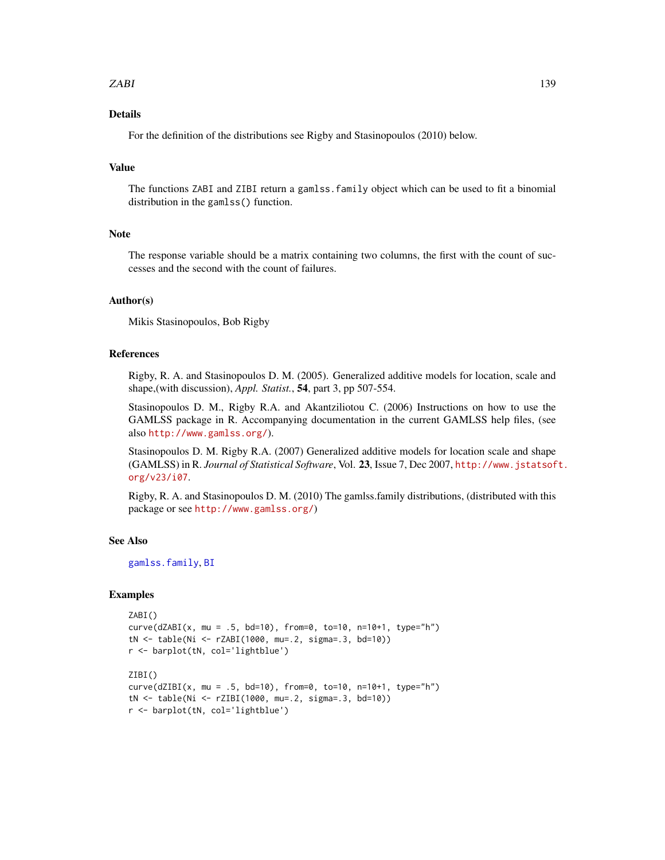# zabili za 139

# Details

For the definition of the distributions see Rigby and Stasinopoulos (2010) below.

# Value

The functions ZABI and ZIBI return a gamlss.family object which can be used to fit a binomial distribution in the gamlss() function.

# Note

The response variable should be a matrix containing two columns, the first with the count of successes and the second with the count of failures.

## Author(s)

Mikis Stasinopoulos, Bob Rigby

# References

Rigby, R. A. and Stasinopoulos D. M. (2005). Generalized additive models for location, scale and shape,(with discussion), *Appl. Statist.*, 54, part 3, pp 507-554.

Stasinopoulos D. M., Rigby R.A. and Akantziliotou C. (2006) Instructions on how to use the GAMLSS package in R. Accompanying documentation in the current GAMLSS help files, (see also <http://www.gamlss.org/>).

Stasinopoulos D. M. Rigby R.A. (2007) Generalized additive models for location scale and shape (GAMLSS) in R. *Journal of Statistical Software*, Vol. 23, Issue 7, Dec 2007, [http://www.jstatsof](http://www.jstatsoft.org/v23/i07)t. [org/v23/i07](http://www.jstatsoft.org/v23/i07).

Rigby, R. A. and Stasinopoulos D. M. (2010) The gamlss.family distributions, (distributed with this package or see <http://www.gamlss.org/>)

#### See Also

[gamlss.family](#page-38-0), [BI](#page-24-0)

## Examples

```
ZABI()
curve(dZABI(x, mu = .5, bd=10), from=0, to=10, n=10+1, type="h")
tN <- table(Ni <- rZABI(1000, mu=.2, sigma=.3, bd=10))
r <- barplot(tN, col='lightblue')
ZIBI()
curve(dZIBI(x, mu = .5, bd=10), from=0, to=10, n=10+1, type="h")
tN <- table(Ni <- rZIBI(1000, mu=.2, sigma=.3, bd=10))
r <- barplot(tN, col='lightblue')
```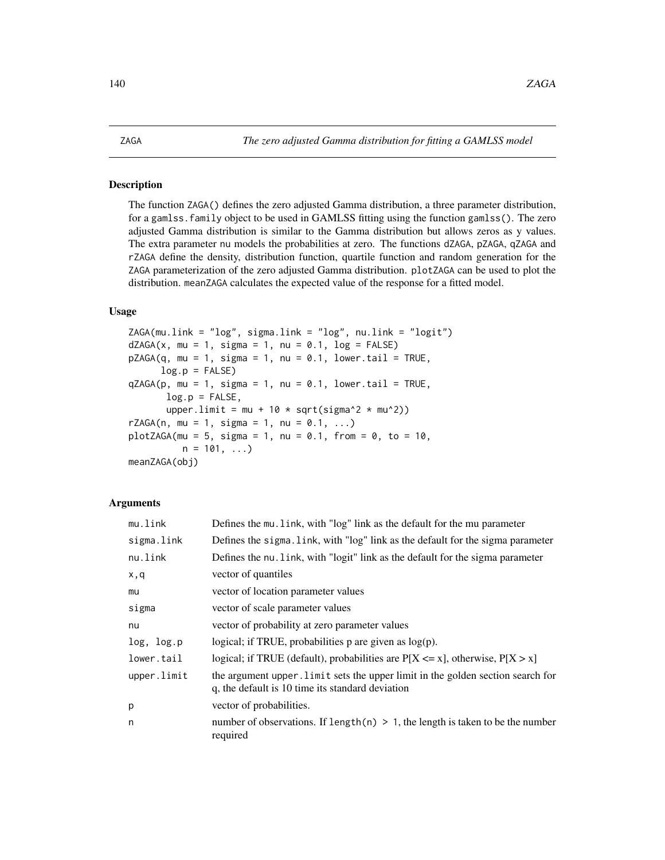# Description

The function ZAGA() defines the zero adjusted Gamma distribution, a three parameter distribution, for a gamlss.family object to be used in GAMLSS fitting using the function gamlss(). The zero adjusted Gamma distribution is similar to the Gamma distribution but allows zeros as y values. The extra parameter nu models the probabilities at zero. The functions dZAGA, pZAGA, qZAGA and rZAGA define the density, distribution function, quartile function and random generation for the ZAGA parameterization of the zero adjusted Gamma distribution. plotZAGA can be used to plot the distribution. meanZAGA calculates the expected value of the response for a fitted model.

# Usage

```
ZAGA(mu.link = "log", sigma.link = "log", nu.link = "logit")
dZAGA(x, mu = 1, sigma = 1, nu = 0.1, log = FALSE)pZAGA(q, mu = 1, sigma = 1, nu = 0.1, lowertail = TRUE,log.p = FALSEqZAGA(p, mu = 1, sigma = 1, nu = 0.1, lowerTail = TRUE,log.p = FALSE,
      upper.limit = mu + 10 * sqrt(sigma^2 * mu^2))
rZAGA(n, mu = 1, sigma = 1, nu = 0.1, ...)plotZAGA(mu = 5, sigma = 1, nu = 0.1, from = 0, to = 10,n = 101, ...meanZAGA(obj)
```
## **Arguments**

| mu.link     | Defines the mu. link, with "log" link as the default for the mu parameter                                                           |
|-------------|-------------------------------------------------------------------------------------------------------------------------------------|
| sigma.link  | Defines the sigma. Link, with "log" link as the default for the sigma parameter                                                     |
| nu.link     | Defines the nu. Link, with "logit" link as the default for the sigma parameter                                                      |
| x,q         | vector of quantiles                                                                                                                 |
| mu          | vector of location parameter values                                                                                                 |
| sigma       | vector of scale parameter values                                                                                                    |
| nu          | vector of probability at zero parameter values                                                                                      |
| log, log.p  | logical; if TRUE, probabilities $p$ are given as $log(p)$ .                                                                         |
| lower.tail  | logical; if TRUE (default), probabilities are $P[X \le x]$ , otherwise, $P[X > x]$                                                  |
| upper.limit | the argument upper. Limit sets the upper limit in the golden section search for<br>q, the default is 10 time its standard deviation |
| р           | vector of probabilities.                                                                                                            |
| n           | number of observations. If length(n) $> 1$ , the length is taken to be the number<br>required                                       |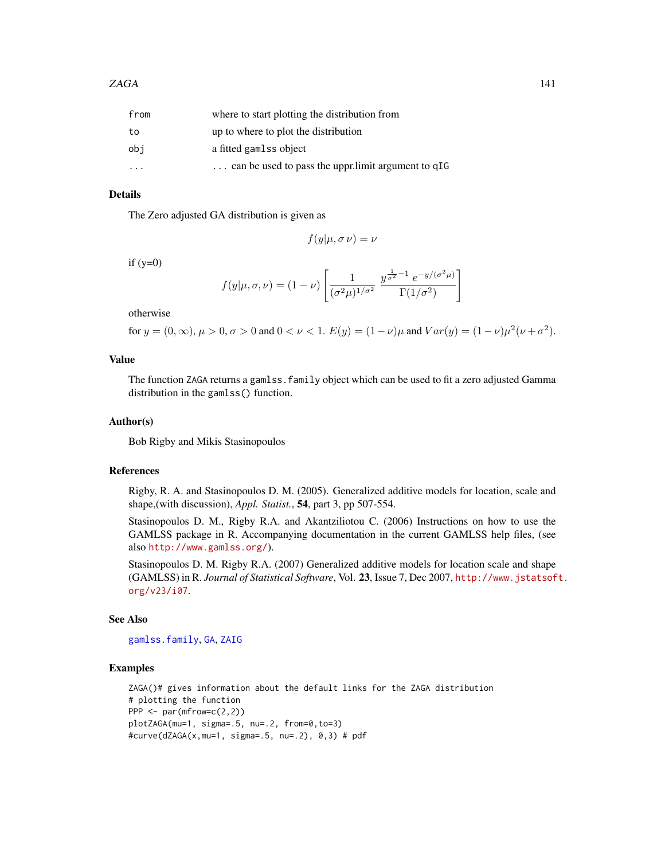| from                    | where to start plotting the distribution from      |
|-------------------------|----------------------------------------------------|
| to                      | up to where to plot the distribution               |
| obi                     | a fitted gamlss object                             |
| $\cdot$ $\cdot$ $\cdot$ | can be used to pass the upprilimit argument to qIG |

## Details

The Zero adjusted GA distribution is given as

$$
f(y|\mu, \sigma \nu) = \nu
$$

if  $(y=0)$ 

$$
f(y|\mu,\sigma,\nu) = (1-\nu) \left[ \frac{1}{(\sigma^2 \mu)^{1/\sigma^2}} \frac{y^{\frac{1}{\sigma^2}-1} e^{-y/(\sigma^2 \mu)}}{\Gamma(1/\sigma^2)} \right]
$$

otherwise

for 
$$
y = (0, \infty)
$$
,  $\mu > 0$ ,  $\sigma > 0$  and  $0 < \nu < 1$ .  $E(y) = (1 - \nu)\mu$  and  $Var(y) = (1 - \nu)\mu^2(\nu + \sigma^2)$ .

# Value

The function ZAGA returns a gamlss. family object which can be used to fit a zero adjusted Gamma distribution in the gamlss() function.

## Author(s)

Bob Rigby and Mikis Stasinopoulos

### References

Rigby, R. A. and Stasinopoulos D. M. (2005). Generalized additive models for location, scale and shape,(with discussion), *Appl. Statist.*, 54, part 3, pp 507-554.

Stasinopoulos D. M., Rigby R.A. and Akantziliotou C. (2006) Instructions on how to use the GAMLSS package in R. Accompanying documentation in the current GAMLSS help files, (see also <http://www.gamlss.org/>).

Stasinopoulos D. M. Rigby R.A. (2007) Generalized additive models for location scale and shape (GAMLSS) in R. *Journal of Statistical Software*, Vol. 23, Issue 7, Dec 2007, [http://www.jstatsof](http://www.jstatsoft.org/v23/i07)t. [org/v23/i07](http://www.jstatsoft.org/v23/i07).

# See Also

[gamlss.family](#page-38-0), [GA](#page-36-0), [ZAIG](#page-141-0)

# Examples

```
ZAGA()# gives information about the default links for the ZAGA distribution
# plotting the function
PPP <- par(mfrow=c(2,2))
plotZAGA(mu=1, sigma=.5, nu=.2, from=0,to=3)
#curve(dZAGA(x,mu=1, sigma=.5, nu=.2), 0,3) # pdf
```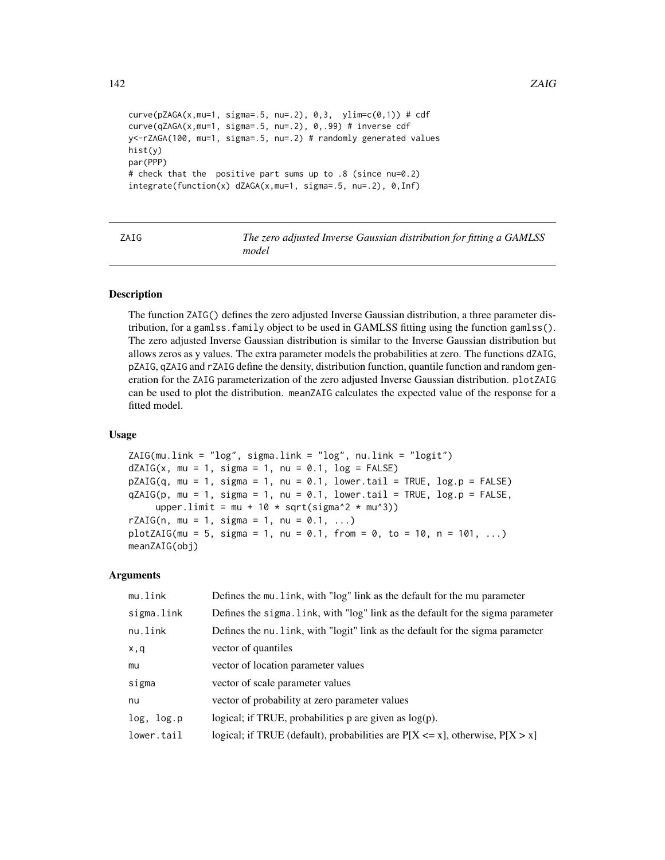```
curve(pZAGA(x, mu=1, sigma=.5, nu=.2), 0,3, ylim=c(0,1)) # cdfcurve(qZAGA(x,mu=1, sigma=.5, nu=.2), 0,.99) # inverse cdf
y<-rZAGA(100, mu=1, sigma=.5, nu=.2) # randomly generated values
hist(y)
par(PPP)
# check that the positive part sums up to .8 (since nu=0.2)
integrate(function(x) dZAGA(x,mu=1, sigma=.5, nu=.2), 0,Inf)
```
<span id="page-141-0"></span>ZAIG *The zero adjusted Inverse Gaussian distribution for fitting a GAMLSS model*

## Description

The function ZAIG() defines the zero adjusted Inverse Gaussian distribution, a three parameter distribution, for a gamlss.family object to be used in GAMLSS fitting using the function gamlss(). The zero adjusted Inverse Gaussian distribution is similar to the Inverse Gaussian distribution but allows zeros as y values. The extra parameter models the probabilities at zero. The functions dZAIG, pZAIG, qZAIG and rZAIG define the density, distribution function, quantile function and random generation for the ZAIG parameterization of the zero adjusted Inverse Gaussian distribution. plotZAIG can be used to plot the distribution. meanZAIG calculates the expected value of the response for a fitted model.

## Usage

```
ZAIG(mu.link = "log", sigma.link = "log", nu.link = "logit")dZAIG(x, mu = 1, sigma = 1, nu = 0.1, log = FALSE)pZAIG(q, mu = 1, sigma = 1, nu = 0.1, lower.tail = TRUE, log.p = FALSE)qZAIG(p, mu = 1, sigma = 1, nu = 0.1, lowertail = TRUE, log.p = FALSE,
    upper.limit = mu + 10 * sqrt(sigma^2 * mu^3))
rZAIG(n, mu = 1, sigma = 1, nu = 0.1, ...)plotZAIG(mu = 5, sigma = 1, nu = 0.1, from = 0, to = 10, n = 101, ...)meanZAIG(obj)
```
#### Arguments

| mu.link    | Defines the mu. link, with "log" link as the default for the mu parameter          |
|------------|------------------------------------------------------------------------------------|
| sigma.link | Defines the sigma. link, with "log" link as the default for the sigma parameter    |
| nu.link    | Defines the nu. link, with "logit" link as the default for the sigma parameter     |
| x,q        | vector of quantiles                                                                |
| mu         | vector of location parameter values                                                |
| sigma      | vector of scale parameter values                                                   |
| nu         | vector of probability at zero parameter values                                     |
| log, log.p | logical; if TRUE, probabilities p are given as $log(p)$ .                          |
| lower.tail | logical; if TRUE (default), probabilities are $P[X \le x]$ , otherwise, $P[X > x]$ |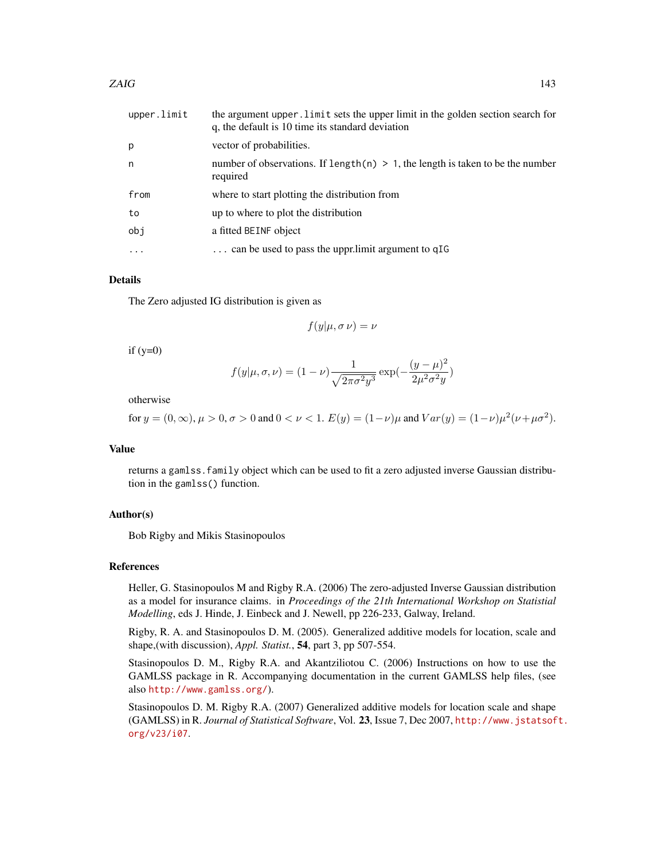| upper.limit | the argument upper. Limit sets the upper limit in the golden section search for<br>q, the default is 10 time its standard deviation |
|-------------|-------------------------------------------------------------------------------------------------------------------------------------|
| р           | vector of probabilities.                                                                                                            |
| n           | number of observations. If length(n) $> 1$ , the length is taken to be the number<br>required                                       |
| from        | where to start plotting the distribution from                                                                                       |
| to          | up to where to plot the distribution                                                                                                |
| obj         | a fitted BEINF object                                                                                                               |
| $\cdot$     | can be used to pass the uppr.limit argument to qIG                                                                                  |

# Details

The Zero adjusted IG distribution is given as

$$
f(y|\mu, \sigma \nu) = \nu
$$

 $if (y=0)$ 

$$
f(y|\mu, \sigma, \nu) = (1 - \nu) \frac{1}{\sqrt{2\pi\sigma^2 y^3}} \exp(-\frac{(y - \mu)^2}{2\mu^2 \sigma^2 y})
$$

otherwise

for 
$$
y = (0, \infty)
$$
,  $\mu > 0$ ,  $\sigma > 0$  and  $0 < \nu < 1$ .  $E(y) = (1 - \nu)\mu$  and  $Var(y) = (1 - \nu)\mu^2(\nu + \mu\sigma^2)$ .

## Value

returns a gamlss.family object which can be used to fit a zero adjusted inverse Gaussian distribution in the gamlss() function.

## Author(s)

Bob Rigby and Mikis Stasinopoulos

### References

Heller, G. Stasinopoulos M and Rigby R.A. (2006) The zero-adjusted Inverse Gaussian distribution as a model for insurance claims. in *Proceedings of the 21th International Workshop on Statistial Modelling*, eds J. Hinde, J. Einbeck and J. Newell, pp 226-233, Galway, Ireland.

Rigby, R. A. and Stasinopoulos D. M. (2005). Generalized additive models for location, scale and shape,(with discussion), *Appl. Statist.*, 54, part 3, pp 507-554.

Stasinopoulos D. M., Rigby R.A. and Akantziliotou C. (2006) Instructions on how to use the GAMLSS package in R. Accompanying documentation in the current GAMLSS help files, (see also <http://www.gamlss.org/>).

Stasinopoulos D. M. Rigby R.A. (2007) Generalized additive models for location scale and shape (GAMLSS) in R. *Journal of Statistical Software*, Vol. 23, Issue 7, Dec 2007, [http://www.jstatsof](http://www.jstatsoft.org/v23/i07)t. [org/v23/i07](http://www.jstatsoft.org/v23/i07).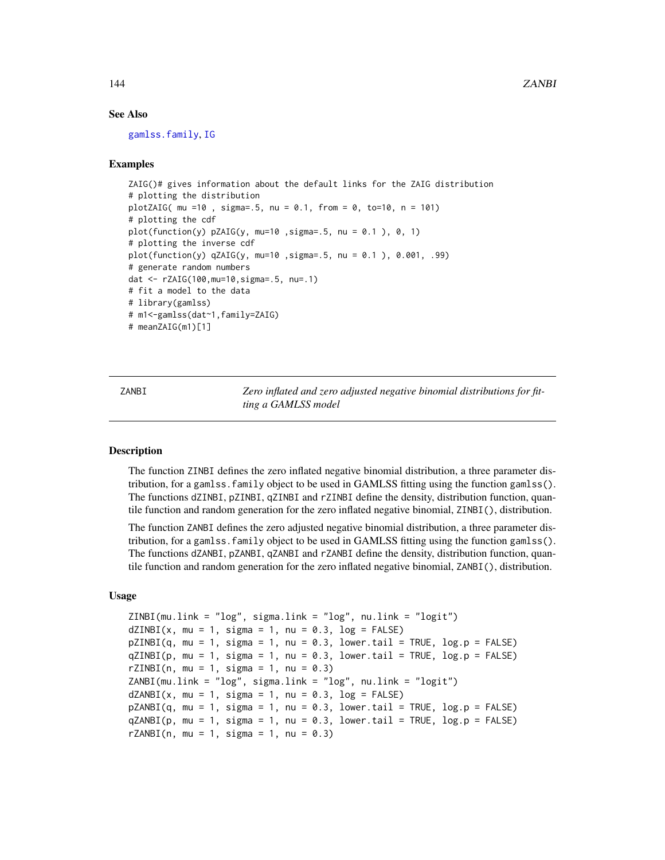## See Also

[gamlss.family](#page-38-0), [IG](#page-59-0)

## Examples

```
ZAIG()# gives information about the default links for the ZAIG distribution
# plotting the distribution
plotZAIG( mu =10 , sigma=.5, nu = 0.1, from = 0, to=10, n = 101)
# plotting the cdf
plot(function(y) pZAIG(y, mu=10, sigma=.5, nu = 0.1), 0, 1)# plotting the inverse cdf
plot(function(y) qZAIG(y, mu=10 ,sigma=.5, nu = 0.1 ), 0.001, .99)
# generate random numbers
dat <- rZAIG(100,mu=10,sigma=.5, nu=.1)
# fit a model to the data
# library(gamlss)
# m1<-gamlss(dat~1,family=ZAIG)
# meanZAIG(m1)[1]
```
ZANBI *Zero inflated and zero adjusted negative binomial distributions for fitting a GAMLSS model*

# Description

The function ZINBI defines the zero inflated negative binomial distribution, a three parameter distribution, for a gamlss.family object to be used in GAMLSS fitting using the function gamlss(). The functions dZINBI, pZINBI, qZINBI and rZINBI define the density, distribution function, quantile function and random generation for the zero inflated negative binomial, ZINBI(), distribution.

The function ZANBI defines the zero adjusted negative binomial distribution, a three parameter distribution, for a gamlss.family object to be used in GAMLSS fitting using the function gamlss(). The functions dZANBI, pZANBI, qZANBI and rZANBI define the density, distribution function, quantile function and random generation for the zero inflated negative binomial, ZANBI(), distribution.

# Usage

```
ZINBI(mu.link = "log", sigma.link = "log", nu.link = "logit")
dZINBI(x, mu = 1, sigma = 1, nu = 0.3, log = FALSE)pZINBI(q, mu = 1, sigma = 1, nu = 0.3, lower.tail = TRUE, log.p = FALSE)qZINBI(p, mu = 1, sigma = 1, nu = 0.3, lower[artical] = TRUE, log.p = FALSE)rZINBI(n, mu = 1, sigma = 1, nu = 0.3)ZANBI(mu.link = "log", sigma.link = "log", nu.link = "logit")
dZANBI(x, mu = 1, sigma = 1, nu = 0.3, log = FALSE)pZANBI(q, mu = 1, sigma = 1, nu = 0.3, lowertail = TRUE, <math>log.p = FALSE)
qZANBI(p, mu = 1, sigma = 1, nu = 0.3, lower[allerging the sum of <math>p = FALSE)
rZANBI(n, mu = 1, sigma = 1, nu = 0.3)
```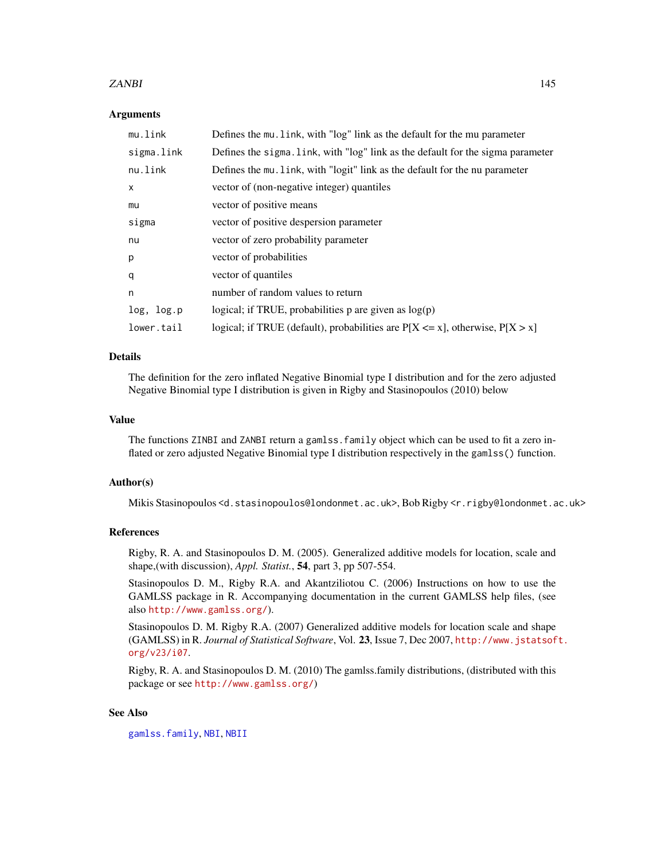#### <span id="page-144-0"></span>ZANBI 145

#### Arguments

| mu.link      | Defines the mu. link, with "log" link as the default for the mu parameter          |
|--------------|------------------------------------------------------------------------------------|
| sigma.link   | Defines the sigma. link, with "log" link as the default for the sigma parameter    |
| nu.link      | Defines the mu. link, with "logit" link as the default for the nu parameter        |
| $\mathsf{x}$ | vector of (non-negative integer) quantiles                                         |
| mu           | vector of positive means                                                           |
| sigma        | vector of positive despersion parameter                                            |
| nu           | vector of zero probability parameter                                               |
| p            | vector of probabilities                                                            |
| q            | vector of quantiles                                                                |
| n            | number of random values to return                                                  |
| log, log.p   | logical; if TRUE, probabilities $p$ are given as $log(p)$                          |
| lower.tail   | logical; if TRUE (default), probabilities are $P[X \le x]$ , otherwise, $P[X > x]$ |

# Details

The definition for the zero inflated Negative Binomial type I distribution and for the zero adjusted Negative Binomial type I distribution is given in Rigby and Stasinopoulos (2010) below

## Value

The functions ZINBI and ZANBI return a gamlss.family object which can be used to fit a zero inflated or zero adjusted Negative Binomial type I distribution respectively in the gamlss() function.

# Author(s)

Mikis Stasinopoulos <d.stasinopoulos@londonmet.ac.uk>, Bob Rigby <r.rigby@londonmet.ac.uk>

#### References

Rigby, R. A. and Stasinopoulos D. M. (2005). Generalized additive models for location, scale and shape,(with discussion), *Appl. Statist.*, 54, part 3, pp 507-554.

Stasinopoulos D. M., Rigby R.A. and Akantziliotou C. (2006) Instructions on how to use the GAMLSS package in R. Accompanying documentation in the current GAMLSS help files, (see also <http://www.gamlss.org/>).

Stasinopoulos D. M. Rigby R.A. (2007) Generalized additive models for location scale and shape (GAMLSS) in R. *Journal of Statistical Software*, Vol. 23, Issue 7, Dec 2007, [http://www.jstatsof](http://www.jstatsoft.org/v23/i07)t. [org/v23/i07](http://www.jstatsoft.org/v23/i07).

Rigby, R. A. and Stasinopoulos D. M. (2010) The gamlss.family distributions, (distributed with this package or see <http://www.gamlss.org/>)

#### See Also

[gamlss.family](#page-38-0), [NBI](#page-81-0), [NBII](#page-83-0)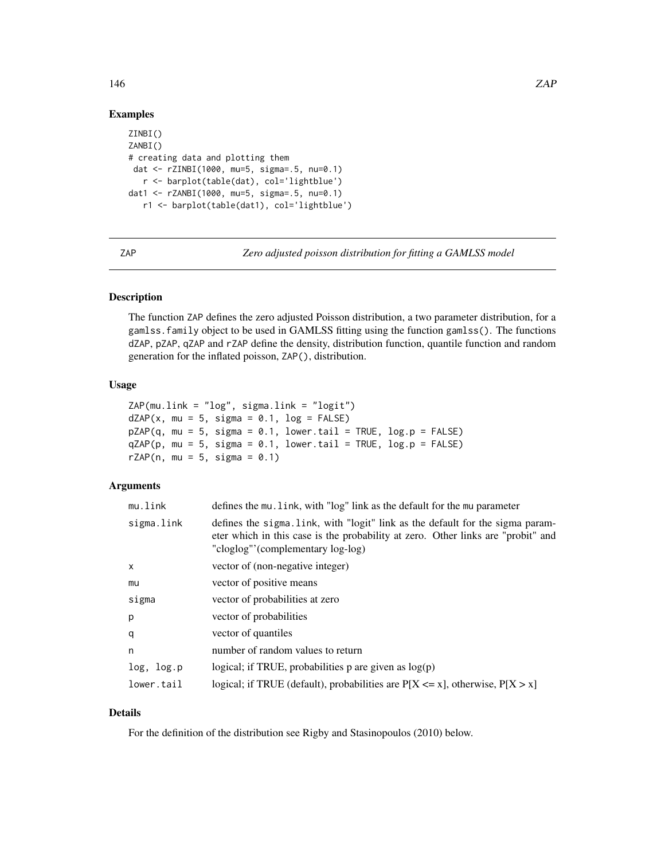# <span id="page-145-0"></span>Examples

```
ZINBI()
ZANBI()
# creating data and plotting them
dat <- rZINBI(1000, mu=5, sigma=.5, nu=0.1)
  r <- barplot(table(dat), col='lightblue')
dat1 <- rZANBI(1000, mu=5, sigma=.5, nu=0.1)
   r1 <- barplot(table(dat1), col='lightblue')
```
ZAP *Zero adjusted poisson distribution for fitting a GAMLSS model*

# Description

The function ZAP defines the zero adjusted Poisson distribution, a two parameter distribution, for a gamlss.family object to be used in GAMLSS fitting using the function gamlss(). The functions dZAP, pZAP, qZAP and rZAP define the density, distribution function, quantile function and random generation for the inflated poisson, ZAP(), distribution.

#### Usage

```
ZAP(mu.link = "log", sigma.link = "logit")
dZAP(x, mu = 5, sigma = 0.1, log = FALSE)pZAP(q, mu = 5, sigma = 0.1, lower[a] = TRUE, log.p = FALSE)qZAP(p, mu = 5, sigma = 0.1, lower.tail = TRUE, log.p = FALSE)rZAP(n, mu = 5, sigma = 0.1)
```
### Arguments

| mu.link    | defines the mu. link, with "log" link as the default for the mu parameter                                                                                                                               |
|------------|---------------------------------------------------------------------------------------------------------------------------------------------------------------------------------------------------------|
| sigma.link | defines the sigma. Link, with "logit" link as the default for the sigma param-<br>eter which in this case is the probability at zero. Other links are "probit" and<br>"cloglog"'(complementary log-log) |
| x          | vector of (non-negative integer)                                                                                                                                                                        |
| mu         | vector of positive means                                                                                                                                                                                |
| sigma      | vector of probabilities at zero                                                                                                                                                                         |
| р          | vector of probabilities                                                                                                                                                                                 |
| q          | vector of quantiles                                                                                                                                                                                     |
| n          | number of random values to return                                                                                                                                                                       |
| log, log.p | logical; if TRUE, probabilities $p$ are given as $log(p)$                                                                                                                                               |
| lower.tail | logical; if TRUE (default), probabilities are $P[X \le x]$ , otherwise, $P[X > x]$                                                                                                                      |

# Details

For the definition of the distribution see Rigby and Stasinopoulos (2010) below.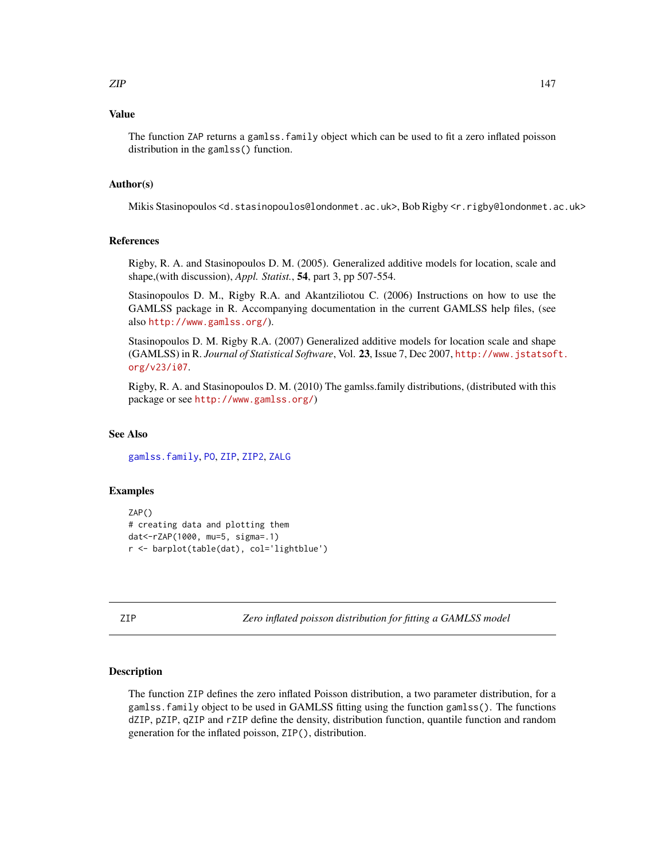# <span id="page-146-1"></span>Value

The function ZAP returns a gamlss.family object which can be used to fit a zero inflated poisson distribution in the gamlss() function.

#### Author(s)

Mikis Stasinopoulos <d.stasinopoulos@londonmet.ac.uk>, Bob Rigby <r.rigby@londonmet.ac.uk>

#### References

Rigby, R. A. and Stasinopoulos D. M. (2005). Generalized additive models for location, scale and shape,(with discussion), *Appl. Statist.*, 54, part 3, pp 507-554.

Stasinopoulos D. M., Rigby R.A. and Akantziliotou C. (2006) Instructions on how to use the GAMLSS package in R. Accompanying documentation in the current GAMLSS help files, (see also <http://www.gamlss.org/>).

Stasinopoulos D. M. Rigby R.A. (2007) Generalized additive models for location scale and shape (GAMLSS) in R. *Journal of Statistical Software*, Vol. 23, Issue 7, Dec 2007, [http://www.jstatsof](http://www.jstatsoft.org/v23/i07)t. [org/v23/i07](http://www.jstatsoft.org/v23/i07).

Rigby, R. A. and Stasinopoulos D. M. (2010) The gamlss.family distributions, (distributed with this package or see <http://www.gamlss.org/>)

#### See Also

[gamlss.family](#page-38-0), [PO](#page-99-0), [ZIP](#page-146-0), [ZIP2](#page-148-0), [ZALG](#page-67-0)

#### Examples

```
ZAP()
# creating data and plotting them
dat<-rZAP(1000, mu=5, sigma=.1)
r <- barplot(table(dat), col='lightblue')
```
<span id="page-146-0"></span>ZIP *Zero inflated poisson distribution for fitting a GAMLSS model*

# **Description**

The function ZIP defines the zero inflated Poisson distribution, a two parameter distribution, for a gamlss.family object to be used in GAMLSS fitting using the function gamlss(). The functions dZIP, pZIP, qZIP and rZIP define the density, distribution function, quantile function and random generation for the inflated poisson, ZIP(), distribution.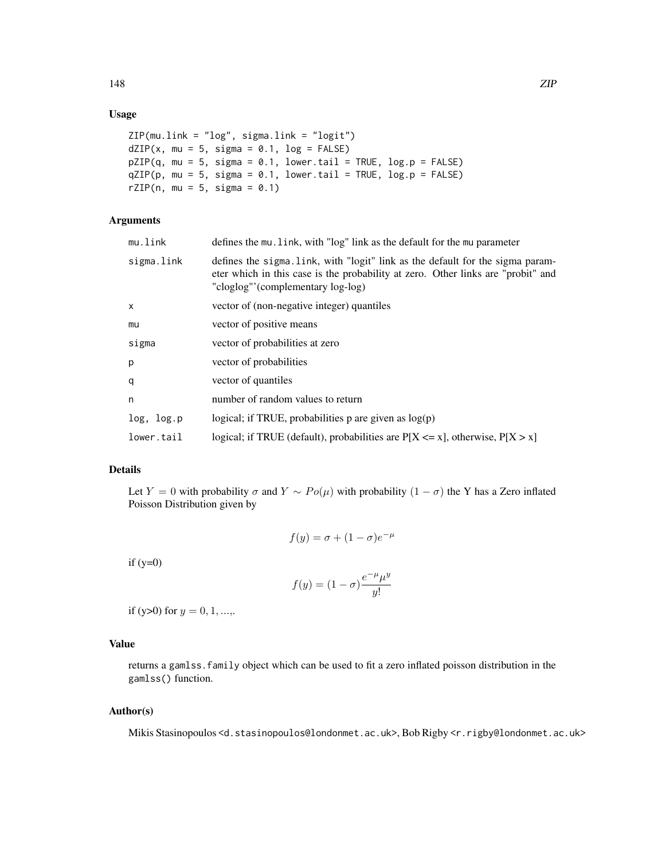# Usage

```
ZIP(mu.link = "log", sigma.link = "logit")
dZIP(x, mu = 5, sigma = 0.1, log = FALSE)pZIP(q, mu = 5, sigma = 0.1, lower[a] = TRUE, log.p = FALSE)
qZIP(p, mu = 5, sigma = 0.1, lower[a] = TRUE, log.p = FALSE)
rZIP(n, mu = 5, sigma = 0.1)
```
# Arguments

| mu.link    | defines the mu. link, with "log" link as the default for the mu parameter                                                                                                                               |
|------------|---------------------------------------------------------------------------------------------------------------------------------------------------------------------------------------------------------|
| sigma.link | defines the sigma. Link, with "logit" link as the default for the sigma param-<br>eter which in this case is the probability at zero. Other links are "probit" and<br>"cloglog"'(complementary log-log) |
| X          | vector of (non-negative integer) quantiles                                                                                                                                                              |
| mu         | vector of positive means                                                                                                                                                                                |
| sigma      | vector of probabilities at zero                                                                                                                                                                         |
| p          | vector of probabilities                                                                                                                                                                                 |
| q          | vector of quantiles                                                                                                                                                                                     |
| n          | number of random values to return                                                                                                                                                                       |
| log, log.p | logical; if TRUE, probabilities $p$ are given as $log(p)$                                                                                                                                               |
| lower.tail | logical; if TRUE (default), probabilities are $P[X \le x]$ , otherwise, $P[X > x]$                                                                                                                      |
|            |                                                                                                                                                                                                         |

# Details

Let Y = 0 with probability  $\sigma$  and  $Y \sim Po(\mu)$  with probability  $(1 - \sigma)$  the Y has a Zero inflated Poisson Distribution given by

$$
f(y) = \sigma + (1 - \sigma)e^{-\mu}
$$

 $if (y=0)$ 

$$
f(y) = (1 - \sigma) \frac{e^{-\mu} \mu^y}{y!}
$$

if (y>0) for  $y = 0, 1, ...,$ 

# Value

returns a gamlss.family object which can be used to fit a zero inflated poisson distribution in the gamlss() function.

# Author(s)

Mikis Stasinopoulos <d.stasinopoulos@londonmet.ac.uk>, Bob Rigby <r.rigby@londonmet.ac.uk>

148 ZIP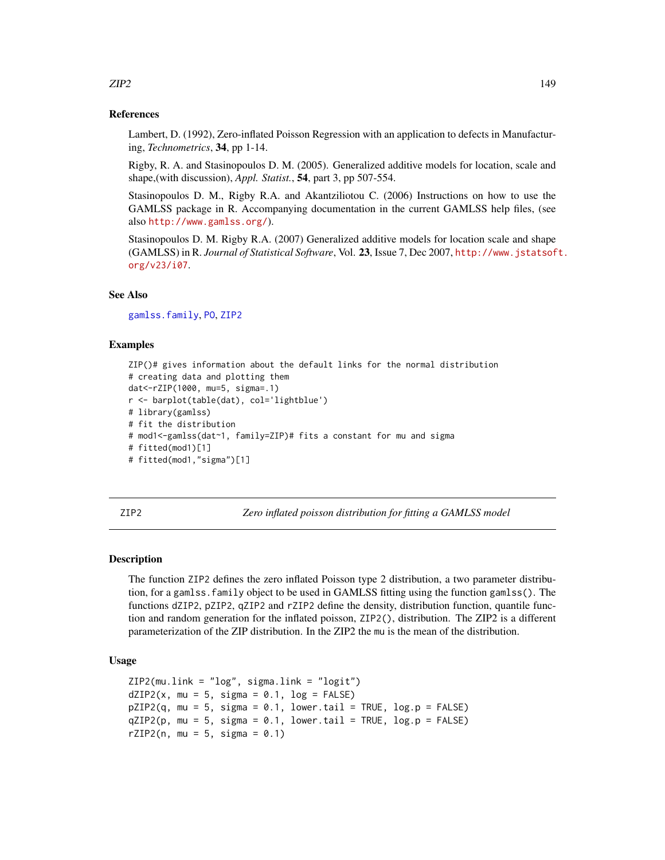#### References

Lambert, D. (1992), Zero-inflated Poisson Regression with an application to defects in Manufacturing, *Technometrics*, 34, pp 1-14.

Rigby, R. A. and Stasinopoulos D. M. (2005). Generalized additive models for location, scale and shape,(with discussion), *Appl. Statist.*, 54, part 3, pp 507-554.

Stasinopoulos D. M., Rigby R.A. and Akantziliotou C. (2006) Instructions on how to use the GAMLSS package in R. Accompanying documentation in the current GAMLSS help files, (see also <http://www.gamlss.org/>).

Stasinopoulos D. M. Rigby R.A. (2007) Generalized additive models for location scale and shape (GAMLSS) in R. *Journal of Statistical Software*, Vol. 23, Issue 7, Dec 2007, [http://www.jstatsof](http://www.jstatsoft.org/v23/i07)t. [org/v23/i07](http://www.jstatsoft.org/v23/i07).

#### See Also

[gamlss.family](#page-38-0), [PO](#page-99-0), [ZIP2](#page-148-0)

#### Examples

```
ZIP()# gives information about the default links for the normal distribution
# creating data and plotting them
dat<-rZIP(1000, mu=5, sigma=.1)
r <- barplot(table(dat), col='lightblue')
# library(gamlss)
# fit the distribution
# mod1<-gamlss(dat~1, family=ZIP)# fits a constant for mu and sigma
# fitted(mod1)[1]
# fitted(mod1,"sigma")[1]
```
<span id="page-148-0"></span>ZIP2 *Zero inflated poisson distribution for fitting a GAMLSS model*

#### Description

The function ZIP2 defines the zero inflated Poisson type 2 distribution, a two parameter distribution, for a gamlss.family object to be used in GAMLSS fitting using the function gamlss(). The functions dZIP2, pZIP2, qZIP2 and rZIP2 define the density, distribution function, quantile function and random generation for the inflated poisson, ZIP2(), distribution. The ZIP2 is a different parameterization of the ZIP distribution. In the ZIP2 the mu is the mean of the distribution.

#### Usage

```
ZIP2(mu.link = "log", sigma.link = "logit")
dZIP2(x, mu = 5, sigma = 0.1, log = FALSE)pZIP2(q, mu = 5, sigma = 0.1, lowertail = TRUE, <math>log.p = FALSE)
qZIP2(p, mu = 5, sigma = 0.1, lower[allerage: TRUE, <math>log.p = FALSE)
rZIP2(n, mu = 5, sigma = 0.1)
```
<span id="page-148-1"></span> $ZIP2$  and  $149$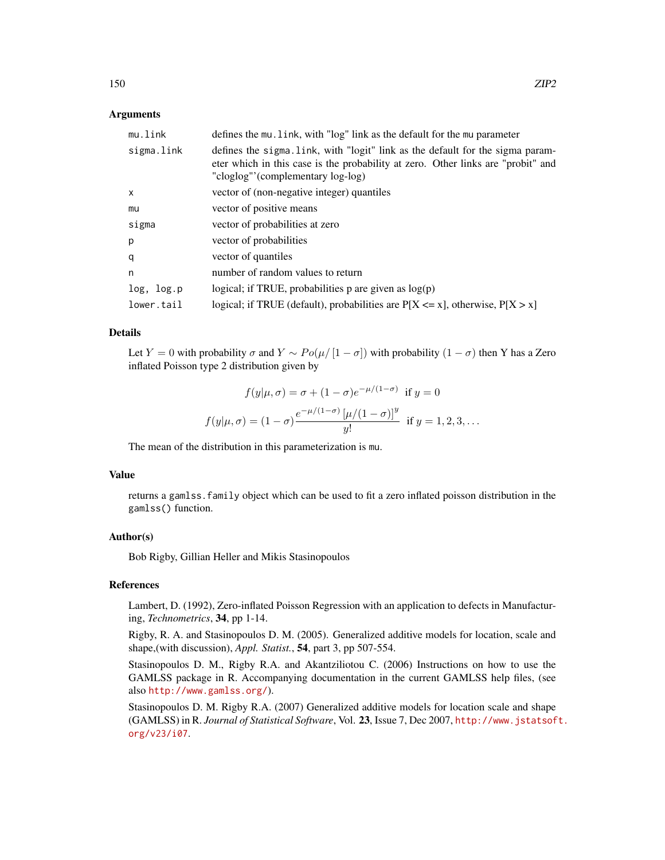# Arguments

| mu.link    | defines the mu. link, with "log" link as the default for the mu parameter                                                                                                                                |
|------------|----------------------------------------------------------------------------------------------------------------------------------------------------------------------------------------------------------|
| sigma.link | defines the sigma. Link, with "logit" link as the default for the sigma param-<br>eter which in this case is the probability at zero. Other links are "probit" and<br>"cloglog"' (complementary log-log) |
| x          | vector of (non-negative integer) quantiles                                                                                                                                                               |
| mu         | vector of positive means                                                                                                                                                                                 |
| sigma      | vector of probabilities at zero                                                                                                                                                                          |
| p          | vector of probabilities                                                                                                                                                                                  |
| q          | vector of quantiles                                                                                                                                                                                      |
| n          | number of random values to return                                                                                                                                                                        |
| log, log.p | logical; if TRUE, probabilities $p$ are given as $log(p)$                                                                                                                                                |
| lower.tail | logical; if TRUE (default), probabilities are $P[X \le x]$ , otherwise, $P[X > x]$                                                                                                                       |

#### Details

Let Y = 0 with probability  $\sigma$  and  $Y \sim Po(\mu/|1-\sigma|)$  with probability  $(1-\sigma)$  then Y has a Zero inflated Poisson type 2 distribution given by

$$
f(y|\mu,\sigma) = \sigma + (1-\sigma)e^{-\mu/(1-\sigma)} \text{ if } y = 0
$$
  

$$
f(y|\mu,\sigma) = (1-\sigma)\frac{e^{-\mu/(1-\sigma)}[\mu/(1-\sigma)]^y}{y!} \text{ if } y = 1, 2, 3, ...
$$

The mean of the distribution in this parameterization is mu.

#### Value

returns a gamlss.family object which can be used to fit a zero inflated poisson distribution in the gamlss() function.

# Author(s)

Bob Rigby, Gillian Heller and Mikis Stasinopoulos

# References

Lambert, D. (1992), Zero-inflated Poisson Regression with an application to defects in Manufacturing, *Technometrics*, 34, pp 1-14.

Rigby, R. A. and Stasinopoulos D. M. (2005). Generalized additive models for location, scale and shape,(with discussion), *Appl. Statist.*, 54, part 3, pp 507-554.

Stasinopoulos D. M., Rigby R.A. and Akantziliotou C. (2006) Instructions on how to use the GAMLSS package in R. Accompanying documentation in the current GAMLSS help files, (see also <http://www.gamlss.org/>).

Stasinopoulos D. M. Rigby R.A. (2007) Generalized additive models for location scale and shape (GAMLSS) in R. *Journal of Statistical Software*, Vol. 23, Issue 7, Dec 2007, [http://www.jstatsof](http://www.jstatsoft.org/v23/i07)t. [org/v23/i07](http://www.jstatsoft.org/v23/i07).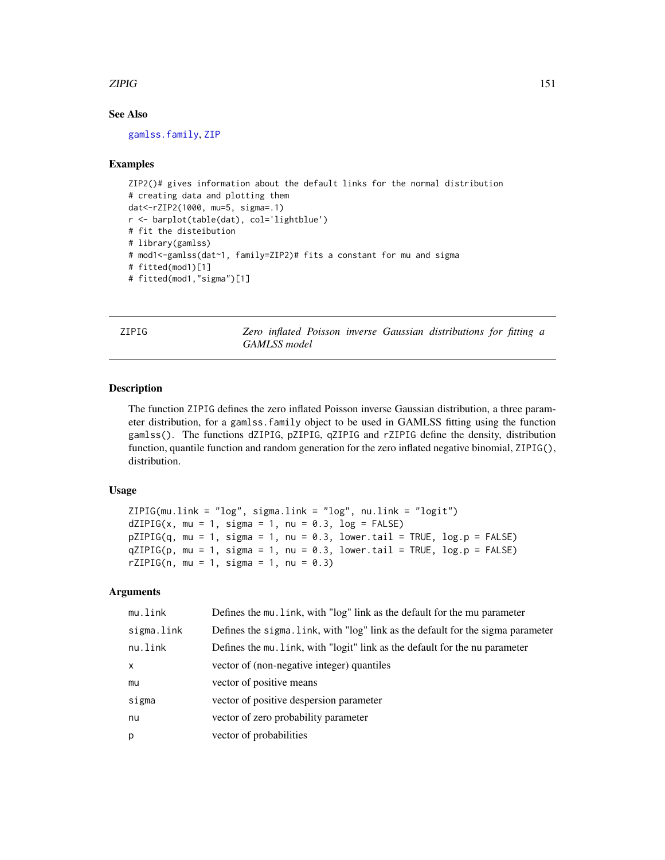#### <span id="page-150-0"></span>zipig and the state of the state of the state of the state of the state of the state of the state of the state of the state of the state of the state of the state of the state of the state of the state of the state of the

# See Also

[gamlss.family](#page-38-0), [ZIP](#page-146-0)

#### Examples

```
ZIP2()# gives information about the default links for the normal distribution
# creating data and plotting them
dat<-rZIP2(1000, mu=5, sigma=.1)
r <- barplot(table(dat), col='lightblue')
# fit the disteibution
# library(gamlss)
# mod1<-gamlss(dat~1, family=ZIP2)# fits a constant for mu and sigma
# fitted(mod1)[1]
# fitted(mod1,"sigma")[1]
```
ZIPIG *Zero inflated Poisson inverse Gaussian distributions for fitting a GAMLSS model*

#### Description

The function ZIPIG defines the zero inflated Poisson inverse Gaussian distribution, a three parameter distribution, for a gamlss.family object to be used in GAMLSS fitting using the function gamlss(). The functions dZIPIG, pZIPIG, qZIPIG and rZIPIG define the density, distribution function, quantile function and random generation for the zero inflated negative binomial, ZIPIG(), distribution.

# Usage

```
ZIPIG(mu.link = "log", sigma.link = "log", nu.link = "logit")
dZIPIG(x, mu = 1, sigma = 1, nu = 0.3, log = FALSE)pZIPIG(q, mu = 1, sigma = 1, nu = 0.3, lowertail = TRUE, <math>log.p = FALSE)
qZIPIG(p, mu = 1, sigma = 1, nu = 0.3, lowertail = TRUE, log.p = FALSE)rZIPIG(n, mu = 1, sigma = 1, nu = 0.3)
```
# Arguments

| mu.link    | Defines the mu. link, with "log" link as the default for the mu parameter       |
|------------|---------------------------------------------------------------------------------|
| sigma.link | Defines the sigma. Link, with "log" link as the default for the sigma parameter |
| nu.link    | Defines the mu. Link, with "logit" link as the default for the nu parameter     |
| $\times$   | vector of (non-negative integer) quantiles                                      |
| mu         | vector of positive means                                                        |
| sigma      | vector of positive despersion parameter                                         |
| nu         | vector of zero probability parameter                                            |
| p          | vector of probabilities                                                         |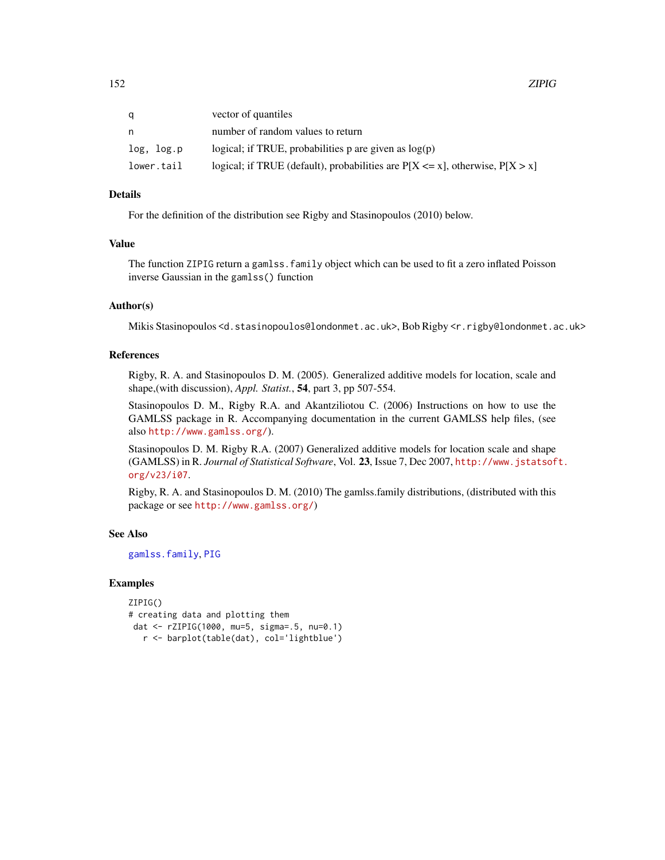<span id="page-151-0"></span>

|            | vector of quantiles                                                                |
|------------|------------------------------------------------------------------------------------|
| n          | number of random values to return                                                  |
| log, log.p | logical; if TRUE, probabilities $p$ are given as $log(p)$                          |
| lower.tail | logical; if TRUE (default), probabilities are $P[X \le x]$ , otherwise, $P[X > x]$ |

#### Details

For the definition of the distribution see Rigby and Stasinopoulos (2010) below.

# Value

The function ZIPIG return a gamlss.family object which can be used to fit a zero inflated Poisson inverse Gaussian in the gamlss() function

#### Author(s)

Mikis Stasinopoulos <d.stasinopoulos@londonmet.ac.uk>, Bob Rigby <r.rigby@londonmet.ac.uk>

#### References

Rigby, R. A. and Stasinopoulos D. M. (2005). Generalized additive models for location, scale and shape,(with discussion), *Appl. Statist.*, 54, part 3, pp 507-554.

Stasinopoulos D. M., Rigby R.A. and Akantziliotou C. (2006) Instructions on how to use the GAMLSS package in R. Accompanying documentation in the current GAMLSS help files, (see also <http://www.gamlss.org/>).

Stasinopoulos D. M. Rigby R.A. (2007) Generalized additive models for location scale and shape (GAMLSS) in R. *Journal of Statistical Software*, Vol. 23, Issue 7, Dec 2007, [http://www.jstatsof](http://www.jstatsoft.org/v23/i07)t. [org/v23/i07](http://www.jstatsoft.org/v23/i07).

Rigby, R. A. and Stasinopoulos D. M. (2010) The gamlss.family distributions, (distributed with this package or see <http://www.gamlss.org/>)

# See Also

[gamlss.family](#page-38-0), [PIG](#page-97-0)

#### Examples

ZIPIG() # creating data and plotting them dat <- rZIPIG(1000, mu=5, sigma=.5, nu=0.1) r <- barplot(table(dat), col='lightblue')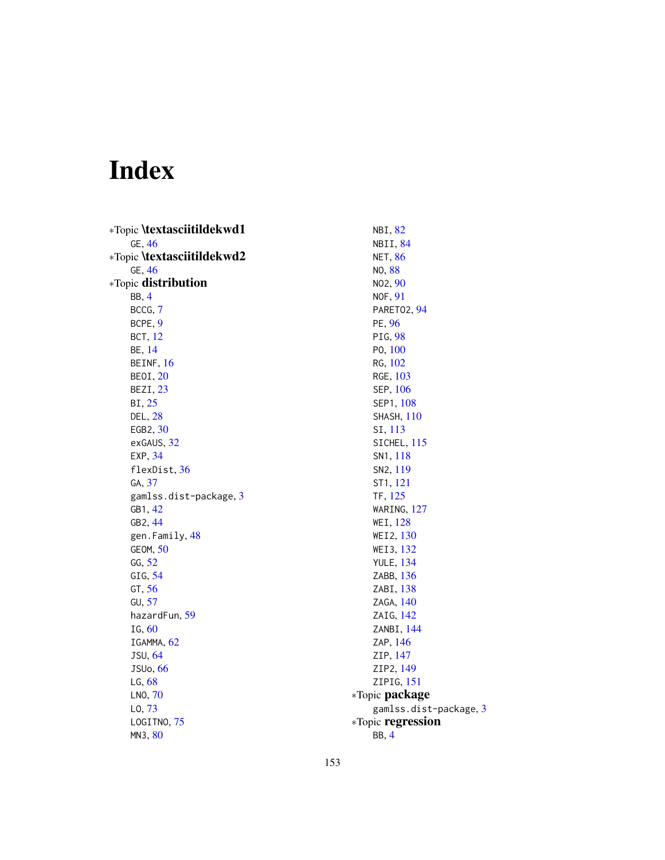# Index

∗Topic \textasciitildekwd1 GE, [46](#page-45-0) ∗Topic \textasciitildekwd2 GE, [46](#page-45-0) ∗Topic distribution BB, [4](#page-3-0) BCCG, [7](#page-6-0) BCPE, [9](#page-8-0) BCT, [12](#page-11-0) BE, [14](#page-13-0) BEINF, [16](#page-15-0) BEOI, [20](#page-19-0) BEZI, [23](#page-22-0) BI, [25](#page-24-0) DEL, [28](#page-27-0) EGB2, [30](#page-29-0) exGAUS, [32](#page-31-0) EXP, [34](#page-33-0) flexDist, [36](#page-35-0) GA, [37](#page-36-0) gamlss.dist-package, [3](#page-2-0) GB1, [42](#page-41-0) GB2, [44](#page-43-0) gen.Family, [48](#page-47-0) GEOM, [50](#page-49-0) GG, [52](#page-51-0) GIG, [54](#page-53-0) GT, [56](#page-55-0) GU, [57](#page-56-0) hazardFun, [59](#page-58-0) IG, [60](#page-59-0) IGAMMA, [62](#page-61-0) JSU, [64](#page-63-0) JSUo, [66](#page-65-0) LG, [68](#page-67-1) LNO, [70](#page-69-0) LO, [73](#page-72-0) LOGITNO, [75](#page-74-0) MN3, [80](#page-79-0)

NBI, [82](#page-81-1) NBII, [84](#page-83-1) NET, [86](#page-85-0) NO, [88](#page-87-0) NO2, [90](#page-89-0) NOF, [91](#page-90-0) PARETO2, [94](#page-93-0) PE, [96](#page-95-0) PIG, [98](#page-97-1) PO, [100](#page-99-1) RG, [102](#page-101-0) RGE, [103](#page-102-0) SEP, [106](#page-105-0) SEP1, [108](#page-107-0) SHASH, [110](#page-109-0) SI, [113](#page-112-0) SICHEL, [115](#page-114-0) SN1, [118](#page-117-0) SN2, [119](#page-118-0) ST1, [121](#page-120-0) TF, [125](#page-124-0) WARING, [127](#page-126-0) WEI, [128](#page-127-0) WEI2, [130](#page-129-0) WEI3, [132](#page-131-0) YULE, [134](#page-133-0) ZABB, [136](#page-135-0) ZABI, [138](#page-137-0) ZAGA, [140](#page-139-0) ZAIG, [142](#page-141-0) ZANBI, [144](#page-143-0) ZAP, [146](#page-145-0) ZIP, [147](#page-146-1) ZIP2, [149](#page-148-1) ZIPIG, [151](#page-150-0) ∗Topic package gamlss.dist-package, [3](#page-2-0) ∗Topic regression BB, [4](#page-3-0)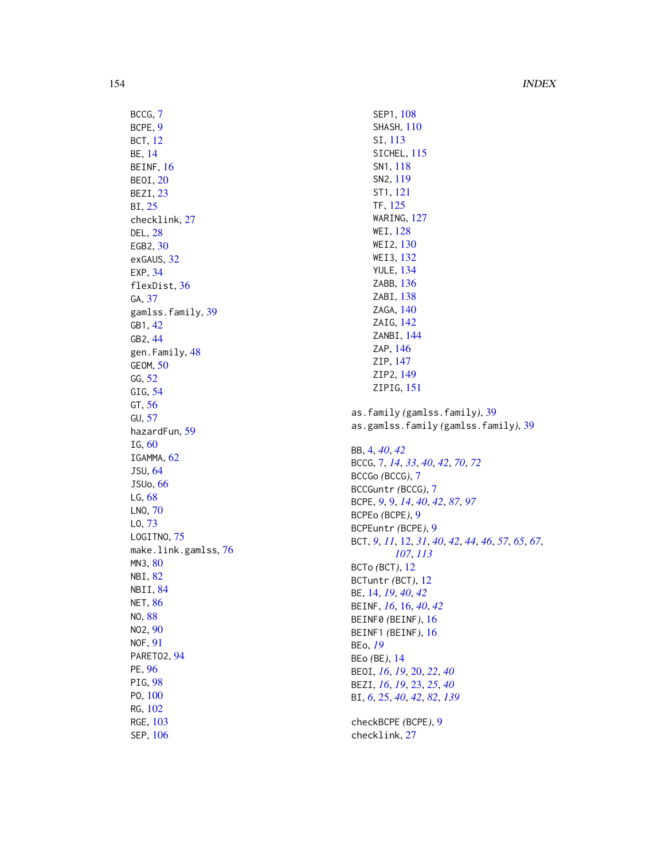BCCG , [7](#page-6-0) BCPE , [9](#page-8-0) BCT , [12](#page-11-0) BE , [14](#page-13-0) BEINF, [16](#page-15-0) BEOI , [20](#page-19-0) BEZI, [23](#page-22-0) BI , [25](#page-24-0) checklink , [27](#page-26-0) DEL , [28](#page-27-0) EGB2, [30](#page-29-0) exGAUS, [32](#page-31-0) EXP , [34](#page-33-0) flexDist , [36](#page-35-0) GA, [37](#page-36-0) gamlss.family, [39](#page-38-1) GB1 , [42](#page-41-0) GB2 , [44](#page-43-0) gen.Family, [48](#page-47-0) GEOM , [50](#page-49-0) GG , [52](#page-51-0) GIG, [54](#page-53-0) GT , [56](#page-55-0) GU , [57](#page-56-0) hazardFun , [59](#page-58-0) IG , [60](#page-59-0) IGAMMA, [62](#page-61-0) JSU , [64](#page-63-0) JSUo , [66](#page-65-0) LG , [68](#page-67-1) LNO , [70](#page-69-0) LO , [73](#page-72-0) LOGITNO, [75](#page-74-0) make.link.gamlss, [76](#page-75-0) MN3 , [80](#page-79-0) NBI , [82](#page-81-1) NBII , [84](#page-83-1) NET, [86](#page-85-0) NO , [88](#page-87-0) NO2 , [90](#page-89-0) NOF , [91](#page-90-0) PARET02, [94](#page-93-0) PE , [96](#page-95-0) PIG, [98](#page-97-1) PO , [100](#page-99-1) RG , [102](#page-101-0) RGE, [103](#page-102-0) SEP , [106](#page-105-0)

SEP1, [108](#page-107-0) SHASH, [110](#page-109-0) SI , [113](#page-112-0) SICHEL, [115](#page-114-0) SN1 , [118](#page-117-0) SN2 , [119](#page-118-0) ST1 , [121](#page-120-0) TF , [125](#page-124-0) WARING, [127](#page-126-0) WEI , [128](#page-127-0) WEI2 , [130](#page-129-0) WEI3 , [132](#page-131-0) YULE , [134](#page-133-0) ZABB , [136](#page-135-0) ZABI , [138](#page-137-0) ZAGA, [140](#page-139-0) ZAIG, [142](#page-141-0) ZANBI, [144](#page-143-0) ZAP, [146](#page-145-0) ZIP , [147](#page-146-1) ZIP2 , [149](#page-148-1) ZIPIG, [151](#page-150-0) as.family *(*gamlss.family *)* , [39](#page-38-1) as.gamlss.family *(*gamlss.family *)* , [39](#page-38-1) BB , [4](#page-3-0) , *[40](#page-39-0)* , *[42](#page-41-0)* BCCG , [7](#page-6-0) , *[14](#page-13-0)* , *[33](#page-32-0)* , *[40](#page-39-0)* , *[42](#page-41-0)* , *[70](#page-69-0)* , *[72](#page-71-0)* BCCGo *(*BCCG *)* , [7](#page-6-0) BCCGuntr *(*BCCG *)* , [7](#page-6-0) BCPE , *[9](#page-8-0)* , [9](#page-8-0) , *[14](#page-13-0)* , *[40](#page-39-0)* , *[42](#page-41-0)* , *[87](#page-86-0)* , *[97](#page-96-0)* BCPEo *(*BCPE *)* , [9](#page-8-0) BCPEuntr *(*BCPE *)* , [9](#page-8-0) BCT , *[9](#page-8-0)* , *[11](#page-10-0)* , [12](#page-11-0) , *[31](#page-30-0)* , *[40](#page-39-0)* , *[42](#page-41-0)* , *[44](#page-43-0)* , *[46](#page-45-0)* , *[57](#page-56-0)* , *[65](#page-64-0)* , *[67](#page-66-0)* , *[107](#page-106-0)* , *[113](#page-112-0)* BCTo *(*BCT *)* , [12](#page-11-0) BCTuntr *(*BCT *)* , [12](#page-11-0) BE, [14](#page-13-0), [19](#page-18-0), [40](#page-39-0), [42](#page-41-0) BEINF , *[16](#page-15-0)* , [16](#page-15-0) , *[40](#page-39-0)* , *[42](#page-41-0)* BEINF0 *(*BEINF *)* , [16](#page-15-0) BEINF1 *(*BEINF *)* , [16](#page-15-0) BEo , *[19](#page-18-0)* BEo *(*BE *)* , [14](#page-13-0) BEOI , *[16](#page-15-0)* , *[19](#page-18-0)* , [20](#page-19-0) , *[22](#page-21-0)* , *[40](#page-39-0)* BEZI , *[16](#page-15-0)* , *[19](#page-18-0)* , [23](#page-22-0) , *[25](#page-24-0)* , *[40](#page-39-0)* BI , *[6](#page-5-0)* , [25](#page-24-0) , *[40](#page-39-0)* , *[42](#page-41-0)* , *[82](#page-81-1)* , *[139](#page-138-0)* checkBCPE *(*BCPE *)* , [9](#page-8-0) checklink , [27](#page-26-0)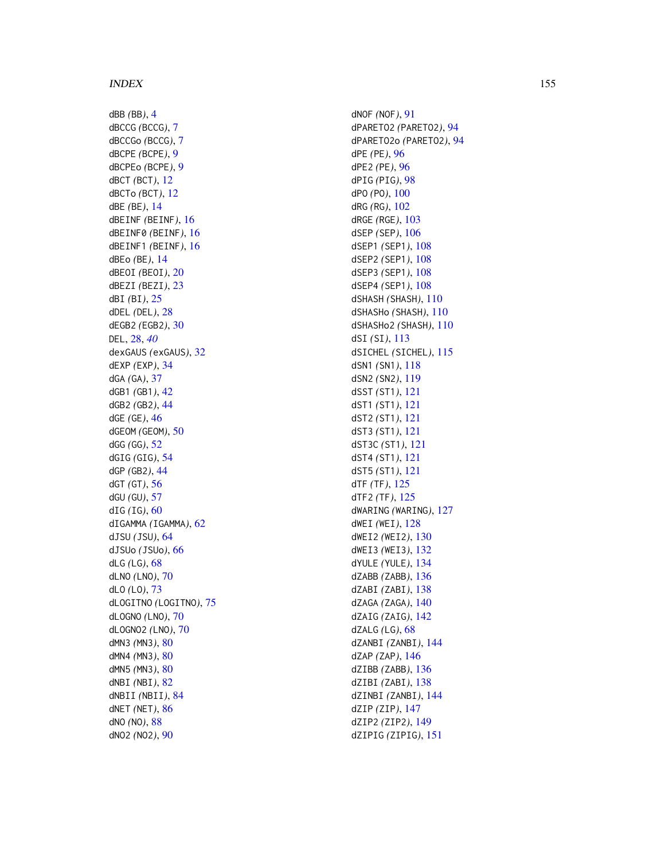dBB *(*BB *)* , [4](#page-3-0) dBCCG *(*BCCG *)* , [7](#page-6-0) dBCCGo *(*BCCG *)* , [7](#page-6-0) dBCPE *(*BCPE *)* , [9](#page-8-0) dBCPEo *(*BCPE *)* , [9](#page-8-0) dBCT *(*BCT *)* , [12](#page-11-0) dBCTo *(*BCT *)* , [12](#page-11-0) dBE *(*BE *)* , [14](#page-13-0) dBEINF *(*BEINF *)* , [16](#page-15-0) dBEINF0 *(*BEINF *)* , [16](#page-15-0) dBEINF1 *(*BEINF *)* , [16](#page-15-0) dBEo *(*BE *)* , [14](#page-13-0) dBEOI *(*BEOI *)* , [20](#page-19-0) dBEZI *(*BEZI *)* , [23](#page-22-0) dBI *(*BI *)* , [25](#page-24-0) dDEL *(*DEL *)* , [28](#page-27-0) dEGB2 *(*EGB2 *)* , [30](#page-29-0) DEL , [28](#page-27-0) , *[40](#page-39-0)* dexGAUS *(*exGAUS *)* , [32](#page-31-0) dEXP *(*EXP *)* , [34](#page-33-0) dGA *(*GA *)* , [37](#page-36-0) dGB1 *(*GB1 *)* , [42](#page-41-0) dGB2 *(*GB2 *)* , [44](#page-43-0) dGE *(*GE *)* , [46](#page-45-0) dGEOM *(*GEOM *)* , [50](#page-49-0) dGG *(*GG *)* , [52](#page-51-0) dGIG *(*GIG *)* , [54](#page-53-0) dGP *(*GB2 *)* , [44](#page-43-0) dGT *(*GT *)* , [56](#page-55-0) dGU *(*GU *)* , [57](#page-56-0) dIG *(*IG *)* , [60](#page-59-0) dIGAMMA *(*IGAMMA *)* , [62](#page-61-0) dJSU *(*JSU *)* , [64](#page-63-0) dJSUo *(*JSUo *)* , [66](#page-65-0) dLG *(*LG *)* , [68](#page-67-1) dLNO *(*LNO *)* , [70](#page-69-0) dLO *(*LO *)* , [73](#page-72-0) dLOGITNO *(*LOGITNO *)* , [75](#page-74-0) dLOGNO *(*LNO *)* , [70](#page-69-0) dLOGNO2 *(*LNO *)* , [70](#page-69-0) dMN3 *(*MN3 *)* , [80](#page-79-0) dMN4 *(*MN3 *)* , [80](#page-79-0) dMN5 *(*MN3 *)* , [80](#page-79-0) dNBI *(*NBI *)* , [82](#page-81-1) dNBII *(*NBII *)* , [84](#page-83-1) dNET *(*NET *)* , [86](#page-85-0) dNO *(*NO *)* , [88](#page-87-0) dNO2 *(*NO2 *)* , [90](#page-89-0)

dNOF *(*NOF *)* , [91](#page-90-0) dPARETO2 *(*PARETO2 *)* , [94](#page-93-0) dPARETO2o *(*PARETO2 *)* , [94](#page-93-0) dPE *(*PE *)* , [96](#page-95-0) dPE2 *(*PE *)* , [96](#page-95-0) dPIG *(*PIG *)* , [98](#page-97-1) dPO *(*PO *)* , [100](#page-99-1) dRG *(*RG *)* , [102](#page-101-0) dRGE *(*RGE *)* , [103](#page-102-0) dSEP *(*SEP *)* , [106](#page-105-0) dSEP1 *(*SEP1 *)* , [108](#page-107-0) dSEP2 *(*SEP1 *)* , [108](#page-107-0) dSEP3 *(*SEP1 *)* , [108](#page-107-0) dSEP4 *(*SEP1 *)* , [108](#page-107-0) dSHASH *(*SHASH *)* , [110](#page-109-0) dSHASHo *(*SHASH *)* , [110](#page-109-0) dSHASHo2 *(*SHASH *)* , [110](#page-109-0) dSI *(*SI *)* , [113](#page-112-0) dSICHEL *(*SICHEL *)* , [115](#page-114-0) dSN1 *(*SN1 *)* , [118](#page-117-0) dSN2 *(*SN2 *)* , [119](#page-118-0) dSST *(*ST1 *)* , [121](#page-120-0) dST1 *(*ST1 *)* , [121](#page-120-0) dST2 *(*ST1 *)* , [121](#page-120-0) dST3 *(*ST1 *)* , [121](#page-120-0) dST3C *(*ST1 *)* , [121](#page-120-0) dST4 *(*ST1 *)* , [121](#page-120-0) dST5 *(*ST1 *)* , [121](#page-120-0) dTF *(*TF *)* , [125](#page-124-0) dTF2 *(*TF *)* , [125](#page-124-0) dWARING *(*WARING *)* , [127](#page-126-0) dWEI *(*WEI *)* , [128](#page-127-0) dWEI2 *(*WEI2 *)* , [130](#page-129-0) dWEI3 *(*WEI3 *)* , [132](#page-131-0) dYULE *(*YULE *)* , [134](#page-133-0) dZABB *(*ZABB *)* , [136](#page-135-0) dZABI *(*ZABI *)* , [138](#page-137-0) dZAGA *(*ZAGA *)* , [140](#page-139-0) dZAIG *(*ZAIG *)* , [142](#page-141-0) dZALG *(*LG *)* , [68](#page-67-1) dZANBI *(*ZANBI *)* , [144](#page-143-0) dZAP *(*ZAP *)* , [146](#page-145-0) dZIBB *(*ZABB *)* , [136](#page-135-0) dZIBI *(*ZABI *)* , [138](#page-137-0) dZINBI *(*ZANBI *)* , [144](#page-143-0) dZIP *(*ZIP *)* , [147](#page-146-1) dZIP2 *(*ZIP2 *)* , [149](#page-148-1) dZIPIG *(*ZIPIG *)* , [151](#page-150-0)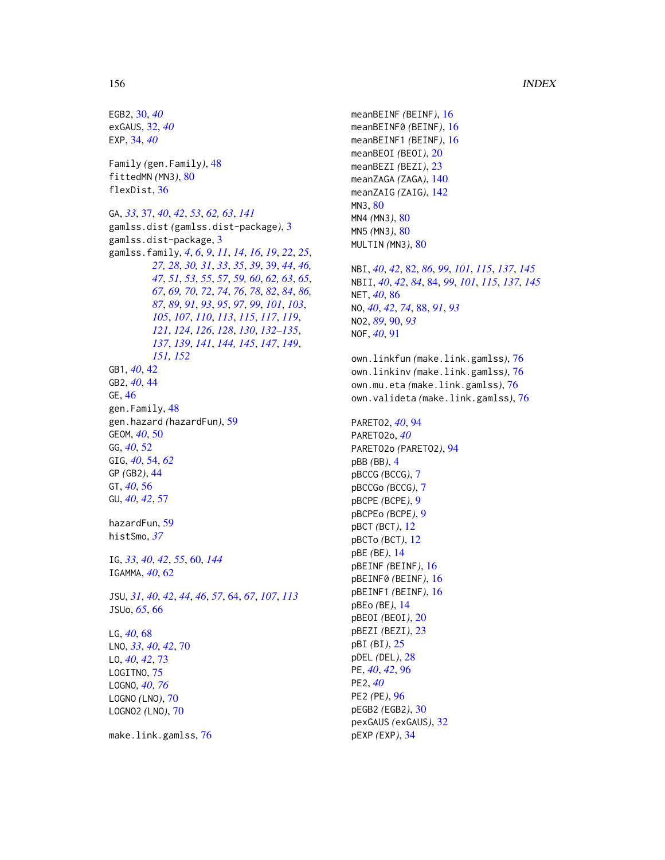EGB2, [30,](#page-29-0) *[40](#page-39-0)* exGAUS, [32,](#page-31-0) *[40](#page-39-0)* EXP, [34,](#page-33-0) *[40](#page-39-0)* Family *(*gen.Family*)*, [48](#page-47-0) fittedMN *(*MN3*)*, [80](#page-79-0) flexDist, [36](#page-35-0) GA, *[33](#page-32-0)*, [37,](#page-36-0) *[40](#page-39-0)*, *[42](#page-41-0)*, *[53](#page-52-0)*, *[62,](#page-61-0) [63](#page-62-0)*, *[141](#page-140-0)* gamlss.dist *(*gamlss.dist-package*)*, [3](#page-2-0) gamlss.dist-package, [3](#page-2-0) gamlss.family, *[4](#page-3-0)*, *[6](#page-5-0)*, *[9](#page-8-0)*, *[11](#page-10-0)*, *[14](#page-13-0)*, *[16](#page-15-0)*, *[19](#page-18-0)*, *[22](#page-21-0)*, *[25](#page-24-0)*, *[27,](#page-26-0) [28](#page-27-0)*, *[30,](#page-29-0) [31](#page-30-0)*, *[33](#page-32-0)*, *[35](#page-34-0)*, *[39](#page-38-1)*, [39,](#page-38-1) *[44](#page-43-0)*, *[46,](#page-45-0) [47](#page-46-0)*, *[51](#page-50-0)*, *[53](#page-52-0)*, *[55](#page-54-0)*, *[57](#page-56-0)*, *[59,](#page-58-0) [60](#page-59-0)*, *[62,](#page-61-0) [63](#page-62-0)*, *[65](#page-64-0)*, *[67](#page-66-0)*, *[69,](#page-68-0) [70](#page-69-0)*, *[72](#page-71-0)*, *[74](#page-73-0)*, *[76](#page-75-0)*, *[78](#page-77-0)*, *[82](#page-81-1)*, *[84](#page-83-1)*, *[86,](#page-85-0) [87](#page-86-0)*, *[89](#page-88-0)*, *[91](#page-90-0)*, *[93](#page-92-0)*, *[95](#page-94-0)*, *[97](#page-96-0)*, *[99](#page-98-0)*, *[101](#page-100-0)*, *[103](#page-102-0)*, *[105](#page-104-0)*, *[107](#page-106-0)*, *[110](#page-109-0)*, *[113](#page-112-0)*, *[115](#page-114-0)*, *[117](#page-116-0)*, *[119](#page-118-0)*, *[121](#page-120-0)*, *[124](#page-123-0)*, *[126](#page-125-0)*, *[128](#page-127-0)*, *[130](#page-129-0)*, *[132–](#page-131-0)[135](#page-134-0)*, *[137](#page-136-0)*, *[139](#page-138-0)*, *[141](#page-140-0)*, *[144,](#page-143-0) [145](#page-144-0)*, *[147](#page-146-1)*, *[149](#page-148-1)*, *[151,](#page-150-0) [152](#page-151-0)* GB1, *[40](#page-39-0)*, [42](#page-41-0) GB2, *[40](#page-39-0)*, [44](#page-43-0) GE, [46](#page-45-0) gen.Family, [48](#page-47-0) gen.hazard *(*hazardFun*)*, [59](#page-58-0) GEOM, *[40](#page-39-0)*, [50](#page-49-0) GG, *[40](#page-39-0)*, [52](#page-51-0) GIG, *[40](#page-39-0)*, [54,](#page-53-0) *[62](#page-61-0)* GP *(*GB2*)*, [44](#page-43-0) GT, *[40](#page-39-0)*, [56](#page-55-0) GU, *[40](#page-39-0)*, *[42](#page-41-0)*, [57](#page-56-0) hazardFun, [59](#page-58-0) histSmo, *[37](#page-36-0)* IG, *[33](#page-32-0)*, *[40](#page-39-0)*, *[42](#page-41-0)*, *[55](#page-54-0)*, [60,](#page-59-0) *[144](#page-143-0)* IGAMMA, *[40](#page-39-0)*, [62](#page-61-0) JSU, *[31](#page-30-0)*, *[40](#page-39-0)*, *[42](#page-41-0)*, *[44](#page-43-0)*, *[46](#page-45-0)*, *[57](#page-56-0)*, [64,](#page-63-0) *[67](#page-66-0)*, *[107](#page-106-0)*, *[113](#page-112-0)* JSUo, *[65](#page-64-0)*, [66](#page-65-0) LG, *[40](#page-39-0)*, [68](#page-67-1) LNO, *[33](#page-32-0)*, *[40](#page-39-0)*, *[42](#page-41-0)*, [70](#page-69-0) LO, *[40](#page-39-0)*, *[42](#page-41-0)*, [73](#page-72-0) LOGITNO, [75](#page-74-0) LOGNO, *[40](#page-39-0)*, *[76](#page-75-0)* LOGNO *(*LNO*)*, [70](#page-69-0) LOGNO2 *(*LNO*)*, [70](#page-69-0)

make.link.gamlss, [76](#page-75-0)

meanBEINF *(*BEINF*)*, [16](#page-15-0) meanBEINF0 *(*BEINF*)*, [16](#page-15-0) meanBEINF1 *(*BEINF*)*, [16](#page-15-0) meanBEOI *(*BEOI*)*, [20](#page-19-0) meanBEZI *(*BEZI*)*, [23](#page-22-0) meanZAGA *(*ZAGA*)*, [140](#page-139-0) meanZAIG *(*ZAIG*)*, [142](#page-141-0) MN3, [80](#page-79-0) MN4 *(*MN3*)*, [80](#page-79-0) MN5 *(*MN3*)*, [80](#page-79-0) MULTIN *(*MN3*)*, [80](#page-79-0) NBI, *[40](#page-39-0)*, *[42](#page-41-0)*, [82,](#page-81-1) *[86](#page-85-0)*, *[99](#page-98-0)*, *[101](#page-100-0)*, *[115](#page-114-0)*, *[137](#page-136-0)*, *[145](#page-144-0)* NBII, *[40](#page-39-0)*, *[42](#page-41-0)*, *[84](#page-83-1)*, [84,](#page-83-1) *[99](#page-98-0)*, *[101](#page-100-0)*, *[115](#page-114-0)*, *[137](#page-136-0)*, *[145](#page-144-0)* NET, *[40](#page-39-0)*, [86](#page-85-0) NO, *[40](#page-39-0)*, *[42](#page-41-0)*, *[74](#page-73-0)*, [88,](#page-87-0) *[91](#page-90-0)*, *[93](#page-92-0)* NO2, *[89](#page-88-0)*, [90,](#page-89-0) *[93](#page-92-0)* NOF, *[40](#page-39-0)*, [91](#page-90-0) own.linkfun *(*make.link.gamlss*)*, [76](#page-75-0) own.linkinv *(*make.link.gamlss*)*, [76](#page-75-0) own.mu.eta *(*make.link.gamlss*)*, [76](#page-75-0) own.valideta *(*make.link.gamlss*)*, [76](#page-75-0)

PARETO2, *[40](#page-39-0)*, [94](#page-93-0) PARETO2o, *[40](#page-39-0)* PARETO2o *(*PARETO2*)*, [94](#page-93-0) pBB *(*BB*)*, [4](#page-3-0) pBCCG *(*BCCG*)*, [7](#page-6-0) pBCCGo *(*BCCG*)*, [7](#page-6-0) pBCPE *(*BCPE*)*, [9](#page-8-0) pBCPEo *(*BCPE*)*, [9](#page-8-0) pBCT *(*BCT*)*, [12](#page-11-0) pBCTo *(*BCT*)*, [12](#page-11-0) pBE *(*BE*)*, [14](#page-13-0) pBEINF *(*BEINF*)*, [16](#page-15-0) pBEINF0 *(*BEINF*)*, [16](#page-15-0) pBEINF1 *(*BEINF*)*, [16](#page-15-0) pBEo *(*BE*)*, [14](#page-13-0) pBEOI *(*BEOI*)*, [20](#page-19-0) pBEZI *(*BEZI*)*, [23](#page-22-0) pBI *(*BI*)*, [25](#page-24-0) pDEL *(*DEL*)*, [28](#page-27-0) PE, *[40](#page-39-0)*, *[42](#page-41-0)*, [96](#page-95-0) PE2, *[40](#page-39-0)* PE2 *(*PE*)*, [96](#page-95-0) pEGB2 *(*EGB2*)*, [30](#page-29-0) pexGAUS *(*exGAUS*)*, [32](#page-31-0) pEXP *(*EXP*)*, [34](#page-33-0)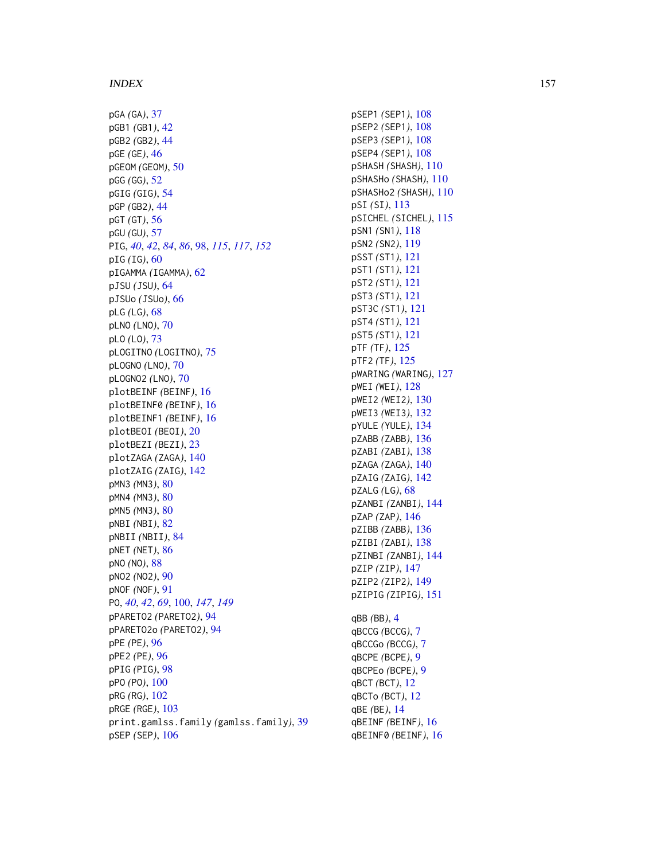pGA *(*GA *)* , [37](#page-36-0) pGB1 *(*GB1 *)* , [42](#page-41-0) pGB2 *(*GB2 *)* , [44](#page-43-0) pGE *(*GE *)* , [46](#page-45-0) pGEOM *(*GEOM *)* , [50](#page-49-0) pGG *(*GG *)* , [52](#page-51-0) pGIG *(*GIG *)* , [54](#page-53-0) pGP *(*GB2 *)* , [44](#page-43-0) pGT *(*GT *)* , [56](#page-55-0) pGU *(*GU *)* , [57](#page-56-0) PIG , *[40](#page-39-0)* , *[42](#page-41-0)* , *[84](#page-83-1)* , *[86](#page-85-0)* , [98](#page-97-1) , *[115](#page-114-0)* , *[117](#page-116-0)* , *[152](#page-151-0)* pIG *(*IG *)* , [60](#page-59-0) pIGAMMA *(*IGAMMA *)* , [62](#page-61-0) pJSU *(*JSU *)* , [64](#page-63-0) pJSUo *(*JSUo *)* , [66](#page-65-0) pLG *(*LG *)* , [68](#page-67-1) pLNO *(*LNO *)* , [70](#page-69-0) pLO *(*LO *)* , [73](#page-72-0) pLOGITNO *(*LOGITNO *)* , [75](#page-74-0) pLOGNO *(*LNO *)* , [70](#page-69-0) pLOGNO2 *(*LNO *)* , [70](#page-69-0) plotBEINF *(*BEINF *)* , [16](#page-15-0) plotBEINF0 *(*BEINF *)* , [16](#page-15-0) plotBEINF1 *(*BEINF *)* , [16](#page-15-0) plotBEOI *(*BEOI *)* , [20](#page-19-0) plotBEZI *(*BEZI *)* , [23](#page-22-0) plotZAGA *(*ZAGA *)* , [140](#page-139-0) plotZAIG *(*ZAIG *)* , [142](#page-141-0) pMN3 *(*MN3 *)* , [80](#page-79-0) pMN4 *(*MN3 *)* , [80](#page-79-0) pMN5 *(*MN3 *)* , [80](#page-79-0) pNBI *(*NBI *)* , [82](#page-81-1) pNBII *(*NBII *)* , [84](#page-83-1) pNET *(*NET *)* , [86](#page-85-0) pNO *(*NO *)* , [88](#page-87-0) pNO2 *(*NO2 *)* , [90](#page-89-0) pNOF *(*NOF *)* , [91](#page-90-0) PO , *[40](#page-39-0)* , *[42](#page-41-0)* , *[69](#page-68-0)* , [100](#page-99-1) , *[147](#page-146-1)* , *[149](#page-148-1)* pPARETO2 *(*PARETO2 *)* , [94](#page-93-0) pPARETO2o *(*PARETO2 *)* , [94](#page-93-0) pPE *(*PE *)* , [96](#page-95-0) pPE2 *(*PE *)* , [96](#page-95-0) pPIG *(*PIG *)* , [98](#page-97-1) pPO *(*PO *)* , [100](#page-99-1) pRG *(*RG *)* , [102](#page-101-0) pRGE *(*RGE *)* , [103](#page-102-0) print.gamlss.family *(*gamlss.family *)* , [39](#page-38-1) pSEP *(*SEP *)* , [106](#page-105-0)

pSEP1 *(*SEP1 *)* , [108](#page-107-0) pSEP2 *(*SEP1 *)* , [108](#page-107-0) pSEP3 *(*SEP1 *)* , [108](#page-107-0) pSEP4 *(*SEP1 *)* , [108](#page-107-0) pSHASH *(*SHASH *)* , [110](#page-109-0) pSHASHo *(*SHASH *)* , [110](#page-109-0) pSHASHo2 *(*SHASH *)* , [110](#page-109-0) pSI *(*SI *)* , [113](#page-112-0) pSICHEL *(*SICHEL *)* , [115](#page-114-0) pSN1 *(*SN1 *)* , [118](#page-117-0) pSN2 *(*SN2 *)* , [119](#page-118-0) pSST *(*ST1 *)* , [121](#page-120-0) pST1 *(*ST1 *)* , [121](#page-120-0) pST2 *(*ST1 *)* , [121](#page-120-0) pST3 *(*ST1 *)* , [121](#page-120-0) pST3C *(*ST1 *)* , [121](#page-120-0) pST4 *(*ST1 *)* , [121](#page-120-0) pST5 *(*ST1 *)* , [121](#page-120-0) pTF *(*TF *)* , [125](#page-124-0) pTF2 *(*TF *)* , [125](#page-124-0) pWARING *(*WARING *)* , [127](#page-126-0) pWEI *(*WEI *)* , [128](#page-127-0) pWEI2 *(*WEI2 *)* , [130](#page-129-0) pWEI3 *(*WEI3 *)* , [132](#page-131-0) pYULE *(*YULE *)* , [134](#page-133-0) pZABB *(*ZABB *)* , [136](#page-135-0) pZABI *(*ZABI *)* , [138](#page-137-0) pZAGA *(*ZAGA *)* , [140](#page-139-0) pZAIG *(*ZAIG *)* , [142](#page-141-0) pZALG *(*LG *)* , [68](#page-67-1) pZANBI *(*ZANBI *)* , [144](#page-143-0) pZAP *(*ZAP *)* , [146](#page-145-0) pZIBB *(*ZABB *)* , [136](#page-135-0) pZIBI *(*ZABI *)* , [138](#page-137-0) pZINBI *(*ZANBI *)* , [144](#page-143-0) pZIP *(*ZIP *)* , [147](#page-146-1) pZIP2 *(*ZIP2 *)* , [149](#page-148-1) pZIPIG *(*ZIPIG *)* , [151](#page-150-0) qBB *(*BB *)* , [4](#page-3-0) qBCCG *(*BCCG *)* , [7](#page-6-0) qBCCGo *(*BCCG *)* , [7](#page-6-0) qBCPE *(*BCPE *)* , [9](#page-8-0) qBCPEo *(*BCPE *)* , [9](#page-8-0) qBCT *(*BCT *)* , [12](#page-11-0) qBCTo *(*BCT *)* , [12](#page-11-0)

qBE *(*BE *)* , [14](#page-13-0) qBEINF *(*BEINF *)* , [16](#page-15-0) qBEINF0 *(*BEINF *)* , [16](#page-15-0)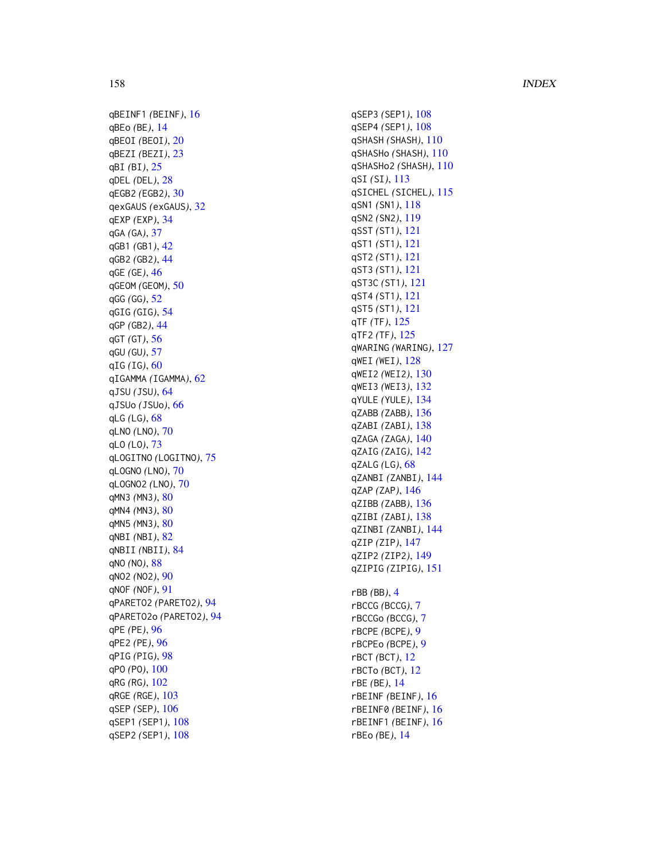qBEINF1 *(*BEINF *)* , [16](#page-15-0) qBEo *(*BE *)* , [14](#page-13-0) qBEOI *(*BEOI *)* , [20](#page-19-0) qBEZI *(*BEZI *)* , [23](#page-22-0) qBI *(*BI *)* , [25](#page-24-0) qDEL *(*DEL *)* , [28](#page-27-0) qEGB2 *(*EGB2 *)* , [30](#page-29-0) qexGAUS *(*exGAUS *)* , [32](#page-31-0) qEXP *(*EXP *)* , [34](#page-33-0) qGA *(*GA *)* , [37](#page-36-0) qGB1 *(*GB1 *)* , [42](#page-41-0) qGB2 *(*GB2 *)* , [44](#page-43-0) qGE *(*GE *)* , [46](#page-45-0) qGEOM *(*GEOM *)* , [50](#page-49-0) qGG *(*GG *)* , [52](#page-51-0) qGIG *(*GIG *)* , [54](#page-53-0) qGP *(*GB2 *)* , [44](#page-43-0) qGT *(*GT *)* , [56](#page-55-0) qGU *(*GU *)* , [57](#page-56-0) qIG *(*IG *)* , [60](#page-59-0) qIGAMMA *(*IGAMMA *)* , [62](#page-61-0) qJSU *(*JSU *)* , [64](#page-63-0) qJSUo *(*JSUo *)* , [66](#page-65-0) qLG *(*LG *)* , [68](#page-67-1) qLNO *(*LNO *)* , [70](#page-69-0) qLO *(*LO *)* , [73](#page-72-0) qLOGITNO *(*LOGITNO *)* , [75](#page-74-0) qLOGNO *(*LNO *)* , [70](#page-69-0) qLOGNO2 *(*LNO *)* , [70](#page-69-0) qMN3 *(*MN3 *)* , [80](#page-79-0) qMN4 *(*MN3 *)* , [80](#page-79-0) qMN5 *(*MN3 *)* , [80](#page-79-0) qNBI *(*NBI *)* , [82](#page-81-1) qNBII *(*NBII *)* , [84](#page-83-1) qNO *(*NO *)* , [88](#page-87-0) qNO2 *(*NO2 *)* , [90](#page-89-0) qNOF *(*NOF *)* , [91](#page-90-0) qPARETO2 *(*PARETO2 *)* , [94](#page-93-0) qPARETO2o *(*PARETO2 *)* , [94](#page-93-0) qPE *(*PE *)* , [96](#page-95-0) qPE2 *(*PE *)* , [96](#page-95-0) qPIG *(*PIG *)* , [98](#page-97-1) qPO *(*PO *)* , [100](#page-99-1) qRG *(*RG *)* , [102](#page-101-0) qRGE *(*RGE *)* , [103](#page-102-0) qSEP *(*SEP *)* , [106](#page-105-0) qSEP1 *(*SEP1 *)* , [108](#page-107-0) qSEP2 *(*SEP1 *)* , [108](#page-107-0)

qSEP3 *(*SEP1 *)* , [108](#page-107-0) qSEP4 *(*SEP1 *)* , [108](#page-107-0) qSHASH *(*SHASH *)* , [110](#page-109-0) qSHASHo *(*SHASH *)* , [110](#page-109-0) qSHASHo2 *(*SHASH *)* , [110](#page-109-0) qSI *(*SI *)* , [113](#page-112-0) qSICHEL *(*SICHEL *)* , [115](#page-114-0) qSN1 *(*SN1 *)* , [118](#page-117-0) qSN2 *(*SN2 *)* , [119](#page-118-0) qSST *(*ST1 *)* , [121](#page-120-0) qST1 *(*ST1 *)* , [121](#page-120-0) qST2 *(*ST1 *)* , [121](#page-120-0) qST3 *(*ST1 *)* , [121](#page-120-0) qST3C *(*ST1 *)* , [121](#page-120-0) qST4 *(*ST1 *)* , [121](#page-120-0) qST5 *(*ST1 *)* , [121](#page-120-0) qTF *(*TF *)* , [125](#page-124-0) qTF2 *(*TF *)* , [125](#page-124-0) qWARING *(*WARING *)* , [127](#page-126-0) qWEI *(*WEI *)* , [128](#page-127-0) qWEI2 *(*WEI2 *)* , [130](#page-129-0) qWEI3 *(*WEI3 *)* , [132](#page-131-0) qYULE *(*YULE *)* , [134](#page-133-0) qZABB *(*ZABB *)* , [136](#page-135-0) qZABI *(*ZABI *)* , [138](#page-137-0) qZAGA *(*ZAGA *)* , [140](#page-139-0) qZAIG *(*ZAIG *)* , [142](#page-141-0) qZALG *(*LG *)* , [68](#page-67-1) qZANBI *(*ZANBI *)* , [144](#page-143-0) qZAP *(*ZAP *)* , [146](#page-145-0) qZIBB *(*ZABB *)* , [136](#page-135-0) qZIBI *(*ZABI *)* , [138](#page-137-0) qZINBI *(*ZANBI *)* , [144](#page-143-0) qZIP *(*ZIP *)* , [147](#page-146-1) qZIP2 *(*ZIP2 *)* , [149](#page-148-1) qZIPIG *(*ZIPIG *)* , [151](#page-150-0) rBB *(*BB *)* , [4](#page-3-0) rBCCG *(*BCCG *)* , [7](#page-6-0) rBCCGo *(*BCCG *)* , [7](#page-6-0) rBCPE *(*BCPE *)* , [9](#page-8-0) rBCPEo *(*BCPE *)* , [9](#page-8-0) rBCT *(*BCT *)* , [12](#page-11-0) rBCTo *(*BCT *)* , [12](#page-11-0) rBE *(*BE *)* , [14](#page-13-0) rBEINF *(*BEINF *)* , [16](#page-15-0) rBEINF0 *(*BEINF *)* , [16](#page-15-0) rBEINF1 *(*BEINF *)* , [16](#page-15-0) rBEo *(*BE *)* , [14](#page-13-0)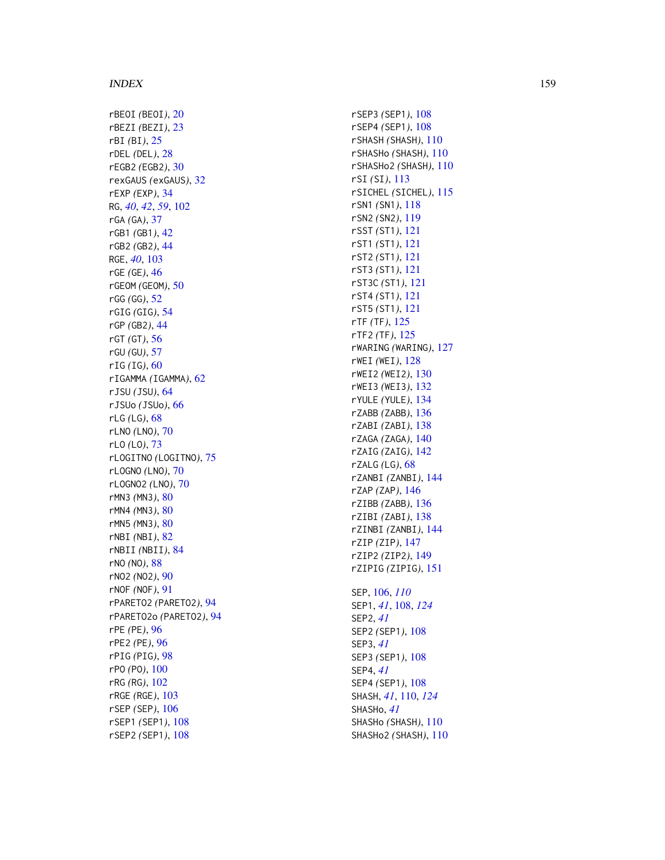rBEOI *(*BEOI *)* , [20](#page-19-0) rBEZI *(*BEZI *)* , [23](#page-22-0) rBI *(*BI *)* , [25](#page-24-0) rDEL *(*DEL *)* , [28](#page-27-0) rEGB2 *(*EGB2 *)* , [30](#page-29-0) rexGAUS *(*exGAUS *)* , [32](#page-31-0) rEXP *(*EXP *)* , [34](#page-33-0) RG , *[40](#page-39-0)* , *[42](#page-41-0)* , *[59](#page-58-0)* , [102](#page-101-0) rGA *(*GA *)* , [37](#page-36-0) rGB1 *(*GB1 *)* , [42](#page-41-0) rGB2 *(*GB2 *)* , [44](#page-43-0) RGE , *[40](#page-39-0)* , [103](#page-102-0) rGE *(*GE *)* , [46](#page-45-0) rGEOM *(*GEOM *)* , [50](#page-49-0) rGG *(*GG *)* , [52](#page-51-0) rGIG *(*GIG *)* , [54](#page-53-0) rGP *(*GB2 *)* , [44](#page-43-0) rGT *(*GT *)* , [56](#page-55-0) rGU *(*GU *)* , [57](#page-56-0) rIG *(*IG *)* , [60](#page-59-0) rIGAMMA *(*IGAMMA *)* , [62](#page-61-0) rJSU *(*JSU *)* , [64](#page-63-0) rJSUo *(*JSUo *)* , [66](#page-65-0) rLG *(*LG *)* , [68](#page-67-1) rLNO *(*LNO *)* , [70](#page-69-0) rLO *(*LO *)* , [73](#page-72-0) rLOGITNO *(*LOGITNO *)* , [75](#page-74-0) rLOGNO *(*LNO *)* , [70](#page-69-0) rLOGNO2 *(*LNO *)* , [70](#page-69-0) rMN3 *(*MN3 *)* , [80](#page-79-0) rMN4 *(*MN3 *)* , [80](#page-79-0) rMN5 *(*MN3 *)* , [80](#page-79-0) rNBI *(*NBI *)* , [82](#page-81-1) rNBII *(*NBII *)* , [84](#page-83-1) rNO *(*NO *)* , [88](#page-87-0) rNO2 *(*NO2 *)* , [90](#page-89-0) rNOF *(*NOF *)* , [91](#page-90-0) rPARETO2 *(*PARETO2 *)* , [94](#page-93-0) rPARETO2o *(*PARETO2 *)* , [94](#page-93-0) rPE *(*PE *)* , [96](#page-95-0) rPE2 *(*PE *)* , [96](#page-95-0) rPIG *(*PIG *)* , [98](#page-97-1) rPO *(*PO *)* , [100](#page-99-1) rRG *(*RG *)* , [102](#page-101-0) rRGE *(*RGE *)* , [103](#page-102-0) rSEP *(*SEP *)* , [106](#page-105-0) rSEP1 *(*SEP1 *)* , [108](#page-107-0) rSEP2 *(*SEP1 *)* , [108](#page-107-0)

rSEP3 *(*SEP1 *)* , [108](#page-107-0) rSEP4 *(*SEP1 *)* , [108](#page-107-0) rSHASH *(*SHASH *)* , [110](#page-109-0) rSHASHo *(*SHASH *)* , [110](#page-109-0) rSHASHo2 *(*SHASH *)* , [110](#page-109-0) rSI *(*SI *)* , [113](#page-112-0) rSICHEL *(*SICHEL *)* , [115](#page-114-0) rSN1 *(*SN1 *)* , [118](#page-117-0) rSN2 *(*SN2 *)* , [119](#page-118-0) rSST *(*ST1 *)* , [121](#page-120-0) rST1 *(*ST1 *)* , [121](#page-120-0) rST2 *(*ST1 *)* , [121](#page-120-0) rST3 *(*ST1 *)* , [121](#page-120-0) rST3C *(*ST1 *)* , [121](#page-120-0) rST4 *(*ST1 *)* , [121](#page-120-0) rST5 *(*ST1 *)* , [121](#page-120-0) rTF *(*TF *)* , [125](#page-124-0) rTF2 *(*TF *)* , [125](#page-124-0) rWARING *(*WARING *)* , [127](#page-126-0) rWEI *(*WEI *)* , [128](#page-127-0) rWEI2 *(*WEI2 *)* , [130](#page-129-0) rWEI3 *(*WEI3 *)* , [132](#page-131-0) rYULE *(*YULE *)* , [134](#page-133-0) rZABB *(*ZABB *)* , [136](#page-135-0) rZABI *(*ZABI *)* , [138](#page-137-0) rZAGA *(*ZAGA *)* , [140](#page-139-0) rZAIG *(*ZAIG *)* , [142](#page-141-0) rZALG *(*LG *)* , [68](#page-67-1) rZANBI *(*ZANBI *)* , [144](#page-143-0) rZAP *(*ZAP *)* , [146](#page-145-0) rZIBB *(*ZABB *)* , [136](#page-135-0) rZIBI *(*ZABI *)* , [138](#page-137-0) rZINBI *(*ZANBI *)* , [144](#page-143-0) rZIP *(*ZIP *)* , [147](#page-146-1) rZIP2 *(*ZIP2 *)* , [149](#page-148-1) rZIPIG *(*ZIPIG *)* , [151](#page-150-0) SEP , [106](#page-105-0) , *[110](#page-109-0)* SEP1 , *[41](#page-40-0)* , [108](#page-107-0) , *[124](#page-123-0)* SEP2 , *[41](#page-40-0)* SEP2 *(*SEP1 *)* , [108](#page-107-0) SEP3 , *[41](#page-40-0)* SEP3 *(*SEP1 *)* , [108](#page-107-0) SEP4 , *[41](#page-40-0)* SEP4 *(*SEP1 *)* , [108](#page-107-0) SHASH , *[41](#page-40-0)* , [110](#page-109-0) , *[124](#page-123-0)* SHASHo , *[41](#page-40-0)* SHASHo *(*SHASH *)* , [110](#page-109-0) SHASHo2 *(*SHASH *)* , [110](#page-109-0)